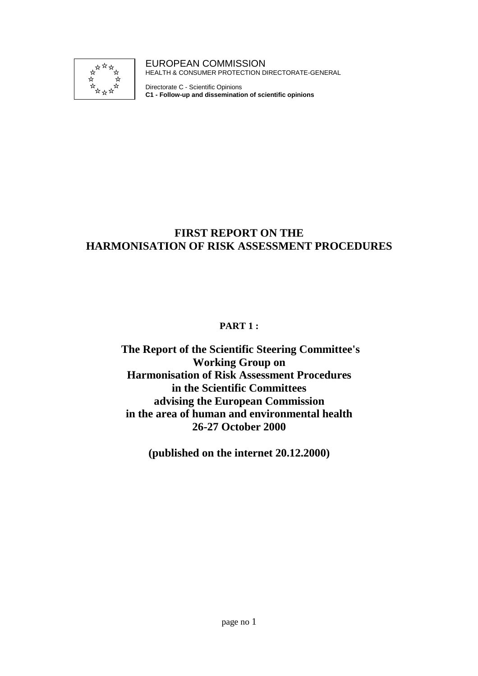

EUROPEAN COMMISSION HEALTH & CONSUMER PROTECTION DIRECTORATE-GENERAL

Directorate C - Scientific Opinions **C1 - Follow-up and dissemination of scientific opinions**

### **FIRST REPORT ON THE HARMONISATION OF RISK ASSESSMENT PROCEDURES**

### **PART 1 :**

 **The Report of the Scientific Steering Committee's Working Group on Harmonisation of Risk Assessment Procedures in the Scientific Committees advising the European Commission in the area of human and environmental health 26-27 October 2000**

**(published on the internet 20.12.2000)**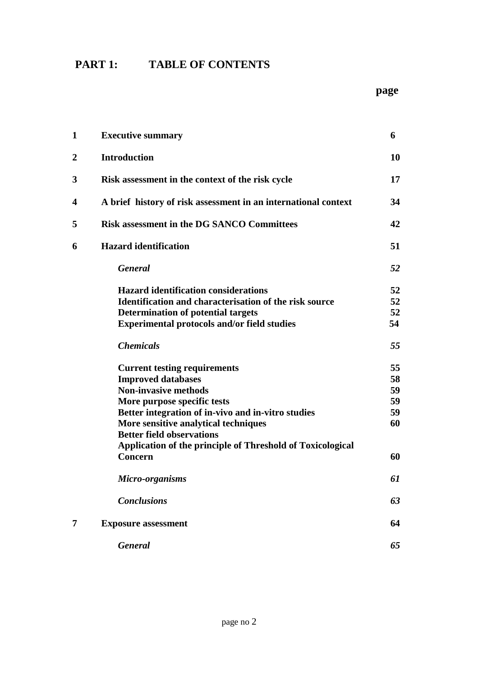## **PART 1: TABLE OF CONTENTS**

#### **page** to the contract of the contract of the contract of the contract of the contract of the contract of the contract of the contract of the contract of the contract of the contract of the contract of the contract of the

| $\mathbf 1$      | <b>Executive summary</b>                                       | 6  |
|------------------|----------------------------------------------------------------|----|
| $\boldsymbol{2}$ | <b>Introduction</b>                                            | 10 |
| 3                | Risk assessment in the context of the risk cycle               | 17 |
| 4                | A brief history of risk assessment in an international context | 34 |
| 5                | <b>Risk assessment in the DG SANCO Committees</b>              | 42 |
| 6                | <b>Hazard identification</b>                                   | 51 |
|                  | <b>General</b>                                                 | 52 |
|                  | <b>Hazard identification considerations</b>                    | 52 |
|                  | Identification and characterisation of the risk source         | 52 |
|                  | <b>Determination of potential targets</b>                      | 52 |
|                  | <b>Experimental protocols and/or field studies</b>             | 54 |
|                  | <b>Chemicals</b>                                               | 55 |
|                  | <b>Current testing requirements</b>                            | 55 |
|                  | <b>Improved databases</b>                                      | 58 |
|                  | <b>Non-invasive methods</b>                                    | 59 |
|                  | More purpose specific tests                                    | 59 |
|                  | Better integration of in-vivo and in-vitro studies             | 59 |
|                  | More sensitive analytical techniques                           | 60 |
|                  | <b>Better field observations</b>                               |    |
|                  | Application of the principle of Threshold of Toxicological     |    |
|                  | <b>Concern</b>                                                 | 60 |
|                  | Micro-organisms                                                | 61 |
|                  | <b>Conclusions</b>                                             | 63 |
| 7                | <b>Exposure assessment</b>                                     | 64 |
|                  | <b>General</b>                                                 | 65 |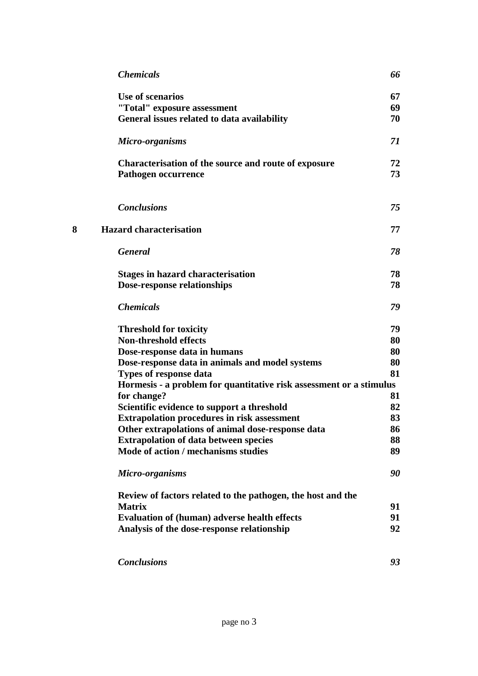| 66                                                                  |
|---------------------------------------------------------------------|
| 67                                                                  |
| 69                                                                  |
| 70                                                                  |
| 71                                                                  |
| 72                                                                  |
| 73                                                                  |
| 75                                                                  |
| 77                                                                  |
| 78                                                                  |
| 78                                                                  |
| 78                                                                  |
| 79                                                                  |
| 79                                                                  |
| 80                                                                  |
| 80                                                                  |
| 80                                                                  |
| 81                                                                  |
| Hormesis - a problem for quantitative risk assessment or a stimulus |
| 81                                                                  |
| 82                                                                  |
| 83                                                                  |
| 86                                                                  |
| 88                                                                  |
| 89                                                                  |
| 90                                                                  |
|                                                                     |
| 91                                                                  |
| 91                                                                  |
| 92                                                                  |
| 93                                                                  |
|                                                                     |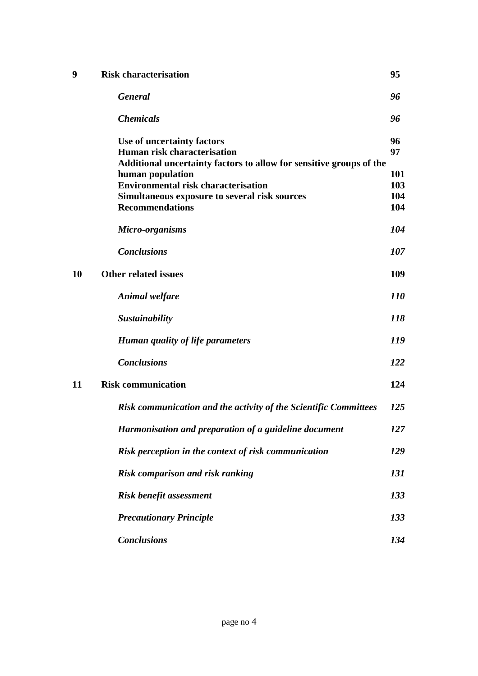| 9  | <b>Risk characterisation</b>                                                                                                            | 95         |
|----|-----------------------------------------------------------------------------------------------------------------------------------------|------------|
|    | <b>General</b>                                                                                                                          | 96         |
|    | <b>Chemicals</b>                                                                                                                        | 96         |
|    | Use of uncertainty factors<br><b>Human risk characterisation</b><br>Additional uncertainty factors to allow for sensitive groups of the | 96<br>97   |
|    | human population                                                                                                                        | 101        |
|    | <b>Environmental risk characterisation</b>                                                                                              | 103        |
|    | Simultaneous exposure to several risk sources                                                                                           | 104        |
|    | <b>Recommendations</b>                                                                                                                  | 104        |
|    | Micro-organisms                                                                                                                         | 104        |
|    | <b>Conclusions</b>                                                                                                                      | 107        |
| 10 | <b>Other related issues</b>                                                                                                             | 109        |
|    | <b>Animal welfare</b>                                                                                                                   | <i>110</i> |
|    | Sustainability                                                                                                                          | 118        |
|    | Human quality of life parameters                                                                                                        | 119        |
|    | <b>Conclusions</b>                                                                                                                      | 122        |
| 11 | <b>Risk communication</b>                                                                                                               | 124        |
|    | Risk communication and the activity of the Scientific Committees                                                                        | 125        |
|    | Harmonisation and preparation of a guideline document                                                                                   | 127        |
|    | Risk perception in the context of risk communication                                                                                    | 129        |
|    | Risk comparison and risk ranking                                                                                                        | 131        |
|    | <b>Risk benefit assessment</b>                                                                                                          | 133        |
|    | <b>Precautionary Principle</b>                                                                                                          | 133        |
|    | <b>Conclusions</b>                                                                                                                      | 134        |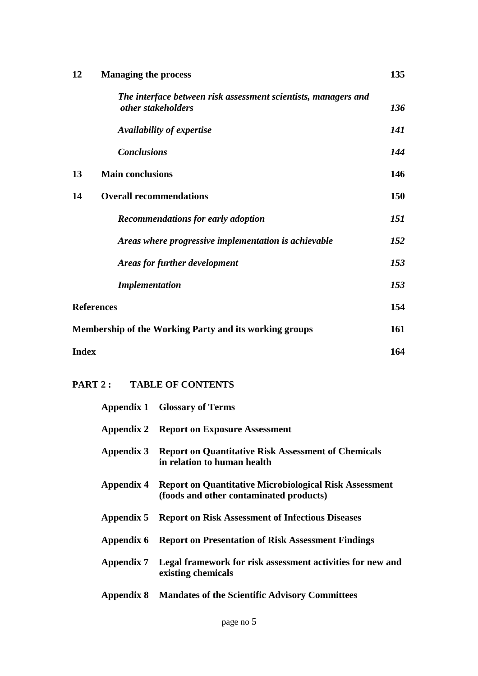| 12 | <b>Managing the process</b>                                                          | 135 |  |
|----|--------------------------------------------------------------------------------------|-----|--|
|    | The interface between risk assessment scientists, managers and<br>other stakeholders | 136 |  |
|    | Availability of expertise                                                            | 141 |  |
|    | <b>Conclusions</b>                                                                   | 144 |  |
| 13 | <b>Main conclusions</b>                                                              | 146 |  |
| 14 | <b>Overall recommendations</b>                                                       | 150 |  |
|    | <b>Recommendations for early adoption</b>                                            | 151 |  |
|    | Areas where progressive implementation is achievable                                 | 152 |  |
|    | Areas for further development                                                        | 153 |  |
|    | <b>Implementation</b>                                                                | 153 |  |
|    | <b>References</b>                                                                    |     |  |
|    | Membership of the Working Party and its working groups                               |     |  |
|    | <b>Index</b>                                                                         |     |  |

### **PART 2 : TABLE OF CONTENTS**

|            | <b>Appendix 1 Glossary of Terms</b>                                                                      |
|------------|----------------------------------------------------------------------------------------------------------|
|            | <b>Appendix 2 Report on Exposure Assessment</b>                                                          |
| Appendix 3 | <b>Report on Quantitative Risk Assessment of Chemicals</b><br>in relation to human health                |
| Appendix 4 | <b>Report on Quantitative Microbiological Risk Assessment</b><br>(foods and other contaminated products) |
| Appendix 5 | <b>Report on Risk Assessment of Infectious Diseases</b>                                                  |
| Appendix 6 | <b>Report on Presentation of Risk Assessment Findings</b>                                                |
| Appendix 7 | Legal framework for risk assessment activities for new and<br>existing chemicals                         |
| Appendix 8 | <b>Mandates of the Scientific Advisory Committees</b>                                                    |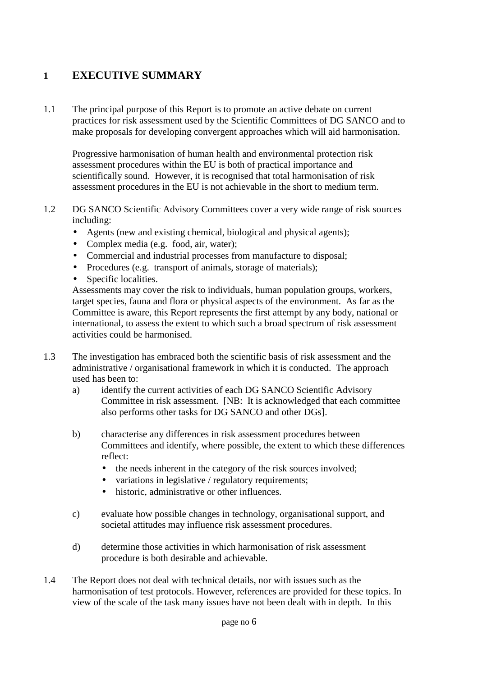### **1 EXECUTIVE SUMMARY**

1.1 The principal purpose of this Report is to promote an active debate on current practices for risk assessment used by the Scientific Committees of DG SANCO and to make proposals for developing convergent approaches which will aid harmonisation.

Progressive harmonisation of human health and environmental protection risk assessment procedures within the EU is both of practical importance and scientifically sound. However, it is recognised that total harmonisation of risk assessment procedures in the EU is not achievable in the short to medium term.

- 1.2 DG SANCO Scientific Advisory Committees cover a very wide range of risk sources including:
	- Agents (new and existing chemical, biological and physical agents);
	- Complex media (e.g. food, air, water);
	- Commercial and industrial processes from manufacture to disposal;
	- Procedures (e.g. transport of animals, storage of materials);
	- Specific localities.

Assessments may cover the risk to individuals, human population groups, workers, target species, fauna and flora or physical aspects of the environment. As far as the Committee is aware, this Report represents the first attempt by any body, national or international, to assess the extent to which such a broad spectrum of risk assessment activities could be harmonised.

- 1.3 The investigation has embraced both the scientific basis of risk assessment and the administrative / organisational framework in which it is conducted. The approach used has been to:
	- a) identify the current activities of each DG SANCO Scientific Advisory Committee in risk assessment. [NB: It is acknowledged that each committee also performs other tasks for DG SANCO and other DGs].
	- b) characterise any differences in risk assessment procedures between Committees and identify, where possible, the extent to which these differences reflect:
		- the needs inherent in the category of the risk sources involved;
		- variations in legislative / regulatory requirements;
		- historic, administrative or other influences.
	- c) evaluate how possible changes in technology, organisational support, and societal attitudes may influence risk assessment procedures.
	- d) determine those activities in which harmonisation of risk assessment procedure is both desirable and achievable.
- 1.4 The Report does not deal with technical details, nor with issues such as the harmonisation of test protocols. However, references are provided for these topics. In view of the scale of the task many issues have not been dealt with in depth. In this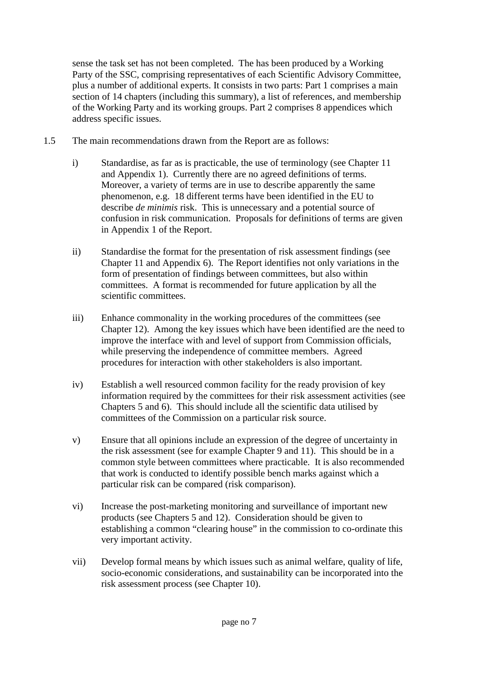sense the task set has not been completed. The has been produced by a Working Party of the SSC, comprising representatives of each Scientific Advisory Committee, plus a number of additional experts. It consists in two parts: Part 1 comprises a main section of 14 chapters (including this summary), a list of references, and membership of the Working Party and its working groups. Part 2 comprises 8 appendices which address specific issues.

- 1.5 The main recommendations drawn from the Report are as follows:
	- i) Standardise, as far as is practicable, the use of terminology (see Chapter 11 and Appendix 1). Currently there are no agreed definitions of terms. Moreover, a variety of terms are in use to describe apparently the same phenomenon, e.g. 18 different terms have been identified in the EU to describe *de minimis* risk. This is unnecessary and a potential source of confusion in risk communication. Proposals for definitions of terms are given in Appendix 1 of the Report.
	- ii) Standardise the format for the presentation of risk assessment findings (see Chapter 11 and Appendix 6). The Report identifies not only variations in the form of presentation of findings between committees, but also within committees. A format is recommended for future application by all the scientific committees.
	- iii) Enhance commonality in the working procedures of the committees (see Chapter 12). Among the key issues which have been identified are the need to improve the interface with and level of support from Commission officials, while preserving the independence of committee members. Agreed procedures for interaction with other stakeholders is also important.
	- iv) Establish a well resourced common facility for the ready provision of key information required by the committees for their risk assessment activities (see Chapters 5 and 6). This should include all the scientific data utilised by committees of the Commission on a particular risk source.
	- v) Ensure that all opinions include an expression of the degree of uncertainty in the risk assessment (see for example Chapter 9 and 11). This should be in a common style between committees where practicable. It is also recommended that work is conducted to identify possible bench marks against which a particular risk can be compared (risk comparison).
	- vi) Increase the post-marketing monitoring and surveillance of important new products (see Chapters 5 and 12). Consideration should be given to establishing a common "clearing house" in the commission to co-ordinate this very important activity.
	- vii) Develop formal means by which issues such as animal welfare, quality of life, socio-economic considerations, and sustainability can be incorporated into the risk assessment process (see Chapter 10).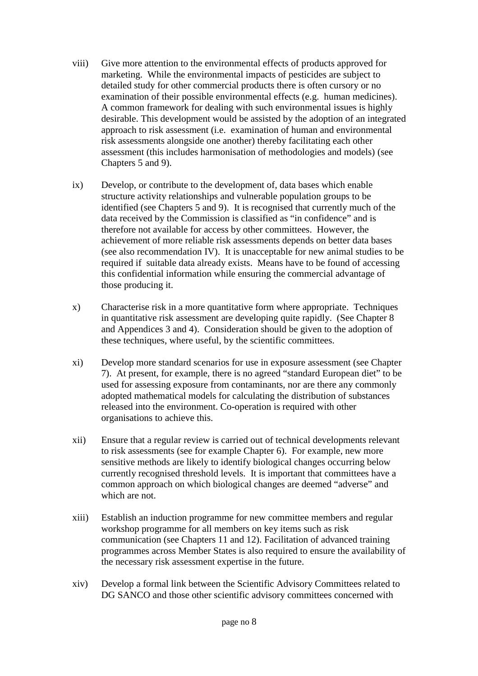- viii) Give more attention to the environmental effects of products approved for marketing. While the environmental impacts of pesticides are subject to detailed study for other commercial products there is often cursory or no examination of their possible environmental effects (e.g. human medicines). A common framework for dealing with such environmental issues is highly desirable. This development would be assisted by the adoption of an integrated approach to risk assessment (i.e. examination of human and environmental risk assessments alongside one another) thereby facilitating each other assessment (this includes harmonisation of methodologies and models) (see Chapters 5 and 9).
- ix) Develop, or contribute to the development of, data bases which enable structure activity relationships and vulnerable population groups to be identified (see Chapters 5 and 9). It is recognised that currently much of the data received by the Commission is classified as "in confidence" and is therefore not available for access by other committees. However, the achievement of more reliable risk assessments depends on better data bases (see also recommendation IV). It is unacceptable for new animal studies to be required if suitable data already exists. Means have to be found of accessing this confidential information while ensuring the commercial advantage of those producing it.
- x) Characterise risk in a more quantitative form where appropriate. Techniques in quantitative risk assessment are developing quite rapidly. (See Chapter 8 and Appendices 3 and 4). Consideration should be given to the adoption of these techniques, where useful, by the scientific committees.
- xi) Develop more standard scenarios for use in exposure assessment (see Chapter 7). At present, for example, there is no agreed "standard European diet" to be used for assessing exposure from contaminants, nor are there any commonly adopted mathematical models for calculating the distribution of substances released into the environment. Co-operation is required with other organisations to achieve this.
- xii) Ensure that a regular review is carried out of technical developments relevant to risk assessments (see for example Chapter 6). For example, new more sensitive methods are likely to identify biological changes occurring below currently recognised threshold levels. It is important that committees have a common approach on which biological changes are deemed "adverse" and which are not.
- xiii) Establish an induction programme for new committee members and regular workshop programme for all members on key items such as risk communication (see Chapters 11 and 12). Facilitation of advanced training programmes across Member States is also required to ensure the availability of the necessary risk assessment expertise in the future.
- xiv) Develop a formal link between the Scientific Advisory Committees related to DG SANCO and those other scientific advisory committees concerned with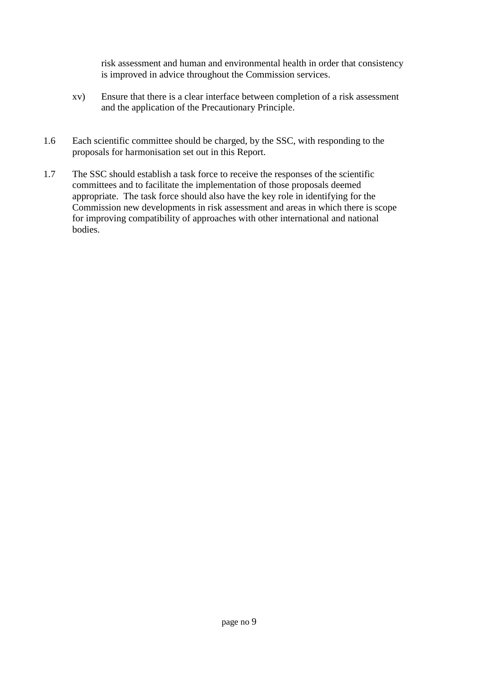risk assessment and human and environmental health in order that consistency is improved in advice throughout the Commission services.

- xv) Ensure that there is a clear interface between completion of a risk assessment and the application of the Precautionary Principle.
- 1.6 Each scientific committee should be charged, by the SSC, with responding to the proposals for harmonisation set out in this Report.
- 1.7 The SSC should establish a task force to receive the responses of the scientific committees and to facilitate the implementation of those proposals deemed appropriate. The task force should also have the key role in identifying for the Commission new developments in risk assessment and areas in which there is scope for improving compatibility of approaches with other international and national bodies.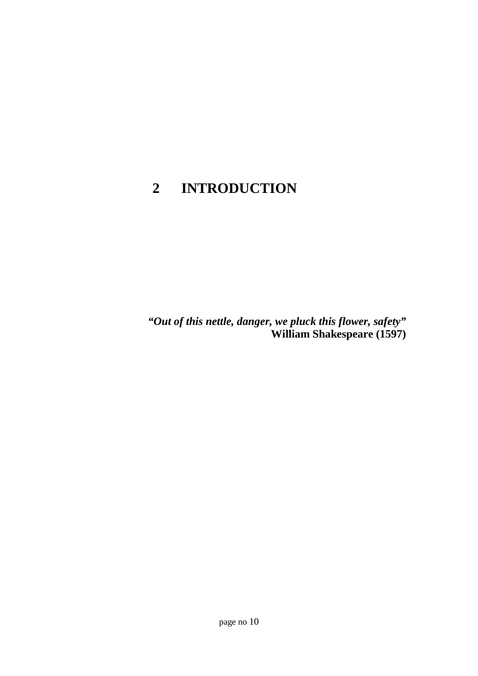## **2 INTRODUCTION**

*"Out of this nettle, danger, we pluck this flower, safety"* **William Shakespeare (1597)**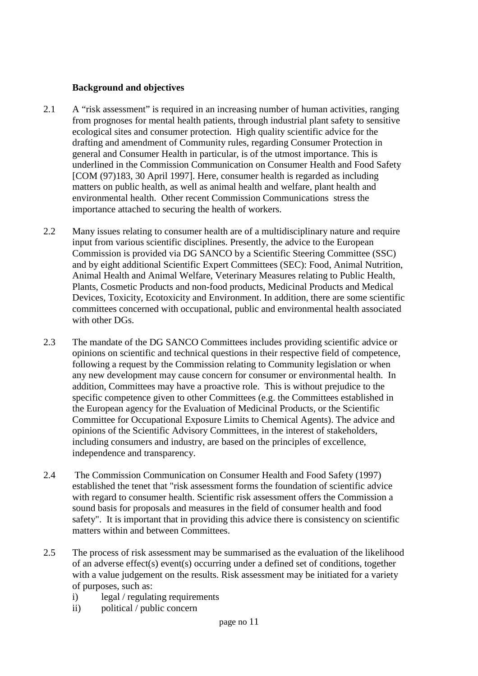#### **Background and objectives**

- 2.1 A "risk assessment" is required in an increasing number of human activities, ranging from prognoses for mental health patients, through industrial plant safety to sensitive ecological sites and consumer protection. High quality scientific advice for the drafting and amendment of Community rules, regarding Consumer Protection in general and Consumer Health in particular, is of the utmost importance. This is underlined in the Commission Communication on Consumer Health and Food Safety [COM (97)183, 30 April 1997]. Here, consumer health is regarded as including matters on public health, as well as animal health and welfare, plant health and environmental health. Other recent Commission Communications stress the importance attached to securing the health of workers.
- 2.2 Many issues relating to consumer health are of a multidisciplinary nature and require input from various scientific disciplines. Presently, the advice to the European Commission is provided via DG SANCO by a Scientific Steering Committee (SSC) and by eight additional Scientific Expert Committees (SEC): Food, Animal Nutrition, Animal Health and Animal Welfare, Veterinary Measures relating to Public Health, Plants, Cosmetic Products and non-food products, Medicinal Products and Medical Devices, Toxicity, Ecotoxicity and Environment. In addition, there are some scientific committees concerned with occupational, public and environmental health associated with other DGs.
- 2.3 The mandate of the DG SANCO Committees includes providing scientific advice or opinions on scientific and technical questions in their respective field of competence, following a request by the Commission relating to Community legislation or when any new development may cause concern for consumer or environmental health. In addition, Committees may have a proactive role. This is without prejudice to the specific competence given to other Committees (e.g. the Committees established in the European agency for the Evaluation of Medicinal Products, or the Scientific Committee for Occupational Exposure Limits to Chemical Agents). The advice and opinions of the Scientific Advisory Committees, in the interest of stakeholders, including consumers and industry, are based on the principles of excellence, independence and transparency.
- 2.4 The Commission Communication on Consumer Health and Food Safety (1997) established the tenet that "risk assessment forms the foundation of scientific advice with regard to consumer health. Scientific risk assessment offers the Commission a sound basis for proposals and measures in the field of consumer health and food safety". It is important that in providing this advice there is consistency on scientific matters within and between Committees.
- 2.5 The process of risk assessment may be summarised as the evaluation of the likelihood of an adverse effect(s) event(s) occurring under a defined set of conditions, together with a value judgement on the results. Risk assessment may be initiated for a variety of purposes, such as:
	- i) legal / regulating requirements
	- ii) political / public concern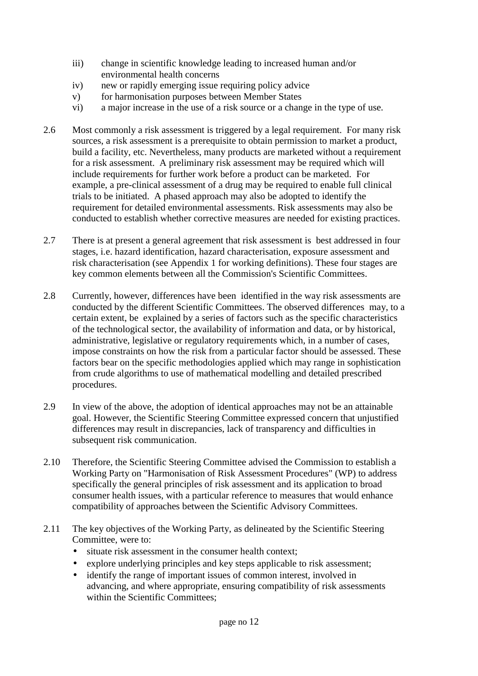- iii) change in scientific knowledge leading to increased human and/or environmental health concerns
- iv) new or rapidly emerging issue requiring policy advice
- v) for harmonisation purposes between Member States
- vi) a major increase in the use of a risk source or a change in the type of use.
- 2.6 Most commonly a risk assessment is triggered by a legal requirement. For many risk sources, a risk assessment is a prerequisite to obtain permission to market a product, build a facility, etc. Nevertheless, many products are marketed without a requirement for a risk assessment. A preliminary risk assessment may be required which will include requirements for further work before a product can be marketed. For example, a pre-clinical assessment of a drug may be required to enable full clinical trials to be initiated. A phased approach may also be adopted to identify the requirement for detailed environmental assessments. Risk assessments may also be conducted to establish whether corrective measures are needed for existing practices.
- 2.7 There is at present a general agreement that risk assessment is best addressed in four stages, i.e. hazard identification, hazard characterisation, exposure assessment and risk characterisation (see Appendix 1 for working definitions). These four stages are key common elements between all the Commission's Scientific Committees.
- 2.8 Currently, however, differences have been identified in the way risk assessments are conducted by the different Scientific Committees. The observed differences may, to a certain extent, be explained by a series of factors such as the specific characteristics of the technological sector, the availability of information and data, or by historical, administrative, legislative or regulatory requirements which, in a number of cases, impose constraints on how the risk from a particular factor should be assessed. These factors bear on the specific methodologies applied which may range in sophistication from crude algorithms to use of mathematical modelling and detailed prescribed procedures.
- 2.9 In view of the above, the adoption of identical approaches may not be an attainable goal. However, the Scientific Steering Committee expressed concern that unjustified differences may result in discrepancies, lack of transparency and difficulties in subsequent risk communication.
- 2.10 Therefore, the Scientific Steering Committee advised the Commission to establish a Working Party on "Harmonisation of Risk Assessment Procedures" (WP) to address specifically the general principles of risk assessment and its application to broad consumer health issues, with a particular reference to measures that would enhance compatibility of approaches between the Scientific Advisory Committees.
- 2.11 The key objectives of the Working Party, as delineated by the Scientific Steering Committee, were to:
	- situate risk assessment in the consumer health context;
	- explore underlying principles and key steps applicable to risk assessment;
	- identify the range of important issues of common interest, involved in advancing, and where appropriate, ensuring compatibility of risk assessments within the Scientific Committees: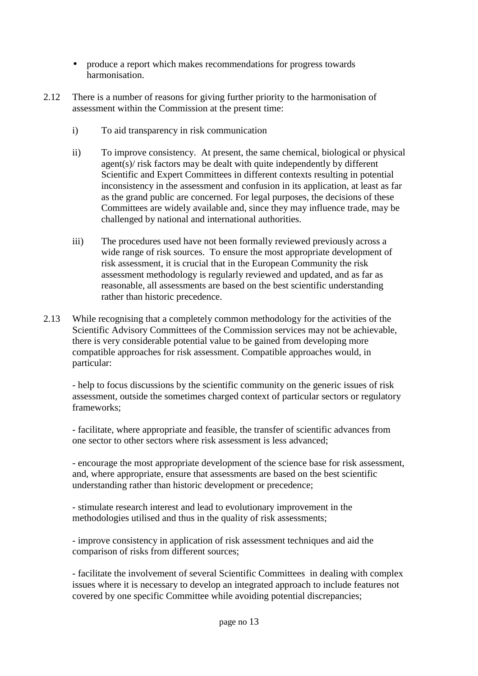- produce a report which makes recommendations for progress towards harmonisation.
- 2.12 There is a number of reasons for giving further priority to the harmonisation of assessment within the Commission at the present time:
	- i) To aid transparency in risk communication
	- ii) To improve consistency. At present, the same chemical, biological or physical agent(s)/ risk factors may be dealt with quite independently by different Scientific and Expert Committees in different contexts resulting in potential inconsistency in the assessment and confusion in its application, at least as far as the grand public are concerned. For legal purposes, the decisions of these Committees are widely available and, since they may influence trade, may be challenged by national and international authorities.
	- iii) The procedures used have not been formally reviewed previously across a wide range of risk sources. To ensure the most appropriate development of risk assessment, it is crucial that in the European Community the risk assessment methodology is regularly reviewed and updated, and as far as reasonable, all assessments are based on the best scientific understanding rather than historic precedence.
- 2.13 While recognising that a completely common methodology for the activities of the Scientific Advisory Committees of the Commission services may not be achievable, there is very considerable potential value to be gained from developing more compatible approaches for risk assessment. Compatible approaches would, in particular:

- help to focus discussions by the scientific community on the generic issues of risk assessment, outside the sometimes charged context of particular sectors or regulatory frameworks;

- facilitate, where appropriate and feasible, the transfer of scientific advances from one sector to other sectors where risk assessment is less advanced;

- encourage the most appropriate development of the science base for risk assessment, and, where appropriate, ensure that assessments are based on the best scientific understanding rather than historic development or precedence;

- stimulate research interest and lead to evolutionary improvement in the methodologies utilised and thus in the quality of risk assessments;

- improve consistency in application of risk assessment techniques and aid the comparison of risks from different sources;

- facilitate the involvement of several Scientific Committees in dealing with complex issues where it is necessary to develop an integrated approach to include features not covered by one specific Committee while avoiding potential discrepancies;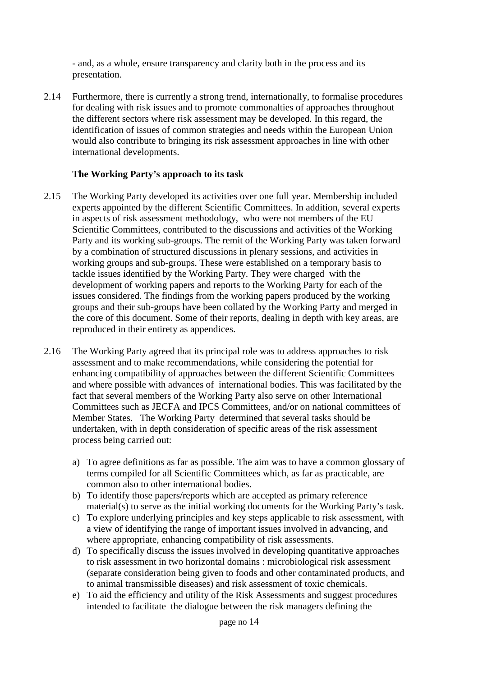- and, as a whole, ensure transparency and clarity both in the process and its presentation.

2.14 Furthermore, there is currently a strong trend, internationally, to formalise procedures for dealing with risk issues and to promote commonalties of approaches throughout the different sectors where risk assessment may be developed. In this regard, the identification of issues of common strategies and needs within the European Union would also contribute to bringing its risk assessment approaches in line with other international developments.

#### **The Working Party's approach to its task**

- 2.15 The Working Party developed its activities over one full year. Membership included experts appointed by the different Scientific Committees. In addition, several experts in aspects of risk assessment methodology, who were not members of the EU Scientific Committees, contributed to the discussions and activities of the Working Party and its working sub-groups. The remit of the Working Party was taken forward by a combination of structured discussions in plenary sessions, and activities in working groups and sub-groups. These were established on a temporary basis to tackle issues identified by the Working Party. They were charged with the development of working papers and reports to the Working Party for each of the issues considered. The findings from the working papers produced by the working groups and their sub-groups have been collated by the Working Party and merged in the core of this document. Some of their reports, dealing in depth with key areas, are reproduced in their entirety as appendices.
- 2.16 The Working Party agreed that its principal role was to address approaches to risk assessment and to make recommendations, while considering the potential for enhancing compatibility of approaches between the different Scientific Committees and where possible with advances of international bodies. This was facilitated by the fact that several members of the Working Party also serve on other International Committees such as JECFA and IPCS Committees, and/or on national committees of Member States. The Working Party determined that several tasks should be undertaken, with in depth consideration of specific areas of the risk assessment process being carried out:
	- a) To agree definitions as far as possible. The aim was to have a common glossary of terms compiled for all Scientific Committees which, as far as practicable, are common also to other international bodies.
	- b) To identify those papers/reports which are accepted as primary reference material(s) to serve as the initial working documents for the Working Party's task.
	- c) To explore underlying principles and key steps applicable to risk assessment, with a view of identifying the range of important issues involved in advancing, and where appropriate, enhancing compatibility of risk assessments.
	- d) To specifically discuss the issues involved in developing quantitative approaches to risk assessment in two horizontal domains : microbiological risk assessment (separate consideration being given to foods and other contaminated products, and to animal transmissible diseases) and risk assessment of toxic chemicals.
	- e) To aid the efficiency and utility of the Risk Assessments and suggest procedures intended to facilitate the dialogue between the risk managers defining the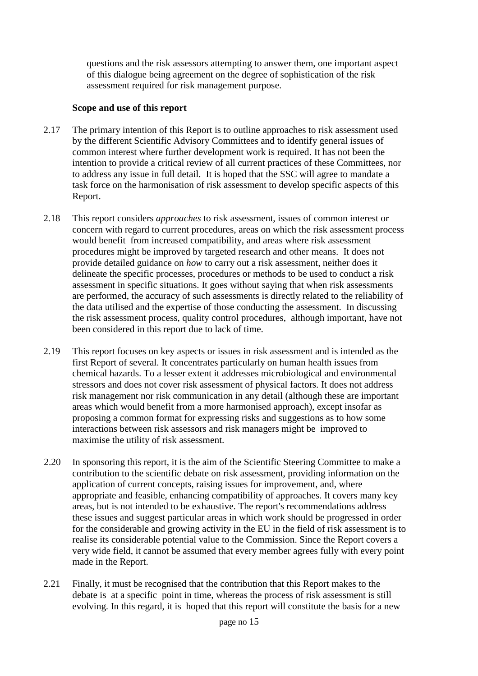questions and the risk assessors attempting to answer them, one important aspect of this dialogue being agreement on the degree of sophistication of the risk assessment required for risk management purpose.

#### **Scope and use of this report**

- 2.17 The primary intention of this Report is to outline approaches to risk assessment used by the different Scientific Advisory Committees and to identify general issues of common interest where further development work is required. It has not been the intention to provide a critical review of all current practices of these Committees, nor to address any issue in full detail. It is hoped that the SSC will agree to mandate a task force on the harmonisation of risk assessment to develop specific aspects of this Report.
- 2.18 This report considers *approaches* to risk assessment, issues of common interest or concern with regard to current procedures, areas on which the risk assessment process would benefit from increased compatibility, and areas where risk assessment procedures might be improved by targeted research and other means. It does not provide detailed guidance on *how* to carry out a risk assessment, neither does it delineate the specific processes, procedures or methods to be used to conduct a risk assessment in specific situations. It goes without saying that when risk assessments are performed, the accuracy of such assessments is directly related to the reliability of the data utilised and the expertise of those conducting the assessment. In discussing the risk assessment process, quality control procedures, although important, have not been considered in this report due to lack of time.
- 2.19 This report focuses on key aspects or issues in risk assessment and is intended as the first Report of several. It concentrates particularly on human health issues from chemical hazards. To a lesser extent it addresses microbiological and environmental stressors and does not cover risk assessment of physical factors. It does not address risk management nor risk communication in any detail (although these are important areas which would benefit from a more harmonised approach), except insofar as proposing a common format for expressing risks and suggestions as to how some interactions between risk assessors and risk managers might be improved to maximise the utility of risk assessment.
- 2.20 In sponsoring this report, it is the aim of the Scientific Steering Committee to make a contribution to the scientific debate on risk assessment, providing information on the application of current concepts, raising issues for improvement, and, where appropriate and feasible, enhancing compatibility of approaches. It covers many key areas, but is not intended to be exhaustive. The report's recommendations address these issues and suggest particular areas in which work should be progressed in order for the considerable and growing activity in the EU in the field of risk assessment is to realise its considerable potential value to the Commission. Since the Report covers a very wide field, it cannot be assumed that every member agrees fully with every point made in the Report.
- 2.21 Finally, it must be recognised that the contribution that this Report makes to the debate is at a specific point in time, whereas the process of risk assessment is still evolving. In this regard, it is hoped that this report will constitute the basis for a new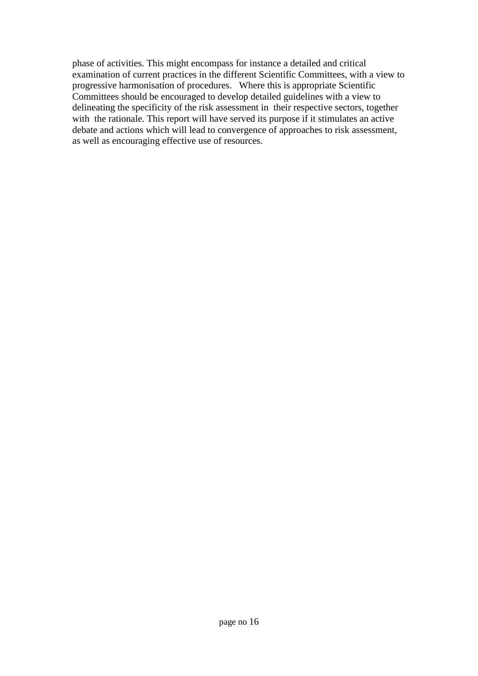phase of activities. This might encompass for instance a detailed and critical examination of current practices in the different Scientific Committees, with a view to progressive harmonisation of procedures. Where this is appropriate Scientific Committees should be encouraged to develop detailed guidelines with a view to delineating the specificity of the risk assessment in their respective sectors, together with the rationale. This report will have served its purpose if it stimulates an active debate and actions which will lead to convergence of approaches to risk assessment, as well as encouraging effective use of resources.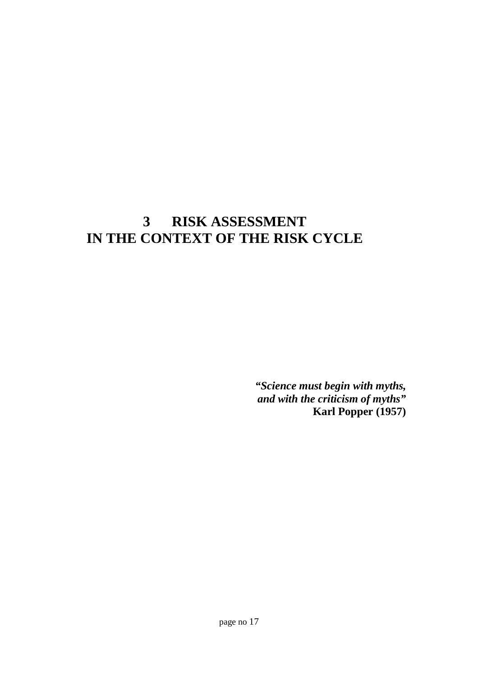## **3 RISK ASSESSMENT IN THE CONTEXT OF THE RISK CYCLE**

*"Science must begin with myths, and with the criticism of myths"* **Karl Popper (1957)**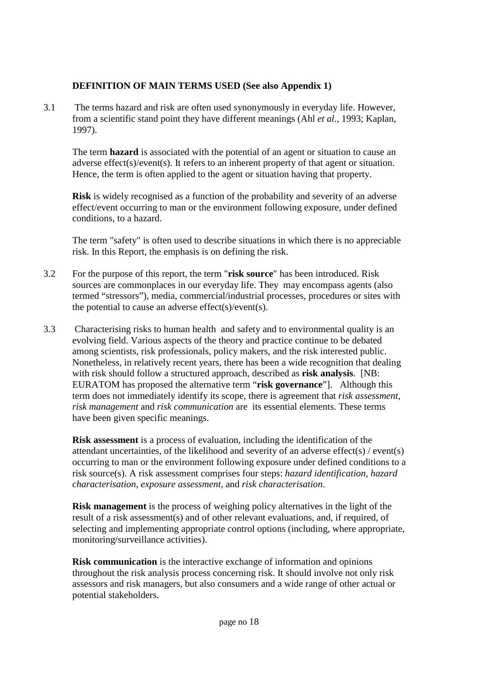#### **DEFINITION OF MAIN TERMS USED (See also Appendix 1)**

3.1 The terms hazard and risk are often used synonymously in everyday life. However, from a scientific stand point they have different meanings (Ahl *et al*., 1993; Kaplan, 1997).

The term **hazard** is associated with the potential of an agent or situation to cause an adverse effect(s)/event(s). It refers to an inherent property of that agent or situation. Hence, the term is often applied to the agent or situation having that property.

**Risk** is widely recognised as a function of the probability and severity of an adverse effect/event occurring to man or the environment following exposure, under defined conditions, to a hazard.

The term "safety" is often used to describe situations in which there is no appreciable risk. In this Report, the emphasis is on defining the risk.

- 3.2 For the purpose of this report, the term "**risk source**" has been introduced. Risk sources are commonplaces in our everyday life. They may encompass agents (also termed "stressors"), media, commercial/industrial processes, procedures or sites with the potential to cause an adverse effect(s)/event(s).
- 3.3 Characterising risks to human health and safety and to environmental quality is an evolving field. Various aspects of the theory and practice continue to be debated among scientists, risk professionals, policy makers, and the risk interested public. Nonetheless, in relatively recent years, there has been a wide recognition that dealing with risk should follow a structured approach, described as **risk analysis**. [NB: EURATOM has proposed the alternative term "**risk governance**"]. Although this term does not immediately identify its scope, there is agreement that *risk assessment, risk management* and *risk communication* are its essential elements. These terms have been given specific meanings.

**Risk assessment** is a process of evaluation, including the identification of the attendant uncertainties, of the likelihood and severity of an adverse effect(s) / event(s) occurring to man or the environment following exposure under defined conditions to a risk source(s). A risk assessment comprises four steps: *hazard identification, hazard characterisation, exposure assessment*, and *risk characterisation*.

**Risk management** is the process of weighing policy alternatives in the light of the result of a risk assessment(s) and of other relevant evaluations, and, if required, of selecting and implementing appropriate control options (including, where appropriate, monitoring/surveillance activities).

**Risk communication** is the interactive exchange of information and opinions throughout the risk analysis process concerning risk. It should involve not only risk assessors and risk managers, but also consumers and a wide range of other actual or potential stakeholders.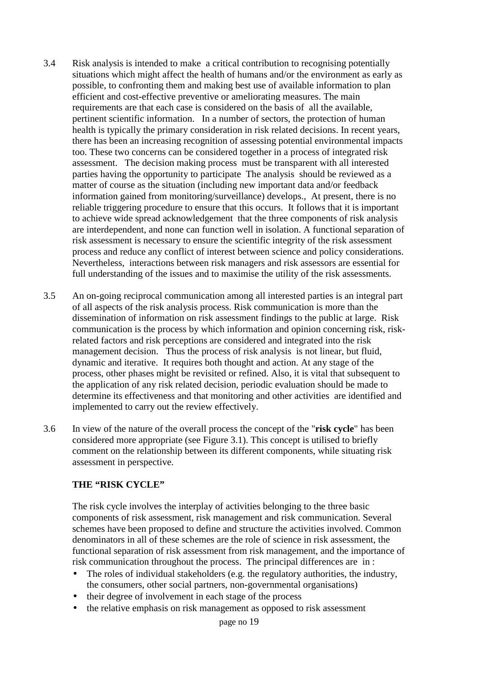- 3.4 Risk analysis is intended to make a critical contribution to recognising potentially situations which might affect the health of humans and/or the environment as early as possible, to confronting them and making best use of available information to plan efficient and cost-effective preventive or ameliorating measures. The main requirements are that each case is considered on the basis of all the available, pertinent scientific information. In a number of sectors, the protection of human health is typically the primary consideration in risk related decisions. In recent years, there has been an increasing recognition of assessing potential environmental impacts too. These two concerns can be considered together in a process of integrated risk assessment. The decision making process must be transparent with all interested parties having the opportunity to participate The analysis should be reviewed as a matter of course as the situation (including new important data and/or feedback information gained from monitoring/surveillance) develops., At present, there is no reliable triggering procedure to ensure that this occurs. It follows that it is important to achieve wide spread acknowledgement that the three components of risk analysis are interdependent, and none can function well in isolation. A functional separation of risk assessment is necessary to ensure the scientific integrity of the risk assessment process and reduce any conflict of interest between science and policy considerations. Nevertheless, interactions between risk managers and risk assessors are essential for full understanding of the issues and to maximise the utility of the risk assessments.
- 3.5 An on-going reciprocal communication among all interested parties is an integral part of all aspects of the risk analysis process. Risk communication is more than the dissemination of information on risk assessment findings to the public at large. Risk communication is the process by which information and opinion concerning risk, riskrelated factors and risk perceptions are considered and integrated into the risk management decision. Thus the process of risk analysis is not linear, but fluid, dynamic and iterative. It requires both thought and action. At any stage of the process, other phases might be revisited or refined. Also, it is vital that subsequent to the application of any risk related decision, periodic evaluation should be made to determine its effectiveness and that monitoring and other activities are identified and implemented to carry out the review effectively.
- 3.6 In view of the nature of the overall process the concept of the "**risk cycle**" has been considered more appropriate (see Figure 3.1). This concept is utilised to briefly comment on the relationship between its different components, while situating risk assessment in perspective.

#### **THE "RISK CYCLE"**

The risk cycle involves the interplay of activities belonging to the three basic components of risk assessment, risk management and risk communication. Several schemes have been proposed to define and structure the activities involved. Common denominators in all of these schemes are the role of science in risk assessment, the functional separation of risk assessment from risk management, and the importance of risk communication throughout the process. The principal differences are in :

- The roles of individual stakeholders (e.g. the regulatory authorities, the industry, the consumers, other social partners, non-governmental organisations)
- their degree of involvement in each stage of the process
- the relative emphasis on risk management as opposed to risk assessment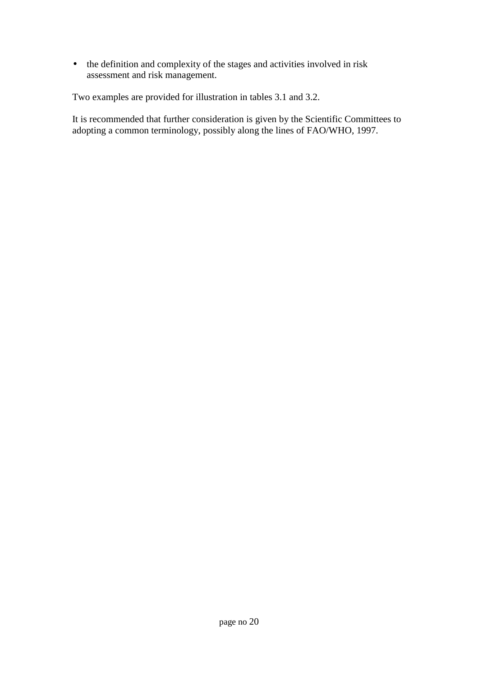• the definition and complexity of the stages and activities involved in risk assessment and risk management.

Two examples are provided for illustration in tables 3.1 and 3.2.

It is recommended that further consideration is given by the Scientific Committees to adopting a common terminology, possibly along the lines of FAO/WHO, 1997.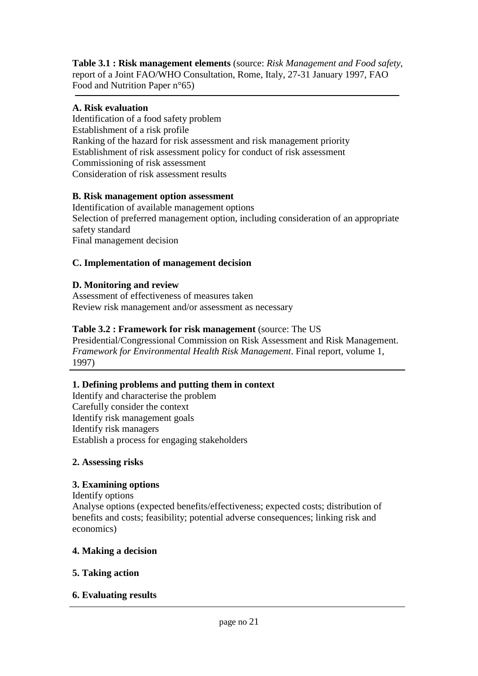**Table 3.1 : Risk management elements** (source: *Risk Management and Food safety*, report of a Joint FAO/WHO Consultation, Rome, Italy, 27-31 January 1997, FAO Food and Nutrition Paper n°65)

### **A. Risk evaluation**

Identification of a food safety problem Establishment of a risk profile Ranking of the hazard for risk assessment and risk management priority Establishment of risk assessment policy for conduct of risk assessment Commissioning of risk assessment Consideration of risk assessment results

### **B. Risk management option assessment**

Identification of available management options Selection of preferred management option, including consideration of an appropriate safety standard Final management decision

### **C. Implementation of management decision**

### **D. Monitoring and review**

Assessment of effectiveness of measures taken Review risk management and/or assessment as necessary

### **Table 3.2 : Framework for risk management** (source: The US

Presidential/Congressional Commission on Risk Assessment and Risk Management. *Framework for Environmental Health Risk Management*. Final report, volume 1, 1997)

### **1. Defining problems and putting them in context**

Identify and characterise the problem Carefully consider the context Identify risk management goals Identify risk managers Establish a process for engaging stakeholders

### **2. Assessing risks**

### **3. Examining options**

Identify options Analyse options (expected benefits/effectiveness; expected costs; distribution of benefits and costs; feasibility; potential adverse consequences; linking risk and economics)

### **4. Making a decision**

### **5. Taking action**

### **6. Evaluating results**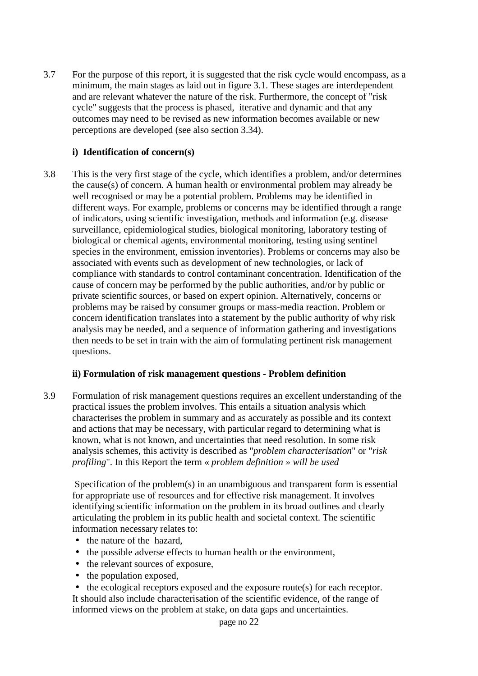3.7 For the purpose of this report, it is suggested that the risk cycle would encompass, as a minimum, the main stages as laid out in figure 3.1. These stages are interdependent and are relevant whatever the nature of the risk. Furthermore, the concept of "risk cycle" suggests that the process is phased, iterative and dynamic and that any outcomes may need to be revised as new information becomes available or new perceptions are developed (see also section 3.34).

#### **i) Identification of concern(s)**

3.8 This is the very first stage of the cycle, which identifies a problem, and/or determines the cause(s) of concern. A human health or environmental problem may already be well recognised or may be a potential problem. Problems may be identified in different ways. For example, problems or concerns may be identified through a range of indicators, using scientific investigation, methods and information (e.g. disease surveillance, epidemiological studies, biological monitoring, laboratory testing of biological or chemical agents, environmental monitoring, testing using sentinel species in the environment, emission inventories). Problems or concerns may also be associated with events such as development of new technologies, or lack of compliance with standards to control contaminant concentration. Identification of the cause of concern may be performed by the public authorities, and/or by public or private scientific sources, or based on expert opinion. Alternatively, concerns or problems may be raised by consumer groups or mass-media reaction. Problem or concern identification translates into a statement by the public authority of why risk analysis may be needed, and a sequence of information gathering and investigations then needs to be set in train with the aim of formulating pertinent risk management questions.

#### **ii) Formulation of risk management questions - Problem definition**

3.9 Formulation of risk management questions requires an excellent understanding of the practical issues the problem involves. This entails a situation analysis which characterises the problem in summary and as accurately as possible and its context and actions that may be necessary, with particular regard to determining what is known, what is not known, and uncertainties that need resolution. In some risk analysis schemes, this activity is described as "*problem characterisation*" or "*risk profiling*". In this Report the term « *problem definition » will be used*

 Specification of the problem(s) in an unambiguous and transparent form is essential for appropriate use of resources and for effective risk management. It involves identifying scientific information on the problem in its broad outlines and clearly articulating the problem in its public health and societal context. The scientific information necessary relates to:

- the nature of the hazard,
- the possible adverse effects to human health or the environment,
- the relevant sources of exposure,
- the population exposed,
- the ecological receptors exposed and the exposure route(s) for each receptor.

It should also include characterisation of the scientific evidence, of the range of informed views on the problem at stake, on data gaps and uncertainties.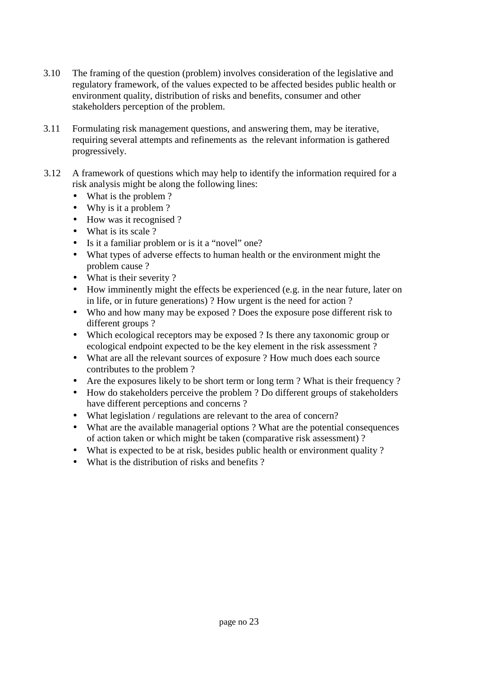- 3.10 The framing of the question (problem) involves consideration of the legislative and regulatory framework, of the values expected to be affected besides public health or environment quality, distribution of risks and benefits, consumer and other stakeholders perception of the problem.
- 3.11 Formulating risk management questions, and answering them, may be iterative, requiring several attempts and refinements as the relevant information is gathered progressively.
- 3.12 A framework of questions which may help to identify the information required for a risk analysis might be along the following lines:
	- What is the problem ?
	- Why is it a problem?
	- How was it recognised ?
	- What is its scale ?
	- Is it a familiar problem or is it a "novel" one?
	- What types of adverse effects to human health or the environment might the problem cause ?
	- What is their severity ?
	- How imminently might the effects be experienced (e.g. in the near future, later on in life, or in future generations) ? How urgent is the need for action ?
	- Who and how many may be exposed ? Does the exposure pose different risk to different groups ?
	- Which ecological receptors may be exposed ? Is there any taxonomic group or ecological endpoint expected to be the key element in the risk assessment ?
	- What are all the relevant sources of exposure ? How much does each source contributes to the problem ?
	- Are the exposures likely to be short term or long term ? What is their frequency ?
	- How do stakeholders perceive the problem ? Do different groups of stakeholders have different perceptions and concerns ?
	- What legislation / regulations are relevant to the area of concern?
	- What are the available managerial options ? What are the potential consequences of action taken or which might be taken (comparative risk assessment) ?
	- What is expected to be at risk, besides public health or environment quality ?
	- What is the distribution of risks and benefits ?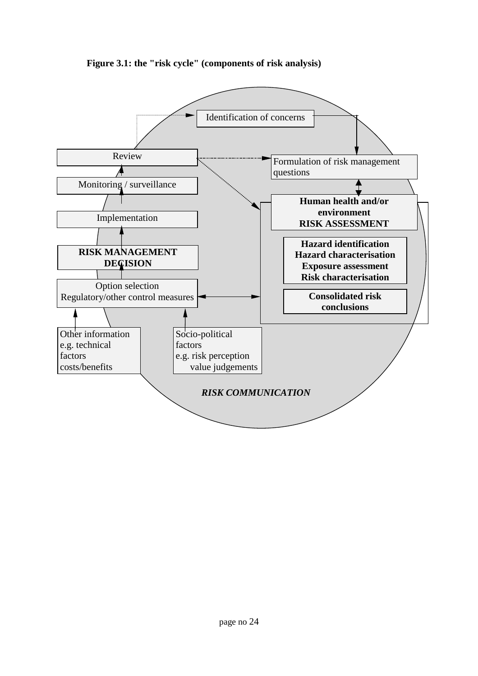

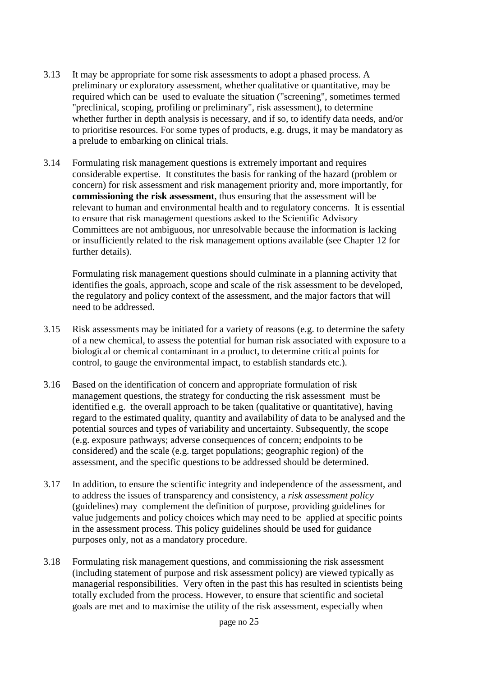- 3.13 It may be appropriate for some risk assessments to adopt a phased process. A preliminary or exploratory assessment, whether qualitative or quantitative, may be required which can be used to evaluate the situation ("screening", sometimes termed "preclinical, scoping, profiling or preliminary", risk assessment), to determine whether further in depth analysis is necessary, and if so, to identify data needs, and/or to prioritise resources. For some types of products, e.g. drugs, it may be mandatory as a prelude to embarking on clinical trials.
- 3.14 Formulating risk management questions is extremely important and requires considerable expertise. It constitutes the basis for ranking of the hazard (problem or concern) for risk assessment and risk management priority and, more importantly, for **commissioning the risk assessment**, thus ensuring that the assessment will be relevant to human and environmental health and to regulatory concerns. It is essential to ensure that risk management questions asked to the Scientific Advisory Committees are not ambiguous, nor unresolvable because the information is lacking or insufficiently related to the risk management options available (see Chapter 12 for further details).

Formulating risk management questions should culminate in a planning activity that identifies the goals, approach, scope and scale of the risk assessment to be developed, the regulatory and policy context of the assessment, and the major factors that will need to be addressed.

- 3.15 Risk assessments may be initiated for a variety of reasons (e.g. to determine the safety of a new chemical, to assess the potential for human risk associated with exposure to a biological or chemical contaminant in a product, to determine critical points for control, to gauge the environmental impact, to establish standards etc.).
- 3.16 Based on the identification of concern and appropriate formulation of risk management questions, the strategy for conducting the risk assessment must be identified e.g. the overall approach to be taken (qualitative or quantitative), having regard to the estimated quality, quantity and availability of data to be analysed and the potential sources and types of variability and uncertainty. Subsequently, the scope (e.g. exposure pathways; adverse consequences of concern; endpoints to be considered) and the scale (e.g. target populations; geographic region) of the assessment, and the specific questions to be addressed should be determined.
- 3.17 In addition, to ensure the scientific integrity and independence of the assessment, and to address the issues of transparency and consistency, a *risk assessment policy* (guidelines) may complement the definition of purpose, providing guidelines for value judgements and policy choices which may need to be applied at specific points in the assessment process. This policy guidelines should be used for guidance purposes only, not as a mandatory procedure.
- 3.18 Formulating risk management questions, and commissioning the risk assessment (including statement of purpose and risk assessment policy) are viewed typically as managerial responsibilities. Very often in the past this has resulted in scientists being totally excluded from the process. However, to ensure that scientific and societal goals are met and to maximise the utility of the risk assessment, especially when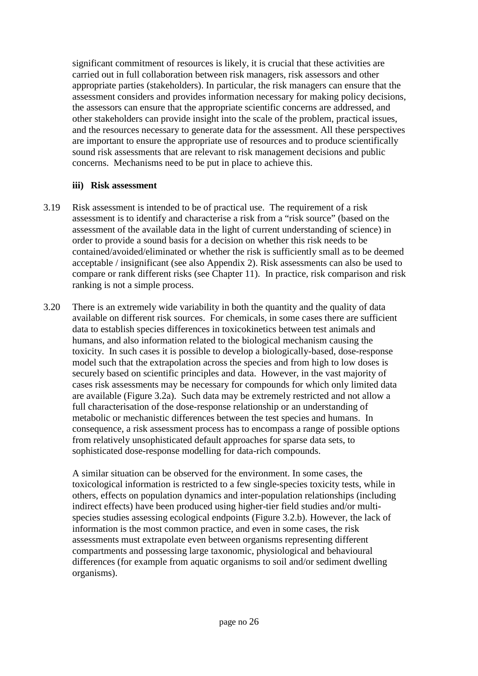significant commitment of resources is likely, it is crucial that these activities are carried out in full collaboration between risk managers, risk assessors and other appropriate parties (stakeholders). In particular, the risk managers can ensure that the assessment considers and provides information necessary for making policy decisions, the assessors can ensure that the appropriate scientific concerns are addressed, and other stakeholders can provide insight into the scale of the problem, practical issues, and the resources necessary to generate data for the assessment. All these perspectives are important to ensure the appropriate use of resources and to produce scientifically sound risk assessments that are relevant to risk management decisions and public concerns. Mechanisms need to be put in place to achieve this.

#### **iii) Risk assessment**

- 3.19 Risk assessment is intended to be of practical use. The requirement of a risk assessment is to identify and characterise a risk from a "risk source" (based on the assessment of the available data in the light of current understanding of science) in order to provide a sound basis for a decision on whether this risk needs to be contained/avoided/eliminated or whether the risk is sufficiently small as to be deemed acceptable / insignificant (see also Appendix 2). Risk assessments can also be used to compare or rank different risks (see Chapter 11). In practice, risk comparison and risk ranking is not a simple process.
- 3.20 There is an extremely wide variability in both the quantity and the quality of data available on different risk sources. For chemicals, in some cases there are sufficient data to establish species differences in toxicokinetics between test animals and humans, and also information related to the biological mechanism causing the toxicity. In such cases it is possible to develop a biologically-based, dose-response model such that the extrapolation across the species and from high to low doses is securely based on scientific principles and data. However, in the vast majority of cases risk assessments may be necessary for compounds for which only limited data are available (Figure 3.2a). Such data may be extremely restricted and not allow a full characterisation of the dose-response relationship or an understanding of metabolic or mechanistic differences between the test species and humans. In consequence, a risk assessment process has to encompass a range of possible options from relatively unsophisticated default approaches for sparse data sets, to sophisticated dose-response modelling for data-rich compounds.

A similar situation can be observed for the environment. In some cases, the toxicological information is restricted to a few single-species toxicity tests, while in others, effects on population dynamics and inter-population relationships (including indirect effects) have been produced using higher-tier field studies and/or multispecies studies assessing ecological endpoints (Figure 3.2.b). However, the lack of information is the most common practice, and even in some cases, the risk assessments must extrapolate even between organisms representing different compartments and possessing large taxonomic, physiological and behavioural differences (for example from aquatic organisms to soil and/or sediment dwelling organisms).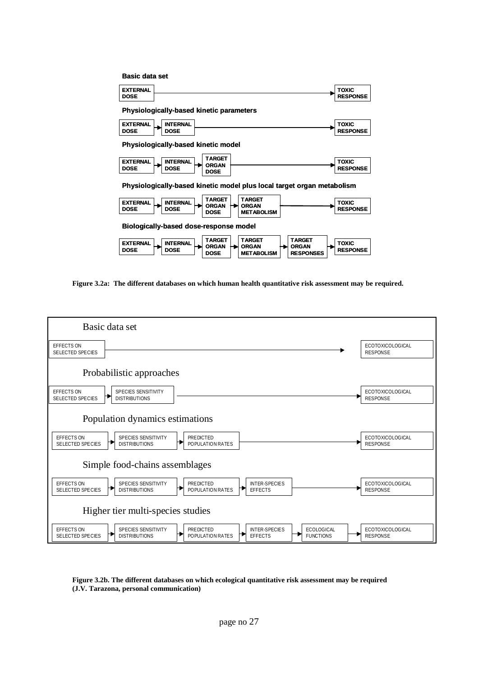| <b>Basic data set</b>                                                                                                                                                                                         |                                 |  |  |  |  |  |  |
|---------------------------------------------------------------------------------------------------------------------------------------------------------------------------------------------------------------|---------------------------------|--|--|--|--|--|--|
| <b>EXTERNAL</b><br><b>DOSE</b>                                                                                                                                                                                | <b>TOXIC</b><br><b>RESPONSE</b> |  |  |  |  |  |  |
| <b>Physiologically-based kinetic parameters</b>                                                                                                                                                               |                                 |  |  |  |  |  |  |
| <b>EXTERNAL</b><br><b>INTERNAL</b><br><b>DOSE</b><br><b>DOSE</b>                                                                                                                                              | <b>TOXIC</b><br><b>RESPONSE</b> |  |  |  |  |  |  |
| Physiologically-based kinetic model                                                                                                                                                                           |                                 |  |  |  |  |  |  |
| <b>TARGET</b><br><b>EXTERNAL</b><br><b>INTERNAL</b><br><b>ORGAN</b><br><b>DOSE</b><br><b>DOSE</b><br>DOSE                                                                                                     | <b>TOXIC</b><br><b>RESPONSE</b> |  |  |  |  |  |  |
| Physiologically-based kinetic model plus local target organ metabolism                                                                                                                                        |                                 |  |  |  |  |  |  |
| <b>TARGET</b><br><b>TARGET</b><br><b>EXTERNAL</b><br><b>INTERNAL</b><br><b>ORGAN</b><br><b>ORGAN</b><br><b>DOSE</b><br><b>DOSE</b><br><b>METABOLISM</b><br><b>DOSE</b>                                        | <b>TOXIC</b><br><b>RESPONSE</b> |  |  |  |  |  |  |
| Biologically-based dose-response model                                                                                                                                                                        |                                 |  |  |  |  |  |  |
| TARGET<br><b>TARGET</b><br>TARGET<br><b>EXTERNAL</b><br><b>INTERNAL</b><br><b>ORGAN</b><br><b>ORGAN</b><br><b>ORGAN</b><br><b>DOSE</b><br><b>DOSE</b><br><b>DOSE</b><br><b>RESPONSES</b><br><b>METABOLISM</b> | <b>TOXIC</b><br><b>RESPONSE</b> |  |  |  |  |  |  |

**Figure 3.2a: The different databases on which human health quantitative risk assessment may be required.**



#### **Figure 3.2b. The different databases on which ecological quantitative risk assessment may be required (J.V. Tarazona, personal communication)**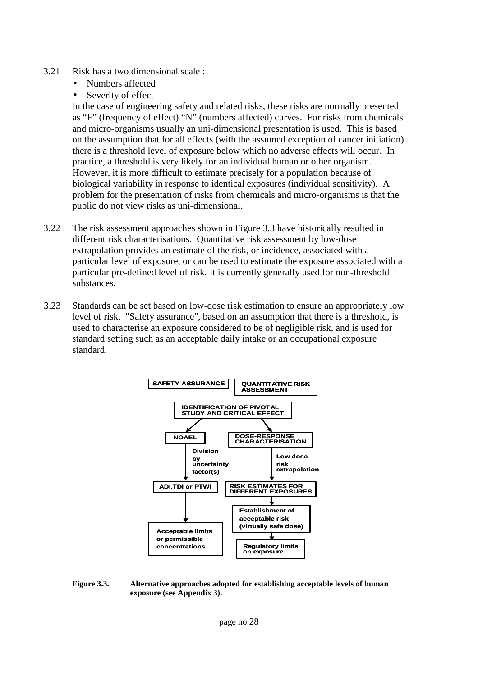- 3.21 Risk has a two dimensional scale :
	- Numbers affected
	- Severity of effect

In the case of engineering safety and related risks, these risks are normally presented as "F" (frequency of effect) "N" (numbers affected) curves. For risks from chemicals and micro-organisms usually an uni-dimensional presentation is used. This is based on the assumption that for all effects (with the assumed exception of cancer initiation) there is a threshold level of exposure below which no adverse effects will occur. In practice, a threshold is very likely for an individual human or other organism. However, it is more difficult to estimate precisely for a population because of biological variability in response to identical exposures (individual sensitivity). A problem for the presentation of risks from chemicals and micro-organisms is that the public do not view risks as uni-dimensional.

- 3.22 The risk assessment approaches shown in Figure 3.3 have historically resulted in different risk characterisations. Quantitative risk assessment by low-dose extrapolation provides an estimate of the risk, or incidence, associated with a particular level of exposure, or can be used to estimate the exposure associated with a particular pre-defined level of risk. It is currently generally used for non-threshold substances.
- 3.23 Standards can be set based on low-dose risk estimation to ensure an appropriately low level of risk. "Safety assurance", based on an assumption that there is a threshold, is used to characterise an exposure considered to be of negligible risk, and is used for standard setting such as an acceptable daily intake or an occupational exposure standard.



**Figure 3.3. Alternative approaches adopted for establishing acceptable levels of human exposure (see Appendix 3).**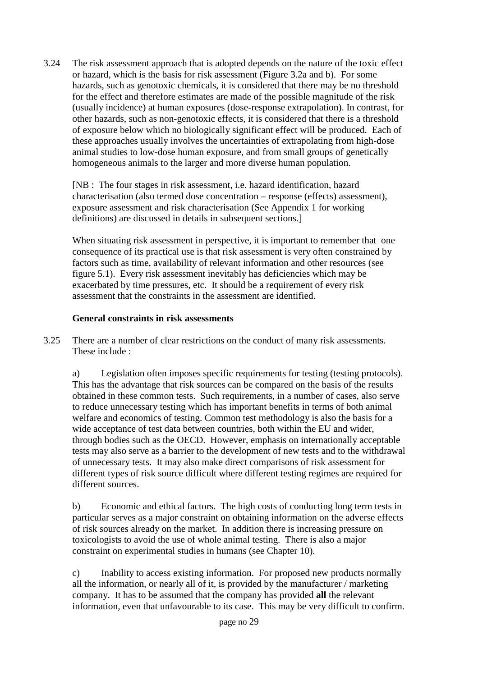3.24 The risk assessment approach that is adopted depends on the nature of the toxic effect or hazard, which is the basis for risk assessment (Figure 3.2a and b). For some hazards, such as genotoxic chemicals, it is considered that there may be no threshold for the effect and therefore estimates are made of the possible magnitude of the risk (usually incidence) at human exposures (dose-response extrapolation). In contrast, for other hazards, such as non-genotoxic effects, it is considered that there is a threshold of exposure below which no biologically significant effect will be produced. Each of these approaches usually involves the uncertainties of extrapolating from high-dose animal studies to low-dose human exposure, and from small groups of genetically homogeneous animals to the larger and more diverse human population.

[NB : The four stages in risk assessment, i.e. hazard identification, hazard characterisation (also termed dose concentration – response (effects) assessment), exposure assessment and risk characterisation (See Appendix 1 for working definitions) are discussed in details in subsequent sections.]

When situating risk assessment in perspective, it is important to remember that one consequence of its practical use is that risk assessment is very often constrained by factors such as time, availability of relevant information and other resources (see figure 5.1). Every risk assessment inevitably has deficiencies which may be exacerbated by time pressures, etc. It should be a requirement of every risk assessment that the constraints in the assessment are identified.

#### **General constraints in risk assessments**

3.25 There are a number of clear restrictions on the conduct of many risk assessments. These include :

a) Legislation often imposes specific requirements for testing (testing protocols). This has the advantage that risk sources can be compared on the basis of the results obtained in these common tests. Such requirements, in a number of cases, also serve to reduce unnecessary testing which has important benefits in terms of both animal welfare and economics of testing. Common test methodology is also the basis for a wide acceptance of test data between countries, both within the EU and wider, through bodies such as the OECD. However, emphasis on internationally acceptable tests may also serve as a barrier to the development of new tests and to the withdrawal of unnecessary tests. It may also make direct comparisons of risk assessment for different types of risk source difficult where different testing regimes are required for different sources.

b) Economic and ethical factors. The high costs of conducting long term tests in particular serves as a major constraint on obtaining information on the adverse effects of risk sources already on the market. In addition there is increasing pressure on toxicologists to avoid the use of whole animal testing. There is also a major constraint on experimental studies in humans (see Chapter 10).

c) Inability to access existing information. For proposed new products normally all the information, or nearly all of it, is provided by the manufacturer / marketing company. It has to be assumed that the company has provided **all** the relevant information, even that unfavourable to its case. This may be very difficult to confirm.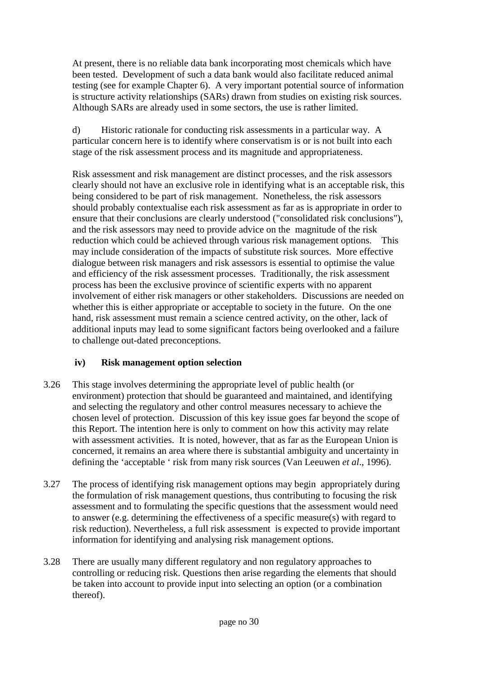At present, there is no reliable data bank incorporating most chemicals which have been tested. Development of such a data bank would also facilitate reduced animal testing (see for example Chapter 6). A very important potential source of information is structure activity relationships (SARs) drawn from studies on existing risk sources. Although SARs are already used in some sectors, the use is rather limited.

d) Historic rationale for conducting risk assessments in a particular way. A particular concern here is to identify where conservatism is or is not built into each stage of the risk assessment process and its magnitude and appropriateness.

Risk assessment and risk management are distinct processes, and the risk assessors clearly should not have an exclusive role in identifying what is an acceptable risk, this being considered to be part of risk management. Nonetheless, the risk assessors should probably contextualise each risk assessment as far as is appropriate in order to ensure that their conclusions are clearly understood ("consolidated risk conclusions"), and the risk assessors may need to provide advice on the magnitude of the risk reduction which could be achieved through various risk management options. This may include consideration of the impacts of substitute risk sources. More effective dialogue between risk managers and risk assessors is essential to optimise the value and efficiency of the risk assessment processes. Traditionally, the risk assessment process has been the exclusive province of scientific experts with no apparent involvement of either risk managers or other stakeholders. Discussions are needed on whether this is either appropriate or acceptable to society in the future. On the one hand, risk assessment must remain a science centred activity, on the other, lack of additional inputs may lead to some significant factors being overlooked and a failure to challenge out-dated preconceptions.

### **iv) Risk management option selection**

- 3.26 This stage involves determining the appropriate level of public health (or environment) protection that should be guaranteed and maintained, and identifying and selecting the regulatory and other control measures necessary to achieve the chosen level of protection. Discussion of this key issue goes far beyond the scope of this Report. The intention here is only to comment on how this activity may relate with assessment activities. It is noted, however, that as far as the European Union is concerned, it remains an area where there is substantial ambiguity and uncertainty in defining the 'acceptable ' risk from many risk sources (Van Leeuwen *et al*., 1996).
- 3.27 The process of identifying risk management options may begin appropriately during the formulation of risk management questions, thus contributing to focusing the risk assessment and to formulating the specific questions that the assessment would need to answer (e.g. determining the effectiveness of a specific measure(s) with regard to risk reduction). Nevertheless, a full risk assessment is expected to provide important information for identifying and analysing risk management options.
- 3.28 There are usually many different regulatory and non regulatory approaches to controlling or reducing risk. Questions then arise regarding the elements that should be taken into account to provide input into selecting an option (or a combination thereof).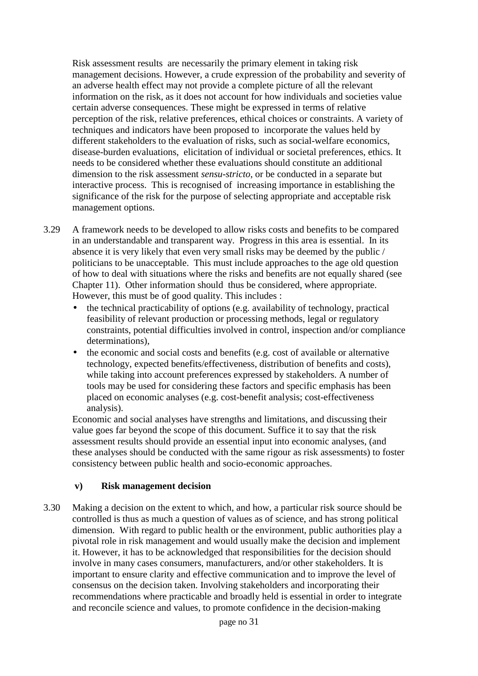Risk assessment results are necessarily the primary element in taking risk management decisions. However, a crude expression of the probability and severity of an adverse health effect may not provide a complete picture of all the relevant information on the risk, as it does not account for how individuals and societies value certain adverse consequences. These might be expressed in terms of relative perception of the risk, relative preferences, ethical choices or constraints. A variety of techniques and indicators have been proposed to incorporate the values held by different stakeholders to the evaluation of risks, such as social-welfare economics, disease-burden evaluations, elicitation of individual or societal preferences, ethics. It needs to be considered whether these evaluations should constitute an additional dimension to the risk assessment *sensu-stricto*, or be conducted in a separate but interactive process. This is recognised of increasing importance in establishing the significance of the risk for the purpose of selecting appropriate and acceptable risk management options.

- 3.29 A framework needs to be developed to allow risks costs and benefits to be compared in an understandable and transparent way. Progress in this area is essential. In its absence it is very likely that even very small risks may be deemed by the public / politicians to be unacceptable. This must include approaches to the age old question of how to deal with situations where the risks and benefits are not equally shared (see Chapter 11). Other information should thus be considered, where appropriate. However, this must be of good quality. This includes :
	- the technical practicability of options (e.g. availability of technology, practical feasibility of relevant production or processing methods, legal or regulatory constraints, potential difficulties involved in control, inspection and/or compliance determinations),
	- the economic and social costs and benefits (e.g. cost of available or alternative technology, expected benefits/effectiveness, distribution of benefits and costs), while taking into account preferences expressed by stakeholders. A number of tools may be used for considering these factors and specific emphasis has been placed on economic analyses (e.g. cost-benefit analysis; cost-effectiveness analysis).

Economic and social analyses have strengths and limitations, and discussing their value goes far beyond the scope of this document. Suffice it to say that the risk assessment results should provide an essential input into economic analyses, (and these analyses should be conducted with the same rigour as risk assessments) to foster consistency between public health and socio-economic approaches.

#### **v) Risk management decision**

3.30 Making a decision on the extent to which, and how, a particular risk source should be controlled is thus as much a question of values as of science, and has strong political dimension. With regard to public health or the environment, public authorities play a pivotal role in risk management and would usually make the decision and implement it. However, it has to be acknowledged that responsibilities for the decision should involve in many cases consumers, manufacturers, and/or other stakeholders. It is important to ensure clarity and effective communication and to improve the level of consensus on the decision taken. Involving stakeholders and incorporating their recommendations where practicable and broadly held is essential in order to integrate and reconcile science and values, to promote confidence in the decision-making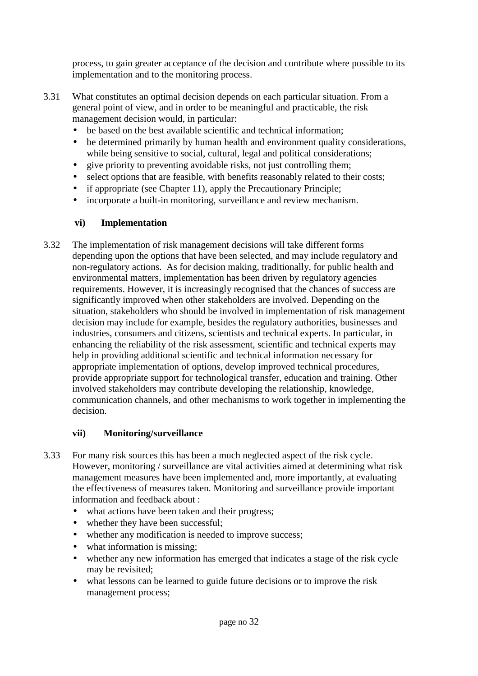process, to gain greater acceptance of the decision and contribute where possible to its implementation and to the monitoring process.

- 3.31 What constitutes an optimal decision depends on each particular situation. From a general point of view, and in order to be meaningful and practicable, the risk management decision would, in particular:
	- be based on the best available scientific and technical information:
	- be determined primarily by human health and environment quality considerations, while being sensitive to social, cultural, legal and political considerations;
	- give priority to preventing avoidable risks, not just controlling them;
	- select options that are feasible, with benefits reasonably related to their costs;
	- if appropriate (see Chapter 11), apply the Precautionary Principle;
	- incorporate a built-in monitoring, surveillance and review mechanism.

#### **vi) Implementation**

3.32 The implementation of risk management decisions will take different forms depending upon the options that have been selected, and may include regulatory and non-regulatory actions. As for decision making, traditionally, for public health and environmental matters, implementation has been driven by regulatory agencies requirements. However, it is increasingly recognised that the chances of success are significantly improved when other stakeholders are involved. Depending on the situation, stakeholders who should be involved in implementation of risk management decision may include for example, besides the regulatory authorities, businesses and industries, consumers and citizens, scientists and technical experts. In particular, in enhancing the reliability of the risk assessment, scientific and technical experts may help in providing additional scientific and technical information necessary for appropriate implementation of options, develop improved technical procedures, provide appropriate support for technological transfer, education and training. Other involved stakeholders may contribute developing the relationship, knowledge, communication channels, and other mechanisms to work together in implementing the decision.

#### **vii) Monitoring/surveillance**

- 3.33 For many risk sources this has been a much neglected aspect of the risk cycle. However, monitoring / surveillance are vital activities aimed at determining what risk management measures have been implemented and, more importantly, at evaluating the effectiveness of measures taken. Monitoring and surveillance provide important information and feedback about :
	- what actions have been taken and their progress;
	- whether they have been successful;
	- whether any modification is needed to improve success;
	- what information is missing;
	- whether any new information has emerged that indicates a stage of the risk cycle may be revisited;
	- what lessons can be learned to guide future decisions or to improve the risk management process;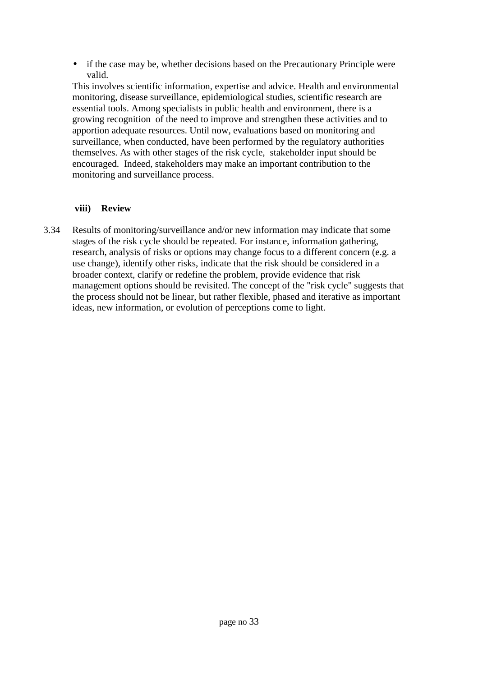• if the case may be, whether decisions based on the Precautionary Principle were valid.

This involves scientific information, expertise and advice. Health and environmental monitoring, disease surveillance, epidemiological studies, scientific research are essential tools. Among specialists in public health and environment, there is a growing recognition of the need to improve and strengthen these activities and to apportion adequate resources. Until now, evaluations based on monitoring and surveillance, when conducted, have been performed by the regulatory authorities themselves. As with other stages of the risk cycle, stakeholder input should be encouraged. Indeed, stakeholders may make an important contribution to the monitoring and surveillance process.

#### **viii) Review**

3.34 Results of monitoring/surveillance and/or new information may indicate that some stages of the risk cycle should be repeated. For instance, information gathering, research, analysis of risks or options may change focus to a different concern (e.g. a use change), identify other risks, indicate that the risk should be considered in a broader context, clarify or redefine the problem, provide evidence that risk management options should be revisited. The concept of the "risk cycle" suggests that the process should not be linear, but rather flexible, phased and iterative as important ideas, new information, or evolution of perceptions come to light.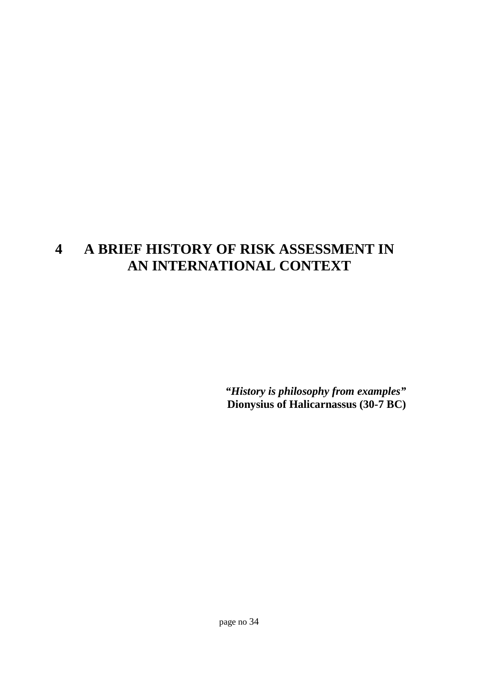# **4 A BRIEF HISTORY OF RISK ASSESSMENT IN AN INTERNATIONAL CONTEXT**

*"History is philosophy from examples"* **Dionysius of Halicarnassus (30-7 BC)**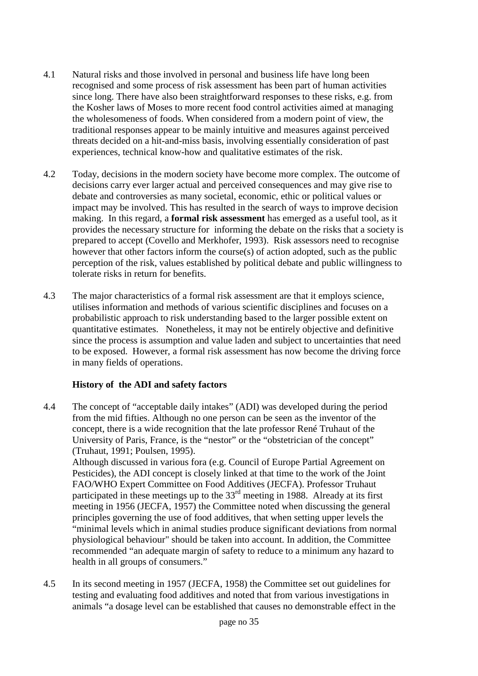- 4.1 Natural risks and those involved in personal and business life have long been recognised and some process of risk assessment has been part of human activities since long. There have also been straightforward responses to these risks, e.g. from the Kosher laws of Moses to more recent food control activities aimed at managing the wholesomeness of foods. When considered from a modern point of view, the traditional responses appear to be mainly intuitive and measures against perceived threats decided on a hit-and-miss basis, involving essentially consideration of past experiences, technical know-how and qualitative estimates of the risk.
- 4.2 Today, decisions in the modern society have become more complex. The outcome of decisions carry ever larger actual and perceived consequences and may give rise to debate and controversies as many societal, economic, ethic or political values or impact may be involved. This has resulted in the search of ways to improve decision making. In this regard, a **formal risk assessment** has emerged as a useful tool, as it provides the necessary structure for informing the debate on the risks that a society is prepared to accept (Covello and Merkhofer, 1993). Risk assessors need to recognise however that other factors inform the course(s) of action adopted, such as the public perception of the risk, values established by political debate and public willingness to tolerate risks in return for benefits.
- 4.3 The major characteristics of a formal risk assessment are that it employs science, utilises information and methods of various scientific disciplines and focuses on a probabilistic approach to risk understanding based to the larger possible extent on quantitative estimates. Nonetheless, it may not be entirely objective and definitive since the process is assumption and value laden and subject to uncertainties that need to be exposed. However, a formal risk assessment has now become the driving force in many fields of operations.

#### **History of the ADI and safety factors**

- 4.4 The concept of "acceptable daily intakes" (ADI) was developed during the period from the mid fifties. Although no one person can be seen as the inventor of the concept, there is a wide recognition that the late professor René Truhaut of the University of Paris, France, is the "nestor" or the "obstetrician of the concept" (Truhaut, 1991; Poulsen, 1995). Although discussed in various fora (e.g. Council of Europe Partial Agreement on Pesticides), the ADI concept is closely linked at that time to the work of the Joint FAO/WHO Expert Committee on Food Additives (JECFA). Professor Truhaut participated in these meetings up to the 33<sup>rd</sup> meeting in 1988. Already at its first meeting in 1956 (JECFA, 1957) the Committee noted when discussing the general principles governing the use of food additives, that when setting upper levels the "minimal levels which in animal studies produce significant deviations from normal physiological behaviour" should be taken into account. In addition, the Committee recommended "an adequate margin of safety to reduce to a minimum any hazard to health in all groups of consumers."
- 4.5 In its second meeting in 1957 (JECFA, 1958) the Committee set out guidelines for testing and evaluating food additives and noted that from various investigations in animals "a dosage level can be established that causes no demonstrable effect in the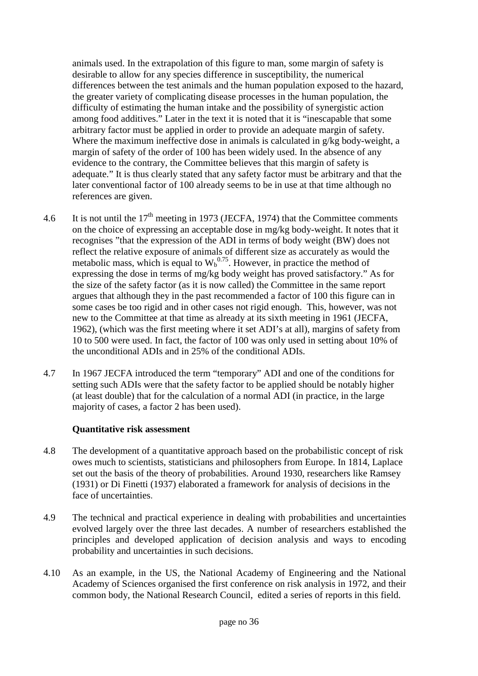animals used. In the extrapolation of this figure to man, some margin of safety is desirable to allow for any species difference in susceptibility, the numerical differences between the test animals and the human population exposed to the hazard, the greater variety of complicating disease processes in the human population, the difficulty of estimating the human intake and the possibility of synergistic action among food additives." Later in the text it is noted that it is "inescapable that some arbitrary factor must be applied in order to provide an adequate margin of safety. Where the maximum ineffective dose in animals is calculated in g/kg body-weight, a margin of safety of the order of 100 has been widely used. In the absence of any evidence to the contrary, the Committee believes that this margin of safety is adequate." It is thus clearly stated that any safety factor must be arbitrary and that the later conventional factor of 100 already seems to be in use at that time although no references are given.

- 4.6 It is not until the  $17<sup>th</sup>$  meeting in 1973 (JECFA, 1974) that the Committee comments on the choice of expressing an acceptable dose in mg/kg body-weight. It notes that it recognises "that the expression of the ADI in terms of body weight (BW) does not reflect the relative exposure of animals of different size as accurately as would the metabolic mass, which is equal to  $W_b^{0.75}$ . However, in practice the method of expressing the dose in terms of mg/kg body weight has proved satisfactory." As for the size of the safety factor (as it is now called) the Committee in the same report argues that although they in the past recommended a factor of 100 this figure can in some cases be too rigid and in other cases not rigid enough. This, however, was not new to the Committee at that time as already at its sixth meeting in 1961 (JECFA, 1962), (which was the first meeting where it set ADI's at all), margins of safety from 10 to 500 were used. In fact, the factor of 100 was only used in setting about 10% of the unconditional ADIs and in 25% of the conditional ADIs.
- 4.7 In 1967 JECFA introduced the term "temporary" ADI and one of the conditions for setting such ADIs were that the safety factor to be applied should be notably higher (at least double) that for the calculation of a normal ADI (in practice, in the large majority of cases, a factor 2 has been used).

#### **Quantitative risk assessment**

- 4.8 The development of a quantitative approach based on the probabilistic concept of risk owes much to scientists, statisticians and philosophers from Europe. In 1814, Laplace set out the basis of the theory of probabilities. Around 1930, researchers like Ramsey (1931) or Di Finetti (1937) elaborated a framework for analysis of decisions in the face of uncertainties.
- 4.9 The technical and practical experience in dealing with probabilities and uncertainties evolved largely over the three last decades. A number of researchers established the principles and developed application of decision analysis and ways to encoding probability and uncertainties in such decisions.
- 4.10 As an example, in the US, the National Academy of Engineering and the National Academy of Sciences organised the first conference on risk analysis in 1972, and their common body, the National Research Council, edited a series of reports in this field.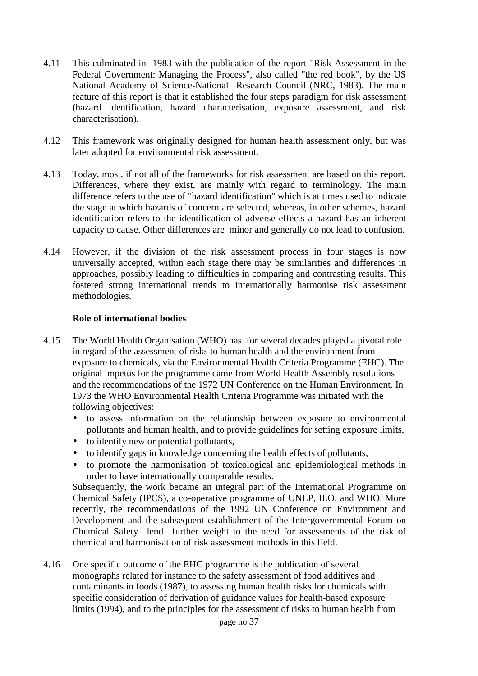- 4.11 This culminated in 1983 with the publication of the report "Risk Assessment in the Federal Government: Managing the Process", also called "the red book", by the US National Academy of Science-National Research Council (NRC, 1983). The main feature of this report is that it established the four steps paradigm for risk assessment (hazard identification, hazard characterisation, exposure assessment, and risk characterisation).
- 4.12 This framework was originally designed for human health assessment only, but was later adopted for environmental risk assessment.
- 4.13 Today, most, if not all of the frameworks for risk assessment are based on this report. Differences, where they exist, are mainly with regard to terminology. The main difference refers to the use of "hazard identification" which is at times used to indicate the stage at which hazards of concern are selected, whereas, in other schemes, hazard identification refers to the identification of adverse effects a hazard has an inherent capacity to cause. Other differences are minor and generally do not lead to confusion.
- 4.14 However, if the division of the risk assessment process in four stages is now universally accepted, within each stage there may be similarities and differences in approaches, possibly leading to difficulties in comparing and contrasting results. This fostered strong international trends to internationally harmonise risk assessment methodologies.

#### **Role of international bodies**

- 4.15 The World Health Organisation (WHO) has for several decades played a pivotal role in regard of the assessment of risks to human health and the environment from exposure to chemicals, via the Environmental Health Criteria Programme (EHC). The original impetus for the programme came from World Health Assembly resolutions and the recommendations of the 1972 UN Conference on the Human Environment. In 1973 the WHO Environmental Health Criteria Programme was initiated with the following objectives:
	- to assess information on the relationship between exposure to environmental pollutants and human health, and to provide guidelines for setting exposure limits,
	- to identify new or potential pollutants,
	- to identify gaps in knowledge concerning the health effects of pollutants,
	- to promote the harmonisation of toxicological and epidemiological methods in order to have internationally comparable results.

Subsequently, the work became an integral part of the International Programme on Chemical Safety (IPCS), a co-operative programme of UNEP, ILO, and WHO. More recently, the recommendations of the 1992 UN Conference on Environment and Development and the subsequent establishment of the Intergovernmental Forum on Chemical Safety lend further weight to the need for assessments of the risk of chemical and harmonisation of risk assessment methods in this field.

4.16 One specific outcome of the EHC programme is the publication of several monographs related for instance to the safety assessment of food additives and contaminants in foods (1987), to assessing human health risks for chemicals with specific consideration of derivation of guidance values for health-based exposure limits (1994), and to the principles for the assessment of risks to human health from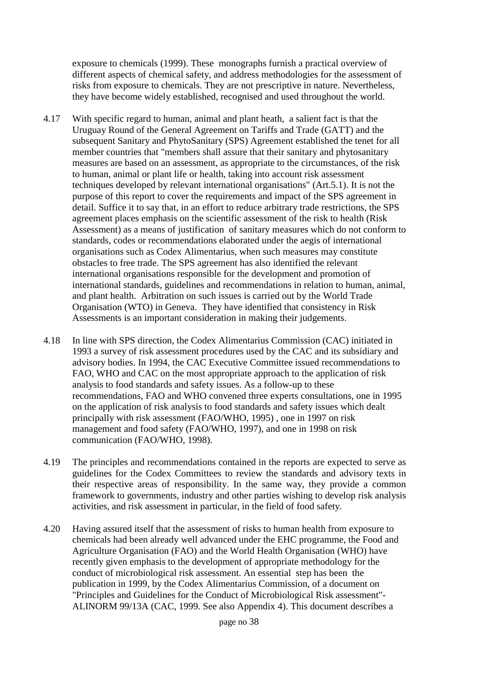exposure to chemicals (1999). These monographs furnish a practical overview of different aspects of chemical safety, and address methodologies for the assessment of risks from exposure to chemicals. They are not prescriptive in nature. Nevertheless, they have become widely established, recognised and used throughout the world.

- 4.17 With specific regard to human, animal and plant heath, a salient fact is that the Uruguay Round of the General Agreement on Tariffs and Trade (GATT) and the subsequent Sanitary and PhytoSanitary (SPS) Agreement established the tenet for all member countries that "members shall assure that their sanitary and phytosanitary measures are based on an assessment, as appropriate to the circumstances, of the risk to human, animal or plant life or health, taking into account risk assessment techniques developed by relevant international organisations" (Art.5.1). It is not the purpose of this report to cover the requirements and impact of the SPS agreement in detail. Suffice it to say that, in an effort to reduce arbitrary trade restrictions, the SPS agreement places emphasis on the scientific assessment of the risk to health (Risk Assessment) as a means of justification of sanitary measures which do not conform to standards, codes or recommendations elaborated under the aegis of international organisations such as Codex Alimentarius, when such measures may constitute obstacles to free trade. The SPS agreement has also identified the relevant international organisations responsible for the development and promotion of international standards, guidelines and recommendations in relation to human, animal, and plant health. Arbitration on such issues is carried out by the World Trade Organisation (WTO) in Geneva. They have identified that consistency in Risk Assessments is an important consideration in making their judgements.
- 4.18 In line with SPS direction, the Codex Alimentarius Commission (CAC) initiated in 1993 a survey of risk assessment procedures used by the CAC and its subsidiary and advisory bodies. In 1994, the CAC Executive Committee issued recommendations to FAO, WHO and CAC on the most appropriate approach to the application of risk analysis to food standards and safety issues. As a follow-up to these recommendations, FAO and WHO convened three experts consultations, one in 1995 on the application of risk analysis to food standards and safety issues which dealt principally with risk assessment (FAO/WHO, 1995) , one in 1997 on risk management and food safety (FAO/WHO, 1997), and one in 1998 on risk communication (FAO/WHO, 1998).
- 4.19 The principles and recommendations contained in the reports are expected to serve as guidelines for the Codex Committees to review the standards and advisory texts in their respective areas of responsibility. In the same way, they provide a common framework to governments, industry and other parties wishing to develop risk analysis activities, and risk assessment in particular, in the field of food safety.
- 4.20 Having assured itself that the assessment of risks to human health from exposure to chemicals had been already well advanced under the EHC programme, the Food and Agriculture Organisation (FAO) and the World Health Organisation (WHO) have recently given emphasis to the development of appropriate methodology for the conduct of microbiological risk assessment. An essential step has been the publication in 1999, by the Codex Alimentarius Commission, of a document on "Principles and Guidelines for the Conduct of Microbiological Risk assessment"- ALINORM 99/13A (CAC, 1999. See also Appendix 4). This document describes a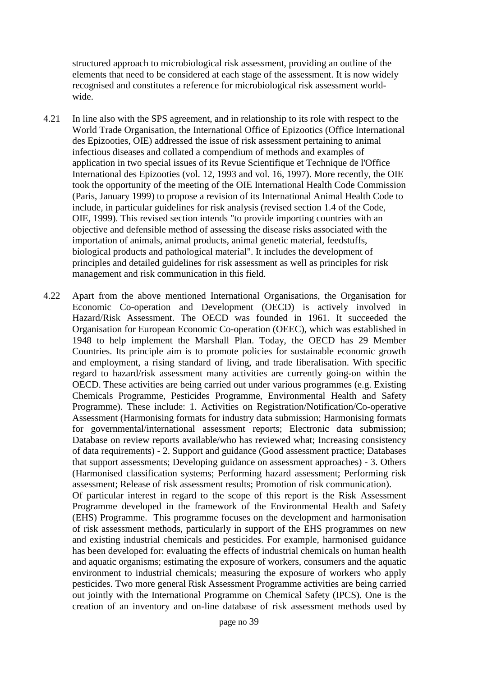structured approach to microbiological risk assessment, providing an outline of the elements that need to be considered at each stage of the assessment. It is now widely recognised and constitutes a reference for microbiological risk assessment worldwide.

- 4.21 In line also with the SPS agreement, and in relationship to its role with respect to the World Trade Organisation, the International Office of Epizootics (Office International des Epizooties, OIE) addressed the issue of risk assessment pertaining to animal infectious diseases and collated a compendium of methods and examples of application in two special issues of its Revue Scientifique et Technique de l'Office International des Epizooties (vol. 12, 1993 and vol. 16, 1997). More recently, the OIE took the opportunity of the meeting of the OIE International Health Code Commission (Paris, January 1999) to propose a revision of its International Animal Health Code to include, in particular guidelines for risk analysis (revised section 1.4 of the Code, OIE, 1999). This revised section intends "to provide importing countries with an objective and defensible method of assessing the disease risks associated with the importation of animals, animal products, animal genetic material, feedstuffs, biological products and pathological material". It includes the development of principles and detailed guidelines for risk assessment as well as principles for risk management and risk communication in this field.
- 4.22 Apart from the above mentioned International Organisations, the Organisation for Economic Co-operation and Development (OECD) is actively involved in Hazard/Risk Assessment. The OECD was founded in 1961. It succeeded the Organisation for European Economic Co-operation (OEEC), which was established in 1948 to help implement the Marshall Plan. Today, the OECD has 29 Member Countries. Its principle aim is to promote policies for sustainable economic growth and employment, a rising standard of living, and trade liberalisation. With specific regard to hazard/risk assessment many activities are currently going-on within the OECD. These activities are being carried out under various programmes (e.g. Existing Chemicals Programme, Pesticides Programme, Environmental Health and Safety Programme). These include: 1. Activities on Registration/Notification/Co-operative Assessment (Harmonising formats for industry data submission; Harmonising formats for governmental/international assessment reports; Electronic data submission; Database on review reports available/who has reviewed what; Increasing consistency of data requirements) - 2. Support and guidance (Good assessment practice; Databases that support assessments; Developing guidance on assessment approaches) - 3. Others (Harmonised classification systems; Performing hazard assessment; Performing risk assessment; Release of risk assessment results; Promotion of risk communication).

Of particular interest in regard to the scope of this report is the Risk Assessment Programme developed in the framework of the Environmental Health and Safety (EHS) Programme. This programme focuses on the development and harmonisation of risk assessment methods, particularly in support of the EHS programmes on new and existing industrial chemicals and pesticides. For example, harmonised guidance has been developed for: evaluating the effects of industrial chemicals on human health and aquatic organisms; estimating the exposure of workers, consumers and the aquatic environment to industrial chemicals; measuring the exposure of workers who apply pesticides. Two more general Risk Assessment Programme activities are being carried out jointly with the International Programme on Chemical Safety (IPCS). One is the creation of an inventory and on-line database of risk assessment methods used by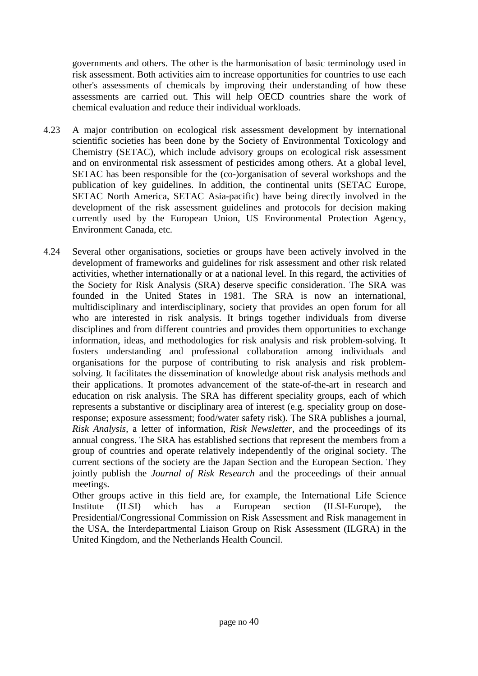governments and others. The other is the harmonisation of basic terminology used in risk assessment. Both activities aim to increase opportunities for countries to use each other's assessments of chemicals by improving their understanding of how these assessments are carried out. This will help OECD countries share the work of chemical evaluation and reduce their individual workloads.

- 4.23 A major contribution on ecological risk assessment development by international scientific societies has been done by the Society of Environmental Toxicology and Chemistry (SETAC), which include advisory groups on ecological risk assessment and on environmental risk assessment of pesticides among others. At a global level, SETAC has been responsible for the (co-)organisation of several workshops and the publication of key guidelines. In addition, the continental units (SETAC Europe, SETAC North America, SETAC Asia-pacific) have being directly involved in the development of the risk assessment guidelines and protocols for decision making currently used by the European Union, US Environmental Protection Agency, Environment Canada, etc.
- 4.24 Several other organisations, societies or groups have been actively involved in the development of frameworks and guidelines for risk assessment and other risk related activities, whether internationally or at a national level. In this regard, the activities of the Society for Risk Analysis (SRA) deserve specific consideration. The SRA was founded in the United States in 1981. The SRA is now an international, multidisciplinary and interdisciplinary, society that provides an open forum for all who are interested in risk analysis. It brings together individuals from diverse disciplines and from different countries and provides them opportunities to exchange information, ideas, and methodologies for risk analysis and risk problem-solving. It fosters understanding and professional collaboration among individuals and organisations for the purpose of contributing to risk analysis and risk problemsolving. It facilitates the dissemination of knowledge about risk analysis methods and their applications. It promotes advancement of the state-of-the-art in research and education on risk analysis. The SRA has different speciality groups, each of which represents a substantive or disciplinary area of interest (e.g. speciality group on doseresponse; exposure assessment; food/water safety risk). The SRA publishes a journal, *Risk Analysis*, a letter of information, *Risk Newsletter*, and the proceedings of its annual congress. The SRA has established sections that represent the members from a group of countries and operate relatively independently of the original society. The current sections of the society are the Japan Section and the European Section. They jointly publish the *Journal of Risk Research* and the proceedings of their annual meetings.

Other groups active in this field are, for example, the International Life Science Institute (ILSI) which has a European section (ILSI-Europe), the Presidential/Congressional Commission on Risk Assessment and Risk management in the USA, the Interdepartmental Liaison Group on Risk Assessment (ILGRA) in the United Kingdom, and the Netherlands Health Council.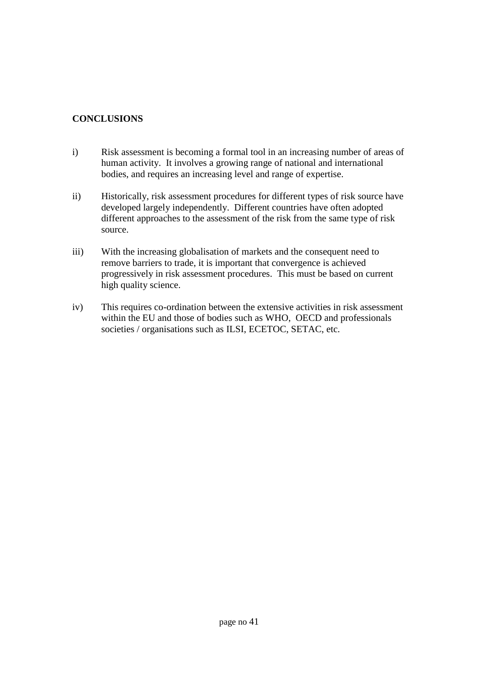## **CONCLUSIONS**

- i) Risk assessment is becoming a formal tool in an increasing number of areas of human activity. It involves a growing range of national and international bodies, and requires an increasing level and range of expertise.
- ii) Historically, risk assessment procedures for different types of risk source have developed largely independently. Different countries have often adopted different approaches to the assessment of the risk from the same type of risk source.
- iii) With the increasing globalisation of markets and the consequent need to remove barriers to trade, it is important that convergence is achieved progressively in risk assessment procedures. This must be based on current high quality science.
- iv) This requires co-ordination between the extensive activities in risk assessment within the EU and those of bodies such as WHO, OECD and professionals societies / organisations such as ILSI, ECETOC, SETAC, etc.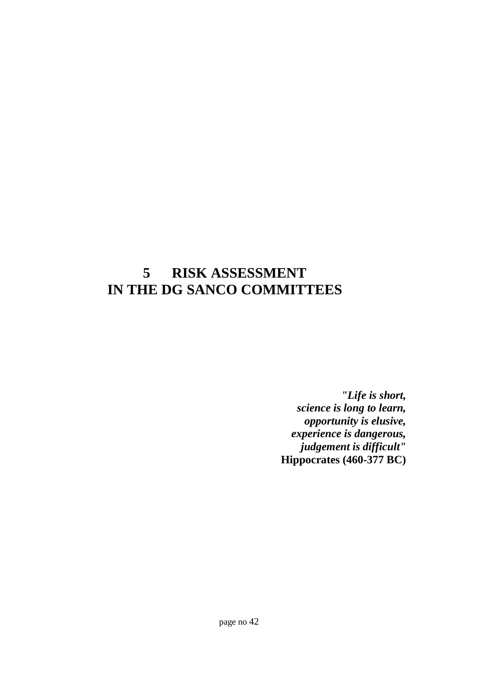# **5 RISK ASSESSMENT IN THE DG SANCO COMMITTEES**

*"Life is short, science is long to learn, opportunity is elusive, experience is dangerous, judgement is difficult"* **Hippocrates (460-377 BC)**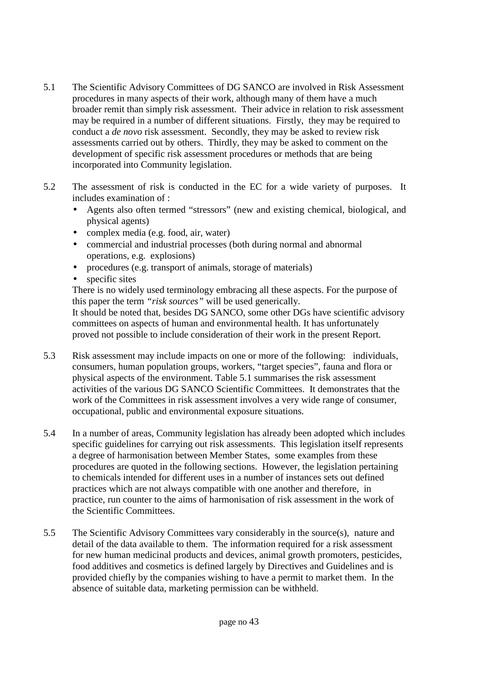- 5.1 The Scientific Advisory Committees of DG SANCO are involved in Risk Assessment procedures in many aspects of their work, although many of them have a much broader remit than simply risk assessment. Their advice in relation to risk assessment may be required in a number of different situations. Firstly, they may be required to conduct a *de novo* risk assessment. Secondly, they may be asked to review risk assessments carried out by others. Thirdly, they may be asked to comment on the development of specific risk assessment procedures or methods that are being incorporated into Community legislation.
- 5.2 The assessment of risk is conducted in the EC for a wide variety of purposes. It includes examination of :
	- Agents also often termed "stressors" (new and existing chemical, biological, and physical agents)
	- complex media (e.g. food, air, water)
	- commercial and industrial processes (both during normal and abnormal operations, e.g. explosions)
	- procedures (e.g. transport of animals, storage of materials)
	- specific sites

There is no widely used terminology embracing all these aspects. For the purpose of this paper the term *"risk sources"* will be used generically.

It should be noted that, besides DG SANCO, some other DGs have scientific advisory committees on aspects of human and environmental health. It has unfortunately proved not possible to include consideration of their work in the present Report.

- 5.3 Risk assessment may include impacts on one or more of the following: individuals, consumers, human population groups, workers, "target species", fauna and flora or physical aspects of the environment. Table 5.1 summarises the risk assessment activities of the various DG SANCO Scientific Committees. It demonstrates that the work of the Committees in risk assessment involves a very wide range of consumer, occupational, public and environmental exposure situations.
- 5.4 In a number of areas, Community legislation has already been adopted which includes specific guidelines for carrying out risk assessments. This legislation itself represents a degree of harmonisation between Member States, some examples from these procedures are quoted in the following sections. However, the legislation pertaining to chemicals intended for different uses in a number of instances sets out defined practices which are not always compatible with one another and therefore, in practice, run counter to the aims of harmonisation of risk assessment in the work of the Scientific Committees.
- 5.5 The Scientific Advisory Committees vary considerably in the source(s), nature and detail of the data available to them. The information required for a risk assessment for new human medicinal products and devices, animal growth promoters, pesticides, food additives and cosmetics is defined largely by Directives and Guidelines and is provided chiefly by the companies wishing to have a permit to market them. In the absence of suitable data, marketing permission can be withheld.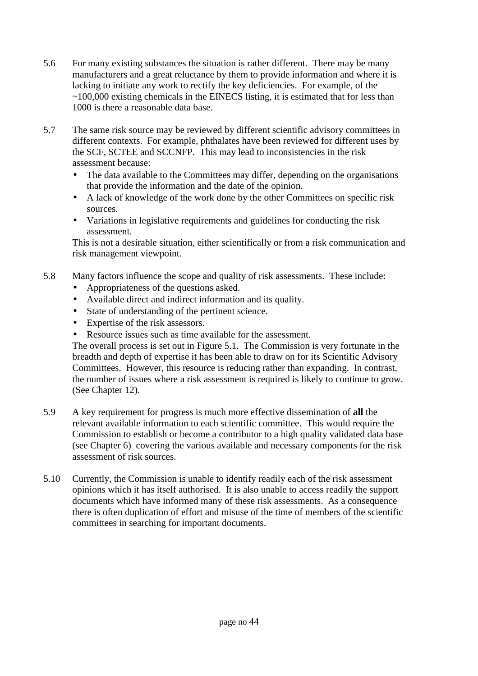- 5.6 For many existing substances the situation is rather different. There may be many manufacturers and a great reluctance by them to provide information and where it is lacking to initiate any work to rectify the key deficiencies. For example, of the ~100,000 existing chemicals in the EINECS listing, it is estimated that for less than 1000 is there a reasonable data base.
- 5.7 The same risk source may be reviewed by different scientific advisory committees in different contexts. For example, phthalates have been reviewed for different uses by the SCF, SCTEE and SCCNFP. This may lead to inconsistencies in the risk assessment because:
	- The data available to the Committees may differ, depending on the organisations that provide the information and the date of the opinion.
	- A lack of knowledge of the work done by the other Committees on specific risk sources.
	- Variations in legislative requirements and guidelines for conducting the risk assessment.

This is not a desirable situation, either scientifically or from a risk communication and risk management viewpoint.

- 5.8 Many factors influence the scope and quality of risk assessments. These include:
	- Appropriateness of the questions asked.
	- Available direct and indirect information and its quality.
	- State of understanding of the pertinent science.
	- Expertise of the risk assessors.
	- Resource issues such as time available for the assessment.

The overall process is set out in Figure 5.1. The Commission is very fortunate in the breadth and depth of expertise it has been able to draw on for its Scientific Advisory Committees. However, this resource is reducing rather than expanding. In contrast, the number of issues where a risk assessment is required is likely to continue to grow. (See Chapter 12).

- 5.9 A key requirement for progress is much more effective dissemination of **all** the relevant available information to each scientific committee. This would require the Commission to establish or become a contributor to a high quality validated data base (see Chapter 6) covering the various available and necessary components for the risk assessment of risk sources.
- 5.10 Currently, the Commission is unable to identify readily each of the risk assessment opinions which it has itself authorised. It is also unable to access readily the support documents which have informed many of these risk assessments. As a consequence there is often duplication of effort and misuse of the time of members of the scientific committees in searching for important documents.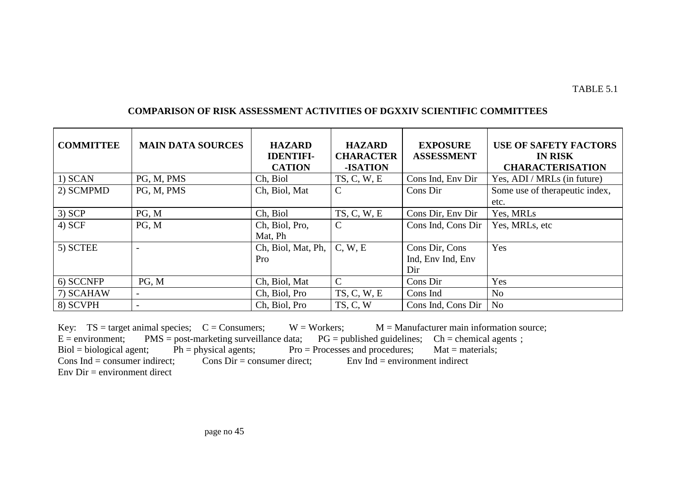| <b>COMPARISON OF RISK ASSESSMENT ACTIVITIES OF DGXXIV SCIENTIFIC COMMITTEES</b> |
|---------------------------------------------------------------------------------|
|---------------------------------------------------------------------------------|

| <b>COMMITTEE</b> | <b>MAIN DATA SOURCES</b> | <b>HAZARD</b><br><b>IDENTIFI-</b><br><b>CATION</b> | <b>HAZARD</b><br><b>CHARACTER</b><br>-ISATION | <b>EXPOSURE</b><br><b>ASSESSMENT</b>       | <b>USE OF SAFETY FACTORS</b><br><b>IN RISK</b><br><b>CHARACTERISATION</b> |
|------------------|--------------------------|----------------------------------------------------|-----------------------------------------------|--------------------------------------------|---------------------------------------------------------------------------|
| 1) SCAN          | PG, M, PMS               | Ch, Biol                                           | TS, C, W, E                                   | Cons Ind, Env Dir                          | Yes, ADI / MRLs (in future)                                               |
| 2) SCMPMD        | PG, M, PMS               | Ch, Biol, Mat                                      | $\mathcal{C}$                                 | Cons Dir                                   | Some use of the rapeutic index,                                           |
|                  |                          |                                                    |                                               |                                            | etc.                                                                      |
| $3)$ SCP         | PG, M                    | Ch, Biol                                           | TS, C, W, E                                   | Cons Dir, Env Dir                          | Yes, MRLs                                                                 |
| 4) SCF           | PG, M                    | Ch, Biol, Pro,<br>Mat, Ph                          | $\mathcal{C}$                                 | Cons Ind, Cons Dir                         | Yes, MRLs, etc                                                            |
| 5) SCTEE         |                          | Ch, Biol, Mat, Ph,<br>Pro                          | C, W, E                                       | Cons Dir, Cons<br>Ind, Env Ind, Env<br>Dir | Yes                                                                       |
| 6) SCCNFP        | PG, M                    | Ch, Biol, Mat                                      | $\mathcal{C}$                                 | Cons Dir                                   | Yes                                                                       |
| 7) SCAHAW        | $\overline{\phantom{0}}$ | Ch, Biol, Pro                                      | TS, C, W, E                                   | Cons Ind                                   | N <sub>o</sub>                                                            |
| 8) SCVPH         | $\overline{\phantom{a}}$ | Ch, Biol, Pro                                      | TS, C, W                                      | Cons Ind, Cons Dir                         | N <sub>o</sub>                                                            |

Key:  $TS = target$  animal species;  $C = Consumers$ ;  $W = Workers$ ;  $M = Manufacturer$  main information source;  $E = environment$ ;  $PMS = post-marketing$  surveillance data;  $PG = published$  guidelines;  $Ch = chemical$  agents; E = post-marketing surveillance data;  $PG =$  published guidelines;  $Ch =$  chemical agents ; Ph = physical agents; Pro = Processes and procedures; Mat = materials;  $Biol = biological agent;$  Ph = physical agents; Pro = Processes and procedures; Mat = materials; Cons Ind = consumer indirect;  $\overline{C}$  Cons Dir = consumer direct; Env Ind = environment indirect Env  $Dir =$  environment direct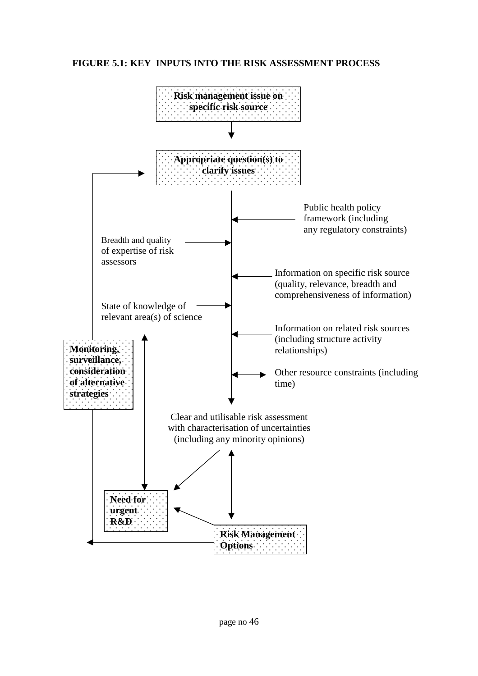## **FIGURE 5.1: KEY INPUTS INTO THE RISK ASSESSMENT PROCESS**

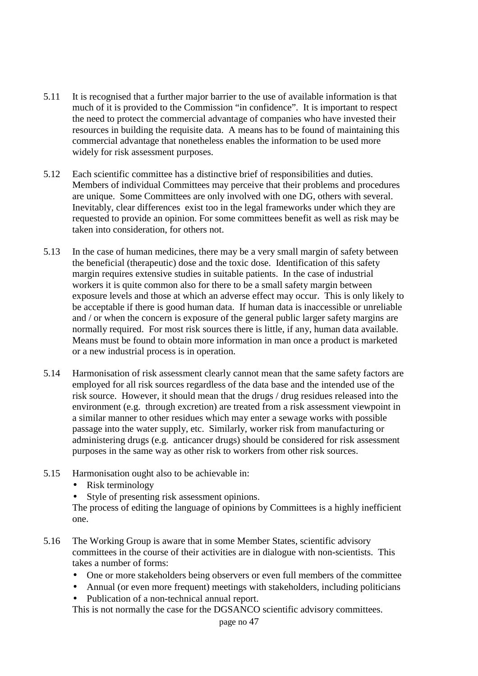- 5.11 It is recognised that a further major barrier to the use of available information is that much of it is provided to the Commission "in confidence". It is important to respect the need to protect the commercial advantage of companies who have invested their resources in building the requisite data. A means has to be found of maintaining this commercial advantage that nonetheless enables the information to be used more widely for risk assessment purposes.
- 5.12 Each scientific committee has a distinctive brief of responsibilities and duties. Members of individual Committees may perceive that their problems and procedures are unique. Some Committees are only involved with one DG, others with several. Inevitably, clear differences exist too in the legal frameworks under which they are requested to provide an opinion. For some committees benefit as well as risk may be taken into consideration, for others not.
- 5.13 In the case of human medicines, there may be a very small margin of safety between the beneficial (therapeutic) dose and the toxic dose. Identification of this safety margin requires extensive studies in suitable patients. In the case of industrial workers it is quite common also for there to be a small safety margin between exposure levels and those at which an adverse effect may occur. This is only likely to be acceptable if there is good human data. If human data is inaccessible or unreliable and / or when the concern is exposure of the general public larger safety margins are normally required. For most risk sources there is little, if any, human data available. Means must be found to obtain more information in man once a product is marketed or a new industrial process is in operation.
- 5.14 Harmonisation of risk assessment clearly cannot mean that the same safety factors are employed for all risk sources regardless of the data base and the intended use of the risk source. However, it should mean that the drugs / drug residues released into the environment (e.g. through excretion) are treated from a risk assessment viewpoint in a similar manner to other residues which may enter a sewage works with possible passage into the water supply, etc. Similarly, worker risk from manufacturing or administering drugs (e.g. anticancer drugs) should be considered for risk assessment purposes in the same way as other risk to workers from other risk sources.
- 5.15 Harmonisation ought also to be achievable in:
	- Risk terminology
	- Style of presenting risk assessment opinions.

The process of editing the language of opinions by Committees is a highly inefficient one.

- 5.16 The Working Group is aware that in some Member States, scientific advisory committees in the course of their activities are in dialogue with non-scientists. This takes a number of forms:
	- One or more stakeholders being observers or even full members of the committee
	- Annual (or even more frequent) meetings with stakeholders, including politicians
	- Publication of a non-technical annual report.

This is not normally the case for the DGSANCO scientific advisory committees.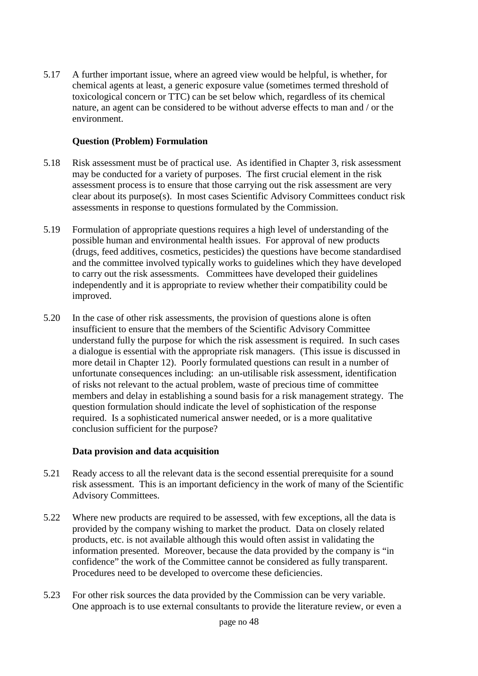5.17 A further important issue, where an agreed view would be helpful, is whether, for chemical agents at least, a generic exposure value (sometimes termed threshold of toxicological concern or TTC) can be set below which, regardless of its chemical nature, an agent can be considered to be without adverse effects to man and / or the environment.

#### **Question (Problem) Formulation**

- 5.18 Risk assessment must be of practical use. As identified in Chapter 3, risk assessment may be conducted for a variety of purposes. The first crucial element in the risk assessment process is to ensure that those carrying out the risk assessment are very clear about its purpose(s). In most cases Scientific Advisory Committees conduct risk assessments in response to questions formulated by the Commission.
- 5.19 Formulation of appropriate questions requires a high level of understanding of the possible human and environmental health issues. For approval of new products (drugs, feed additives, cosmetics, pesticides) the questions have become standardised and the committee involved typically works to guidelines which they have developed to carry out the risk assessments. Committees have developed their guidelines independently and it is appropriate to review whether their compatibility could be improved.
- 5.20 In the case of other risk assessments, the provision of questions alone is often insufficient to ensure that the members of the Scientific Advisory Committee understand fully the purpose for which the risk assessment is required. In such cases a dialogue is essential with the appropriate risk managers. (This issue is discussed in more detail in Chapter 12). Poorly formulated questions can result in a number of unfortunate consequences including: an un-utilisable risk assessment, identification of risks not relevant to the actual problem, waste of precious time of committee members and delay in establishing a sound basis for a risk management strategy. The question formulation should indicate the level of sophistication of the response required. Is a sophisticated numerical answer needed, or is a more qualitative conclusion sufficient for the purpose?

## **Data provision and data acquisition**

- 5.21 Ready access to all the relevant data is the second essential prerequisite for a sound risk assessment. This is an important deficiency in the work of many of the Scientific Advisory Committees.
- 5.22 Where new products are required to be assessed, with few exceptions, all the data is provided by the company wishing to market the product. Data on closely related products, etc. is not available although this would often assist in validating the information presented. Moreover, because the data provided by the company is "in confidence" the work of the Committee cannot be considered as fully transparent. Procedures need to be developed to overcome these deficiencies.
- 5.23 For other risk sources the data provided by the Commission can be very variable. One approach is to use external consultants to provide the literature review, or even a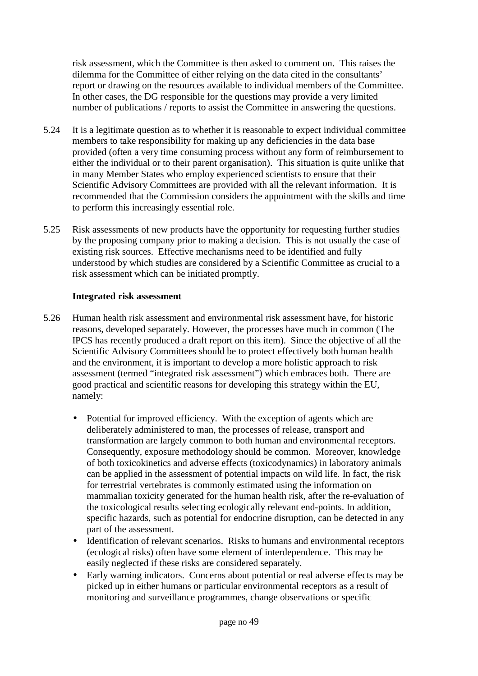risk assessment, which the Committee is then asked to comment on. This raises the dilemma for the Committee of either relying on the data cited in the consultants' report or drawing on the resources available to individual members of the Committee. In other cases, the DG responsible for the questions may provide a very limited number of publications / reports to assist the Committee in answering the questions.

- 5.24 It is a legitimate question as to whether it is reasonable to expect individual committee members to take responsibility for making up any deficiencies in the data base provided (often a very time consuming process without any form of reimbursement to either the individual or to their parent organisation). This situation is quite unlike that in many Member States who employ experienced scientists to ensure that their Scientific Advisory Committees are provided with all the relevant information. It is recommended that the Commission considers the appointment with the skills and time to perform this increasingly essential role.
- 5.25 Risk assessments of new products have the opportunity for requesting further studies by the proposing company prior to making a decision. This is not usually the case of existing risk sources. Effective mechanisms need to be identified and fully understood by which studies are considered by a Scientific Committee as crucial to a risk assessment which can be initiated promptly.

## **Integrated risk assessment**

- 5.26 Human health risk assessment and environmental risk assessment have, for historic reasons, developed separately. However, the processes have much in common (The IPCS has recently produced a draft report on this item). Since the objective of all the Scientific Advisory Committees should be to protect effectively both human health and the environment, it is important to develop a more holistic approach to risk assessment (termed "integrated risk assessment") which embraces both. There are good practical and scientific reasons for developing this strategy within the EU, namely:
	- Potential for improved efficiency. With the exception of agents which are deliberately administered to man, the processes of release, transport and transformation are largely common to both human and environmental receptors. Consequently, exposure methodology should be common. Moreover, knowledge of both toxicokinetics and adverse effects (toxicodynamics) in laboratory animals can be applied in the assessment of potential impacts on wild life. In fact, the risk for terrestrial vertebrates is commonly estimated using the information on mammalian toxicity generated for the human health risk, after the re-evaluation of the toxicological results selecting ecologically relevant end-points. In addition, specific hazards, such as potential for endocrine disruption, can be detected in any part of the assessment.
	- Identification of relevant scenarios. Risks to humans and environmental receptors (ecological risks) often have some element of interdependence. This may be easily neglected if these risks are considered separately.
	- Early warning indicators. Concerns about potential or real adverse effects may be picked up in either humans or particular environmental receptors as a result of monitoring and surveillance programmes, change observations or specific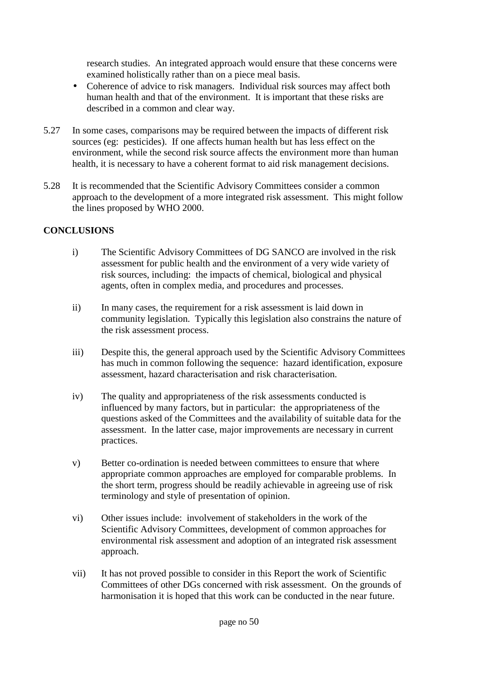research studies. An integrated approach would ensure that these concerns were examined holistically rather than on a piece meal basis.

- Coherence of advice to risk managers. Individual risk sources may affect both human health and that of the environment. It is important that these risks are described in a common and clear way.
- 5.27 In some cases, comparisons may be required between the impacts of different risk sources (eg: pesticides). If one affects human health but has less effect on the environment, while the second risk source affects the environment more than human health, it is necessary to have a coherent format to aid risk management decisions.
- 5.28 It is recommended that the Scientific Advisory Committees consider a common approach to the development of a more integrated risk assessment. This might follow the lines proposed by WHO 2000.

## **CONCLUSIONS**

- i) The Scientific Advisory Committees of DG SANCO are involved in the risk assessment for public health and the environment of a very wide variety of risk sources, including: the impacts of chemical, biological and physical agents, often in complex media, and procedures and processes.
- ii) In many cases, the requirement for a risk assessment is laid down in community legislation. Typically this legislation also constrains the nature of the risk assessment process.
- iii) Despite this, the general approach used by the Scientific Advisory Committees has much in common following the sequence: hazard identification, exposure assessment, hazard characterisation and risk characterisation.
- iv) The quality and appropriateness of the risk assessments conducted is influenced by many factors, but in particular: the appropriateness of the questions asked of the Committees and the availability of suitable data for the assessment. In the latter case, major improvements are necessary in current practices.
- v) Better co-ordination is needed between committees to ensure that where appropriate common approaches are employed for comparable problems. In the short term, progress should be readily achievable in agreeing use of risk terminology and style of presentation of opinion.
- vi) Other issues include: involvement of stakeholders in the work of the Scientific Advisory Committees, development of common approaches for environmental risk assessment and adoption of an integrated risk assessment approach.
- vii) It has not proved possible to consider in this Report the work of Scientific Committees of other DGs concerned with risk assessment. On the grounds of harmonisation it is hoped that this work can be conducted in the near future.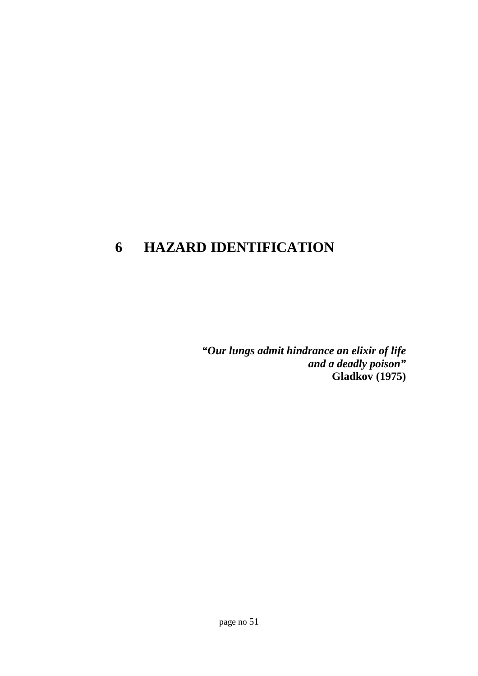# **6 HAZARD IDENTIFICATION**

*"Our lungs admit hindrance an elixir of life and a deadly poison"* **Gladkov (1975)**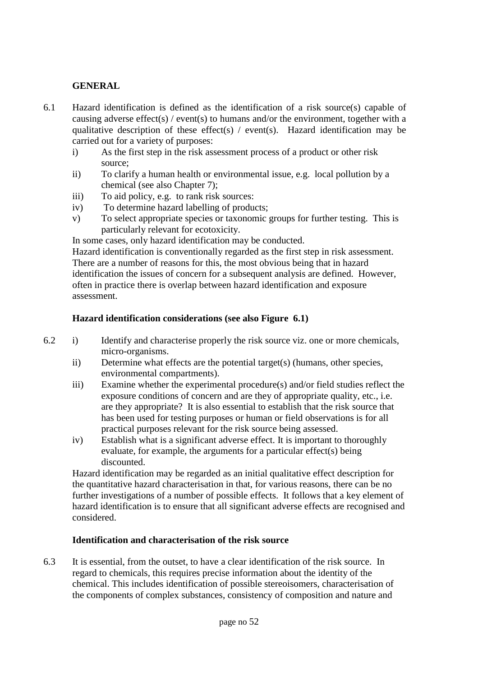## **GENERAL**

- 6.1 Hazard identification is defined as the identification of a risk source(s) capable of causing adverse effect(s) / event(s) to humans and/or the environment, together with a qualitative description of these effect(s) / event(s). Hazard identification may be carried out for a variety of purposes:
	- i) As the first step in the risk assessment process of a product or other risk source;
	- ii) To clarify a human health or environmental issue, e.g. local pollution by a chemical (see also Chapter 7);
	- iii) To aid policy, e.g. to rank risk sources:
	- iv) To determine hazard labelling of products;
	- v) To select appropriate species or taxonomic groups for further testing. This is particularly relevant for ecotoxicity.

In some cases, only hazard identification may be conducted.

Hazard identification is conventionally regarded as the first step in risk assessment. There are a number of reasons for this, the most obvious being that in hazard identification the issues of concern for a subsequent analysis are defined. However, often in practice there is overlap between hazard identification and exposure assessment.

## **Hazard identification considerations (see also Figure 6.1)**

- 6.2 i) Identify and characterise properly the risk source viz. one or more chemicals, micro-organisms.
	- ii) Determine what effects are the potential target(s) (humans, other species, environmental compartments).
	- iii) Examine whether the experimental procedure(s) and/or field studies reflect the exposure conditions of concern and are they of appropriate quality, etc., i.e. are they appropriate? It is also essential to establish that the risk source that has been used for testing purposes or human or field observations is for all practical purposes relevant for the risk source being assessed.
	- iv) Establish what is a significant adverse effect. It is important to thoroughly evaluate, for example, the arguments for a particular effect(s) being discounted.

Hazard identification may be regarded as an initial qualitative effect description for the quantitative hazard characterisation in that, for various reasons, there can be no further investigations of a number of possible effects. It follows that a key element of hazard identification is to ensure that all significant adverse effects are recognised and considered.

## **Identification and characterisation of the risk source**

6.3 It is essential, from the outset, to have a clear identification of the risk source. In regard to chemicals, this requires precise information about the identity of the chemical. This includes identification of possible stereoisomers, characterisation of the components of complex substances, consistency of composition and nature and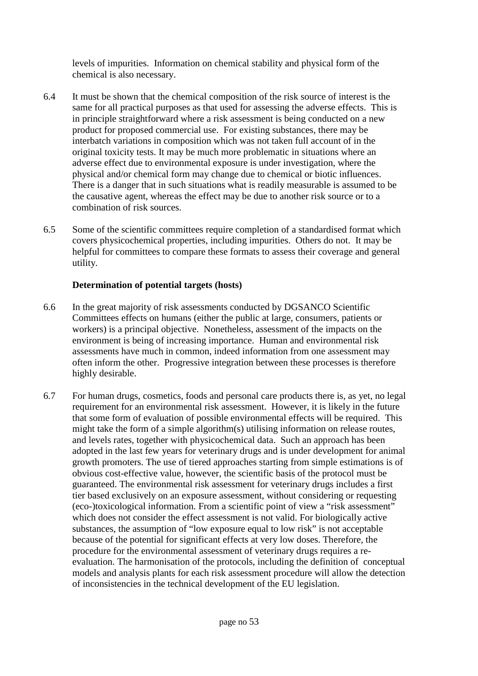levels of impurities. Information on chemical stability and physical form of the chemical is also necessary.

- 6.4 It must be shown that the chemical composition of the risk source of interest is the same for all practical purposes as that used for assessing the adverse effects. This is in principle straightforward where a risk assessment is being conducted on a new product for proposed commercial use. For existing substances, there may be interbatch variations in composition which was not taken full account of in the original toxicity tests. It may be much more problematic in situations where an adverse effect due to environmental exposure is under investigation, where the physical and/or chemical form may change due to chemical or biotic influences. There is a danger that in such situations what is readily measurable is assumed to be the causative agent, whereas the effect may be due to another risk source or to a combination of risk sources.
- 6.5 Some of the scientific committees require completion of a standardised format which covers physicochemical properties, including impurities. Others do not. It may be helpful for committees to compare these formats to assess their coverage and general utility.

## **Determination of potential targets (hosts)**

- 6.6 In the great majority of risk assessments conducted by DGSANCO Scientific Committees effects on humans (either the public at large, consumers, patients or workers) is a principal objective. Nonetheless, assessment of the impacts on the environment is being of increasing importance. Human and environmental risk assessments have much in common, indeed information from one assessment may often inform the other. Progressive integration between these processes is therefore highly desirable.
- 6.7 For human drugs, cosmetics, foods and personal care products there is, as yet, no legal requirement for an environmental risk assessment. However, it is likely in the future that some form of evaluation of possible environmental effects will be required. This might take the form of a simple algorithm(s) utilising information on release routes, and levels rates, together with physicochemical data. Such an approach has been adopted in the last few years for veterinary drugs and is under development for animal growth promoters. The use of tiered approaches starting from simple estimations is of obvious cost-effective value, however, the scientific basis of the protocol must be guaranteed. The environmental risk assessment for veterinary drugs includes a first tier based exclusively on an exposure assessment, without considering or requesting (eco-)toxicological information. From a scientific point of view a "risk assessment" which does not consider the effect assessment is not valid. For biologically active substances, the assumption of "low exposure equal to low risk" is not acceptable because of the potential for significant effects at very low doses. Therefore, the procedure for the environmental assessment of veterinary drugs requires a reevaluation. The harmonisation of the protocols, including the definition of conceptual models and analysis plants for each risk assessment procedure will allow the detection of inconsistencies in the technical development of the EU legislation.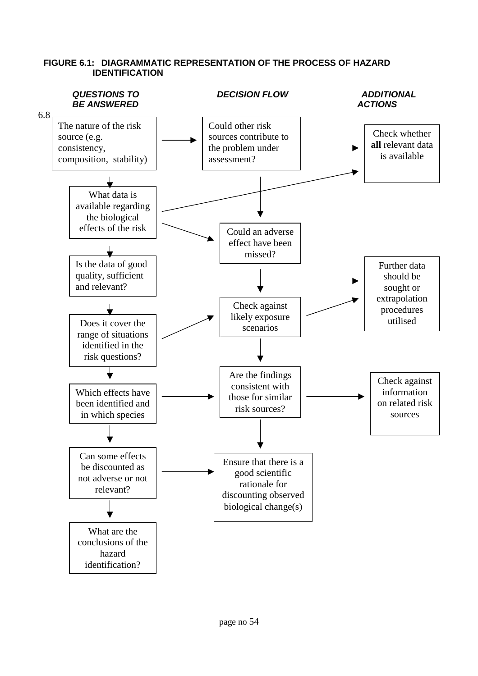

#### **FIGURE 6.1: DIAGRAMMATIC REPRESENTATION OF THE PROCESS OF HAZARD IDENTIFICATION**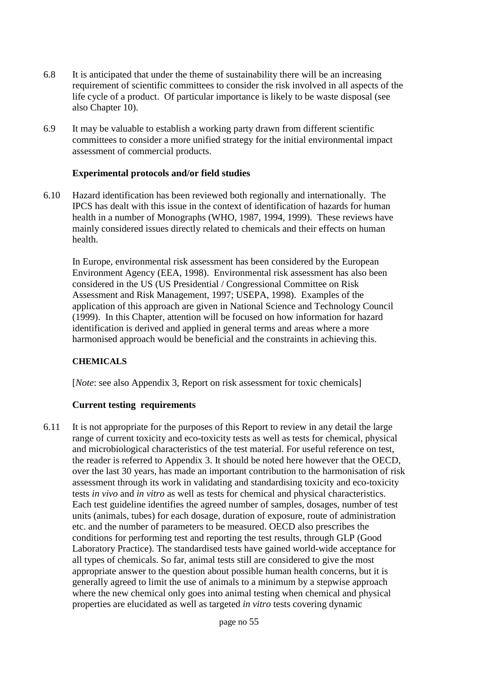- 6.8 It is anticipated that under the theme of sustainability there will be an increasing requirement of scientific committees to consider the risk involved in all aspects of the life cycle of a product. Of particular importance is likely to be waste disposal (see also Chapter 10).
- 6.9 It may be valuable to establish a working party drawn from different scientific committees to consider a more unified strategy for the initial environmental impact assessment of commercial products.

#### **Experimental protocols and/or field studies**

6.10 Hazard identification has been reviewed both regionally and internationally. The IPCS has dealt with this issue in the context of identification of hazards for human health in a number of Monographs (WHO, 1987, 1994, 1999). These reviews have mainly considered issues directly related to chemicals and their effects on human health.

In Europe, environmental risk assessment has been considered by the European Environment Agency (EEA, 1998). Environmental risk assessment has also been considered in the US (US Presidential / Congressional Committee on Risk Assessment and Risk Management, 1997; USEPA, 1998). Examples of the application of this approach are given in National Science and Technology Council (1999). In this Chapter, attention will be focused on how information for hazard identification is derived and applied in general terms and areas where a more harmonised approach would be beneficial and the constraints in achieving this.

## **CHEMICALS**

[*Note*: see also Appendix 3, Report on risk assessment for toxic chemicals]

## **Current testing requirements**

6.11 It is not appropriate for the purposes of this Report to review in any detail the large range of current toxicity and eco-toxicity tests as well as tests for chemical, physical and microbiological characteristics of the test material. For useful reference on test, the reader is referred to Appendix 3. It should be noted here however that the OECD, over the last 30 years, has made an important contribution to the harmonisation of risk assessment through its work in validating and standardising toxicity and eco-toxicity tests *in vivo* and *in vitro* as well as tests for chemical and physical characteristics. Each test guideline identifies the agreed number of samples, dosages, number of test units (animals, tubes) for each dosage, duration of exposure, route of administration etc. and the number of parameters to be measured. OECD also prescribes the conditions for performing test and reporting the test results, through GLP (Good Laboratory Practice). The standardised tests have gained world-wide acceptance for all types of chemicals. So far, animal tests still are considered to give the most appropriate answer to the question about possible human health concerns, but it is generally agreed to limit the use of animals to a minimum by a stepwise approach where the new chemical only goes into animal testing when chemical and physical properties are elucidated as well as targeted *in vitro* tests covering dynamic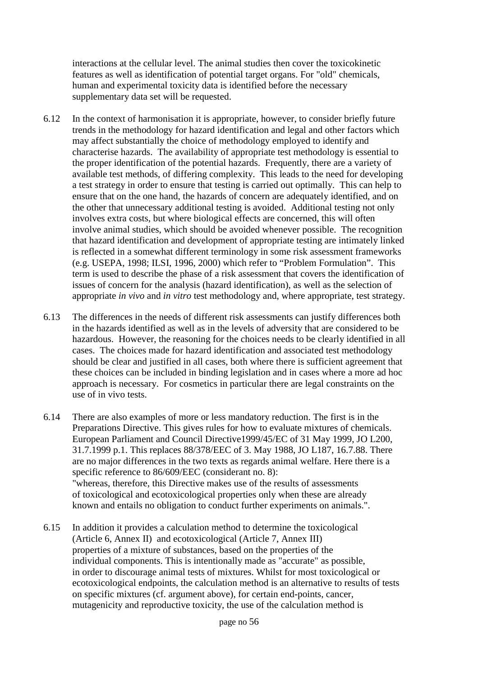interactions at the cellular level. The animal studies then cover the toxicokinetic features as well as identification of potential target organs. For "old" chemicals, human and experimental toxicity data is identified before the necessary supplementary data set will be requested.

- 6.12 In the context of harmonisation it is appropriate, however, to consider briefly future trends in the methodology for hazard identification and legal and other factors which may affect substantially the choice of methodology employed to identify and characterise hazards. The availability of appropriate test methodology is essential to the proper identification of the potential hazards. Frequently, there are a variety of available test methods, of differing complexity. This leads to the need for developing a test strategy in order to ensure that testing is carried out optimally. This can help to ensure that on the one hand, the hazards of concern are adequately identified, and on the other that unnecessary additional testing is avoided. Additional testing not only involves extra costs, but where biological effects are concerned, this will often involve animal studies, which should be avoided whenever possible. The recognition that hazard identification and development of appropriate testing are intimately linked is reflected in a somewhat different terminology in some risk assessment frameworks (e.g. USEPA, 1998; ILSI, 1996, 2000) which refer to "Problem Formulation". This term is used to describe the phase of a risk assessment that covers the identification of issues of concern for the analysis (hazard identification), as well as the selection of appropriate *in vivo* and *in vitro* test methodology and, where appropriate, test strategy.
- 6.13 The differences in the needs of different risk assessments can justify differences both in the hazards identified as well as in the levels of adversity that are considered to be hazardous. However, the reasoning for the choices needs to be clearly identified in all cases. The choices made for hazard identification and associated test methodology should be clear and justified in all cases, both where there is sufficient agreement that these choices can be included in binding legislation and in cases where a more ad hoc approach is necessary. For cosmetics in particular there are legal constraints on the use of in vivo tests.
- 6.14 There are also examples of more or less mandatory reduction. The first is in the Preparations Directive. This gives rules for how to evaluate mixtures of chemicals. European Parliament and Council Directive1999/45/EC of 31 May 1999, JO L200, 31.7.1999 p.1. This replaces 88/378/EEC of 3. May 1988, JO L187, 16.7.88. There are no major differences in the two texts as regards animal welfare. Here there is a specific reference to 86/609/EEC (considerant no. 8): "whereas, therefore, this Directive makes use of the results of assessments of toxicological and ecotoxicological properties only when these are already known and entails no obligation to conduct further experiments on animals.".
- 6.15 In addition it provides a calculation method to determine the toxicological (Article 6, Annex II) and ecotoxicological (Article 7, Annex III) properties of a mixture of substances, based on the properties of the individual components. This is intentionally made as "accurate" as possible, in order to discourage animal tests of mixtures. Whilst for most toxicological or ecotoxicological endpoints, the calculation method is an alternative to results of tests on specific mixtures (cf. argument above), for certain end-points, cancer, mutagenicity and reproductive toxicity, the use of the calculation method is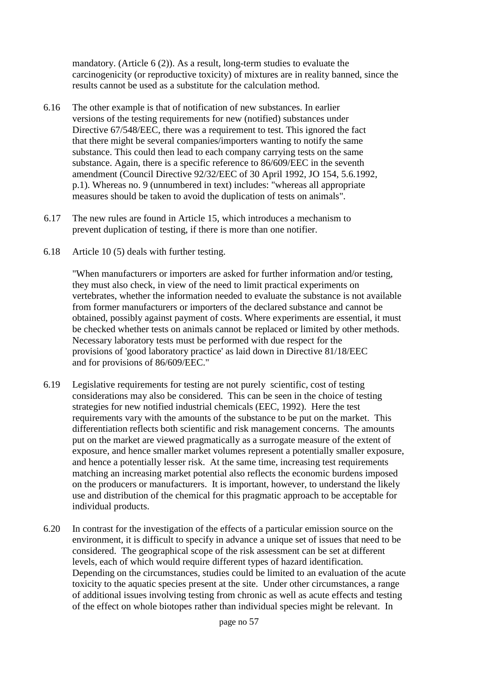mandatory. (Article 6 (2)). As a result, long-term studies to evaluate the carcinogenicity (or reproductive toxicity) of mixtures are in reality banned, since the results cannot be used as a substitute for the calculation method.

- 6.16 The other example is that of notification of new substances. In earlier versions of the testing requirements for new (notified) substances under Directive 67/548/EEC, there was a requirement to test. This ignored the fact that there might be several companies/importers wanting to notify the same substance. This could then lead to each company carrying tests on the same substance. Again, there is a specific reference to 86/609/EEC in the seventh amendment (Council Directive 92/32/EEC of 30 April 1992, JO 154, 5.6.1992, p.1). Whereas no. 9 (unnumbered in text) includes: "whereas all appropriate measures should be taken to avoid the duplication of tests on animals".
- 6.17 The new rules are found in Article 15, which introduces a mechanism to prevent duplication of testing, if there is more than one notifier.
- 6.18 Article 10 (5) deals with further testing.

"When manufacturers or importers are asked for further information and/or testing, they must also check, in view of the need to limit practical experiments on vertebrates, whether the information needed to evaluate the substance is not available from former manufacturers or importers of the declared substance and cannot be obtained, possibly against payment of costs. Where experiments are essential, it must be checked whether tests on animals cannot be replaced or limited by other methods. Necessary laboratory tests must be performed with due respect for the provisions of 'good laboratory practice' as laid down in Directive 81/18/EEC and for provisions of 86/609/EEC."

- 6.19 Legislative requirements for testing are not purely scientific, cost of testing considerations may also be considered. This can be seen in the choice of testing strategies for new notified industrial chemicals (EEC, 1992). Here the test requirements vary with the amounts of the substance to be put on the market. This differentiation reflects both scientific and risk management concerns. The amounts put on the market are viewed pragmatically as a surrogate measure of the extent of exposure, and hence smaller market volumes represent a potentially smaller exposure, and hence a potentially lesser risk. At the same time, increasing test requirements matching an increasing market potential also reflects the economic burdens imposed on the producers or manufacturers. It is important, however, to understand the likely use and distribution of the chemical for this pragmatic approach to be acceptable for individual products.
- 6.20 In contrast for the investigation of the effects of a particular emission source on the environment, it is difficult to specify in advance a unique set of issues that need to be considered. The geographical scope of the risk assessment can be set at different levels, each of which would require different types of hazard identification. Depending on the circumstances, studies could be limited to an evaluation of the acute toxicity to the aquatic species present at the site. Under other circumstances, a range of additional issues involving testing from chronic as well as acute effects and testing of the effect on whole biotopes rather than individual species might be relevant. In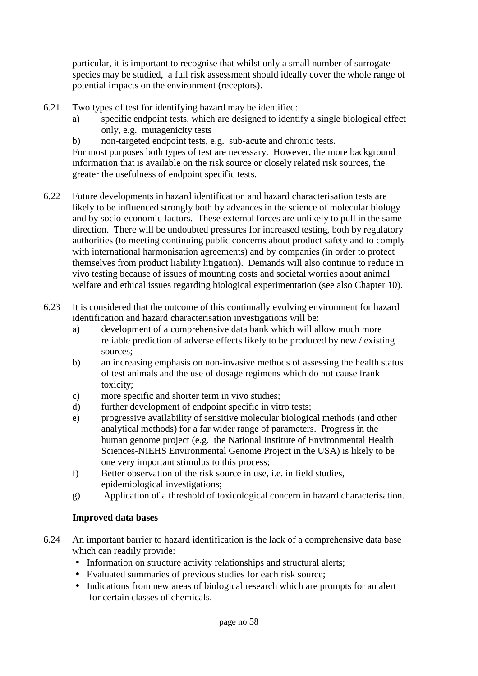particular, it is important to recognise that whilst only a small number of surrogate species may be studied, a full risk assessment should ideally cover the whole range of potential impacts on the environment (receptors).

- 6.21 Two types of test for identifying hazard may be identified:
	- a) specific endpoint tests, which are designed to identify a single biological effect only, e.g. mutagenicity tests
	- b) non-targeted endpoint tests, e.g. sub-acute and chronic tests.

For most purposes both types of test are necessary. However, the more background information that is available on the risk source or closely related risk sources, the greater the usefulness of endpoint specific tests.

- 6.22 Future developments in hazard identification and hazard characterisation tests are likely to be influenced strongly both by advances in the science of molecular biology and by socio-economic factors. These external forces are unlikely to pull in the same direction. There will be undoubted pressures for increased testing, both by regulatory authorities (to meeting continuing public concerns about product safety and to comply with international harmonisation agreements) and by companies (in order to protect themselves from product liability litigation). Demands will also continue to reduce in vivo testing because of issues of mounting costs and societal worries about animal welfare and ethical issues regarding biological experimentation (see also Chapter 10).
- 6.23 It is considered that the outcome of this continually evolving environment for hazard identification and hazard characterisation investigations will be:
	- a) development of a comprehensive data bank which will allow much more reliable prediction of adverse effects likely to be produced by new / existing sources;
	- b) an increasing emphasis on non-invasive methods of assessing the health status of test animals and the use of dosage regimens which do not cause frank toxicity;
	- c) more specific and shorter term in vivo studies;
	- d) further development of endpoint specific in vitro tests;
	- e) progressive availability of sensitive molecular biological methods (and other analytical methods) for a far wider range of parameters. Progress in the human genome project (e.g. the National Institute of Environmental Health Sciences-NIEHS Environmental Genome Project in the USA) is likely to be one very important stimulus to this process;
	- f) Better observation of the risk source in use, i.e. in field studies, epidemiological investigations;
	- g) Application of a threshold of toxicological concern in hazard characterisation.

## **Improved data bases**

- 6.24 An important barrier to hazard identification is the lack of a comprehensive data base which can readily provide:
	- Information on structure activity relationships and structural alerts;
	- Evaluated summaries of previous studies for each risk source;
	- Indications from new areas of biological research which are prompts for an alert for certain classes of chemicals.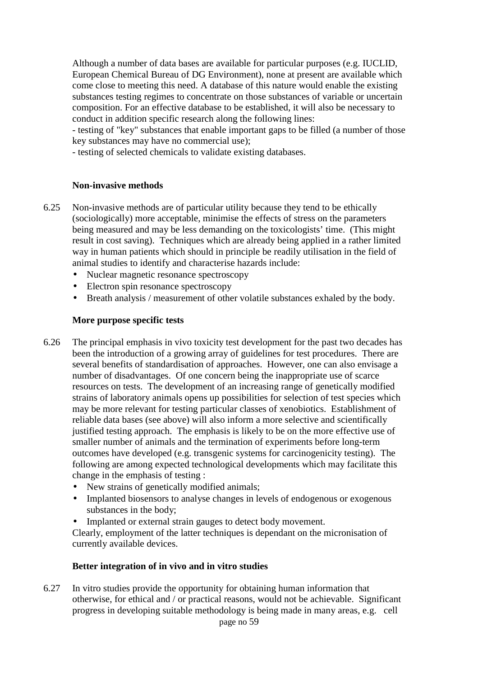Although a number of data bases are available for particular purposes (e.g. IUCLID, European Chemical Bureau of DG Environment), none at present are available which come close to meeting this need. A database of this nature would enable the existing substances testing regimes to concentrate on those substances of variable or uncertain composition. For an effective database to be established, it will also be necessary to conduct in addition specific research along the following lines:

- testing of "key" substances that enable important gaps to be filled (a number of those key substances may have no commercial use);

- testing of selected chemicals to validate existing databases.

#### **Non-invasive methods**

- 6.25 Non-invasive methods are of particular utility because they tend to be ethically (sociologically) more acceptable, minimise the effects of stress on the parameters being measured and may be less demanding on the toxicologists' time. (This might result in cost saving). Techniques which are already being applied in a rather limited way in human patients which should in principle be readily utilisation in the field of animal studies to identify and characterise hazards include:
	- Nuclear magnetic resonance spectroscopy
	- Electron spin resonance spectroscopy
	- Breath analysis / measurement of other volatile substances exhaled by the body.

#### **More purpose specific tests**

- 6.26 The principal emphasis in vivo toxicity test development for the past two decades has been the introduction of a growing array of guidelines for test procedures. There are several benefits of standardisation of approaches. However, one can also envisage a number of disadvantages. Of one concern being the inappropriate use of scarce resources on tests. The development of an increasing range of genetically modified strains of laboratory animals opens up possibilities for selection of test species which may be more relevant for testing particular classes of xenobiotics. Establishment of reliable data bases (see above) will also inform a more selective and scientifically justified testing approach. The emphasis is likely to be on the more effective use of smaller number of animals and the termination of experiments before long-term outcomes have developed (e.g. transgenic systems for carcinogenicity testing). The following are among expected technological developments which may facilitate this change in the emphasis of testing :
	- New strains of genetically modified animals;
	- Implanted biosensors to analyse changes in levels of endogenous or exogenous substances in the body;
	- Implanted or external strain gauges to detect body movement.

Clearly, employment of the latter techniques is dependant on the micronisation of currently available devices.

#### **Better integration of in vivo and in vitro studies**

6.27 In vitro studies provide the opportunity for obtaining human information that otherwise, for ethical and / or practical reasons, would not be achievable. Significant progress in developing suitable methodology is being made in many areas, e.g. cell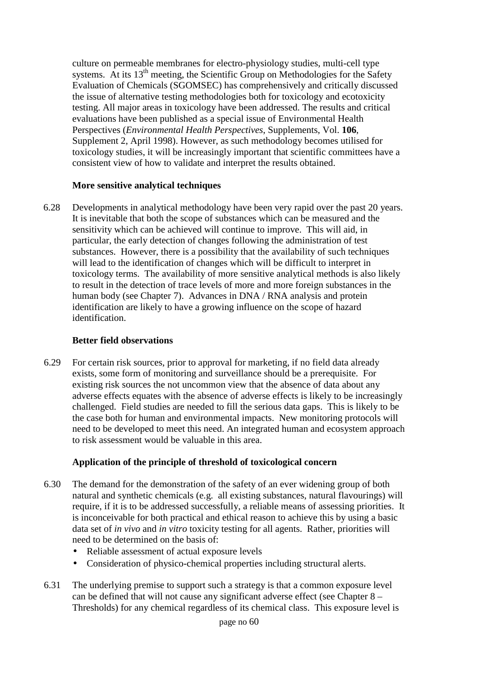culture on permeable membranes for electro-physiology studies, multi-cell type systems. At its  $13<sup>th</sup>$  meeting, the Scientific Group on Methodologies for the Safety Evaluation of Chemicals (SGOMSEC) has comprehensively and critically discussed the issue of alternative testing methodologies both for toxicology and ecotoxicity testing. All major areas in toxicology have been addressed. The results and critical evaluations have been published as a special issue of Environmental Health Perspectives (*Environmental Health Perspectives*, Supplements, Vol. **106**, Supplement 2, April 1998). However, as such methodology becomes utilised for toxicology studies, it will be increasingly important that scientific committees have a consistent view of how to validate and interpret the results obtained.

## **More sensitive analytical techniques**

6.28 Developments in analytical methodology have been very rapid over the past 20 years. It is inevitable that both the scope of substances which can be measured and the sensitivity which can be achieved will continue to improve. This will aid, in particular, the early detection of changes following the administration of test substances. However, there is a possibility that the availability of such techniques will lead to the identification of changes which will be difficult to interpret in toxicology terms. The availability of more sensitive analytical methods is also likely to result in the detection of trace levels of more and more foreign substances in the human body (see Chapter 7). Advances in DNA / RNA analysis and protein identification are likely to have a growing influence on the scope of hazard identification.

## **Better field observations**

6.29 For certain risk sources, prior to approval for marketing, if no field data already exists, some form of monitoring and surveillance should be a prerequisite. For existing risk sources the not uncommon view that the absence of data about any adverse effects equates with the absence of adverse effects is likely to be increasingly challenged. Field studies are needed to fill the serious data gaps. This is likely to be the case both for human and environmental impacts. New monitoring protocols will need to be developed to meet this need. An integrated human and ecosystem approach to risk assessment would be valuable in this area.

## **Application of the principle of threshold of toxicological concern**

- 6.30 The demand for the demonstration of the safety of an ever widening group of both natural and synthetic chemicals (e.g. all existing substances, natural flavourings) will require, if it is to be addressed successfully, a reliable means of assessing priorities. It is inconceivable for both practical and ethical reason to achieve this by using a basic data set of *in vivo* and *in vitro* toxicity testing for all agents. Rather, priorities will need to be determined on the basis of:
	- Reliable assessment of actual exposure levels
	- Consideration of physico-chemical properties including structural alerts.
- 6.31 The underlying premise to support such a strategy is that a common exposure level can be defined that will not cause any significant adverse effect (see Chapter 8 – Thresholds) for any chemical regardless of its chemical class. This exposure level is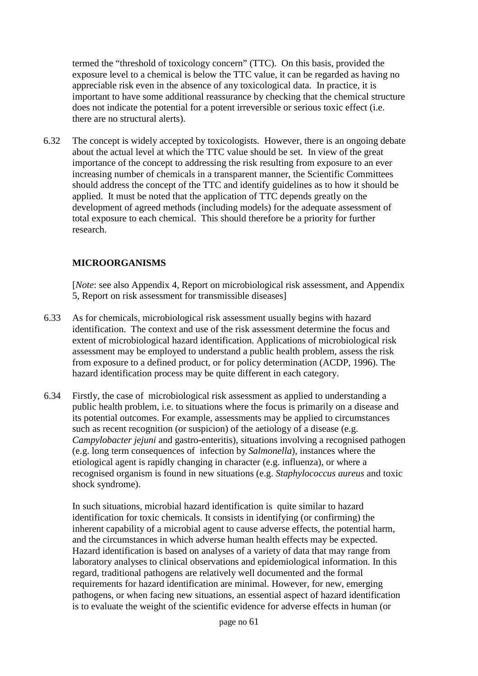termed the "threshold of toxicology concern" (TTC). On this basis, provided the exposure level to a chemical is below the TTC value, it can be regarded as having no appreciable risk even in the absence of any toxicological data. In practice, it is important to have some additional reassurance by checking that the chemical structure does not indicate the potential for a potent irreversible or serious toxic effect (i.e. there are no structural alerts).

6.32 The concept is widely accepted by toxicologists. However, there is an ongoing debate about the actual level at which the TTC value should be set. In view of the great importance of the concept to addressing the risk resulting from exposure to an ever increasing number of chemicals in a transparent manner, the Scientific Committees should address the concept of the TTC and identify guidelines as to how it should be applied. It must be noted that the application of TTC depends greatly on the development of agreed methods (including models) for the adequate assessment of total exposure to each chemical. This should therefore be a priority for further research.

## **MICROORGANISMS**

[*Note*: see also Appendix 4, Report on microbiological risk assessment, and Appendix 5, Report on risk assessment for transmissible diseases]

- 6.33 As for chemicals, microbiological risk assessment usually begins with hazard identification. The context and use of the risk assessment determine the focus and extent of microbiological hazard identification. Applications of microbiological risk assessment may be employed to understand a public health problem, assess the risk from exposure to a defined product, or for policy determination (ACDP, 1996). The hazard identification process may be quite different in each category.
- 6.34 Firstly, the case of microbiological risk assessment as applied to understanding a public health problem, i.e. to situations where the focus is primarily on a disease and its potential outcomes. For example, assessments may be applied to circumstances such as recent recognition (or suspicion) of the aetiology of a disease (e.g. *Campylobacter jejuni* and gastro-enteritis), situations involving a recognised pathogen (e.g. long term consequences of infection by *Salmonella*), instances where the etiological agent is rapidly changing in character (e.g. influenza), or where a recognised organism is found in new situations (e.g. *Staphylococcus aureus* and toxic shock syndrome).

In such situations, microbial hazard identification is quite similar to hazard identification for toxic chemicals. It consists in identifying (or confirming) the inherent capability of a microbial agent to cause adverse effects, the potential harm, and the circumstances in which adverse human health effects may be expected. Hazard identification is based on analyses of a variety of data that may range from laboratory analyses to clinical observations and epidemiological information. In this regard, traditional pathogens are relatively well documented and the formal requirements for hazard identification are minimal. However, for new, emerging pathogens, or when facing new situations, an essential aspect of hazard identification is to evaluate the weight of the scientific evidence for adverse effects in human (or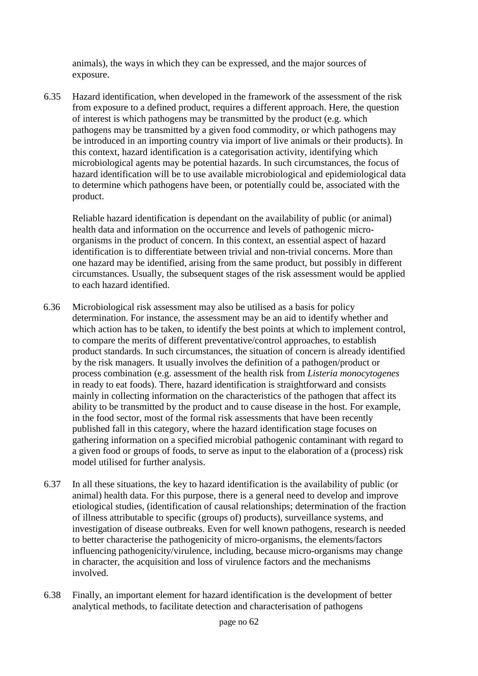animals), the ways in which they can be expressed, and the major sources of exposure.

6.35 Hazard identification, when developed in the framework of the assessment of the risk from exposure to a defined product, requires a different approach. Here, the question of interest is which pathogens may be transmitted by the product (e.g. which pathogens may be transmitted by a given food commodity, or which pathogens may be introduced in an importing country via import of live animals or their products). In this context, hazard identification is a categorisation activity, identifying which microbiological agents may be potential hazards. In such circumstances, the focus of hazard identification will be to use available microbiological and epidemiological data to determine which pathogens have been, or potentially could be, associated with the product.

Reliable hazard identification is dependant on the availability of public (or animal) health data and information on the occurrence and levels of pathogenic microorganisms in the product of concern. In this context, an essential aspect of hazard identification is to differentiate between trivial and non-trivial concerns. More than one hazard may be identified, arising from the same product, but possibly in different circumstances. Usually, the subsequent stages of the risk assessment would be applied to each hazard identified.

- 6.36 Microbiological risk assessment may also be utilised as a basis for policy determination. For instance, the assessment may be an aid to identify whether and which action has to be taken, to identify the best points at which to implement control, to compare the merits of different preventative/control approaches, to establish product standards. In such circumstances, the situation of concern is already identified by the risk managers. It usually involves the definition of a pathogen/product or process combination (e.g. assessment of the health risk from *Listeria monocytogenes* in ready to eat foods). There, hazard identification is straightforward and consists mainly in collecting information on the characteristics of the pathogen that affect its ability to be transmitted by the product and to cause disease in the host. For example, in the food sector, most of the formal risk assessments that have been recently published fall in this category, where the hazard identification stage focuses on gathering information on a specified microbial pathogenic contaminant with regard to a given food or groups of foods, to serve as input to the elaboration of a (process) risk model utilised for further analysis.
- 6.37 In all these situations, the key to hazard identification is the availability of public (or animal) health data. For this purpose, there is a general need to develop and improve etiological studies, (identification of causal relationships; determination of the fraction of illness attributable to specific (groups of) products), surveillance systems, and investigation of disease outbreaks. Even for well known pathogens, research is needed to better characterise the pathogenicity of micro-organisms, the elements/factors influencing pathogenicity/virulence, including, because micro-organisms may change in character, the acquisition and loss of virulence factors and the mechanisms involved.
- 6.38 Finally, an important element for hazard identification is the development of better analytical methods, to facilitate detection and characterisation of pathogens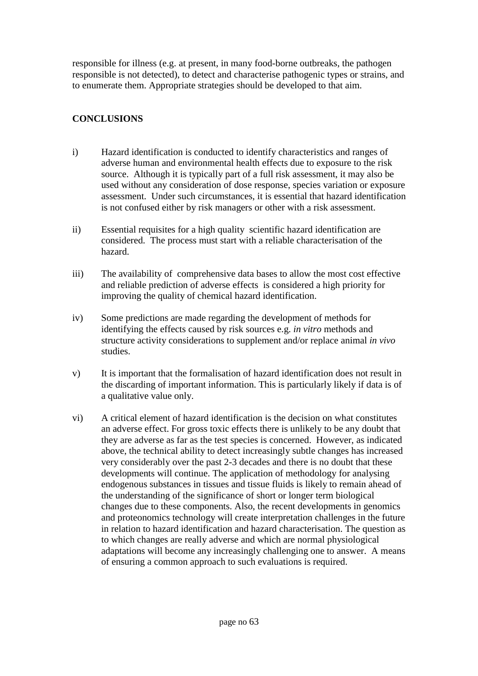responsible for illness (e.g. at present, in many food-borne outbreaks, the pathogen responsible is not detected), to detect and characterise pathogenic types or strains, and to enumerate them. Appropriate strategies should be developed to that aim.

# **CONCLUSIONS**

- i) Hazard identification is conducted to identify characteristics and ranges of adverse human and environmental health effects due to exposure to the risk source. Although it is typically part of a full risk assessment, it may also be used without any consideration of dose response, species variation or exposure assessment. Under such circumstances, it is essential that hazard identification is not confused either by risk managers or other with a risk assessment.
- ii) Essential requisites for a high quality scientific hazard identification are considered. The process must start with a reliable characterisation of the hazard.
- iii) The availability of comprehensive data bases to allow the most cost effective and reliable prediction of adverse effects is considered a high priority for improving the quality of chemical hazard identification.
- iv) Some predictions are made regarding the development of methods for identifying the effects caused by risk sources e.g. *in vitro* methods and structure activity considerations to supplement and/or replace animal *in vivo* studies.
- v) It is important that the formalisation of hazard identification does not result in the discarding of important information. This is particularly likely if data is of a qualitative value only.
- vi) A critical element of hazard identification is the decision on what constitutes an adverse effect. For gross toxic effects there is unlikely to be any doubt that they are adverse as far as the test species is concerned. However, as indicated above, the technical ability to detect increasingly subtle changes has increased very considerably over the past 2-3 decades and there is no doubt that these developments will continue. The application of methodology for analysing endogenous substances in tissues and tissue fluids is likely to remain ahead of the understanding of the significance of short or longer term biological changes due to these components. Also, the recent developments in genomics and proteonomics technology will create interpretation challenges in the future in relation to hazard identification and hazard characterisation. The question as to which changes are really adverse and which are normal physiological adaptations will become any increasingly challenging one to answer. A means of ensuring a common approach to such evaluations is required.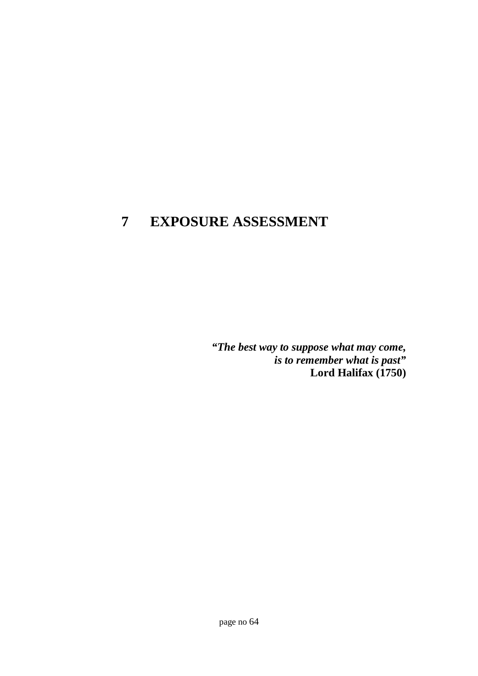# **7 EXPOSURE ASSESSMENT**

*"The best way to suppose what may come, is to remember what is past"* **Lord Halifax (1750)**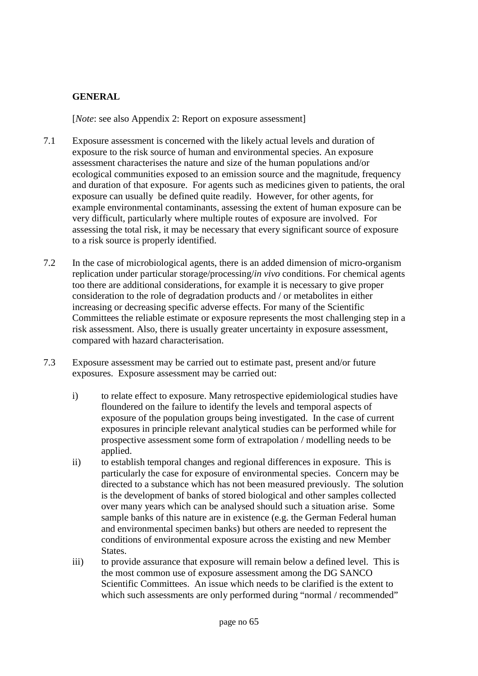# **GENERAL**

[*Note*: see also Appendix 2: Report on exposure assessment]

- 7.1 Exposure assessment is concerned with the likely actual levels and duration of exposure to the risk source of human and environmental species. An exposure assessment characterises the nature and size of the human populations and/or ecological communities exposed to an emission source and the magnitude, frequency and duration of that exposure. For agents such as medicines given to patients, the oral exposure can usually be defined quite readily. However, for other agents, for example environmental contaminants, assessing the extent of human exposure can be very difficult, particularly where multiple routes of exposure are involved. For assessing the total risk, it may be necessary that every significant source of exposure to a risk source is properly identified.
- 7.2 In the case of microbiological agents, there is an added dimension of micro-organism replication under particular storage/processing/*in vivo* conditions. For chemical agents too there are additional considerations, for example it is necessary to give proper consideration to the role of degradation products and / or metabolites in either increasing or decreasing specific adverse effects. For many of the Scientific Committees the reliable estimate or exposure represents the most challenging step in a risk assessment. Also, there is usually greater uncertainty in exposure assessment, compared with hazard characterisation.
- 7.3 Exposure assessment may be carried out to estimate past, present and/or future exposures. Exposure assessment may be carried out:
	- i) to relate effect to exposure. Many retrospective epidemiological studies have floundered on the failure to identify the levels and temporal aspects of exposure of the population groups being investigated. In the case of current exposures in principle relevant analytical studies can be performed while for prospective assessment some form of extrapolation / modelling needs to be applied.
	- ii) to establish temporal changes and regional differences in exposure. This is particularly the case for exposure of environmental species. Concern may be directed to a substance which has not been measured previously. The solution is the development of banks of stored biological and other samples collected over many years which can be analysed should such a situation arise. Some sample banks of this nature are in existence (e.g. the German Federal human and environmental specimen banks) but others are needed to represent the conditions of environmental exposure across the existing and new Member States.
	- iii) to provide assurance that exposure will remain below a defined level. This is the most common use of exposure assessment among the DG SANCO Scientific Committees. An issue which needs to be clarified is the extent to which such assessments are only performed during "normal / recommended"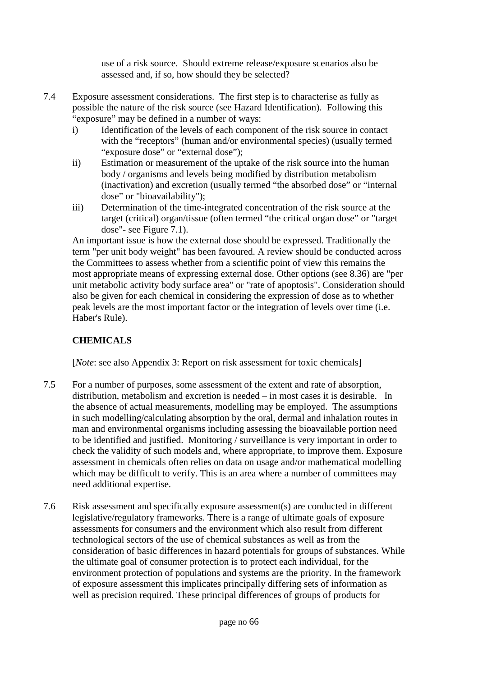use of a risk source. Should extreme release/exposure scenarios also be assessed and, if so, how should they be selected?

- 7.4 Exposure assessment considerations. The first step is to characterise as fully as possible the nature of the risk source (see Hazard Identification). Following this "exposure" may be defined in a number of ways:
	- i) Identification of the levels of each component of the risk source in contact with the "receptors" (human and/or environmental species) (usually termed "exposure dose" or "external dose");
	- ii) Estimation or measurement of the uptake of the risk source into the human body / organisms and levels being modified by distribution metabolism (inactivation) and excretion (usually termed "the absorbed dose" or "internal dose" or "bioavailability");
	- iii) Determination of the time-integrated concentration of the risk source at the target (critical) organ/tissue (often termed "the critical organ dose" or "target dose"- see Figure 7.1).

An important issue is how the external dose should be expressed. Traditionally the term "per unit body weight" has been favoured. A review should be conducted across the Committees to assess whether from a scientific point of view this remains the most appropriate means of expressing external dose. Other options (see 8.36) are "per unit metabolic activity body surface area" or "rate of apoptosis". Consideration should also be given for each chemical in considering the expression of dose as to whether peak levels are the most important factor or the integration of levels over time (i.e. Haber's Rule).

# **CHEMICALS**

[*Note*: see also Appendix 3: Report on risk assessment for toxic chemicals]

- 7.5 For a number of purposes, some assessment of the extent and rate of absorption, distribution, metabolism and excretion is needed – in most cases it is desirable. In the absence of actual measurements, modelling may be employed. The assumptions in such modelling/calculating absorption by the oral, dermal and inhalation routes in man and environmental organisms including assessing the bioavailable portion need to be identified and justified. Monitoring / surveillance is very important in order to check the validity of such models and, where appropriate, to improve them. Exposure assessment in chemicals often relies on data on usage and/or mathematical modelling which may be difficult to verify. This is an area where a number of committees may need additional expertise.
- 7.6 Risk assessment and specifically exposure assessment(s) are conducted in different legislative/regulatory frameworks. There is a range of ultimate goals of exposure assessments for consumers and the environment which also result from different technological sectors of the use of chemical substances as well as from the consideration of basic differences in hazard potentials for groups of substances. While the ultimate goal of consumer protection is to protect each individual, for the environment protection of populations and systems are the priority. In the framework of exposure assessment this implicates principally differing sets of information as well as precision required. These principal differences of groups of products for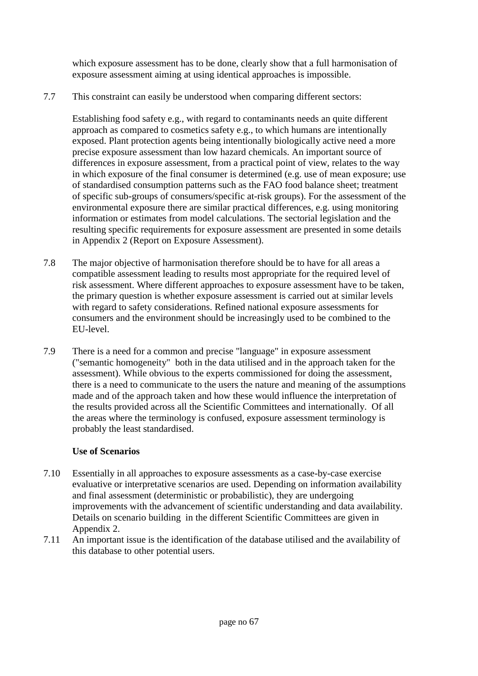which exposure assessment has to be done, clearly show that a full harmonisation of exposure assessment aiming at using identical approaches is impossible.

7.7 This constraint can easily be understood when comparing different sectors:

Establishing food safety e.g., with regard to contaminants needs an quite different approach as compared to cosmetics safety e.g., to which humans are intentionally exposed. Plant protection agents being intentionally biologically active need a more precise exposure assessment than low hazard chemicals. An important source of differences in exposure assessment, from a practical point of view, relates to the way in which exposure of the final consumer is determined (e.g. use of mean exposure; use of standardised consumption patterns such as the FAO food balance sheet; treatment of specific sub-groups of consumers/specific at-risk groups). For the assessment of the environmental exposure there are similar practical differences, e.g. using monitoring information or estimates from model calculations. The sectorial legislation and the resulting specific requirements for exposure assessment are presented in some details in Appendix 2 (Report on Exposure Assessment).

- 7.8 The major objective of harmonisation therefore should be to have for all areas a compatible assessment leading to results most appropriate for the required level of risk assessment. Where different approaches to exposure assessment have to be taken, the primary question is whether exposure assessment is carried out at similar levels with regard to safety considerations. Refined national exposure assessments for consumers and the environment should be increasingly used to be combined to the EU-level.
- 7.9 There is a need for a common and precise "language" in exposure assessment ("semantic homogeneity" both in the data utilised and in the approach taken for the assessment). While obvious to the experts commissioned for doing the assessment, there is a need to communicate to the users the nature and meaning of the assumptions made and of the approach taken and how these would influence the interpretation of the results provided across all the Scientific Committees and internationally. Of all the areas where the terminology is confused, exposure assessment terminology is probably the least standardised.

## **Use of Scenarios**

- 7.10 Essentially in all approaches to exposure assessments as a case-by-case exercise evaluative or interpretative scenarios are used. Depending on information availability and final assessment (deterministic or probabilistic), they are undergoing improvements with the advancement of scientific understanding and data availability. Details on scenario building in the different Scientific Committees are given in Appendix 2.
- 7.11 An important issue is the identification of the database utilised and the availability of this database to other potential users.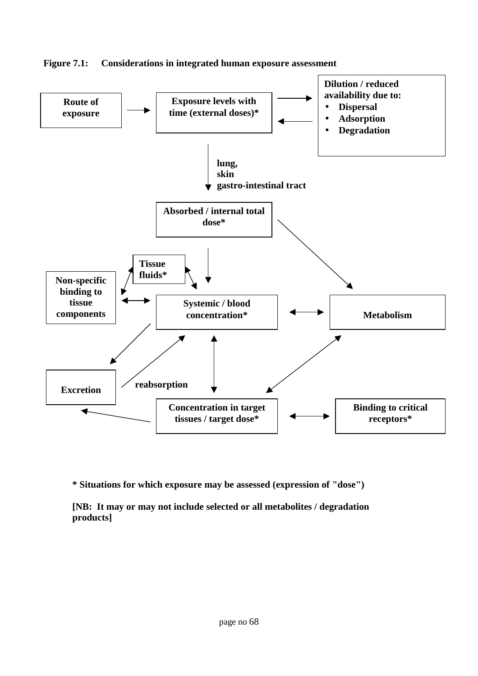

**Figure 7.1: Considerations in integrated human exposure assessment**

**\* Situations for which exposure may be assessed (expression of "dose")**

**[NB: It may or may not include selected or all metabolites / degradation products]**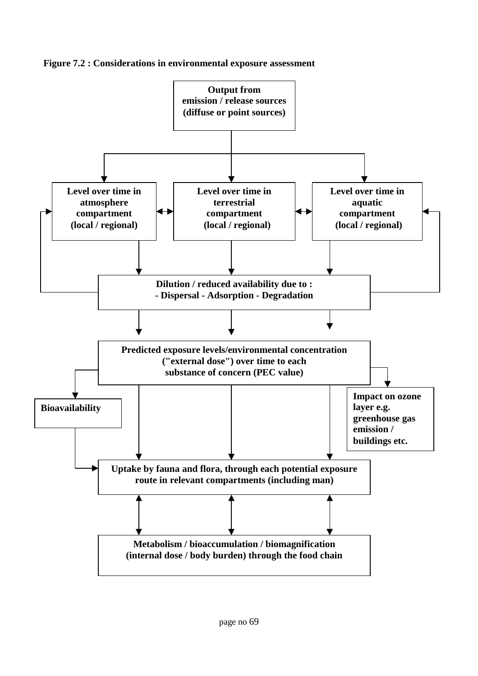

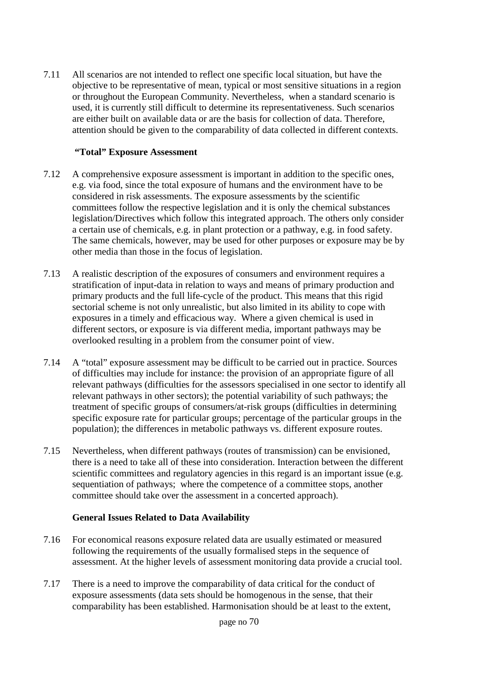7.11 All scenarios are not intended to reflect one specific local situation, but have the objective to be representative of mean, typical or most sensitive situations in a region or throughout the European Community. Nevertheless, when a standard scenario is used, it is currently still difficult to determine its representativeness. Such scenarios are either built on available data or are the basis for collection of data. Therefore, attention should be given to the comparability of data collected in different contexts.

## **"Total" Exposure Assessment**

- 7.12 A comprehensive exposure assessment is important in addition to the specific ones, e.g. via food, since the total exposure of humans and the environment have to be considered in risk assessments. The exposure assessments by the scientific committees follow the respective legislation and it is only the chemical substances legislation/Directives which follow this integrated approach. The others only consider a certain use of chemicals, e.g. in plant protection or a pathway, e.g. in food safety. The same chemicals, however, may be used for other purposes or exposure may be by other media than those in the focus of legislation.
- 7.13 A realistic description of the exposures of consumers and environment requires a stratification of input-data in relation to ways and means of primary production and primary products and the full life-cycle of the product. This means that this rigid sectorial scheme is not only unrealistic, but also limited in its ability to cope with exposures in a timely and efficacious way. Where a given chemical is used in different sectors, or exposure is via different media, important pathways may be overlooked resulting in a problem from the consumer point of view.
- 7.14 A "total" exposure assessment may be difficult to be carried out in practice. Sources of difficulties may include for instance: the provision of an appropriate figure of all relevant pathways (difficulties for the assessors specialised in one sector to identify all relevant pathways in other sectors); the potential variability of such pathways; the treatment of specific groups of consumers/at-risk groups (difficulties in determining specific exposure rate for particular groups; percentage of the particular groups in the population); the differences in metabolic pathways vs. different exposure routes.
- 7.15 Nevertheless, when different pathways (routes of transmission) can be envisioned, there is a need to take all of these into consideration. Interaction between the different scientific committees and regulatory agencies in this regard is an important issue (e.g. sequentiation of pathways; where the competence of a committee stops, another committee should take over the assessment in a concerted approach).

## **General Issues Related to Data Availability**

- 7.16 For economical reasons exposure related data are usually estimated or measured following the requirements of the usually formalised steps in the sequence of assessment. At the higher levels of assessment monitoring data provide a crucial tool.
- 7.17 There is a need to improve the comparability of data critical for the conduct of exposure assessments (data sets should be homogenous in the sense, that their comparability has been established. Harmonisation should be at least to the extent,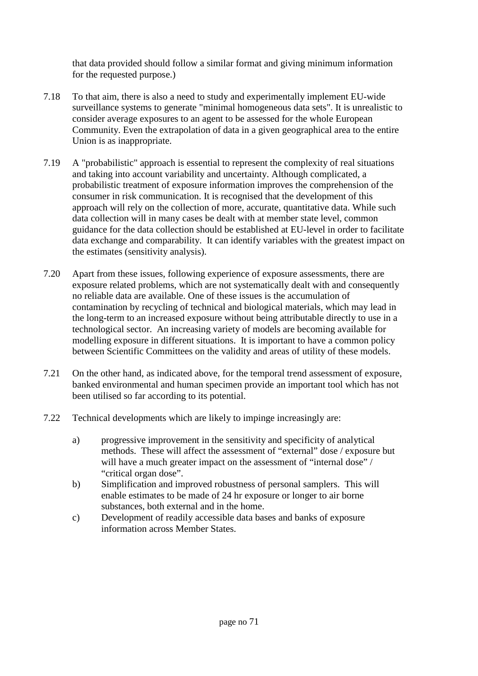that data provided should follow a similar format and giving minimum information for the requested purpose.)

- 7.18 To that aim, there is also a need to study and experimentally implement EU-wide surveillance systems to generate "minimal homogeneous data sets". It is unrealistic to consider average exposures to an agent to be assessed for the whole European Community. Even the extrapolation of data in a given geographical area to the entire Union is as inappropriate.
- 7.19 A "probabilistic" approach is essential to represent the complexity of real situations and taking into account variability and uncertainty. Although complicated, a probabilistic treatment of exposure information improves the comprehension of the consumer in risk communication. It is recognised that the development of this approach will rely on the collection of more, accurate, quantitative data. While such data collection will in many cases be dealt with at member state level, common guidance for the data collection should be established at EU-level in order to facilitate data exchange and comparability. It can identify variables with the greatest impact on the estimates (sensitivity analysis).
- 7.20 Apart from these issues, following experience of exposure assessments, there are exposure related problems, which are not systematically dealt with and consequently no reliable data are available. One of these issues is the accumulation of contamination by recycling of technical and biological materials, which may lead in the long-term to an increased exposure without being attributable directly to use in a technological sector. An increasing variety of models are becoming available for modelling exposure in different situations. It is important to have a common policy between Scientific Committees on the validity and areas of utility of these models.
- 7.21 On the other hand, as indicated above, for the temporal trend assessment of exposure, banked environmental and human specimen provide an important tool which has not been utilised so far according to its potential.
- 7.22 Technical developments which are likely to impinge increasingly are:
	- a) progressive improvement in the sensitivity and specificity of analytical methods. These will affect the assessment of "external" dose / exposure but will have a much greater impact on the assessment of "internal dose" / "critical organ dose".
	- b) Simplification and improved robustness of personal samplers. This will enable estimates to be made of 24 hr exposure or longer to air borne substances, both external and in the home.
	- c) Development of readily accessible data bases and banks of exposure information across Member States.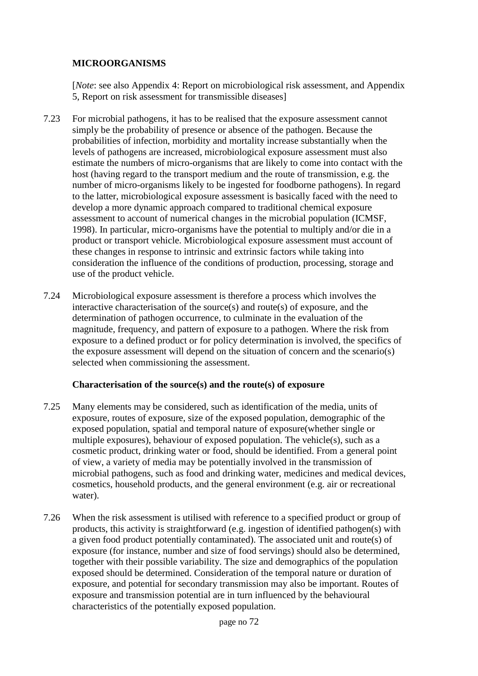## **MICROORGANISMS**

[*Note*: see also Appendix 4: Report on microbiological risk assessment, and Appendix 5, Report on risk assessment for transmissible diseases]

- 7.23 For microbial pathogens, it has to be realised that the exposure assessment cannot simply be the probability of presence or absence of the pathogen. Because the probabilities of infection, morbidity and mortality increase substantially when the levels of pathogens are increased, microbiological exposure assessment must also estimate the numbers of micro-organisms that are likely to come into contact with the host (having regard to the transport medium and the route of transmission, e.g. the number of micro-organisms likely to be ingested for foodborne pathogens). In regard to the latter, microbiological exposure assessment is basically faced with the need to develop a more dynamic approach compared to traditional chemical exposure assessment to account of numerical changes in the microbial population (ICMSF, 1998). In particular, micro-organisms have the potential to multiply and/or die in a product or transport vehicle. Microbiological exposure assessment must account of these changes in response to intrinsic and extrinsic factors while taking into consideration the influence of the conditions of production, processing, storage and use of the product vehicle.
- 7.24 Microbiological exposure assessment is therefore a process which involves the interactive characterisation of the source(s) and route(s) of exposure, and the determination of pathogen occurrence, to culminate in the evaluation of the magnitude, frequency, and pattern of exposure to a pathogen. Where the risk from exposure to a defined product or for policy determination is involved, the specifics of the exposure assessment will depend on the situation of concern and the scenario(s) selected when commissioning the assessment.

## **Characterisation of the source(s) and the route(s) of exposure**

- 7.25 Many elements may be considered, such as identification of the media, units of exposure, routes of exposure, size of the exposed population, demographic of the exposed population, spatial and temporal nature of exposure(whether single or multiple exposures), behaviour of exposed population. The vehicle(s), such as a cosmetic product, drinking water or food, should be identified. From a general point of view, a variety of media may be potentially involved in the transmission of microbial pathogens, such as food and drinking water, medicines and medical devices, cosmetics, household products, and the general environment (e.g. air or recreational water).
- 7.26 When the risk assessment is utilised with reference to a specified product or group of products, this activity is straightforward (e.g. ingestion of identified pathogen(s) with a given food product potentially contaminated). The associated unit and route(s) of exposure (for instance, number and size of food servings) should also be determined, together with their possible variability. The size and demographics of the population exposed should be determined. Consideration of the temporal nature or duration of exposure, and potential for secondary transmission may also be important. Routes of exposure and transmission potential are in turn influenced by the behavioural characteristics of the potentially exposed population.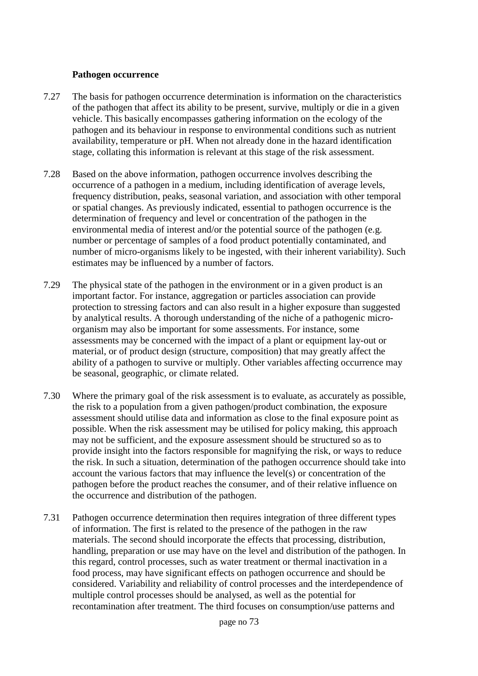#### **Pathogen occurrence**

- 7.27 The basis for pathogen occurrence determination is information on the characteristics of the pathogen that affect its ability to be present, survive, multiply or die in a given vehicle. This basically encompasses gathering information on the ecology of the pathogen and its behaviour in response to environmental conditions such as nutrient availability, temperature or pH. When not already done in the hazard identification stage, collating this information is relevant at this stage of the risk assessment.
- 7.28 Based on the above information, pathogen occurrence involves describing the occurrence of a pathogen in a medium, including identification of average levels, frequency distribution, peaks, seasonal variation, and association with other temporal or spatial changes. As previously indicated, essential to pathogen occurrence is the determination of frequency and level or concentration of the pathogen in the environmental media of interest and/or the potential source of the pathogen (e.g. number or percentage of samples of a food product potentially contaminated, and number of micro-organisms likely to be ingested, with their inherent variability). Such estimates may be influenced by a number of factors.
- 7.29 The physical state of the pathogen in the environment or in a given product is an important factor. For instance, aggregation or particles association can provide protection to stressing factors and can also result in a higher exposure than suggested by analytical results. A thorough understanding of the niche of a pathogenic microorganism may also be important for some assessments. For instance, some assessments may be concerned with the impact of a plant or equipment lay-out or material, or of product design (structure, composition) that may greatly affect the ability of a pathogen to survive or multiply. Other variables affecting occurrence may be seasonal, geographic, or climate related.
- 7.30 Where the primary goal of the risk assessment is to evaluate, as accurately as possible, the risk to a population from a given pathogen/product combination, the exposure assessment should utilise data and information as close to the final exposure point as possible. When the risk assessment may be utilised for policy making, this approach may not be sufficient, and the exposure assessment should be structured so as to provide insight into the factors responsible for magnifying the risk, or ways to reduce the risk. In such a situation, determination of the pathogen occurrence should take into account the various factors that may influence the level(s) or concentration of the pathogen before the product reaches the consumer, and of their relative influence on the occurrence and distribution of the pathogen.
- 7.31 Pathogen occurrence determination then requires integration of three different types of information. The first is related to the presence of the pathogen in the raw materials. The second should incorporate the effects that processing, distribution, handling, preparation or use may have on the level and distribution of the pathogen. In this regard, control processes, such as water treatment or thermal inactivation in a food process, may have significant effects on pathogen occurrence and should be considered. Variability and reliability of control processes and the interdependence of multiple control processes should be analysed, as well as the potential for recontamination after treatment. The third focuses on consumption/use patterns and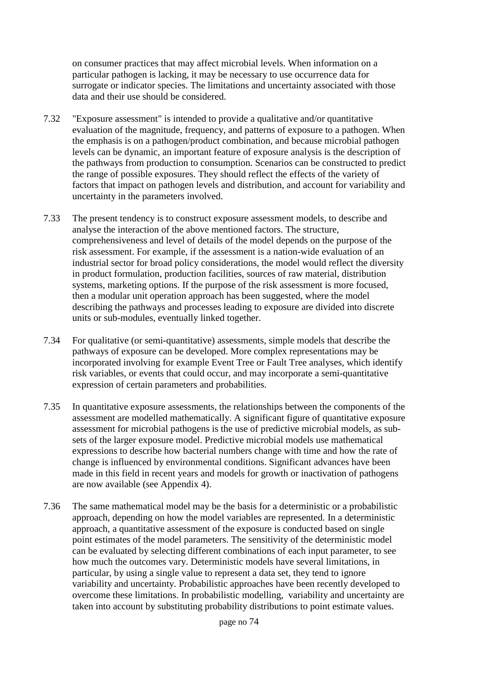on consumer practices that may affect microbial levels. When information on a particular pathogen is lacking, it may be necessary to use occurrence data for surrogate or indicator species. The limitations and uncertainty associated with those data and their use should be considered.

- 7.32 "Exposure assessment" is intended to provide a qualitative and/or quantitative evaluation of the magnitude, frequency, and patterns of exposure to a pathogen. When the emphasis is on a pathogen/product combination, and because microbial pathogen levels can be dynamic, an important feature of exposure analysis is the description of the pathways from production to consumption. Scenarios can be constructed to predict the range of possible exposures. They should reflect the effects of the variety of factors that impact on pathogen levels and distribution, and account for variability and uncertainty in the parameters involved.
- 7.33 The present tendency is to construct exposure assessment models, to describe and analyse the interaction of the above mentioned factors. The structure, comprehensiveness and level of details of the model depends on the purpose of the risk assessment. For example, if the assessment is a nation-wide evaluation of an industrial sector for broad policy considerations, the model would reflect the diversity in product formulation, production facilities, sources of raw material, distribution systems, marketing options. If the purpose of the risk assessment is more focused, then a modular unit operation approach has been suggested, where the model describing the pathways and processes leading to exposure are divided into discrete units or sub-modules, eventually linked together.
- 7.34 For qualitative (or semi-quantitative) assessments, simple models that describe the pathways of exposure can be developed. More complex representations may be incorporated involving for example Event Tree or Fault Tree analyses, which identify risk variables, or events that could occur, and may incorporate a semi-quantitative expression of certain parameters and probabilities.
- 7.35 In quantitative exposure assessments, the relationships between the components of the assessment are modelled mathematically. A significant figure of quantitative exposure assessment for microbial pathogens is the use of predictive microbial models, as subsets of the larger exposure model. Predictive microbial models use mathematical expressions to describe how bacterial numbers change with time and how the rate of change is influenced by environmental conditions. Significant advances have been made in this field in recent years and models for growth or inactivation of pathogens are now available (see Appendix 4).
- 7.36 The same mathematical model may be the basis for a deterministic or a probabilistic approach, depending on how the model variables are represented. In a deterministic approach, a quantitative assessment of the exposure is conducted based on single point estimates of the model parameters. The sensitivity of the deterministic model can be evaluated by selecting different combinations of each input parameter, to see how much the outcomes vary. Deterministic models have several limitations, in particular, by using a single value to represent a data set, they tend to ignore variability and uncertainty. Probabilistic approaches have been recently developed to overcome these limitations. In probabilistic modelling, variability and uncertainty are taken into account by substituting probability distributions to point estimate values.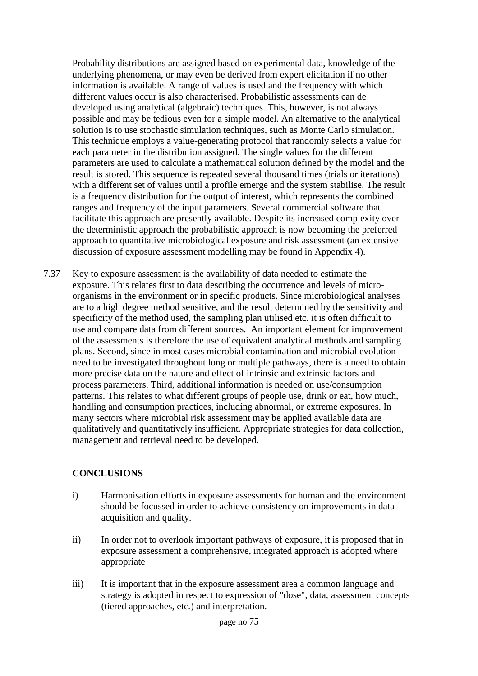Probability distributions are assigned based on experimental data, knowledge of the underlying phenomena, or may even be derived from expert elicitation if no other information is available. A range of values is used and the frequency with which different values occur is also characterised. Probabilistic assessments can de developed using analytical (algebraic) techniques. This, however, is not always possible and may be tedious even for a simple model. An alternative to the analytical solution is to use stochastic simulation techniques, such as Monte Carlo simulation. This technique employs a value-generating protocol that randomly selects a value for each parameter in the distribution assigned. The single values for the different parameters are used to calculate a mathematical solution defined by the model and the result is stored. This sequence is repeated several thousand times (trials or iterations) with a different set of values until a profile emerge and the system stabilise. The result is a frequency distribution for the output of interest, which represents the combined ranges and frequency of the input parameters. Several commercial software that facilitate this approach are presently available. Despite its increased complexity over the deterministic approach the probabilistic approach is now becoming the preferred approach to quantitative microbiological exposure and risk assessment (an extensive discussion of exposure assessment modelling may be found in Appendix 4).

7.37 Key to exposure assessment is the availability of data needed to estimate the exposure. This relates first to data describing the occurrence and levels of microorganisms in the environment or in specific products. Since microbiological analyses are to a high degree method sensitive, and the result determined by the sensitivity and specificity of the method used, the sampling plan utilised etc. it is often difficult to use and compare data from different sources. An important element for improvement of the assessments is therefore the use of equivalent analytical methods and sampling plans. Second, since in most cases microbial contamination and microbial evolution need to be investigated throughout long or multiple pathways, there is a need to obtain more precise data on the nature and effect of intrinsic and extrinsic factors and process parameters. Third, additional information is needed on use/consumption patterns. This relates to what different groups of people use, drink or eat, how much, handling and consumption practices, including abnormal, or extreme exposures. In many sectors where microbial risk assessment may be applied available data are qualitatively and quantitatively insufficient. Appropriate strategies for data collection, management and retrieval need to be developed.

# **CONCLUSIONS**

- i) Harmonisation efforts in exposure assessments for human and the environment should be focussed in order to achieve consistency on improvements in data acquisition and quality.
- ii) In order not to overlook important pathways of exposure, it is proposed that in exposure assessment a comprehensive, integrated approach is adopted where appropriate
- iii) It is important that in the exposure assessment area a common language and strategy is adopted in respect to expression of "dose", data, assessment concepts (tiered approaches, etc.) and interpretation.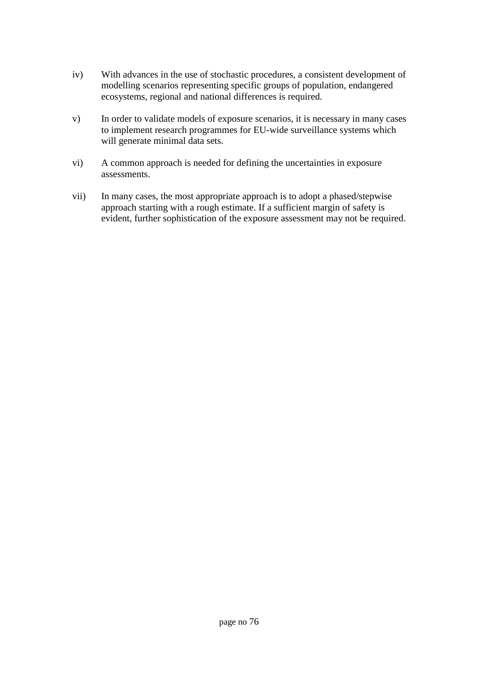- iv) With advances in the use of stochastic procedures, a consistent development of modelling scenarios representing specific groups of population, endangered ecosystems, regional and national differences is required.
- v) In order to validate models of exposure scenarios, it is necessary in many cases to implement research programmes for EU-wide surveillance systems which will generate minimal data sets.
- vi) A common approach is needed for defining the uncertainties in exposure assessments.
- vii) In many cases, the most appropriate approach is to adopt a phased/stepwise approach starting with a rough estimate. If a sufficient margin of safety is evident, further sophistication of the exposure assessment may not be required.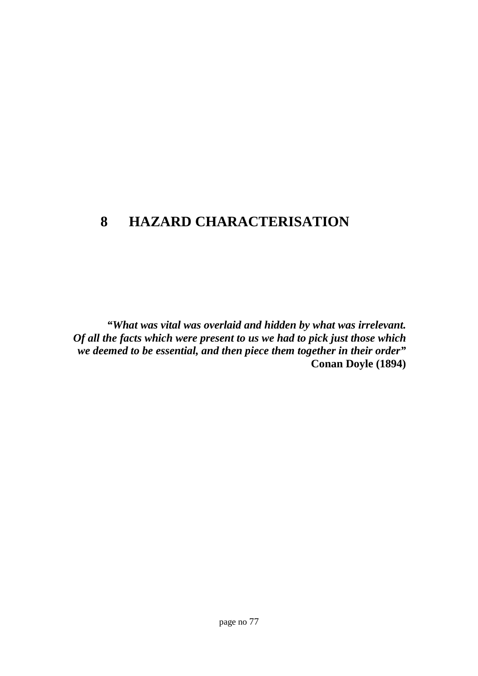# **8 HAZARD CHARACTERISATION**

*"What was vital was overlaid and hidden by what was irrelevant. Of all the facts which were present to us we had to pick just those which we deemed to be essential, and then piece them together in their order"* **Conan Doyle (1894)**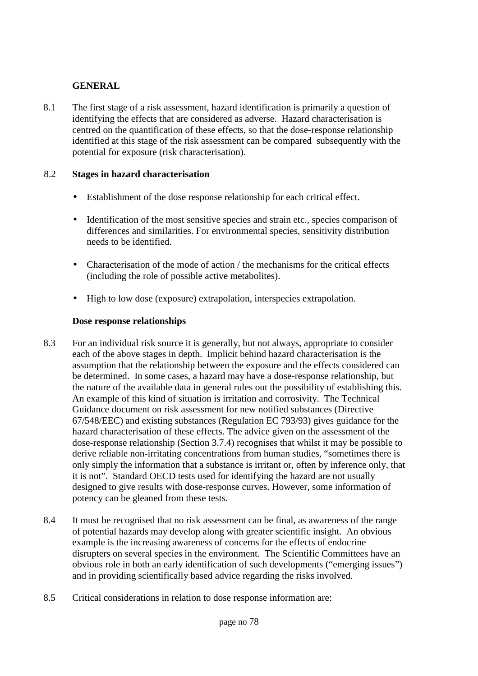## **GENERAL**

8.1 The first stage of a risk assessment, hazard identification is primarily a question of identifying the effects that are considered as adverse. Hazard characterisation is centred on the quantification of these effects, so that the dose-response relationship identified at this stage of the risk assessment can be compared subsequently with the potential for exposure (risk characterisation).

#### 8.2 **Stages in hazard characterisation**

- Establishment of the dose response relationship for each critical effect.
- Identification of the most sensitive species and strain etc., species comparison of differences and similarities. For environmental species, sensitivity distribution needs to be identified.
- Characterisation of the mode of action / the mechanisms for the critical effects (including the role of possible active metabolites).
- High to low dose (exposure) extrapolation, interspecies extrapolation.

# **Dose response relationships**

- 8.3 For an individual risk source it is generally, but not always, appropriate to consider each of the above stages in depth. Implicit behind hazard characterisation is the assumption that the relationship between the exposure and the effects considered can be determined. In some cases, a hazard may have a dose-response relationship, but the nature of the available data in general rules out the possibility of establishing this. An example of this kind of situation is irritation and corrosivity. The Technical Guidance document on risk assessment for new notified substances (Directive 67/548/EEC) and existing substances (Regulation EC 793/93) gives guidance for the hazard characterisation of these effects. The advice given on the assessment of the dose-response relationship (Section 3.7.4) recognises that whilst it may be possible to derive reliable non-irritating concentrations from human studies, "sometimes there is only simply the information that a substance is irritant or, often by inference only, that it is not". Standard OECD tests used for identifying the hazard are not usually designed to give results with dose-response curves. However, some information of potency can be gleaned from these tests.
- 8.4 It must be recognised that no risk assessment can be final, as awareness of the range of potential hazards may develop along with greater scientific insight. An obvious example is the increasing awareness of concerns for the effects of endocrine disrupters on several species in the environment. The Scientific Committees have an obvious role in both an early identification of such developments ("emerging issues") and in providing scientifically based advice regarding the risks involved.
- 8.5 Critical considerations in relation to dose response information are: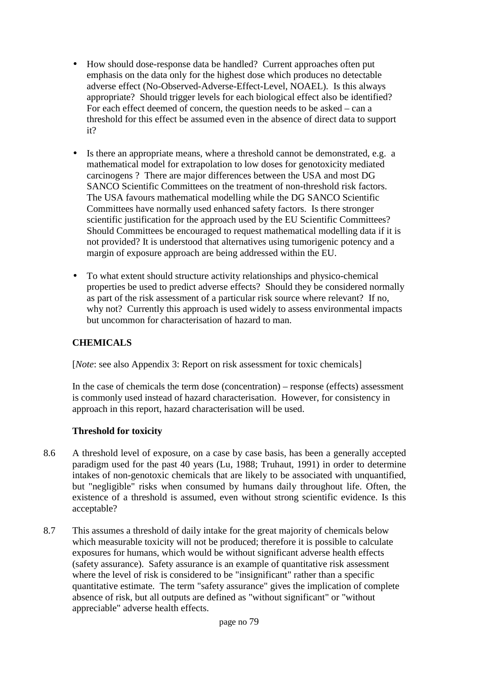- How should dose-response data be handled? Current approaches often put emphasis on the data only for the highest dose which produces no detectable adverse effect (No-Observed-Adverse-Effect-Level, NOAEL). Is this always appropriate? Should trigger levels for each biological effect also be identified? For each effect deemed of concern, the question needs to be asked – can a threshold for this effect be assumed even in the absence of direct data to support it?
- Is there an appropriate means, where a threshold cannot be demonstrated, e.g. a mathematical model for extrapolation to low doses for genotoxicity mediated carcinogens ? There are major differences between the USA and most DG SANCO Scientific Committees on the treatment of non-threshold risk factors. The USA favours mathematical modelling while the DG SANCO Scientific Committees have normally used enhanced safety factors. Is there stronger scientific justification for the approach used by the EU Scientific Committees? Should Committees be encouraged to request mathematical modelling data if it is not provided? It is understood that alternatives using tumorigenic potency and a margin of exposure approach are being addressed within the EU.
- To what extent should structure activity relationships and physico-chemical properties be used to predict adverse effects? Should they be considered normally as part of the risk assessment of a particular risk source where relevant? If no, why not? Currently this approach is used widely to assess environmental impacts but uncommon for characterisation of hazard to man.

# **CHEMICALS**

[*Note*: see also Appendix 3: Report on risk assessment for toxic chemicals]

In the case of chemicals the term dose (concentration) – response (effects) assessment is commonly used instead of hazard characterisation. However, for consistency in approach in this report, hazard characterisation will be used.

# **Threshold for toxicity**

- 8.6 A threshold level of exposure, on a case by case basis, has been a generally accepted paradigm used for the past 40 years (Lu, 1988; Truhaut, 1991) in order to determine intakes of non-genotoxic chemicals that are likely to be associated with unquantified, but "negligible" risks when consumed by humans daily throughout life. Often, the existence of a threshold is assumed, even without strong scientific evidence. Is this acceptable?
- 8.7 This assumes a threshold of daily intake for the great majority of chemicals below which measurable toxicity will not be produced; therefore it is possible to calculate exposures for humans, which would be without significant adverse health effects (safety assurance). Safety assurance is an example of quantitative risk assessment where the level of risk is considered to be "insignificant" rather than a specific quantitative estimate. The term "safety assurance" gives the implication of complete absence of risk, but all outputs are defined as "without significant" or "without appreciable" adverse health effects.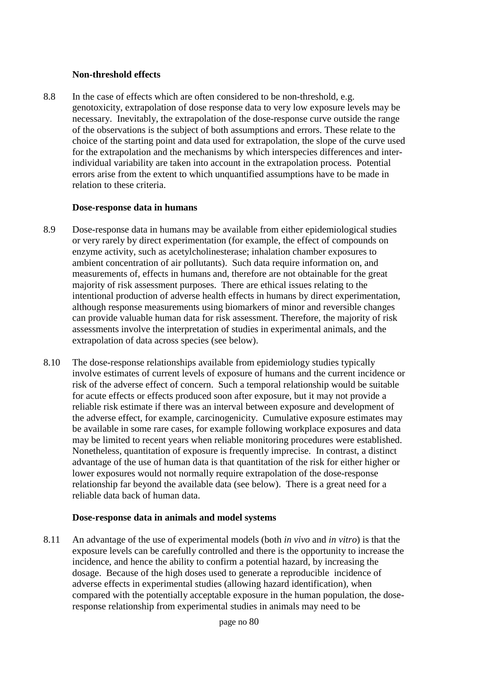#### **Non-threshold effects**

8.8 In the case of effects which are often considered to be non-threshold, e.g. genotoxicity, extrapolation of dose response data to very low exposure levels may be necessary. Inevitably, the extrapolation of the dose-response curve outside the range of the observations is the subject of both assumptions and errors. These relate to the choice of the starting point and data used for extrapolation, the slope of the curve used for the extrapolation and the mechanisms by which interspecies differences and interindividual variability are taken into account in the extrapolation process. Potential errors arise from the extent to which unquantified assumptions have to be made in relation to these criteria.

#### **Dose-response data in humans**

- 8.9 Dose-response data in humans may be available from either epidemiological studies or very rarely by direct experimentation (for example, the effect of compounds on enzyme activity, such as acetylcholinesterase; inhalation chamber exposures to ambient concentration of air pollutants). Such data require information on, and measurements of, effects in humans and, therefore are not obtainable for the great majority of risk assessment purposes. There are ethical issues relating to the intentional production of adverse health effects in humans by direct experimentation, although response measurements using biomarkers of minor and reversible changes can provide valuable human data for risk assessment. Therefore, the majority of risk assessments involve the interpretation of studies in experimental animals, and the extrapolation of data across species (see below).
- 8.10 The dose-response relationships available from epidemiology studies typically involve estimates of current levels of exposure of humans and the current incidence or risk of the adverse effect of concern. Such a temporal relationship would be suitable for acute effects or effects produced soon after exposure, but it may not provide a reliable risk estimate if there was an interval between exposure and development of the adverse effect, for example, carcinogenicity. Cumulative exposure estimates may be available in some rare cases, for example following workplace exposures and data may be limited to recent years when reliable monitoring procedures were established. Nonetheless, quantitation of exposure is frequently imprecise. In contrast, a distinct advantage of the use of human data is that quantitation of the risk for either higher or lower exposures would not normally require extrapolation of the dose-response relationship far beyond the available data (see below). There is a great need for a reliable data back of human data.

#### **Dose-response data in animals and model systems**

8.11 An advantage of the use of experimental models (both *in vivo* and *in vitro*) is that the exposure levels can be carefully controlled and there is the opportunity to increase the incidence, and hence the ability to confirm a potential hazard, by increasing the dosage. Because of the high doses used to generate a reproducible incidence of adverse effects in experimental studies (allowing hazard identification), when compared with the potentially acceptable exposure in the human population, the doseresponse relationship from experimental studies in animals may need to be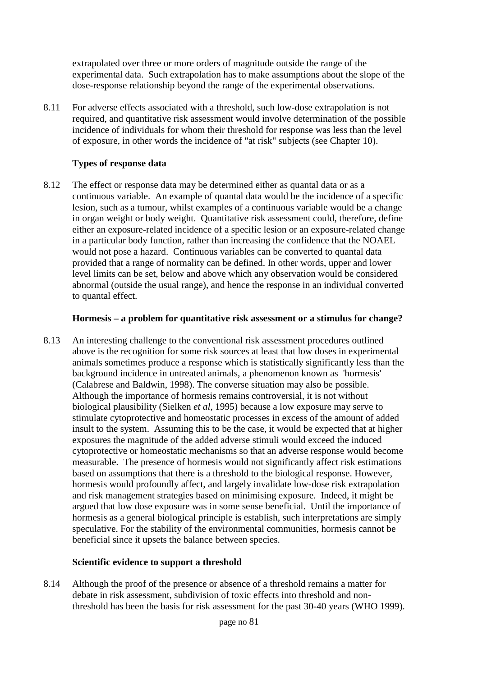extrapolated over three or more orders of magnitude outside the range of the experimental data. Such extrapolation has to make assumptions about the slope of the dose-response relationship beyond the range of the experimental observations.

8.11 For adverse effects associated with a threshold, such low-dose extrapolation is not required, and quantitative risk assessment would involve determination of the possible incidence of individuals for whom their threshold for response was less than the level of exposure, in other words the incidence of "at risk" subjects (see Chapter 10).

## **Types of response data**

8.12 The effect or response data may be determined either as quantal data or as a continuous variable. An example of quantal data would be the incidence of a specific lesion, such as a tumour, whilst examples of a continuous variable would be a change in organ weight or body weight. Quantitative risk assessment could, therefore, define either an exposure-related incidence of a specific lesion or an exposure-related change in a particular body function, rather than increasing the confidence that the NOAEL would not pose a hazard. Continuous variables can be converted to quantal data provided that a range of normality can be defined. In other words, upper and lower level limits can be set, below and above which any observation would be considered abnormal (outside the usual range), and hence the response in an individual converted to quantal effect.

#### **Hormesis – a problem for quantitative risk assessment or a stimulus for change?**

8.13 An interesting challenge to the conventional risk assessment procedures outlined above is the recognition for some risk sources at least that low doses in experimental animals sometimes produce a response which is statistically significantly less than the background incidence in untreated animals, a phenomenon known as 'hormesis' (Calabrese and Baldwin, 1998). The converse situation may also be possible. Although the importance of hormesis remains controversial, it is not without biological plausibility (Sielken *et al*, 1995) because a low exposure may serve to stimulate cytoprotective and homeostatic processes in excess of the amount of added insult to the system. Assuming this to be the case, it would be expected that at higher exposures the magnitude of the added adverse stimuli would exceed the induced cytoprotective or homeostatic mechanisms so that an adverse response would become measurable. The presence of hormesis would not significantly affect risk estimations based on assumptions that there is a threshold to the biological response. However, hormesis would profoundly affect, and largely invalidate low-dose risk extrapolation and risk management strategies based on minimising exposure. Indeed, it might be argued that low dose exposure was in some sense beneficial. Until the importance of hormesis as a general biological principle is establish, such interpretations are simply speculative. For the stability of the environmental communities, hormesis cannot be beneficial since it upsets the balance between species.

#### **Scientific evidence to support a threshold**

8.14 Although the proof of the presence or absence of a threshold remains a matter for debate in risk assessment, subdivision of toxic effects into threshold and nonthreshold has been the basis for risk assessment for the past 30-40 years (WHO 1999).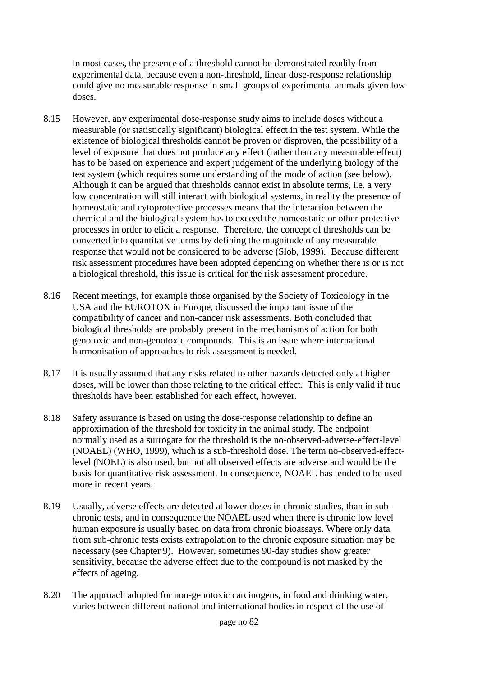In most cases, the presence of a threshold cannot be demonstrated readily from experimental data, because even a non-threshold, linear dose-response relationship could give no measurable response in small groups of experimental animals given low doses.

- 8.15 However, any experimental dose-response study aims to include doses without a measurable (or statistically significant) biological effect in the test system. While the existence of biological thresholds cannot be proven or disproven, the possibility of a level of exposure that does not produce any effect (rather than any measurable effect) has to be based on experience and expert judgement of the underlying biology of the test system (which requires some understanding of the mode of action (see below). Although it can be argued that thresholds cannot exist in absolute terms, i.e. a very low concentration will still interact with biological systems, in reality the presence of homeostatic and cytoprotective processes means that the interaction between the chemical and the biological system has to exceed the homeostatic or other protective processes in order to elicit a response. Therefore, the concept of thresholds can be converted into quantitative terms by defining the magnitude of any measurable response that would not be considered to be adverse (Slob, 1999). Because different risk assessment procedures have been adopted depending on whether there is or is not a biological threshold, this issue is critical for the risk assessment procedure.
- 8.16 Recent meetings, for example those organised by the Society of Toxicology in the USA and the EUROTOX in Europe, discussed the important issue of the compatibility of cancer and non-cancer risk assessments. Both concluded that biological thresholds are probably present in the mechanisms of action for both genotoxic and non-genotoxic compounds. This is an issue where international harmonisation of approaches to risk assessment is needed.
- 8.17 It is usually assumed that any risks related to other hazards detected only at higher doses, will be lower than those relating to the critical effect. This is only valid if true thresholds have been established for each effect, however.
- 8.18 Safety assurance is based on using the dose-response relationship to define an approximation of the threshold for toxicity in the animal study. The endpoint normally used as a surrogate for the threshold is the no-observed-adverse-effect-level (NOAEL) (WHO, 1999), which is a sub-threshold dose. The term no-observed-effectlevel (NOEL) is also used, but not all observed effects are adverse and would be the basis for quantitative risk assessment. In consequence, NOAEL has tended to be used more in recent years.
- 8.19 Usually, adverse effects are detected at lower doses in chronic studies, than in subchronic tests, and in consequence the NOAEL used when there is chronic low level human exposure is usually based on data from chronic bioassays. Where only data from sub-chronic tests exists extrapolation to the chronic exposure situation may be necessary (see Chapter 9). However, sometimes 90-day studies show greater sensitivity, because the adverse effect due to the compound is not masked by the effects of ageing.
- 8.20 The approach adopted for non-genotoxic carcinogens, in food and drinking water, varies between different national and international bodies in respect of the use of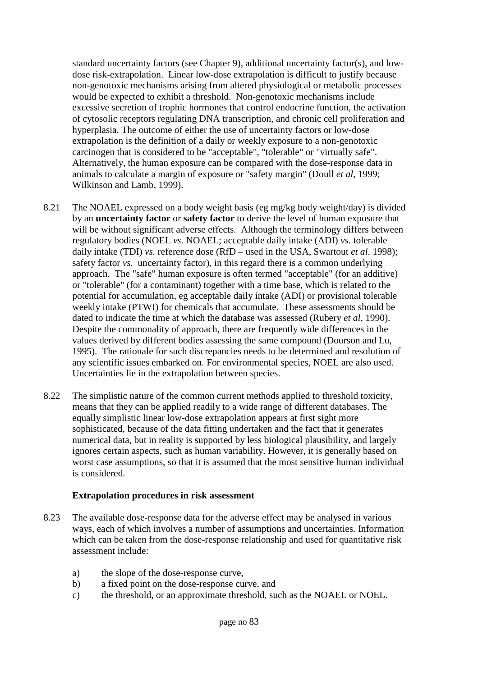standard uncertainty factors (see Chapter 9), additional uncertainty factor(s), and lowdose risk-extrapolation. Linear low-dose extrapolation is difficult to justify because non-genotoxic mechanisms arising from altered physiological or metabolic processes would be expected to exhibit a threshold. Non-genotoxic mechanisms include excessive secretion of trophic hormones that control endocrine function, the activation of cytosolic receptors regulating DNA transcription, and chronic cell proliferation and hyperplasia. The outcome of either the use of uncertainty factors or low-dose extrapolation is the definition of a daily or weekly exposure to a non-genotoxic carcinogen that is considered to be "acceptable", "tolerable" or "virtually safe". Alternatively, the human exposure can be compared with the dose-response data in animals to calculate a margin of exposure or "safety margin" (Doull *et al*, 1999; Wilkinson and Lamb, 1999).

- 8.21 The NOAEL expressed on a body weight basis (eg mg/kg body weight/day) is divided by an **uncertainty factor** or **safety factor** to derive the level of human exposure that will be without significant adverse effects. Although the terminology differs between regulatory bodies (NOEL *vs.* NOAEL; acceptable daily intake (ADI) *vs.* tolerable daily intake (TDI) *vs.* reference dose (RfD – used in the USA, Swartout *et al*. 1998); safety factor *vs.* uncertainty factor), in this regard there is a common underlying approach. The "safe" human exposure is often termed "acceptable" (for an additive) or "tolerable" (for a contaminant) together with a time base, which is related to the potential for accumulation, eg acceptable daily intake (ADI) or provisional tolerable weekly intake (PTWI) for chemicals that accumulate. These assessments should be dated to indicate the time at which the database was assessed (Rubery *et al*, 1990). Despite the commonality of approach, there are frequently wide differences in the values derived by different bodies assessing the same compound (Dourson and Lu, 1995). The rationale for such discrepancies needs to be determined and resolution of any scientific issues embarked on. For environmental species, NOEL are also used. Uncertainties lie in the extrapolation between species.
- 8.22 The simplistic nature of the common current methods applied to threshold toxicity, means that they can be applied readily to a wide range of different databases. The equally simplistic linear low-dose extrapolation appears at first sight more sophisticated, because of the data fitting undertaken and the fact that it generates numerical data, but in reality is supported by less biological plausibility, and largely ignores certain aspects, such as human variability. However, it is generally based on worst case assumptions, so that it is assumed that the most sensitive human individual is considered.

#### **Extrapolation procedures in risk assessment**

- 8.23 The available dose-response data for the adverse effect may be analysed in various ways, each of which involves a number of assumptions and uncertainties. Information which can be taken from the dose-response relationship and used for quantitative risk assessment include:
	- a) the slope of the dose-response curve,
	- b) a fixed point on the dose-response curve, and
	- c) the threshold, or an approximate threshold, such as the NOAEL or NOEL.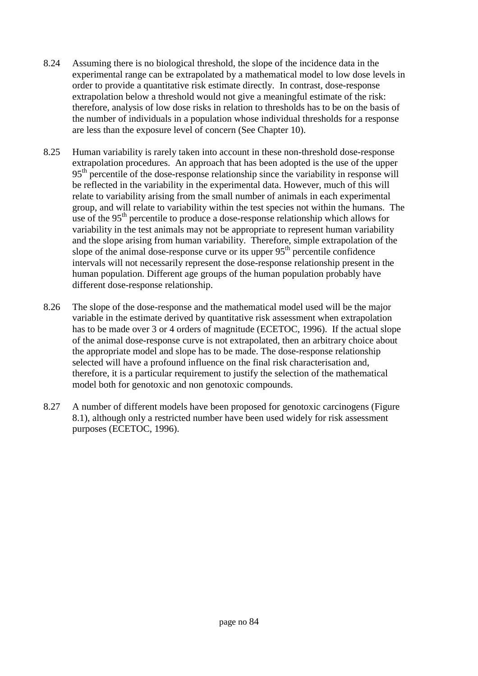- 8.24 Assuming there is no biological threshold, the slope of the incidence data in the experimental range can be extrapolated by a mathematical model to low dose levels in order to provide a quantitative risk estimate directly. In contrast, dose-response extrapolation below a threshold would not give a meaningful estimate of the risk: therefore, analysis of low dose risks in relation to thresholds has to be on the basis of the number of individuals in a population whose individual thresholds for a response are less than the exposure level of concern (See Chapter 10).
- 8.25 Human variability is rarely taken into account in these non-threshold dose-response extrapolation procedures. An approach that has been adopted is the use of the upper 95<sup>th</sup> percentile of the dose-response relationship since the variability in response will be reflected in the variability in the experimental data. However, much of this will relate to variability arising from the small number of animals in each experimental group, and will relate to variability within the test species not within the humans. The use of the  $95<sup>th</sup>$  percentile to produce a dose-response relationship which allows for variability in the test animals may not be appropriate to represent human variability and the slope arising from human variability. Therefore, simple extrapolation of the slope of the animal dose-response curve or its upper  $95<sup>th</sup>$  percentile confidence intervals will not necessarily represent the dose-response relationship present in the human population. Different age groups of the human population probably have different dose-response relationship.
- 8.26 The slope of the dose-response and the mathematical model used will be the major variable in the estimate derived by quantitative risk assessment when extrapolation has to be made over 3 or 4 orders of magnitude (ECETOC, 1996). If the actual slope of the animal dose-response curve is not extrapolated, then an arbitrary choice about the appropriate model and slope has to be made. The dose-response relationship selected will have a profound influence on the final risk characterisation and, therefore, it is a particular requirement to justify the selection of the mathematical model both for genotoxic and non genotoxic compounds.
- 8.27 A number of different models have been proposed for genotoxic carcinogens (Figure 8.1), although only a restricted number have been used widely for risk assessment purposes (ECETOC, 1996).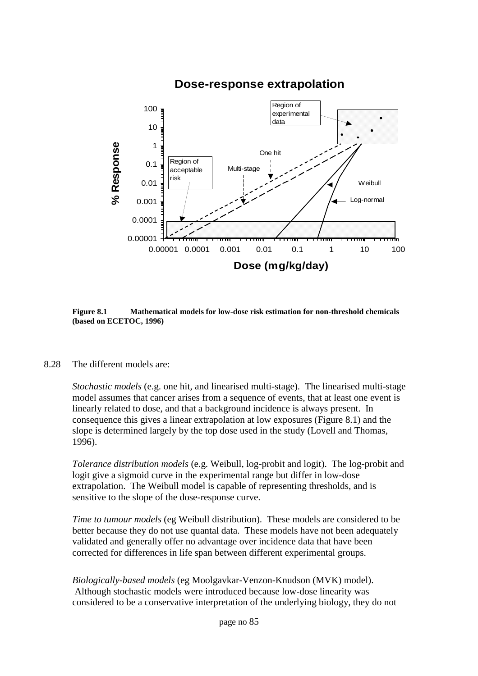

# **Dose-response extrapolation**

**Figure 8.1 Mathematical models for low-dose risk estimation for non-threshold chemicals (based on ECETOC, 1996)**

8.28 The different models are:

*Stochastic models* (e.g. one hit, and linearised multi-stage). The linearised multi-stage model assumes that cancer arises from a sequence of events, that at least one event is linearly related to dose, and that a background incidence is always present. In consequence this gives a linear extrapolation at low exposures (Figure 8.1) and the slope is determined largely by the top dose used in the study (Lovell and Thomas, 1996).

*Tolerance distribution models* (e.g. Weibull, log-probit and logit). The log-probit and logit give a sigmoid curve in the experimental range but differ in low-dose extrapolation. The Weibull model is capable of representing thresholds, and is sensitive to the slope of the dose-response curve.

*Time to tumour models* (eg Weibull distribution). These models are considered to be better because they do not use quantal data. These models have not been adequately validated and generally offer no advantage over incidence data that have been corrected for differences in life span between different experimental groups.

*Biologically-based models* (eg Moolgavkar-Venzon-Knudson (MVK) model). Although stochastic models were introduced because low-dose linearity was considered to be a conservative interpretation of the underlying biology, they do not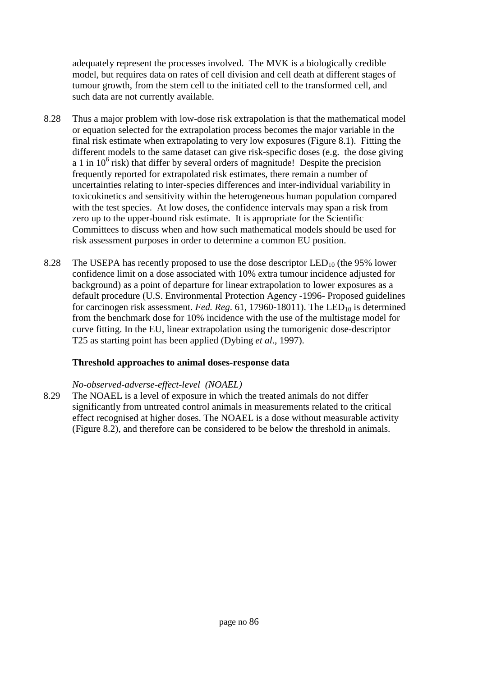adequately represent the processes involved. The MVK is a biologically credible model, but requires data on rates of cell division and cell death at different stages of tumour growth, from the stem cell to the initiated cell to the transformed cell, and such data are not currently available.

- 8.28 Thus a major problem with low-dose risk extrapolation is that the mathematical model or equation selected for the extrapolation process becomes the major variable in the final risk estimate when extrapolating to very low exposures (Figure 8.1). Fitting the different models to the same dataset can give risk-specific doses (e.g. the dose giving  $a$  1 in 10<sup>6</sup> risk) that differ by several orders of magnitude! Despite the precision frequently reported for extrapolated risk estimates, there remain a number of uncertainties relating to inter-species differences and inter-individual variability in toxicokinetics and sensitivity within the heterogeneous human population compared with the test species. At low doses, the confidence intervals may span a risk from zero up to the upper-bound risk estimate. It is appropriate for the Scientific Committees to discuss when and how such mathematical models should be used for risk assessment purposes in order to determine a common EU position.
- 8.28 The USEPA has recently proposed to use the dose descriptor  $LED_{10}$  (the 95% lower confidence limit on a dose associated with 10% extra tumour incidence adjusted for background) as a point of departure for linear extrapolation to lower exposures as a default procedure (U.S. Environmental Protection Agency -1996- Proposed guidelines for carcinogen risk assessment. *Fed. Reg.* 61, 17960-18011). The LED<sub>10</sub> is determined from the benchmark dose for 10% incidence with the use of the multistage model for curve fitting. In the EU, linear extrapolation using the tumorigenic dose-descriptor T25 as starting point has been applied (Dybing *et al*., 1997).

#### **Threshold approaches to animal doses-response data**

#### *No-observed-adverse-effect-level (NOAEL)*

8.29 The NOAEL is a level of exposure in which the treated animals do not differ significantly from untreated control animals in measurements related to the critical effect recognised at higher doses. The NOAEL is a dose without measurable activity (Figure 8.2), and therefore can be considered to be below the threshold in animals.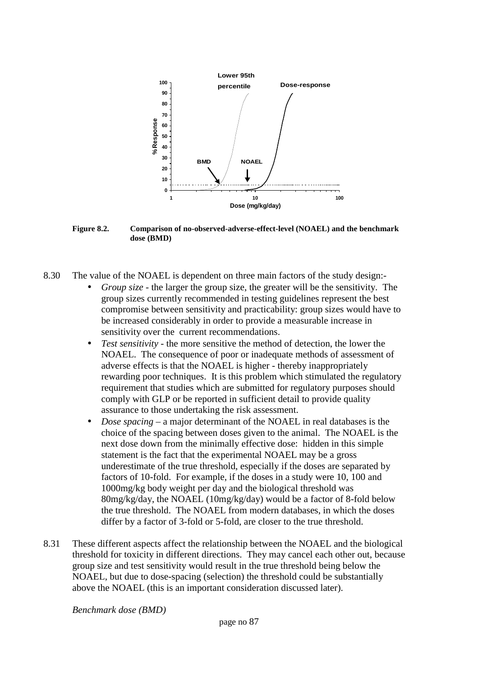

**Figure 8.2. Comparison of no-observed-adverse-effect-level (NOAEL) and the benchmark dose (BMD)**

- 8.30 The value of the NOAEL is dependent on three main factors of the study design:-
	- *Group size* the larger the group size, the greater will be the sensitivity. The group sizes currently recommended in testing guidelines represent the best compromise between sensitivity and practicability: group sizes would have to be increased considerably in order to provide a measurable increase in sensitivity over the current recommendations.
	- *Test sensitivity* the more sensitive the method of detection, the lower the NOAEL. The consequence of poor or inadequate methods of assessment of adverse effects is that the NOAEL is higher - thereby inappropriately rewarding poor techniques. It is this problem which stimulated the regulatory requirement that studies which are submitted for regulatory purposes should comply with GLP or be reported in sufficient detail to provide quality assurance to those undertaking the risk assessment.
	- *Dose spacing* a major determinant of the NOAEL in real databases is the choice of the spacing between doses given to the animal. The NOAEL is the next dose down from the minimally effective dose: hidden in this simple statement is the fact that the experimental NOAEL may be a gross underestimate of the true threshold, especially if the doses are separated by factors of 10-fold. For example, if the doses in a study were 10, 100 and 1000mg/kg body weight per day and the biological threshold was 80mg/kg/day, the NOAEL (10mg/kg/day) would be a factor of 8-fold below the true threshold. The NOAEL from modern databases, in which the doses differ by a factor of 3-fold or 5-fold, are closer to the true threshold.
- 8.31 These different aspects affect the relationship between the NOAEL and the biological threshold for toxicity in different directions. They may cancel each other out, because group size and test sensitivity would result in the true threshold being below the NOAEL, but due to dose-spacing (selection) the threshold could be substantially above the NOAEL (this is an important consideration discussed later).

*Benchmark dose (BMD)*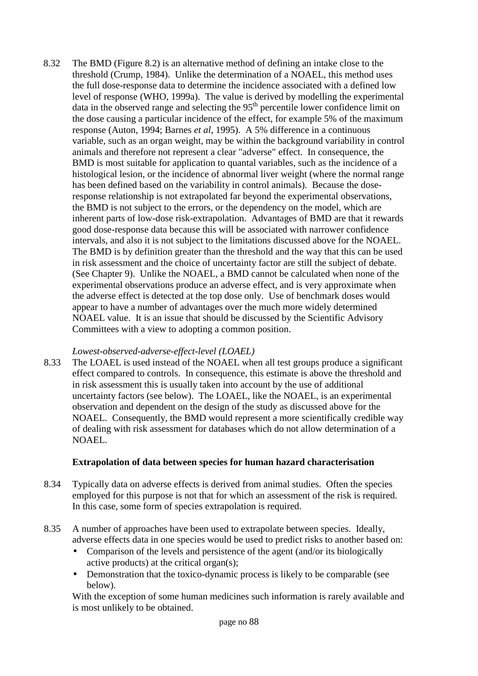8.32 The BMD (Figure 8.2) is an alternative method of defining an intake close to the threshold (Crump, 1984). Unlike the determination of a NOAEL, this method uses the full dose-response data to determine the incidence associated with a defined low level of response (WHO, 1999a). The value is derived by modelling the experimental data in the observed range and selecting the 95<sup>th</sup> percentile lower confidence limit on the dose causing a particular incidence of the effect, for example 5% of the maximum response (Auton, 1994; Barnes *et al*, 1995). A 5% difference in a continuous variable, such as an organ weight, may be within the background variability in control animals and therefore not represent a clear "adverse" effect. In consequence, the BMD is most suitable for application to quantal variables, such as the incidence of a histological lesion, or the incidence of abnormal liver weight (where the normal range has been defined based on the variability in control animals). Because the doseresponse relationship is not extrapolated far beyond the experimental observations, the BMD is not subject to the errors, or the dependency on the model, which are inherent parts of low-dose risk-extrapolation. Advantages of BMD are that it rewards good dose-response data because this will be associated with narrower confidence intervals, and also it is not subject to the limitations discussed above for the NOAEL. The BMD is by definition greater than the threshold and the way that this can be used in risk assessment and the choice of uncertainty factor are still the subject of debate. (See Chapter 9). Unlike the NOAEL, a BMD cannot be calculated when none of the experimental observations produce an adverse effect, and is very approximate when the adverse effect is detected at the top dose only. Use of benchmark doses would appear to have a number of advantages over the much more widely determined NOAEL value. It is an issue that should be discussed by the Scientific Advisory Committees with a view to adopting a common position.

#### *Lowest-observed-adverse-effect-level (LOAEL)*

8.33 The LOAEL is used instead of the NOAEL when all test groups produce a significant effect compared to controls. In consequence, this estimate is above the threshold and in risk assessment this is usually taken into account by the use of additional uncertainty factors (see below). The LOAEL, like the NOAEL, is an experimental observation and dependent on the design of the study as discussed above for the NOAEL. Consequently, the BMD would represent a more scientifically credible way of dealing with risk assessment for databases which do not allow determination of a NOAEL.

# **Extrapolation of data between species for human hazard characterisation**

- 8.34 Typically data on adverse effects is derived from animal studies. Often the species employed for this purpose is not that for which an assessment of the risk is required. In this case, some form of species extrapolation is required.
- 8.35 A number of approaches have been used to extrapolate between species. Ideally, adverse effects data in one species would be used to predict risks to another based on:
	- Comparison of the levels and persistence of the agent (and/or its biologically active products) at the critical organ(s);
	- Demonstration that the toxico-dynamic process is likely to be comparable (see below).

With the exception of some human medicines such information is rarely available and is most unlikely to be obtained.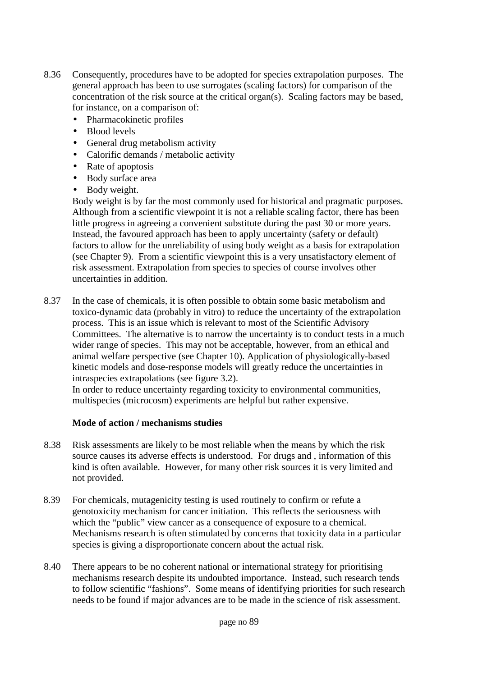- 8.36 Consequently, procedures have to be adopted for species extrapolation purposes. The general approach has been to use surrogates (scaling factors) for comparison of the concentration of the risk source at the critical organ(s). Scaling factors may be based, for instance, on a comparison of:
	- Pharmacokinetic profiles
	- Blood levels
	- General drug metabolism activity
	- Calorific demands / metabolic activity
	- Rate of apoptosis
	- Body surface area
	- Body weight.

Body weight is by far the most commonly used for historical and pragmatic purposes. Although from a scientific viewpoint it is not a reliable scaling factor, there has been little progress in agreeing a convenient substitute during the past 30 or more years. Instead, the favoured approach has been to apply uncertainty (safety or default) factors to allow for the unreliability of using body weight as a basis for extrapolation (see Chapter 9). From a scientific viewpoint this is a very unsatisfactory element of risk assessment. Extrapolation from species to species of course involves other uncertainties in addition.

8.37 In the case of chemicals, it is often possible to obtain some basic metabolism and toxico-dynamic data (probably in vitro) to reduce the uncertainty of the extrapolation process. This is an issue which is relevant to most of the Scientific Advisory Committees. The alternative is to narrow the uncertainty is to conduct tests in a much wider range of species. This may not be acceptable, however, from an ethical and animal welfare perspective (see Chapter 10). Application of physiologically-based kinetic models and dose-response models will greatly reduce the uncertainties in intraspecies extrapolations (see figure 3.2).

In order to reduce uncertainty regarding toxicity to environmental communities, multispecies (microcosm) experiments are helpful but rather expensive.

#### **Mode of action / mechanisms studies**

- 8.38 Risk assessments are likely to be most reliable when the means by which the risk source causes its adverse effects is understood. For drugs and , information of this kind is often available. However, for many other risk sources it is very limited and not provided.
- 8.39 For chemicals, mutagenicity testing is used routinely to confirm or refute a genotoxicity mechanism for cancer initiation. This reflects the seriousness with which the "public" view cancer as a consequence of exposure to a chemical. Mechanisms research is often stimulated by concerns that toxicity data in a particular species is giving a disproportionate concern about the actual risk.
- 8.40 There appears to be no coherent national or international strategy for prioritising mechanisms research despite its undoubted importance. Instead, such research tends to follow scientific "fashions". Some means of identifying priorities for such research needs to be found if major advances are to be made in the science of risk assessment.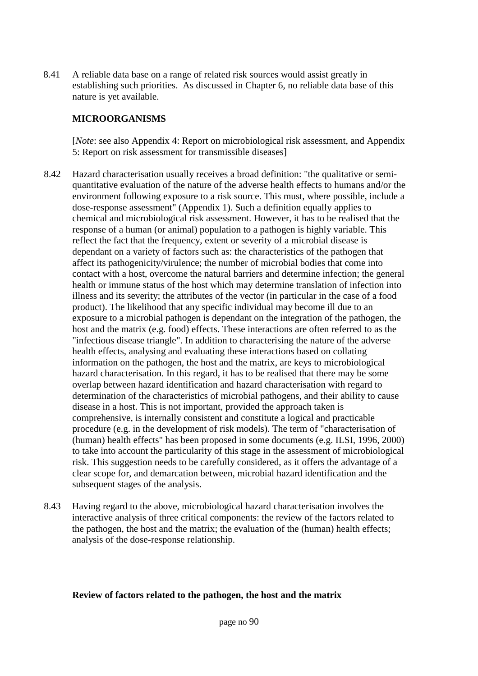8.41 A reliable data base on a range of related risk sources would assist greatly in establishing such priorities. As discussed in Chapter 6, no reliable data base of this nature is yet available.

#### **MICROORGANISMS**

[*Note*: see also Appendix 4: Report on microbiological risk assessment, and Appendix 5: Report on risk assessment for transmissible diseases]

- 8.42 Hazard characterisation usually receives a broad definition: "the qualitative or semiquantitative evaluation of the nature of the adverse health effects to humans and/or the environment following exposure to a risk source. This must, where possible, include a dose-response assessment" (Appendix 1). Such a definition equally applies to chemical and microbiological risk assessment. However, it has to be realised that the response of a human (or animal) population to a pathogen is highly variable. This reflect the fact that the frequency, extent or severity of a microbial disease is dependant on a variety of factors such as: the characteristics of the pathogen that affect its pathogenicity/virulence; the number of microbial bodies that come into contact with a host, overcome the natural barriers and determine infection; the general health or immune status of the host which may determine translation of infection into illness and its severity; the attributes of the vector (in particular in the case of a food product). The likelihood that any specific individual may become ill due to an exposure to a microbial pathogen is dependant on the integration of the pathogen, the host and the matrix (e.g. food) effects. These interactions are often referred to as the "infectious disease triangle". In addition to characterising the nature of the adverse health effects, analysing and evaluating these interactions based on collating information on the pathogen, the host and the matrix, are keys to microbiological hazard characterisation. In this regard, it has to be realised that there may be some overlap between hazard identification and hazard characterisation with regard to determination of the characteristics of microbial pathogens, and their ability to cause disease in a host. This is not important, provided the approach taken is comprehensive, is internally consistent and constitute a logical and practicable procedure (e.g. in the development of risk models). The term of "characterisation of (human) health effects" has been proposed in some documents (e.g. ILSI, 1996, 2000) to take into account the particularity of this stage in the assessment of microbiological risk. This suggestion needs to be carefully considered, as it offers the advantage of a clear scope for, and demarcation between, microbial hazard identification and the subsequent stages of the analysis.
- 8.43 Having regard to the above, microbiological hazard characterisation involves the interactive analysis of three critical components: the review of the factors related to the pathogen, the host and the matrix; the evaluation of the (human) health effects; analysis of the dose-response relationship.

#### **Review of factors related to the pathogen, the host and the matrix**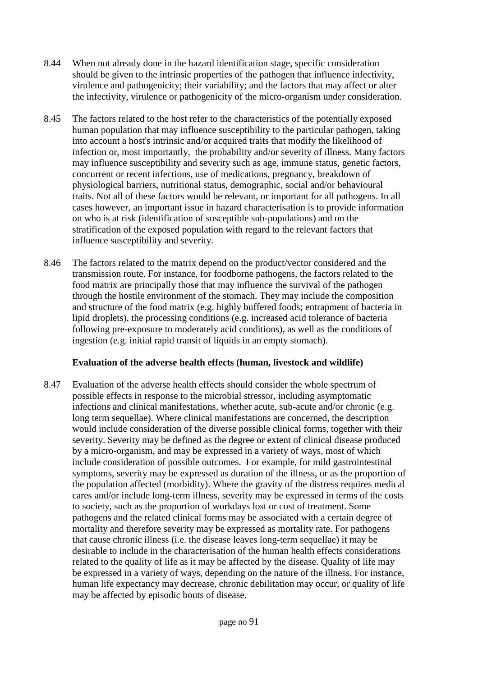- 8.44 When not already done in the hazard identification stage, specific consideration should be given to the intrinsic properties of the pathogen that influence infectivity, virulence and pathogenicity; their variability; and the factors that may affect or alter the infectivity, virulence or pathogenicity of the micro-organism under consideration.
- 8.45 The factors related to the host refer to the characteristics of the potentially exposed human population that may influence susceptibility to the particular pathogen, taking into account a host's intrinsic and/or acquired traits that modify the likelihood of infection or, most importantly, the probability and/or severity of illness. Many factors may influence susceptibility and severity such as age, immune status, genetic factors, concurrent or recent infections, use of medications, pregnancy, breakdown of physiological barriers, nutritional status, demographic, social and/or behavioural traits. Not all of these factors would be relevant, or important for all pathogens. In all cases however, an important issue in hazard characterisation is to provide information on who is at risk (identification of susceptible sub-populations) and on the stratification of the exposed population with regard to the relevant factors that influence susceptibility and severity.
- 8.46 The factors related to the matrix depend on the product/vector considered and the transmission route. For instance, for foodborne pathogens, the factors related to the food matrix are principally those that may influence the survival of the pathogen through the hostile environment of the stomach. They may include the composition and structure of the food matrix (e.g. highly buffered foods; entrapment of bacteria in lipid droplets), the processing conditions (e.g. increased acid tolerance of bacteria following pre-exposure to moderately acid conditions), as well as the conditions of ingestion (e.g. initial rapid transit of liquids in an empty stomach).

#### **Evaluation of the adverse health effects (human, livestock and wildlife)**

8.47 Evaluation of the adverse health effects should consider the whole spectrum of possible effects in response to the microbial stressor, including asymptomatic infections and clinical manifestations, whether acute, sub-acute and/or chronic (e.g. long term sequellae). Where clinical manifestations are concerned, the description would include consideration of the diverse possible clinical forms, together with their severity. Severity may be defined as the degree or extent of clinical disease produced by a micro-organism, and may be expressed in a variety of ways, most of which include consideration of possible outcomes. For example, for mild gastrointestinal symptoms, severity may be expressed as duration of the illness, or as the proportion of the population affected (morbidity). Where the gravity of the distress requires medical cares and/or include long-term illness, severity may be expressed in terms of the costs to society, such as the proportion of workdays lost or cost of treatment. Some pathogens and the related clinical forms may be associated with a certain degree of mortality and therefore severity may be expressed as mortality rate. For pathogens that cause chronic illness (i.e. the disease leaves long-term sequellae) it may be desirable to include in the characterisation of the human health effects considerations related to the quality of life as it may be affected by the disease. Quality of life may be expressed in a variety of ways, depending on the nature of the illness. For instance, human life expectancy may decrease, chronic debilitation may occur, or quality of life may be affected by episodic bouts of disease.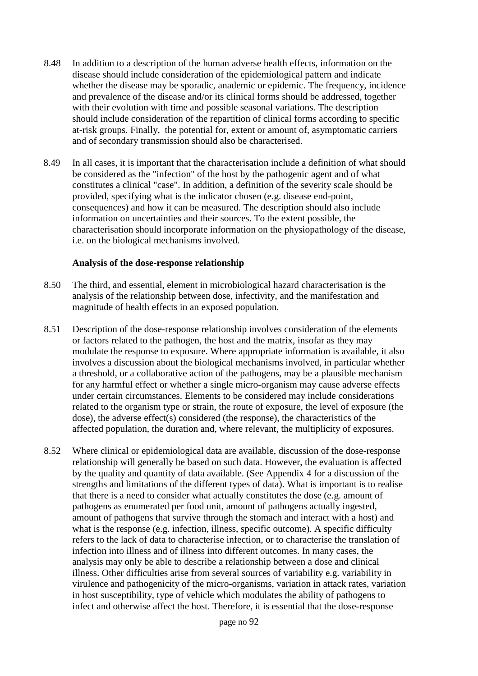- 8.48 In addition to a description of the human adverse health effects, information on the disease should include consideration of the epidemiological pattern and indicate whether the disease may be sporadic, anademic or epidemic. The frequency, incidence and prevalence of the disease and/or its clinical forms should be addressed, together with their evolution with time and possible seasonal variations. The description should include consideration of the repartition of clinical forms according to specific at-risk groups. Finally, the potential for, extent or amount of, asymptomatic carriers and of secondary transmission should also be characterised.
- 8.49 In all cases, it is important that the characterisation include a definition of what should be considered as the "infection" of the host by the pathogenic agent and of what constitutes a clinical "case". In addition, a definition of the severity scale should be provided, specifying what is the indicator chosen (e.g. disease end-point, consequences) and how it can be measured. The description should also include information on uncertainties and their sources. To the extent possible, the characterisation should incorporate information on the physiopathology of the disease, i.e. on the biological mechanisms involved.

#### **Analysis of the dose-response relationship**

- 8.50 The third, and essential, element in microbiological hazard characterisation is the analysis of the relationship between dose, infectivity, and the manifestation and magnitude of health effects in an exposed population.
- 8.51 Description of the dose-response relationship involves consideration of the elements or factors related to the pathogen, the host and the matrix, insofar as they may modulate the response to exposure. Where appropriate information is available, it also involves a discussion about the biological mechanisms involved, in particular whether a threshold, or a collaborative action of the pathogens, may be a plausible mechanism for any harmful effect or whether a single micro-organism may cause adverse effects under certain circumstances. Elements to be considered may include considerations related to the organism type or strain, the route of exposure, the level of exposure (the dose), the adverse effect(s) considered (the response), the characteristics of the affected population, the duration and, where relevant, the multiplicity of exposures.
- 8.52 Where clinical or epidemiological data are available, discussion of the dose-response relationship will generally be based on such data. However, the evaluation is affected by the quality and quantity of data available. (See Appendix 4 for a discussion of the strengths and limitations of the different types of data). What is important is to realise that there is a need to consider what actually constitutes the dose (e.g. amount of pathogens as enumerated per food unit, amount of pathogens actually ingested, amount of pathogens that survive through the stomach and interact with a host) and what is the response (e.g. infection, illness, specific outcome). A specific difficulty refers to the lack of data to characterise infection, or to characterise the translation of infection into illness and of illness into different outcomes. In many cases, the analysis may only be able to describe a relationship between a dose and clinical illness. Other difficulties arise from several sources of variability e.g. variability in virulence and pathogenicity of the micro-organisms, variation in attack rates, variation in host susceptibility, type of vehicle which modulates the ability of pathogens to infect and otherwise affect the host. Therefore, it is essential that the dose-response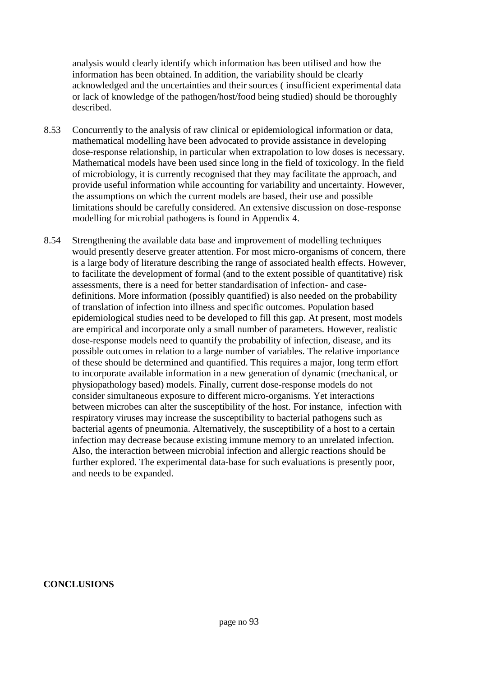analysis would clearly identify which information has been utilised and how the information has been obtained. In addition, the variability should be clearly acknowledged and the uncertainties and their sources ( insufficient experimental data or lack of knowledge of the pathogen/host/food being studied) should be thoroughly described.

- 8.53 Concurrently to the analysis of raw clinical or epidemiological information or data, mathematical modelling have been advocated to provide assistance in developing dose-response relationship, in particular when extrapolation to low doses is necessary. Mathematical models have been used since long in the field of toxicology. In the field of microbiology, it is currently recognised that they may facilitate the approach, and provide useful information while accounting for variability and uncertainty. However, the assumptions on which the current models are based, their use and possible limitations should be carefully considered. An extensive discussion on dose-response modelling for microbial pathogens is found in Appendix 4.
- 8.54 Strengthening the available data base and improvement of modelling techniques would presently deserve greater attention. For most micro-organisms of concern, there is a large body of literature describing the range of associated health effects. However, to facilitate the development of formal (and to the extent possible of quantitative) risk assessments, there is a need for better standardisation of infection- and casedefinitions. More information (possibly quantified) is also needed on the probability of translation of infection into illness and specific outcomes. Population based epidemiological studies need to be developed to fill this gap. At present, most models are empirical and incorporate only a small number of parameters. However, realistic dose-response models need to quantify the probability of infection, disease, and its possible outcomes in relation to a large number of variables. The relative importance of these should be determined and quantified. This requires a major, long term effort to incorporate available information in a new generation of dynamic (mechanical, or physiopathology based) models. Finally, current dose-response models do not consider simultaneous exposure to different micro-organisms. Yet interactions between microbes can alter the susceptibility of the host. For instance, infection with respiratory viruses may increase the susceptibility to bacterial pathogens such as bacterial agents of pneumonia. Alternatively, the susceptibility of a host to a certain infection may decrease because existing immune memory to an unrelated infection. Also, the interaction between microbial infection and allergic reactions should be further explored. The experimental data-base for such evaluations is presently poor, and needs to be expanded.

**CONCLUSIONS**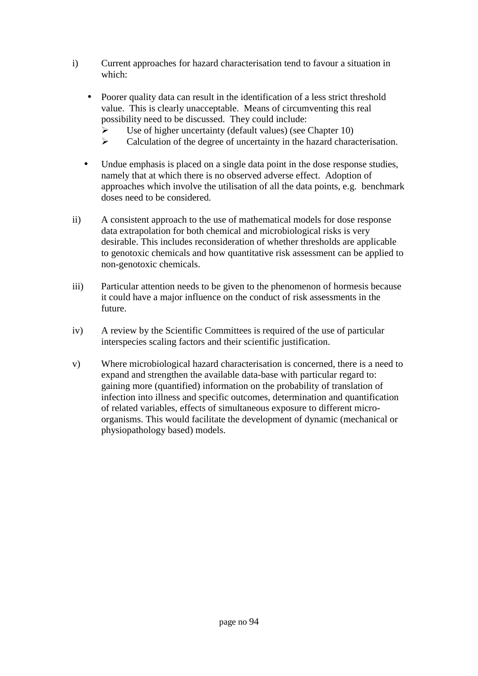- i) Current approaches for hazard characterisation tend to favour a situation in which:
	- Poorer quality data can result in the identification of a less strict threshold value. This is clearly unacceptable. Means of circumventing this real possibility need to be discussed. They could include:
		- Use of higher uncertainty (default values) (see Chapter 10)
		- $\triangleright$  Calculation of the degree of uncertainty in the hazard characterisation.
	- Undue emphasis is placed on a single data point in the dose response studies, namely that at which there is no observed adverse effect. Adoption of approaches which involve the utilisation of all the data points, e.g. benchmark doses need to be considered.
- ii) A consistent approach to the use of mathematical models for dose response data extrapolation for both chemical and microbiological risks is very desirable. This includes reconsideration of whether thresholds are applicable to genotoxic chemicals and how quantitative risk assessment can be applied to non-genotoxic chemicals.
- iii) Particular attention needs to be given to the phenomenon of hormesis because it could have a major influence on the conduct of risk assessments in the future.
- iv) A review by the Scientific Committees is required of the use of particular interspecies scaling factors and their scientific justification.
- v) Where microbiological hazard characterisation is concerned, there is a need to expand and strengthen the available data-base with particular regard to: gaining more (quantified) information on the probability of translation of infection into illness and specific outcomes, determination and quantification of related variables, effects of simultaneous exposure to different microorganisms. This would facilitate the development of dynamic (mechanical or physiopathology based) models.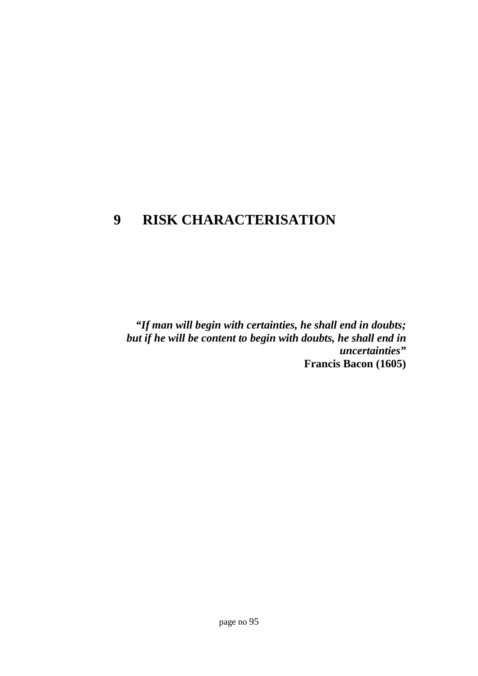# **9 RISK CHARACTERISATION**

*"If man will begin with certainties, he shall end in doubts; but if he will be content to begin with doubts, he shall end in uncertainties"* **Francis Bacon (1605)**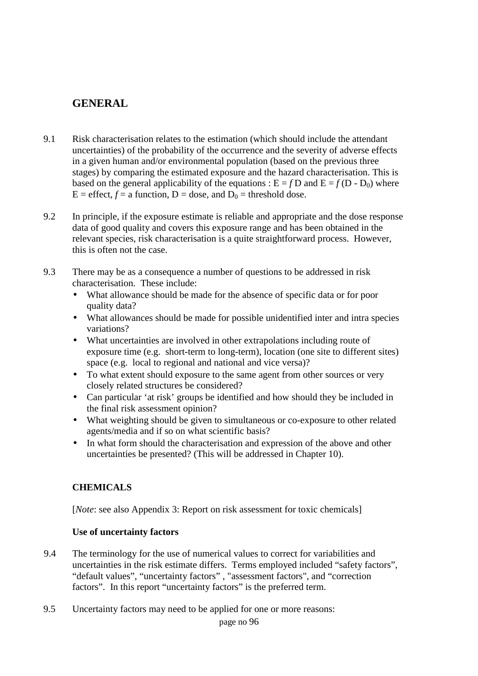# **GENERAL**

- 9.1 Risk characterisation relates to the estimation (which should include the attendant uncertainties) of the probability of the occurrence and the severity of adverse effects in a given human and/or environmental population (based on the previous three stages) by comparing the estimated exposure and the hazard characterisation. This is based on the general applicability of the equations :  $E = fD$  and  $E = f(D - D_0)$  where  $E =$  effect,  $f =$  a function,  $D =$  dose, and  $D_0 =$  threshold dose.
- 9.2 In principle, if the exposure estimate is reliable and appropriate and the dose response data of good quality and covers this exposure range and has been obtained in the relevant species, risk characterisation is a quite straightforward process. However, this is often not the case.
- 9.3 There may be as a consequence a number of questions to be addressed in risk characterisation. These include:
	- What allowance should be made for the absence of specific data or for poor quality data?
	- What allowances should be made for possible unidentified inter and intra species variations?
	- What uncertainties are involved in other extrapolations including route of exposure time (e.g. short-term to long-term), location (one site to different sites) space (e.g. local to regional and national and vice versa)?
	- To what extent should exposure to the same agent from other sources or very closely related structures be considered?
	- Can particular 'at risk' groups be identified and how should they be included in the final risk assessment opinion?
	- What weighting should be given to simultaneous or co-exposure to other related agents/media and if so on what scientific basis?
	- In what form should the characterisation and expression of the above and other uncertainties be presented? (This will be addressed in Chapter 10).

# **CHEMICALS**

[*Note*: see also Appendix 3: Report on risk assessment for toxic chemicals]

#### **Use of uncertainty factors**

- 9.4 The terminology for the use of numerical values to correct for variabilities and uncertainties in the risk estimate differs. Terms employed included "safety factors", "default values", "uncertainty factors" , "assessment factors", and "correction factors". In this report "uncertainty factors" is the preferred term.
- 9.5 Uncertainty factors may need to be applied for one or more reasons: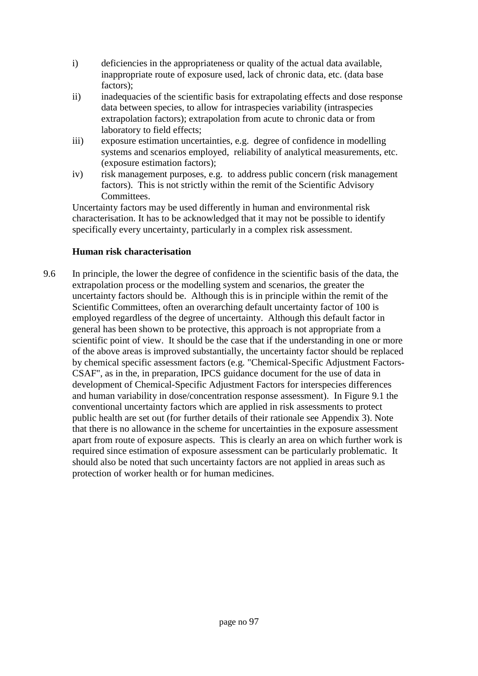- i) deficiencies in the appropriateness or quality of the actual data available, inappropriate route of exposure used, lack of chronic data, etc. (data base factors);
- ii) inadequacies of the scientific basis for extrapolating effects and dose response data between species, to allow for intraspecies variability (intraspecies extrapolation factors); extrapolation from acute to chronic data or from laboratory to field effects;
- iii) exposure estimation uncertainties, e.g. degree of confidence in modelling systems and scenarios employed, reliability of analytical measurements, etc. (exposure estimation factors);
- iv) risk management purposes, e.g. to address public concern (risk management factors). This is not strictly within the remit of the Scientific Advisory Committees.

Uncertainty factors may be used differently in human and environmental risk characterisation. It has to be acknowledged that it may not be possible to identify specifically every uncertainty, particularly in a complex risk assessment.

## **Human risk characterisation**

9.6 In principle, the lower the degree of confidence in the scientific basis of the data, the extrapolation process or the modelling system and scenarios, the greater the uncertainty factors should be. Although this is in principle within the remit of the Scientific Committees, often an overarching default uncertainty factor of 100 is employed regardless of the degree of uncertainty. Although this default factor in general has been shown to be protective, this approach is not appropriate from a scientific point of view. It should be the case that if the understanding in one or more of the above areas is improved substantially, the uncertainty factor should be replaced by chemical specific assessment factors (e.g. "Chemical-Specific Adjustment Factors-CSAF", as in the, in preparation, IPCS guidance document for the use of data in development of Chemical-Specific Adjustment Factors for interspecies differences and human variability in dose/concentration response assessment). In Figure 9.1 the conventional uncertainty factors which are applied in risk assessments to protect public health are set out (for further details of their rationale see Appendix 3). Note that there is no allowance in the scheme for uncertainties in the exposure assessment apart from route of exposure aspects. This is clearly an area on which further work is required since estimation of exposure assessment can be particularly problematic. It should also be noted that such uncertainty factors are not applied in areas such as protection of worker health or for human medicines.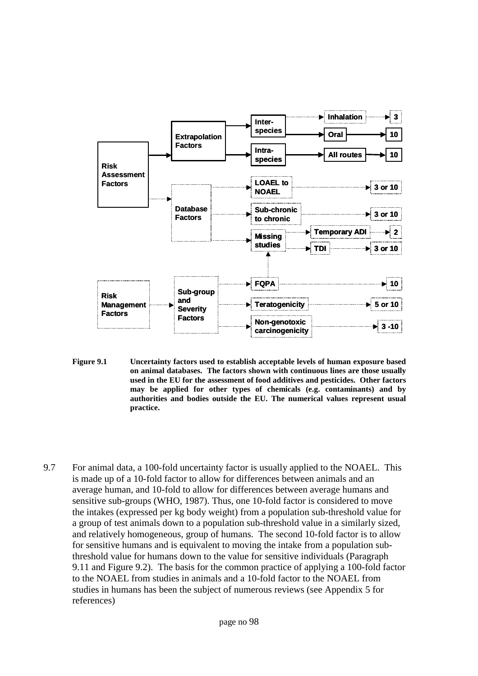

- **Figure 9.1 Uncertainty factors used to establish acceptable levels of human exposure based on animal databases. The factors shown with continuous lines are those usually used in the EU for the assessment of food additives and pesticides. Other factors may be applied for other types of chemicals (e.g. contaminants) and by authorities and bodies outside the EU. The numerical values represent usual practice.**
- 9.7 For animal data, a 100-fold uncertainty factor is usually applied to the NOAEL. This is made up of a 10-fold factor to allow for differences between animals and an average human, and 10-fold to allow for differences between average humans and sensitive sub-groups (WHO, 1987). Thus, one 10-fold factor is considered to move the intakes (expressed per kg body weight) from a population sub-threshold value for a group of test animals down to a population sub-threshold value in a similarly sized, and relatively homogeneous, group of humans. The second 10-fold factor is to allow for sensitive humans and is equivalent to moving the intake from a population subthreshold value for humans down to the value for sensitive individuals (Paragraph 9.11 and Figure 9.2). The basis for the common practice of applying a 100-fold factor to the NOAEL from studies in animals and a 10-fold factor to the NOAEL from studies in humans has been the subject of numerous reviews (see Appendix 5 for references)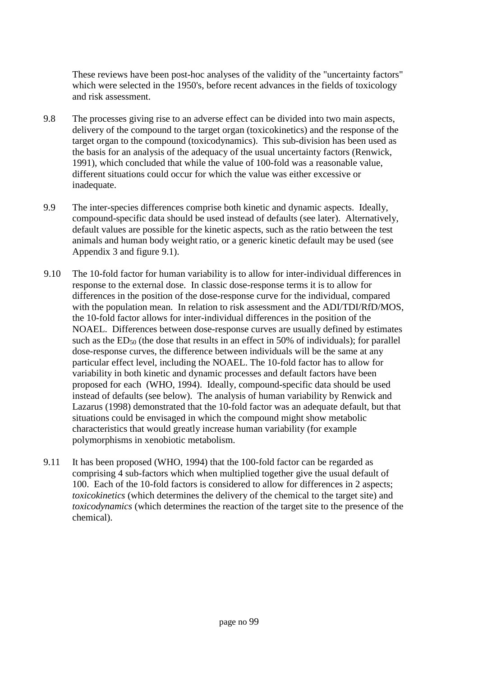These reviews have been post-hoc analyses of the validity of the "uncertainty factors" which were selected in the 1950's, before recent advances in the fields of toxicology and risk assessment.

- 9.8 The processes giving rise to an adverse effect can be divided into two main aspects, delivery of the compound to the target organ (toxicokinetics) and the response of the target organ to the compound (toxicodynamics). This sub-division has been used as the basis for an analysis of the adequacy of the usual uncertainty factors (Renwick, 1991), which concluded that while the value of 100-fold was a reasonable value, different situations could occur for which the value was either excessive or inadequate.
- 9.9 The inter-species differences comprise both kinetic and dynamic aspects. Ideally, compound-specific data should be used instead of defaults (see later). Alternatively, default values are possible for the kinetic aspects, such as the ratio between the test animals and human body weight ratio, or a generic kinetic default may be used (see Appendix 3 and figure 9.1).
- 9.10 The 10-fold factor for human variability is to allow for inter-individual differences in response to the external dose. In classic dose-response terms it is to allow for differences in the position of the dose-response curve for the individual, compared with the population mean. In relation to risk assessment and the ADI/TDI/RfD/MOS, the 10-fold factor allows for inter-individual differences in the position of the NOAEL. Differences between dose-response curves are usually defined by estimates such as the  $ED_{50}$  (the dose that results in an effect in 50% of individuals); for parallel dose-response curves, the difference between individuals will be the same at any particular effect level, including the NOAEL. The 10-fold factor has to allow for variability in both kinetic and dynamic processes and default factors have been proposed for each (WHO, 1994). Ideally, compound-specific data should be used instead of defaults (see below). The analysis of human variability by Renwick and Lazarus (1998) demonstrated that the 10-fold factor was an adequate default, but that situations could be envisaged in which the compound might show metabolic characteristics that would greatly increase human variability (for example polymorphisms in xenobiotic metabolism.
- 9.11 It has been proposed (WHO, 1994) that the 100-fold factor can be regarded as comprising 4 sub-factors which when multiplied together give the usual default of 100. Each of the 10-fold factors is considered to allow for differences in 2 aspects; *toxicokinetics* (which determines the delivery of the chemical to the target site) and *toxicodynamics* (which determines the reaction of the target site to the presence of the chemical).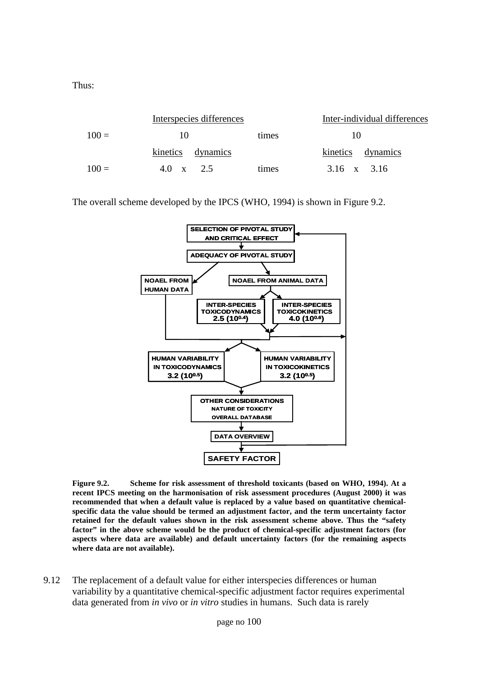Thus:

|         | Interspecies differences |       | Inter-individual differences |
|---------|--------------------------|-------|------------------------------|
| $100 =$ | 10                       | times | 10                           |
|         | kinetics dynamics        |       | kinetics dynamics            |
| $100 =$ | 4.0 $x = 2.5$            | times | 3.16 x 3.16                  |

The overall scheme developed by the IPCS (WHO, 1994) is shown in Figure 9.2.



**Figure 9.2. Scheme for risk assessment of threshold toxicants (based on WHO, 1994). At a recent IPCS meeting on the harmonisation of risk assessment procedures (August 2000) it was recommended that when a default value is replaced by a value based on quantitative chemicalspecific data the value should be termed an adjustment factor, and the term uncertainty factor retained for the default values shown in the risk assessment scheme above. Thus the "safety factor" in the above scheme would be the product of chemical-specific adjustment factors (for aspects where data are available) and default uncertainty factors (for the remaining aspects where data are not available).**

9.12 The replacement of a default value for either interspecies differences or human variability by a quantitative chemical-specific adjustment factor requires experimental data generated from *in vivo* or *in vitro* studies in humans. Such data is rarely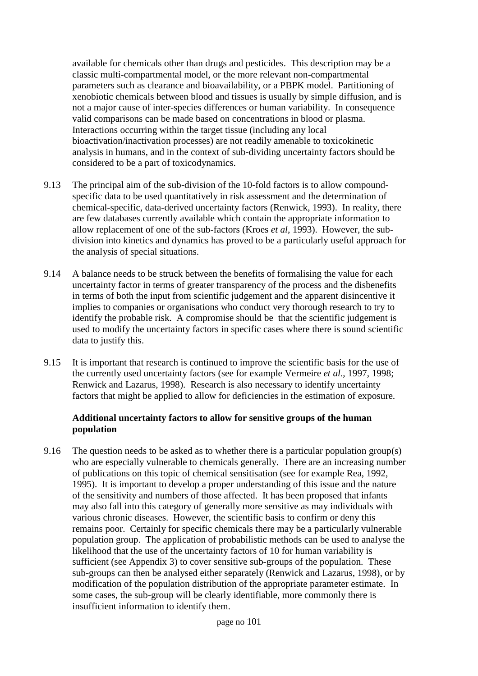available for chemicals other than drugs and pesticides. This description may be a classic multi-compartmental model, or the more relevant non-compartmental parameters such as clearance and bioavailability, or a PBPK model. Partitioning of xenobiotic chemicals between blood and tissues is usually by simple diffusion, and is not a major cause of inter-species differences or human variability. In consequence valid comparisons can be made based on concentrations in blood or plasma. Interactions occurring within the target tissue (including any local bioactivation/inactivation processes) are not readily amenable to toxicokinetic analysis in humans, and in the context of sub-dividing uncertainty factors should be considered to be a part of toxicodynamics.

- 9.13 The principal aim of the sub-division of the 10-fold factors is to allow compoundspecific data to be used quantitatively in risk assessment and the determination of chemical-specific, data-derived uncertainty factors (Renwick, 1993). In reality, there are few databases currently available which contain the appropriate information to allow replacement of one of the sub-factors (Kroes *et al*, 1993). However, the subdivision into kinetics and dynamics has proved to be a particularly useful approach for the analysis of special situations.
- 9.14 A balance needs to be struck between the benefits of formalising the value for each uncertainty factor in terms of greater transparency of the process and the disbenefits in terms of both the input from scientific judgement and the apparent disincentive it implies to companies or organisations who conduct very thorough research to try to identify the probable risk. A compromise should be that the scientific judgement is used to modify the uncertainty factors in specific cases where there is sound scientific data to justify this.
- 9.15 It is important that research is continued to improve the scientific basis for the use of the currently used uncertainty factors (see for example Vermeire *et al*., 1997, 1998; Renwick and Lazarus, 1998). Research is also necessary to identify uncertainty factors that might be applied to allow for deficiencies in the estimation of exposure.

#### **Additional uncertainty factors to allow for sensitive groups of the human population**

9.16 The question needs to be asked as to whether there is a particular population group(s) who are especially vulnerable to chemicals generally. There are an increasing number of publications on this topic of chemical sensitisation (see for example Rea, 1992, 1995). It is important to develop a proper understanding of this issue and the nature of the sensitivity and numbers of those affected. It has been proposed that infants may also fall into this category of generally more sensitive as may individuals with various chronic diseases. However, the scientific basis to confirm or deny this remains poor. Certainly for specific chemicals there may be a particularly vulnerable population group. The application of probabilistic methods can be used to analyse the likelihood that the use of the uncertainty factors of 10 for human variability is sufficient (see Appendix 3) to cover sensitive sub-groups of the population. These sub-groups can then be analysed either separately (Renwick and Lazarus, 1998), or by modification of the population distribution of the appropriate parameter estimate. In some cases, the sub-group will be clearly identifiable, more commonly there is insufficient information to identify them.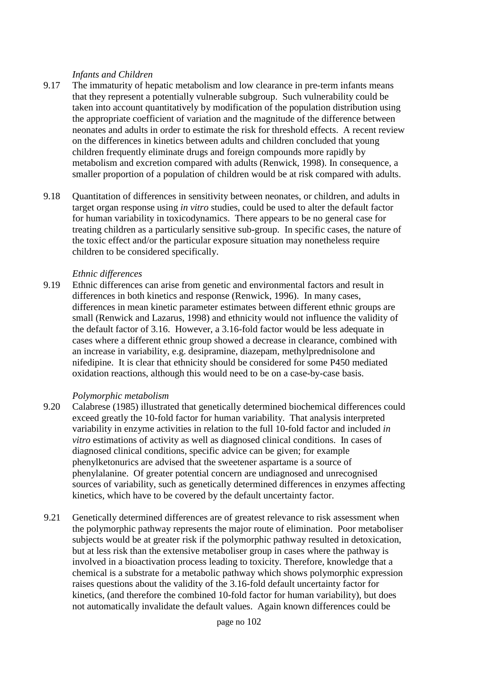#### *Infants and Children*

- 9.17 The immaturity of hepatic metabolism and low clearance in pre-term infants means that they represent a potentially vulnerable subgroup. Such vulnerability could be taken into account quantitatively by modification of the population distribution using the appropriate coefficient of variation and the magnitude of the difference between neonates and adults in order to estimate the risk for threshold effects. A recent review on the differences in kinetics between adults and children concluded that young children frequently eliminate drugs and foreign compounds more rapidly by metabolism and excretion compared with adults (Renwick, 1998). In consequence, a smaller proportion of a population of children would be at risk compared with adults.
- 9.18 Quantitation of differences in sensitivity between neonates, or children, and adults in target organ response using *in vitro* studies, could be used to alter the default factor for human variability in toxicodynamics. There appears to be no general case for treating children as a particularly sensitive sub-group. In specific cases, the nature of the toxic effect and/or the particular exposure situation may nonetheless require children to be considered specifically.

#### *Ethnic differences*

9.19 Ethnic differences can arise from genetic and environmental factors and result in differences in both kinetics and response (Renwick, 1996). In many cases, differences in mean kinetic parameter estimates between different ethnic groups are small (Renwick and Lazarus, 1998) and ethnicity would not influence the validity of the default factor of 3.16. However, a 3.16-fold factor would be less adequate in cases where a different ethnic group showed a decrease in clearance, combined with an increase in variability, e.g. desipramine, diazepam, methylprednisolone and nifedipine. It is clear that ethnicity should be considered for some P450 mediated oxidation reactions, although this would need to be on a case-by-case basis.

#### *Polymorphic metabolism*

- 9.20 Calabrese (1985) illustrated that genetically determined biochemical differences could exceed greatly the 10-fold factor for human variability. That analysis interpreted variability in enzyme activities in relation to the full 10-fold factor and included *in vitro* estimations of activity as well as diagnosed clinical conditions. In cases of diagnosed clinical conditions, specific advice can be given; for example phenylketonurics are advised that the sweetener aspartame is a source of phenylalanine. Of greater potential concern are undiagnosed and unrecognised sources of variability, such as genetically determined differences in enzymes affecting kinetics, which have to be covered by the default uncertainty factor.
- 9.21 Genetically determined differences are of greatest relevance to risk assessment when the polymorphic pathway represents the major route of elimination. Poor metaboliser subjects would be at greater risk if the polymorphic pathway resulted in detoxication, but at less risk than the extensive metaboliser group in cases where the pathway is involved in a bioactivation process leading to toxicity. Therefore, knowledge that a chemical is a substrate for a metabolic pathway which shows polymorphic expression raises questions about the validity of the 3.16-fold default uncertainty factor for kinetics, (and therefore the combined 10-fold factor for human variability), but does not automatically invalidate the default values. Again known differences could be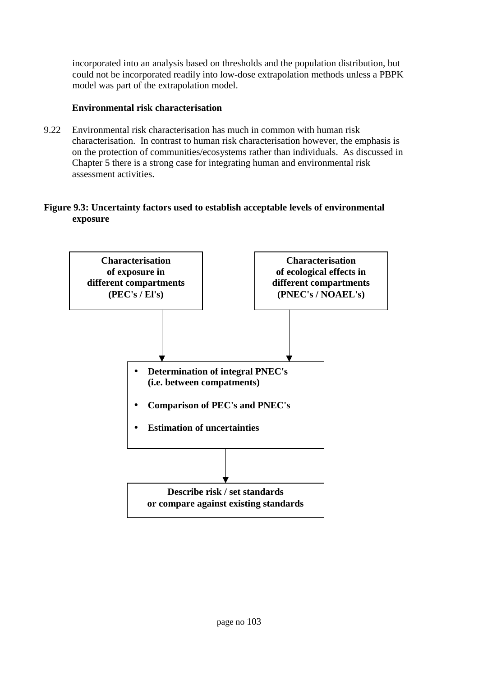incorporated into an analysis based on thresholds and the population distribution, but could not be incorporated readily into low-dose extrapolation methods unless a PBPK model was part of the extrapolation model.

# **Environmental risk characterisation**

9.22 Environmental risk characterisation has much in common with human risk characterisation. In contrast to human risk characterisation however, the emphasis is on the protection of communities/ecosystems rather than individuals. As discussed in Chapter 5 there is a strong case for integrating human and environmental risk assessment activities.

# **Figure 9.3: Uncertainty factors used to establish acceptable levels of environmental exposure**

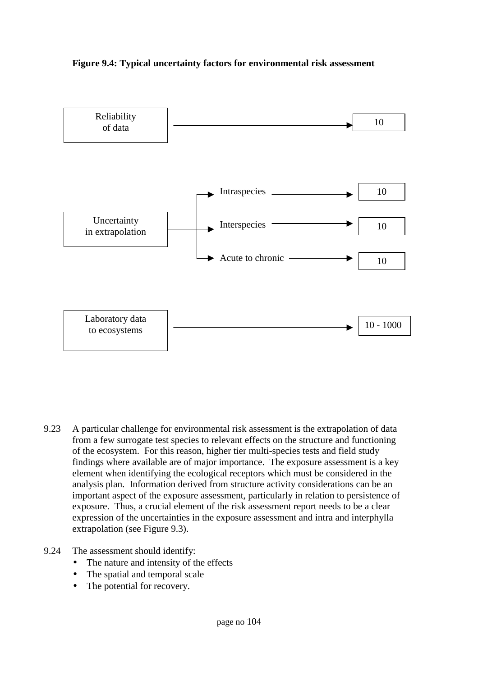



9.23 A particular challenge for environmental risk assessment is the extrapolation of data from a few surrogate test species to relevant effects on the structure and functioning of the ecosystem. For this reason, higher tier multi-species tests and field study findings where available are of major importance. The exposure assessment is a key element when identifying the ecological receptors which must be considered in the analysis plan. Information derived from structure activity considerations can be an important aspect of the exposure assessment, particularly in relation to persistence of exposure. Thus, a crucial element of the risk assessment report needs to be a clear expression of the uncertainties in the exposure assessment and intra and interphylla extrapolation (see Figure 9.3).

#### 9.24 The assessment should identify:

- The nature and intensity of the effects
- The spatial and temporal scale
- The potential for recovery.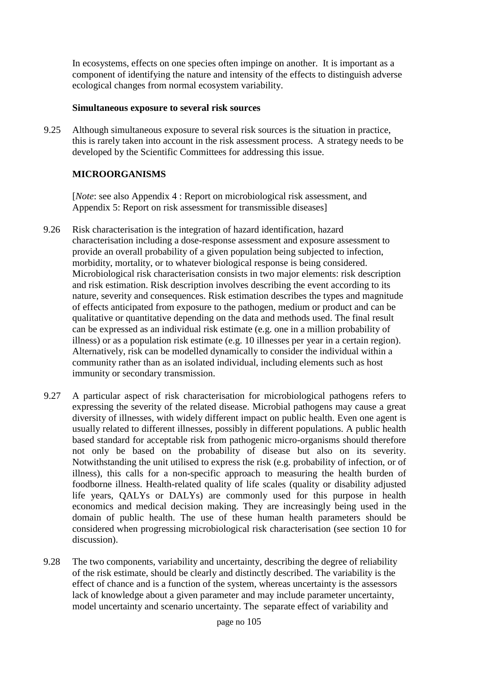In ecosystems, effects on one species often impinge on another. It is important as a component of identifying the nature and intensity of the effects to distinguish adverse ecological changes from normal ecosystem variability.

#### **Simultaneous exposure to several risk sources**

9.25 Although simultaneous exposure to several risk sources is the situation in practice, this is rarely taken into account in the risk assessment process. A strategy needs to be developed by the Scientific Committees for addressing this issue.

# **MICROORGANISMS**

[*Note*: see also Appendix 4 : Report on microbiological risk assessment, and Appendix 5: Report on risk assessment for transmissible diseases]

- 9.26 Risk characterisation is the integration of hazard identification, hazard characterisation including a dose-response assessment and exposure assessment to provide an overall probability of a given population being subjected to infection, morbidity, mortality, or to whatever biological response is being considered. Microbiological risk characterisation consists in two major elements: risk description and risk estimation. Risk description involves describing the event according to its nature, severity and consequences. Risk estimation describes the types and magnitude of effects anticipated from exposure to the pathogen, medium or product and can be qualitative or quantitative depending on the data and methods used. The final result can be expressed as an individual risk estimate (e.g. one in a million probability of illness) or as a population risk estimate (e.g. 10 illnesses per year in a certain region). Alternatively, risk can be modelled dynamically to consider the individual within a community rather than as an isolated individual, including elements such as host immunity or secondary transmission.
- 9.27 A particular aspect of risk characterisation for microbiological pathogens refers to expressing the severity of the related disease. Microbial pathogens may cause a great diversity of illnesses, with widely different impact on public health. Even one agent is usually related to different illnesses, possibly in different populations. A public health based standard for acceptable risk from pathogenic micro-organisms should therefore not only be based on the probability of disease but also on its severity. Notwithstanding the unit utilised to express the risk (e.g. probability of infection, or of illness), this calls for a non-specific approach to measuring the health burden of foodborne illness. Health-related quality of life scales (quality or disability adjusted life years, QALYs or DALYs) are commonly used for this purpose in health economics and medical decision making. They are increasingly being used in the domain of public health. The use of these human health parameters should be considered when progressing microbiological risk characterisation (see section 10 for discussion).
- 9.28 The two components, variability and uncertainty, describing the degree of reliability of the risk estimate, should be clearly and distinctly described. The variability is the effect of chance and is a function of the system, whereas uncertainty is the assessors lack of knowledge about a given parameter and may include parameter uncertainty, model uncertainty and scenario uncertainty. The separate effect of variability and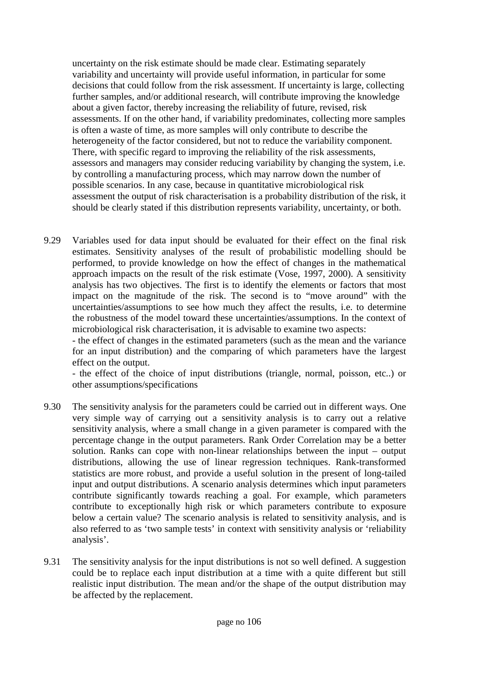uncertainty on the risk estimate should be made clear. Estimating separately variability and uncertainty will provide useful information, in particular for some decisions that could follow from the risk assessment. If uncertainty is large, collecting further samples, and/or additional research, will contribute improving the knowledge about a given factor, thereby increasing the reliability of future, revised, risk assessments. If on the other hand, if variability predominates, collecting more samples is often a waste of time, as more samples will only contribute to describe the heterogeneity of the factor considered, but not to reduce the variability component. There, with specific regard to improving the reliability of the risk assessments, assessors and managers may consider reducing variability by changing the system, i.e. by controlling a manufacturing process, which may narrow down the number of possible scenarios. In any case, because in quantitative microbiological risk assessment the output of risk characterisation is a probability distribution of the risk, it should be clearly stated if this distribution represents variability, uncertainty, or both.

9.29 Variables used for data input should be evaluated for their effect on the final risk estimates. Sensitivity analyses of the result of probabilistic modelling should be performed, to provide knowledge on how the effect of changes in the mathematical approach impacts on the result of the risk estimate (Vose, 1997, 2000). A sensitivity analysis has two objectives. The first is to identify the elements or factors that most impact on the magnitude of the risk. The second is to "move around" with the uncertainties/assumptions to see how much they affect the results, i.e. to determine the robustness of the model toward these uncertainties/assumptions. In the context of microbiological risk characterisation, it is advisable to examine two aspects:

- the effect of changes in the estimated parameters (such as the mean and the variance for an input distribution) and the comparing of which parameters have the largest effect on the output.

- the effect of the choice of input distributions (triangle, normal, poisson, etc..) or other assumptions/specifications

- 9.30 The sensitivity analysis for the parameters could be carried out in different ways. One very simple way of carrying out a sensitivity analysis is to carry out a relative sensitivity analysis, where a small change in a given parameter is compared with the percentage change in the output parameters. Rank Order Correlation may be a better solution. Ranks can cope with non-linear relationships between the input – output distributions, allowing the use of linear regression techniques. Rank-transformed statistics are more robust, and provide a useful solution in the present of long-tailed input and output distributions. A scenario analysis determines which input parameters contribute significantly towards reaching a goal. For example, which parameters contribute to exceptionally high risk or which parameters contribute to exposure below a certain value? The scenario analysis is related to sensitivity analysis, and is also referred to as 'two sample tests' in context with sensitivity analysis or 'reliability analysis'.
- 9.31 The sensitivity analysis for the input distributions is not so well defined. A suggestion could be to replace each input distribution at a time with a quite different but still realistic input distribution. The mean and/or the shape of the output distribution may be affected by the replacement.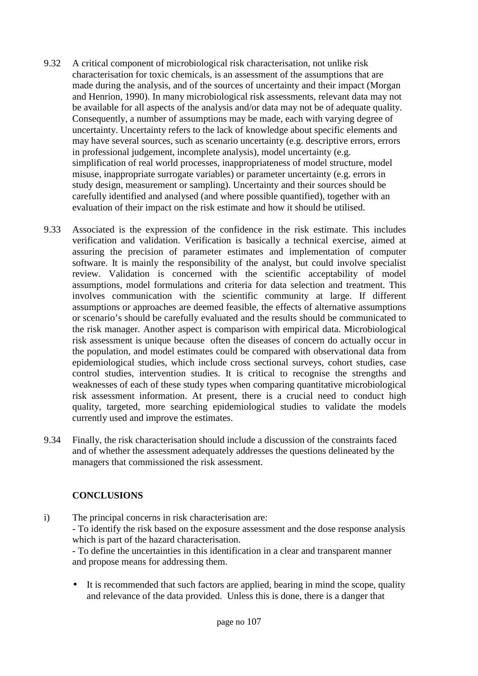- 9.32 A critical component of microbiological risk characterisation, not unlike risk characterisation for toxic chemicals, is an assessment of the assumptions that are made during the analysis, and of the sources of uncertainty and their impact (Morgan and Henrion, 1990). In many microbiological risk assessments, relevant data may not be available for all aspects of the analysis and/or data may not be of adequate quality. Consequently, a number of assumptions may be made, each with varying degree of uncertainty. Uncertainty refers to the lack of knowledge about specific elements and may have several sources, such as scenario uncertainty (e.g. descriptive errors, errors in professional judgement, incomplete analysis), model uncertainty (e.g. simplification of real world processes, inappropriateness of model structure, model misuse, inappropriate surrogate variables) or parameter uncertainty (e.g. errors in study design, measurement or sampling). Uncertainty and their sources should be carefully identified and analysed (and where possible quantified), together with an evaluation of their impact on the risk estimate and how it should be utilised.
- 9.33 Associated is the expression of the confidence in the risk estimate. This includes verification and validation. Verification is basically a technical exercise, aimed at assuring the precision of parameter estimates and implementation of computer software. It is mainly the responsibility of the analyst, but could involve specialist review. Validation is concerned with the scientific acceptability of model assumptions, model formulations and criteria for data selection and treatment. This involves communication with the scientific community at large. If different assumptions or approaches are deemed feasible, the effects of alternative assumptions or scenario's should be carefully evaluated and the results should be communicated to the risk manager. Another aspect is comparison with empirical data. Microbiological risk assessment is unique because often the diseases of concern do actually occur in the population, and model estimates could be compared with observational data from epidemiological studies, which include cross sectional surveys, cohort studies, case control studies, intervention studies. It is critical to recognise the strengths and weaknesses of each of these study types when comparing quantitative microbiological risk assessment information. At present, there is a crucial need to conduct high quality, targeted, more searching epidemiological studies to validate the models currently used and improve the estimates.
- 9.34 Finally, the risk characterisation should include a discussion of the constraints faced and of whether the assessment adequately addresses the questions delineated by the managers that commissioned the risk assessment.

# **CONCLUSIONS**

i) The principal concerns in risk characterisation are: - To identify the risk based on the exposure assessment and the dose response analysis which is part of the hazard characterisation. - To define the uncertainties in this identification in a clear and transparent manner

and propose means for addressing them.

• It is recommended that such factors are applied, bearing in mind the scope, quality and relevance of the data provided. Unless this is done, there is a danger that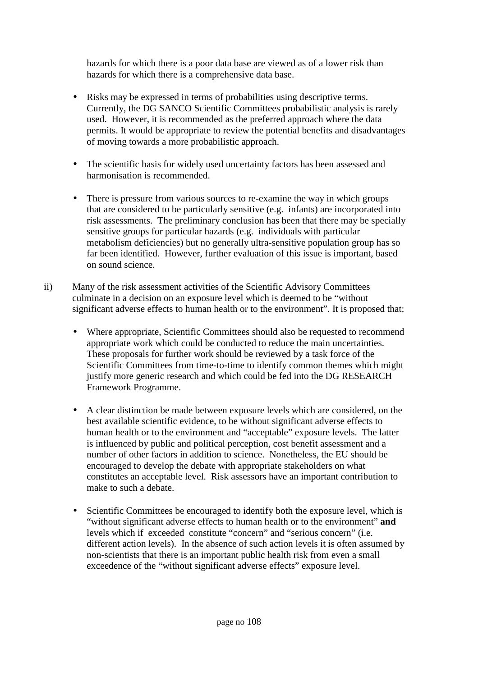hazards for which there is a poor data base are viewed as of a lower risk than hazards for which there is a comprehensive data base.

- Risks may be expressed in terms of probabilities using descriptive terms. Currently, the DG SANCO Scientific Committees probabilistic analysis is rarely used. However, it is recommended as the preferred approach where the data permits. It would be appropriate to review the potential benefits and disadvantages of moving towards a more probabilistic approach.
- The scientific basis for widely used uncertainty factors has been assessed and harmonisation is recommended.
- There is pressure from various sources to re-examine the way in which groups that are considered to be particularly sensitive (e.g. infants) are incorporated into risk assessments. The preliminary conclusion has been that there may be specially sensitive groups for particular hazards (e.g. individuals with particular metabolism deficiencies) but no generally ultra-sensitive population group has so far been identified. However, further evaluation of this issue is important, based on sound science.
- ii) Many of the risk assessment activities of the Scientific Advisory Committees culminate in a decision on an exposure level which is deemed to be "without significant adverse effects to human health or to the environment". It is proposed that:
	- Where appropriate, Scientific Committees should also be requested to recommend appropriate work which could be conducted to reduce the main uncertainties. These proposals for further work should be reviewed by a task force of the Scientific Committees from time-to-time to identify common themes which might justify more generic research and which could be fed into the DG RESEARCH Framework Programme.
	- A clear distinction be made between exposure levels which are considered, on the best available scientific evidence, to be without significant adverse effects to human health or to the environment and "acceptable" exposure levels. The latter is influenced by public and political perception, cost benefit assessment and a number of other factors in addition to science. Nonetheless, the EU should be encouraged to develop the debate with appropriate stakeholders on what constitutes an acceptable level. Risk assessors have an important contribution to make to such a debate.
	- Scientific Committees be encouraged to identify both the exposure level, which is "without significant adverse effects to human health or to the environment" **and** levels which if exceeded constitute "concern" and "serious concern" (i.e. different action levels). In the absence of such action levels it is often assumed by non-scientists that there is an important public health risk from even a small exceedence of the "without significant adverse effects" exposure level.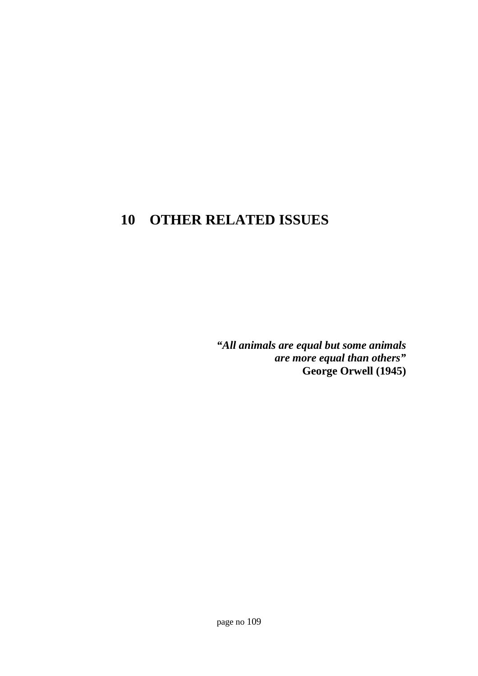# **10 OTHER RELATED ISSUES**

*"All animals are equal but some animals are more equal than others"* **George Orwell (1945)**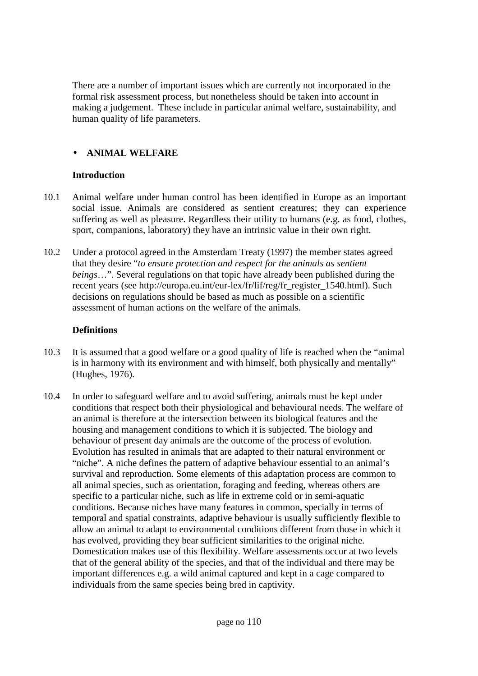There are a number of important issues which are currently not incorporated in the formal risk assessment process, but nonetheless should be taken into account in making a judgement. These include in particular animal welfare, sustainability, and human quality of life parameters.

# • **ANIMAL WELFARE**

#### **Introduction**

- 10.1 Animal welfare under human control has been identified in Europe as an important social issue. Animals are considered as sentient creatures; they can experience suffering as well as pleasure. Regardless their utility to humans (e.g. as food, clothes, sport, companions, laboratory) they have an intrinsic value in their own right.
- 10.2 Under a protocol agreed in the Amsterdam Treaty (1997) the member states agreed that they desire "*to ensure protection and respect for the animals as sentient beings*…". Several regulations on that topic have already been published during the recent years (see http://europa.eu.int/eur-lex/fr/lif/reg/fr\_register\_1540.html). Such decisions on regulations should be based as much as possible on a scientific assessment of human actions on the welfare of the animals.

# **Definitions**

- 10.3 It is assumed that a good welfare or a good quality of life is reached when the "animal is in harmony with its environment and with himself, both physically and mentally" (Hughes, 1976).
- 10.4 In order to safeguard welfare and to avoid suffering, animals must be kept under conditions that respect both their physiological and behavioural needs. The welfare of an animal is therefore at the intersection between its biological features and the housing and management conditions to which it is subjected. The biology and behaviour of present day animals are the outcome of the process of evolution. Evolution has resulted in animals that are adapted to their natural environment or "niche". A niche defines the pattern of adaptive behaviour essential to an animal's survival and reproduction. Some elements of this adaptation process are common to all animal species, such as orientation, foraging and feeding, whereas others are specific to a particular niche, such as life in extreme cold or in semi-aquatic conditions. Because niches have many features in common, specially in terms of temporal and spatial constraints, adaptive behaviour is usually sufficiently flexible to allow an animal to adapt to environmental conditions different from those in which it has evolved, providing they bear sufficient similarities to the original niche. Domestication makes use of this flexibility. Welfare assessments occur at two levels that of the general ability of the species, and that of the individual and there may be important differences e.g. a wild animal captured and kept in a cage compared to individuals from the same species being bred in captivity.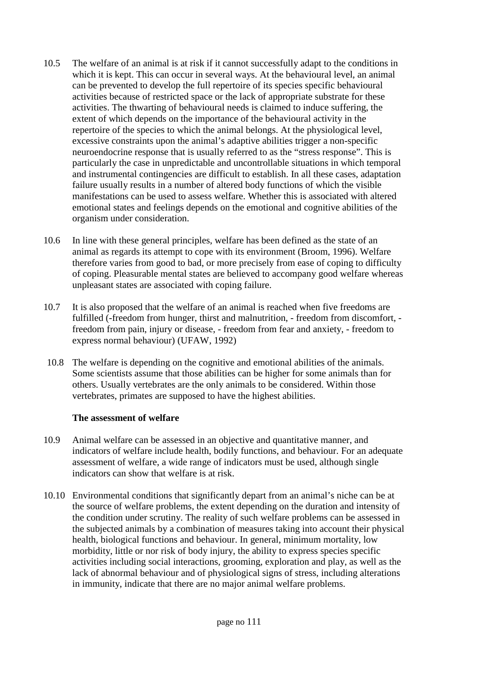- 10.5 The welfare of an animal is at risk if it cannot successfully adapt to the conditions in which it is kept. This can occur in several ways. At the behavioural level, an animal can be prevented to develop the full repertoire of its species specific behavioural activities because of restricted space or the lack of appropriate substrate for these activities. The thwarting of behavioural needs is claimed to induce suffering, the extent of which depends on the importance of the behavioural activity in the repertoire of the species to which the animal belongs. At the physiological level, excessive constraints upon the animal's adaptive abilities trigger a non-specific neuroendocrine response that is usually referred to as the "stress response". This is particularly the case in unpredictable and uncontrollable situations in which temporal and instrumental contingencies are difficult to establish. In all these cases, adaptation failure usually results in a number of altered body functions of which the visible manifestations can be used to assess welfare. Whether this is associated with altered emotional states and feelings depends on the emotional and cognitive abilities of the organism under consideration.
- 10.6 In line with these general principles, welfare has been defined as the state of an animal as regards its attempt to cope with its environment (Broom, 1996). Welfare therefore varies from good to bad, or more precisely from ease of coping to difficulty of coping. Pleasurable mental states are believed to accompany good welfare whereas unpleasant states are associated with coping failure.
- 10.7 It is also proposed that the welfare of an animal is reached when five freedoms are fulfilled (-freedom from hunger, thirst and malnutrition, - freedom from discomfort, freedom from pain, injury or disease, - freedom from fear and anxiety, - freedom to express normal behaviour) (UFAW, 1992)
- 10.8 The welfare is depending on the cognitive and emotional abilities of the animals. Some scientists assume that those abilities can be higher for some animals than for others. Usually vertebrates are the only animals to be considered. Within those vertebrates, primates are supposed to have the highest abilities.

#### **The assessment of welfare**

- 10.9 Animal welfare can be assessed in an objective and quantitative manner, and indicators of welfare include health, bodily functions, and behaviour. For an adequate assessment of welfare, a wide range of indicators must be used, although single indicators can show that welfare is at risk.
- 10.10 Environmental conditions that significantly depart from an animal's niche can be at the source of welfare problems, the extent depending on the duration and intensity of the condition under scrutiny. The reality of such welfare problems can be assessed in the subjected animals by a combination of measures taking into account their physical health, biological functions and behaviour. In general, minimum mortality, low morbidity, little or nor risk of body injury, the ability to express species specific activities including social interactions, grooming, exploration and play, as well as the lack of abnormal behaviour and of physiological signs of stress, including alterations in immunity, indicate that there are no major animal welfare problems.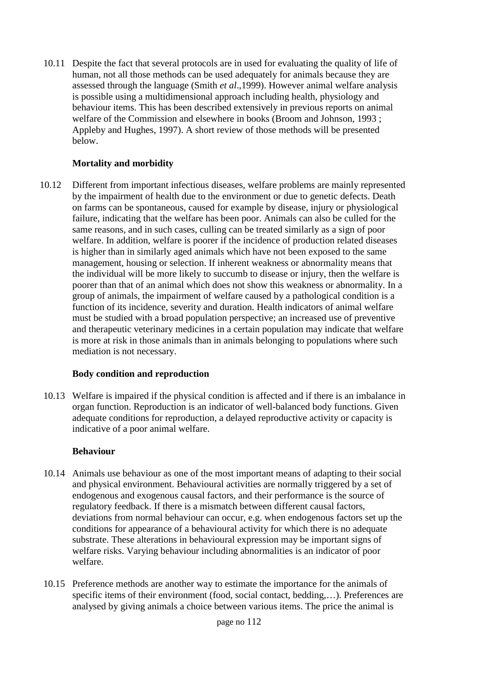10.11 Despite the fact that several protocols are in used for evaluating the quality of life of human, not all those methods can be used adequately for animals because they are assessed through the language (Smith *et al*.,1999). However animal welfare analysis is possible using a multidimensional approach including health, physiology and behaviour items. This has been described extensively in previous reports on animal welfare of the Commission and elsewhere in books (Broom and Johnson, 1993 ; Appleby and Hughes, 1997). A short review of those methods will be presented below.

# **Mortality and morbidity**

10.12 Different from important infectious diseases, welfare problems are mainly represented by the impairment of health due to the environment or due to genetic defects. Death on farms can be spontaneous, caused for example by disease, injury or physiological failure, indicating that the welfare has been poor. Animals can also be culled for the same reasons, and in such cases, culling can be treated similarly as a sign of poor welfare. In addition, welfare is poorer if the incidence of production related diseases is higher than in similarly aged animals which have not been exposed to the same management, housing or selection. If inherent weakness or abnormality means that the individual will be more likely to succumb to disease or injury, then the welfare is poorer than that of an animal which does not show this weakness or abnormality. In a group of animals, the impairment of welfare caused by a pathological condition is a function of its incidence, severity and duration. Health indicators of animal welfare must be studied with a broad population perspective; an increased use of preventive and therapeutic veterinary medicines in a certain population may indicate that welfare is more at risk in those animals than in animals belonging to populations where such mediation is not necessary.

# **Body condition and reproduction**

10.13 Welfare is impaired if the physical condition is affected and if there is an imbalance in organ function. Reproduction is an indicator of well-balanced body functions. Given adequate conditions for reproduction, a delayed reproductive activity or capacity is indicative of a poor animal welfare.

#### **Behaviour**

- 10.14 Animals use behaviour as one of the most important means of adapting to their social and physical environment. Behavioural activities are normally triggered by a set of endogenous and exogenous causal factors, and their performance is the source of regulatory feedback. If there is a mismatch between different causal factors, deviations from normal behaviour can occur, e.g. when endogenous factors set up the conditions for appearance of a behavioural activity for which there is no adequate substrate. These alterations in behavioural expression may be important signs of welfare risks. Varying behaviour including abnormalities is an indicator of poor welfare.
- 10.15 Preference methods are another way to estimate the importance for the animals of specific items of their environment (food, social contact, bedding,…). Preferences are analysed by giving animals a choice between various items. The price the animal is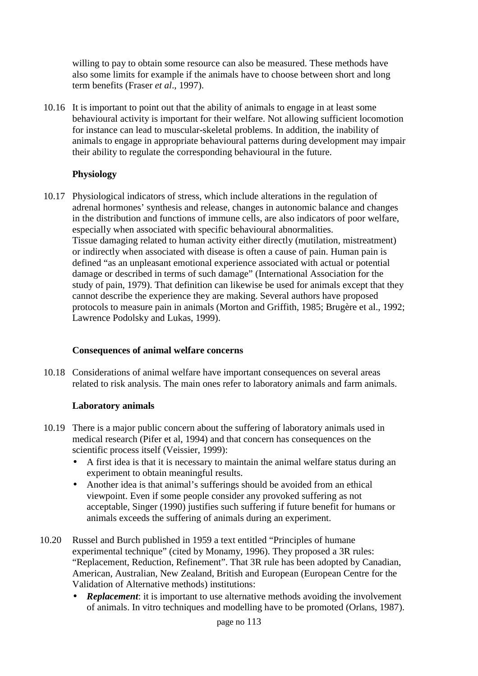willing to pay to obtain some resource can also be measured. These methods have also some limits for example if the animals have to choose between short and long term benefits (Fraser *et al*., 1997).

10.16 It is important to point out that the ability of animals to engage in at least some behavioural activity is important for their welfare. Not allowing sufficient locomotion for instance can lead to muscular-skeletal problems. In addition, the inability of animals to engage in appropriate behavioural patterns during development may impair their ability to regulate the corresponding behavioural in the future.

# **Physiology**

10.17 Physiological indicators of stress, which include alterations in the regulation of adrenal hormones' synthesis and release, changes in autonomic balance and changes in the distribution and functions of immune cells, are also indicators of poor welfare, especially when associated with specific behavioural abnormalities. Tissue damaging related to human activity either directly (mutilation, mistreatment) or indirectly when associated with disease is often a cause of pain. Human pain is defined "as an unpleasant emotional experience associated with actual or potential damage or described in terms of such damage" (International Association for the study of pain, 1979). That definition can likewise be used for animals except that they cannot describe the experience they are making. Several authors have proposed protocols to measure pain in animals (Morton and Griffith, 1985; Brugère et al., 1992; Lawrence Podolsky and Lukas, 1999).

#### **Consequences of animal welfare concerns**

10.18 Considerations of animal welfare have important consequences on several areas related to risk analysis. The main ones refer to laboratory animals and farm animals.

#### **Laboratory animals**

- 10.19 There is a major public concern about the suffering of laboratory animals used in medical research (Pifer et al, 1994) and that concern has consequences on the scientific process itself (Veissier, 1999):
	- A first idea is that it is necessary to maintain the animal welfare status during an experiment to obtain meaningful results.
	- Another idea is that animal's sufferings should be avoided from an ethical viewpoint. Even if some people consider any provoked suffering as not acceptable, Singer (1990) justifies such suffering if future benefit for humans or animals exceeds the suffering of animals during an experiment.
- 10.20 Russel and Burch published in 1959 a text entitled "Principles of humane experimental technique" (cited by Monamy, 1996). They proposed a 3R rules: "Replacement, Reduction, Refinement". That 3R rule has been adopted by Canadian, American, Australian, New Zealand, British and European (European Centre for the Validation of Alternative methods) institutions:
	- **Replacement:** it is important to use alternative methods avoiding the involvement of animals. In vitro techniques and modelling have to be promoted (Orlans, 1987).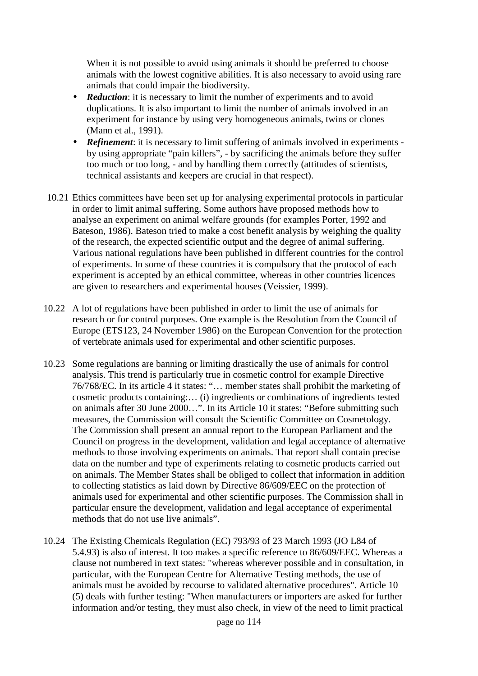When it is not possible to avoid using animals it should be preferred to choose animals with the lowest cognitive abilities. It is also necessary to avoid using rare animals that could impair the biodiversity.

- *Reduction*: it is necessary to limit the number of experiments and to avoid duplications. It is also important to limit the number of animals involved in an experiment for instance by using very homogeneous animals, twins or clones (Mann et al., 1991).
- *Refinement*: it is necessary to limit suffering of animals involved in experiments by using appropriate "pain killers", - by sacrificing the animals before they suffer too much or too long, - and by handling them correctly (attitudes of scientists, technical assistants and keepers are crucial in that respect).
- 10.21 Ethics committees have been set up for analysing experimental protocols in particular in order to limit animal suffering. Some authors have proposed methods how to analyse an experiment on animal welfare grounds (for examples Porter, 1992 and Bateson, 1986). Bateson tried to make a cost benefit analysis by weighing the quality of the research, the expected scientific output and the degree of animal suffering. Various national regulations have been published in different countries for the control of experiments. In some of these countries it is compulsory that the protocol of each experiment is accepted by an ethical committee, whereas in other countries licences are given to researchers and experimental houses (Veissier, 1999).
- 10.22 A lot of regulations have been published in order to limit the use of animals for research or for control purposes. One example is the Resolution from the Council of Europe (ETS123, 24 November 1986) on the European Convention for the protection of vertebrate animals used for experimental and other scientific purposes.
- 10.23 Some regulations are banning or limiting drastically the use of animals for control analysis. This trend is particularly true in cosmetic control for example Directive 76/768/EC. In its article 4 it states: "… member states shall prohibit the marketing of cosmetic products containing:… (i) ingredients or combinations of ingredients tested on animals after 30 June 2000…". In its Article 10 it states: "Before submitting such measures, the Commission will consult the Scientific Committee on Cosmetology. The Commission shall present an annual report to the European Parliament and the Council on progress in the development, validation and legal acceptance of alternative methods to those involving experiments on animals. That report shall contain precise data on the number and type of experiments relating to cosmetic products carried out on animals. The Member States shall be obliged to collect that information in addition to collecting statistics as laid down by Directive 86/609/EEC on the protection of animals used for experimental and other scientific purposes. The Commission shall in particular ensure the development, validation and legal acceptance of experimental methods that do not use live animals".
- 10.24 The Existing Chemicals Regulation (EC) 793/93 of 23 March 1993 (JO L84 of 5.4.93) is also of interest. It too makes a specific reference to 86/609/EEC. Whereas a clause not numbered in text states: "whereas wherever possible and in consultation, in particular, with the European Centre for Alternative Testing methods, the use of animals must be avoided by recourse to validated alternative procedures". Article 10 (5) deals with further testing: "When manufacturers or importers are asked for further information and/or testing, they must also check, in view of the need to limit practical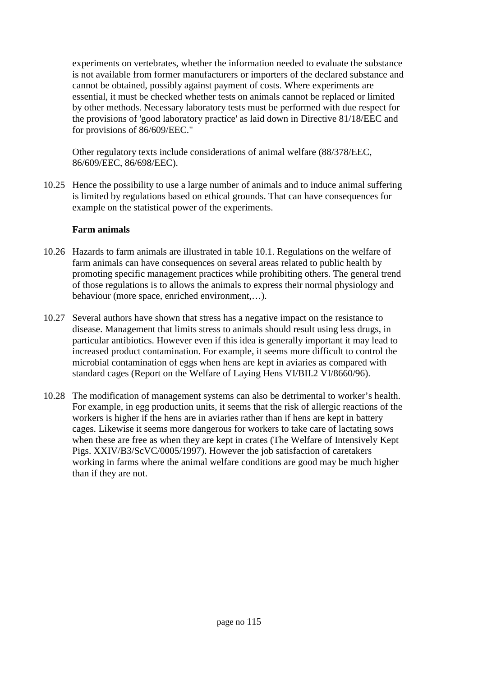experiments on vertebrates, whether the information needed to evaluate the substance is not available from former manufacturers or importers of the declared substance and cannot be obtained, possibly against payment of costs. Where experiments are essential, it must be checked whether tests on animals cannot be replaced or limited by other methods. Necessary laboratory tests must be performed with due respect for the provisions of 'good laboratory practice' as laid down in Directive 81/18/EEC and for provisions of 86/609/EEC."

Other regulatory texts include considerations of animal welfare (88/378/EEC, 86/609/EEC, 86/698/EEC).

10.25 Hence the possibility to use a large number of animals and to induce animal suffering is limited by regulations based on ethical grounds. That can have consequences for example on the statistical power of the experiments.

#### **Farm animals**

- 10.26 Hazards to farm animals are illustrated in table 10.1. Regulations on the welfare of farm animals can have consequences on several areas related to public health by promoting specific management practices while prohibiting others. The general trend of those regulations is to allows the animals to express their normal physiology and behaviour (more space, enriched environment,…).
- 10.27 Several authors have shown that stress has a negative impact on the resistance to disease. Management that limits stress to animals should result using less drugs, in particular antibiotics. However even if this idea is generally important it may lead to increased product contamination. For example, it seems more difficult to control the microbial contamination of eggs when hens are kept in aviaries as compared with standard cages (Report on the Welfare of Laying Hens VI/BII.2 VI/8660/96).
- 10.28 The modification of management systems can also be detrimental to worker's health. For example, in egg production units, it seems that the risk of allergic reactions of the workers is higher if the hens are in aviaries rather than if hens are kept in battery cages. Likewise it seems more dangerous for workers to take care of lactating sows when these are free as when they are kept in crates (The Welfare of Intensively Kept Pigs. XXIV/B3/ScVC/0005/1997). However the job satisfaction of caretakers working in farms where the animal welfare conditions are good may be much higher than if they are not.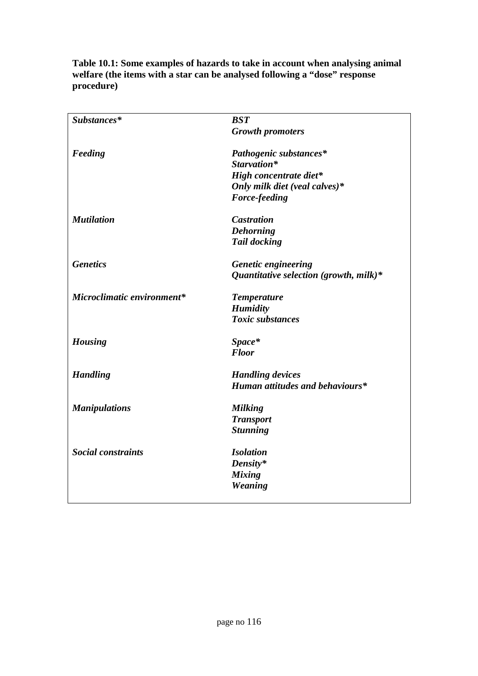| Substances*                | <b>BST</b>                                |
|----------------------------|-------------------------------------------|
|                            | <b>Growth promoters</b>                   |
| Feeding                    | Pathogenic substances*                    |
|                            | Starvation*                               |
|                            | High concentrate diet*                    |
|                            | Only milk diet (veal calves)*             |
|                            | Force-feeding                             |
| <b>Mutilation</b>          | <b>Castration</b>                         |
|                            | <b>Dehorning</b>                          |
|                            | <b>Tail docking</b>                       |
| <b>Genetics</b>            | <b>Genetic engineering</b>                |
|                            | Quantitative selection (growth, milk) $*$ |
| Microclimatic environment* | <b>Temperature</b>                        |
|                            | <b>Humidity</b>                           |
|                            | <b>Toxic substances</b>                   |
| <b>Housing</b>             | Space*                                    |
|                            | <b>Floor</b>                              |
| <b>Handling</b>            | <b>Handling devices</b>                   |
|                            | Human attitudes and behaviours*           |
| <b>Manipulations</b>       | <b>Milking</b>                            |
|                            | <b>Transport</b>                          |
|                            | <b>Stunning</b>                           |
| <b>Social constraints</b>  | <b>Isolation</b>                          |
|                            | Density*                                  |
|                            | <b>Mixing</b>                             |
|                            | Weaning                                   |
|                            |                                           |

**Table 10.1: Some examples of hazards to take in account when analysing animal welfare (the items with a star can be analysed following a "dose" response procedure)**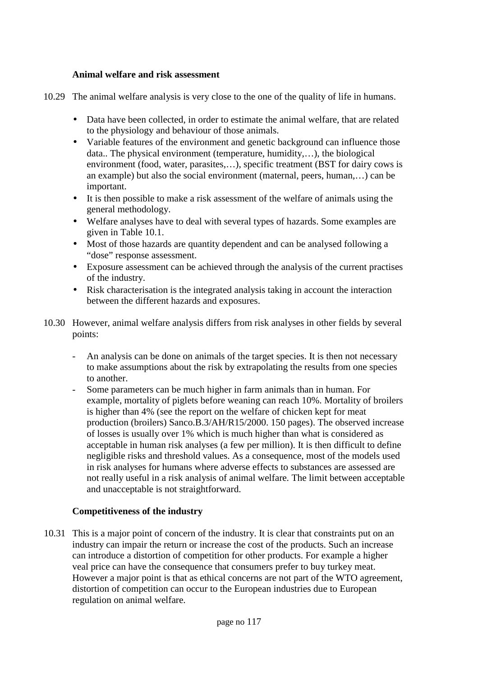#### **Animal welfare and risk assessment**

- 10.29 The animal welfare analysis is very close to the one of the quality of life in humans.
	- Data have been collected, in order to estimate the animal welfare, that are related to the physiology and behaviour of those animals.
	- Variable features of the environment and genetic background can influence those data.. The physical environment (temperature, humidity,…), the biological environment (food, water, parasites,…), specific treatment (BST for dairy cows is an example) but also the social environment (maternal, peers, human,…) can be important.
	- It is then possible to make a risk assessment of the welfare of animals using the general methodology.
	- Welfare analyses have to deal with several types of hazards. Some examples are given in Table 10.1.
	- Most of those hazards are quantity dependent and can be analysed following a "dose" response assessment.
	- Exposure assessment can be achieved through the analysis of the current practises of the industry.
	- Risk characterisation is the integrated analysis taking in account the interaction between the different hazards and exposures.
- 10.30 However, animal welfare analysis differs from risk analyses in other fields by several points:
	- An analysis can be done on animals of the target species. It is then not necessary to make assumptions about the risk by extrapolating the results from one species to another.
	- Some parameters can be much higher in farm animals than in human. For example, mortality of piglets before weaning can reach 10%. Mortality of broilers is higher than 4% (see the report on the welfare of chicken kept for meat production (broilers) Sanco.B.3/AH/R15/2000. 150 pages). The observed increase of losses is usually over 1% which is much higher than what is considered as acceptable in human risk analyses (a few per million). It is then difficult to define negligible risks and threshold values. As a consequence, most of the models used in risk analyses for humans where adverse effects to substances are assessed are not really useful in a risk analysis of animal welfare. The limit between acceptable and unacceptable is not straightforward.

#### **Competitiveness of the industry**

10.31 This is a major point of concern of the industry. It is clear that constraints put on an industry can impair the return or increase the cost of the products. Such an increase can introduce a distortion of competition for other products. For example a higher veal price can have the consequence that consumers prefer to buy turkey meat. However a major point is that as ethical concerns are not part of the WTO agreement, distortion of competition can occur to the European industries due to European regulation on animal welfare.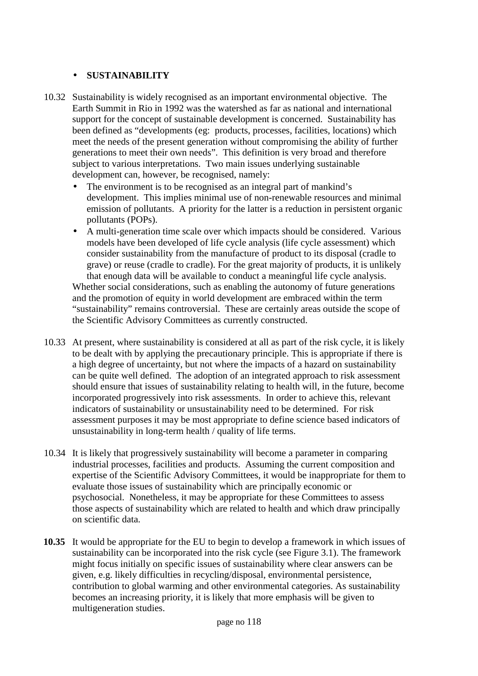# • **SUSTAINABILITY**

- 10.32 Sustainability is widely recognised as an important environmental objective. The Earth Summit in Rio in 1992 was the watershed as far as national and international support for the concept of sustainable development is concerned. Sustainability has been defined as "developments (eg: products, processes, facilities, locations) which meet the needs of the present generation without compromising the ability of further generations to meet their own needs". This definition is very broad and therefore subject to various interpretations. Two main issues underlying sustainable development can, however, be recognised, namely:
	- The environment is to be recognised as an integral part of mankind's development. This implies minimal use of non-renewable resources and minimal emission of pollutants. A priority for the latter is a reduction in persistent organic pollutants (POPs).
	- A multi-generation time scale over which impacts should be considered. Various models have been developed of life cycle analysis (life cycle assessment) which consider sustainability from the manufacture of product to its disposal (cradle to grave) or reuse (cradle to cradle). For the great majority of products, it is unlikely that enough data will be available to conduct a meaningful life cycle analysis.

Whether social considerations, such as enabling the autonomy of future generations and the promotion of equity in world development are embraced within the term "sustainability" remains controversial. These are certainly areas outside the scope of the Scientific Advisory Committees as currently constructed.

- 10.33 At present, where sustainability is considered at all as part of the risk cycle, it is likely to be dealt with by applying the precautionary principle. This is appropriate if there is a high degree of uncertainty, but not where the impacts of a hazard on sustainability can be quite well defined. The adoption of an integrated approach to risk assessment should ensure that issues of sustainability relating to health will, in the future, become incorporated progressively into risk assessments. In order to achieve this, relevant indicators of sustainability or unsustainability need to be determined. For risk assessment purposes it may be most appropriate to define science based indicators of unsustainability in long-term health / quality of life terms.
- 10.34 It is likely that progressively sustainability will become a parameter in comparing industrial processes, facilities and products. Assuming the current composition and expertise of the Scientific Advisory Committees, it would be inappropriate for them to evaluate those issues of sustainability which are principally economic or psychosocial. Nonetheless, it may be appropriate for these Committees to assess those aspects of sustainability which are related to health and which draw principally on scientific data.
- **10.35** It would be appropriate for the EU to begin to develop a framework in which issues of sustainability can be incorporated into the risk cycle (see Figure 3.1). The framework might focus initially on specific issues of sustainability where clear answers can be given, e.g. likely difficulties in recycling/disposal, environmental persistence, contribution to global warming and other environmental categories. As sustainability becomes an increasing priority, it is likely that more emphasis will be given to multigeneration studies.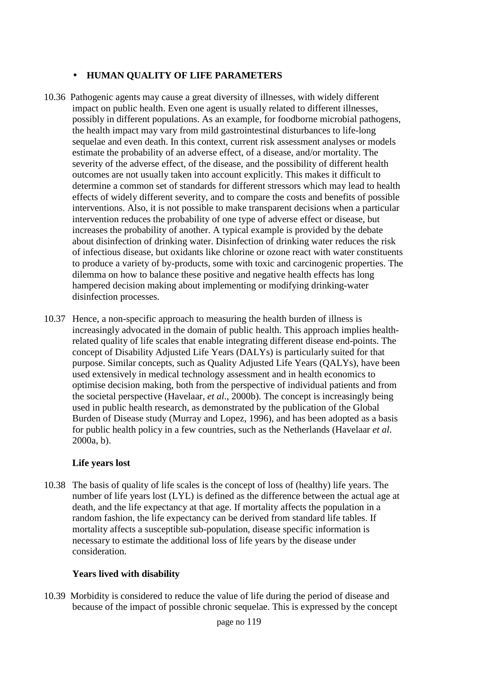# • **HUMAN QUALITY OF LIFE PARAMETERS**

- 10.36 Pathogenic agents may cause a great diversity of illnesses, with widely different impact on public health. Even one agent is usually related to different illnesses, possibly in different populations. As an example, for foodborne microbial pathogens, the health impact may vary from mild gastrointestinal disturbances to life-long sequelae and even death. In this context, current risk assessment analyses or models estimate the probability of an adverse effect, of a disease, and/or mortality. The severity of the adverse effect, of the disease, and the possibility of different health outcomes are not usually taken into account explicitly. This makes it difficult to determine a common set of standards for different stressors which may lead to health effects of widely different severity, and to compare the costs and benefits of possible interventions. Also, it is not possible to make transparent decisions when a particular intervention reduces the probability of one type of adverse effect or disease, but increases the probability of another. A typical example is provided by the debate about disinfection of drinking water. Disinfection of drinking water reduces the risk of infectious disease, but oxidants like chlorine or ozone react with water constituents to produce a variety of by-products, some with toxic and carcinogenic properties. The dilemma on how to balance these positive and negative health effects has long hampered decision making about implementing or modifying drinking-water disinfection processes.
- 10.37 Hence, a non-specific approach to measuring the health burden of illness is increasingly advocated in the domain of public health. This approach implies healthrelated quality of life scales that enable integrating different disease end-points. The concept of Disability Adjusted Life Years (DALYs) is particularly suited for that purpose. Similar concepts, such as Quality Adjusted Life Years (QALYs), have been used extensively in medical technology assessment and in health economics to optimise decision making, both from the perspective of individual patients and from the societal perspective (Havelaar, *et al*., 2000b). The concept is increasingly being used in public health research, as demonstrated by the publication of the Global Burden of Disease study (Murray and Lopez, 1996), and has been adopted as a basis for public health policy in a few countries, such as the Netherlands (Havelaar *et al*. 2000a, b).

#### **Life years lost**

10.38 The basis of quality of life scales is the concept of loss of (healthy) life years. The number of life years lost (LYL) is defined as the difference between the actual age at death, and the life expectancy at that age. If mortality affects the population in a random fashion, the life expectancy can be derived from standard life tables. If mortality affects a susceptible sub-population, disease specific information is necessary to estimate the additional loss of life years by the disease under consideration.

#### **Years lived with disability**

10.39 Morbidity is considered to reduce the value of life during the period of disease and because of the impact of possible chronic sequelae. This is expressed by the concept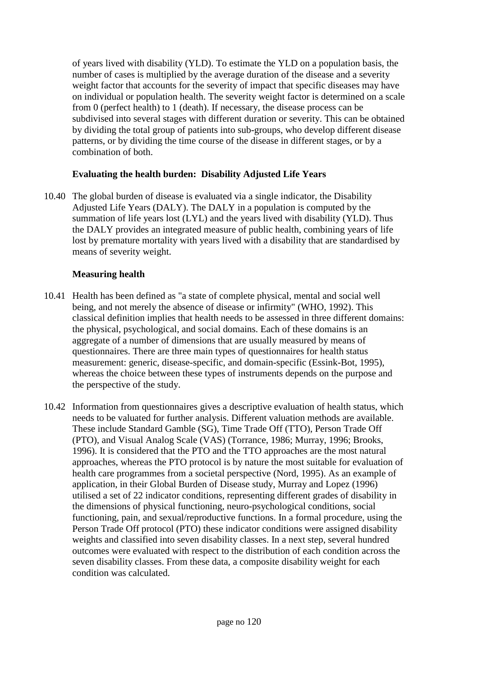of years lived with disability (YLD). To estimate the YLD on a population basis, the number of cases is multiplied by the average duration of the disease and a severity weight factor that accounts for the severity of impact that specific diseases may have on individual or population health. The severity weight factor is determined on a scale from 0 (perfect health) to 1 (death). If necessary, the disease process can be subdivised into several stages with different duration or severity. This can be obtained by dividing the total group of patients into sub-groups, who develop different disease patterns, or by dividing the time course of the disease in different stages, or by a combination of both.

# **Evaluating the health burden: Disability Adjusted Life Years**

10.40 The global burden of disease is evaluated via a single indicator, the Disability Adjusted Life Years (DALY). The DALY in a population is computed by the summation of life years lost (LYL) and the years lived with disability (YLD). Thus the DALY provides an integrated measure of public health, combining years of life lost by premature mortality with years lived with a disability that are standardised by means of severity weight.

# **Measuring health**

- 10.41 Health has been defined as "a state of complete physical, mental and social well being, and not merely the absence of disease or infirmity" (WHO, 1992). This classical definition implies that health needs to be assessed in three different domains: the physical, psychological, and social domains. Each of these domains is an aggregate of a number of dimensions that are usually measured by means of questionnaires. There are three main types of questionnaires for health status measurement: generic, disease-specific, and domain-specific (Essink-Bot, 1995), whereas the choice between these types of instruments depends on the purpose and the perspective of the study.
- 10.42 Information from questionnaires gives a descriptive evaluation of health status, which needs to be valuated for further analysis. Different valuation methods are available. These include Standard Gamble (SG), Time Trade Off (TTO), Person Trade Off (PTO), and Visual Analog Scale (VAS) (Torrance, 1986; Murray, 1996; Brooks, 1996). It is considered that the PTO and the TTO approaches are the most natural approaches, whereas the PTO protocol is by nature the most suitable for evaluation of health care programmes from a societal perspective (Nord, 1995). As an example of application, in their Global Burden of Disease study, Murray and Lopez (1996) utilised a set of 22 indicator conditions, representing different grades of disability in the dimensions of physical functioning, neuro-psychological conditions, social functioning, pain, and sexual/reproductive functions. In a formal procedure, using the Person Trade Off protocol (PTO) these indicator conditions were assigned disability weights and classified into seven disability classes. In a next step, several hundred outcomes were evaluated with respect to the distribution of each condition across the seven disability classes. From these data, a composite disability weight for each condition was calculated.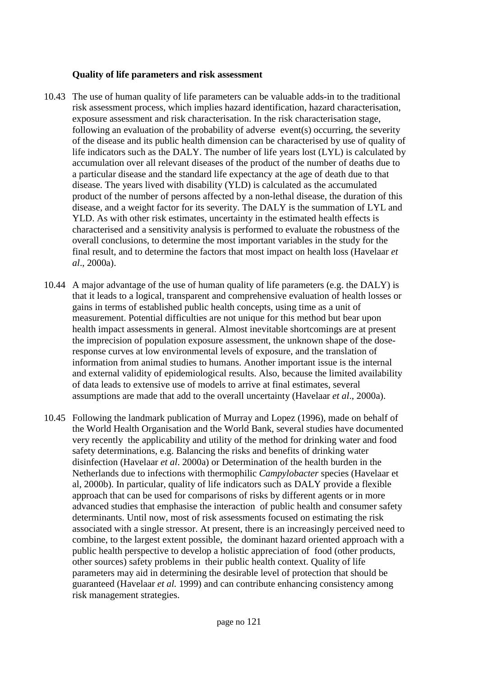#### **Quality of life parameters and risk assessment**

- 10.43 The use of human quality of life parameters can be valuable adds-in to the traditional risk assessment process, which implies hazard identification, hazard characterisation, exposure assessment and risk characterisation. In the risk characterisation stage, following an evaluation of the probability of adverse event(s) occurring, the severity of the disease and its public health dimension can be characterised by use of quality of life indicators such as the DALY. The number of life years lost (LYL) is calculated by accumulation over all relevant diseases of the product of the number of deaths due to a particular disease and the standard life expectancy at the age of death due to that disease. The years lived with disability (YLD) is calculated as the accumulated product of the number of persons affected by a non-lethal disease, the duration of this disease, and a weight factor for its severity. The DALY is the summation of LYL and YLD. As with other risk estimates, uncertainty in the estimated health effects is characterised and a sensitivity analysis is performed to evaluate the robustness of the overall conclusions, to determine the most important variables in the study for the final result, and to determine the factors that most impact on health loss (Havelaar *et al*., 2000a).
- 10.44 A major advantage of the use of human quality of life parameters (e.g. the DALY) is that it leads to a logical, transparent and comprehensive evaluation of health losses or gains in terms of established public health concepts, using time as a unit of measurement. Potential difficulties are not unique for this method but bear upon health impact assessments in general. Almost inevitable shortcomings are at present the imprecision of population exposure assessment, the unknown shape of the doseresponse curves at low environmental levels of exposure, and the translation of information from animal studies to humans. Another important issue is the internal and external validity of epidemiological results. Also, because the limited availability of data leads to extensive use of models to arrive at final estimates, several assumptions are made that add to the overall uncertainty (Havelaar *et al*., 2000a).
- 10.45 Following the landmark publication of Murray and Lopez (1996), made on behalf of the World Health Organisation and the World Bank, several studies have documented very recently the applicability and utility of the method for drinking water and food safety determinations, e.g. Balancing the risks and benefits of drinking water disinfection (Havelaar *et al*. 2000a) or Determination of the health burden in the Netherlands due to infections with thermophilic *Campylobacter* species (Havelaar et al, 2000b). In particular, quality of life indicators such as DALY provide a flexible approach that can be used for comparisons of risks by different agents or in more advanced studies that emphasise the interaction of public health and consumer safety determinants. Until now, most of risk assessments focused on estimating the risk associated with a single stressor. At present, there is an increasingly perceived need to combine, to the largest extent possible, the dominant hazard oriented approach with a public health perspective to develop a holistic appreciation of food (other products, other sources) safety problems in their public health context. Quality of life parameters may aid in determining the desirable level of protection that should be guaranteed (Havelaar *et al.* 1999) and can contribute enhancing consistency among risk management strategies.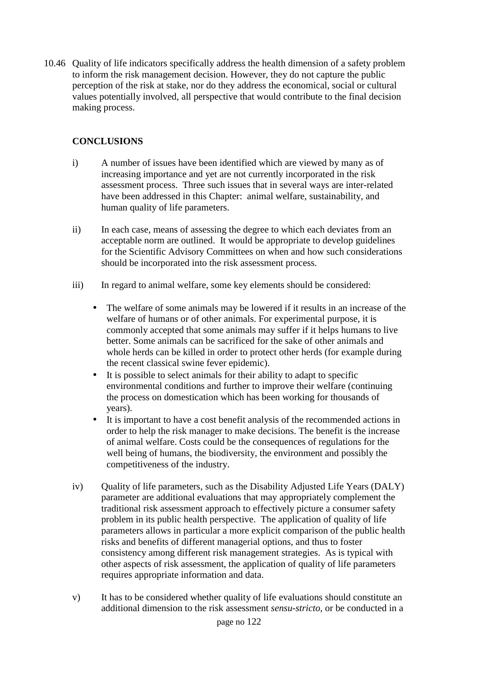10.46 Quality of life indicators specifically address the health dimension of a safety problem to inform the risk management decision. However, they do not capture the public perception of the risk at stake, nor do they address the economical, social or cultural values potentially involved, all perspective that would contribute to the final decision making process.

# **CONCLUSIONS**

- i) A number of issues have been identified which are viewed by many as of increasing importance and yet are not currently incorporated in the risk assessment process. Three such issues that in several ways are inter-related have been addressed in this Chapter: animal welfare, sustainability, and human quality of life parameters.
- ii) In each case, means of assessing the degree to which each deviates from an acceptable norm are outlined. It would be appropriate to develop guidelines for the Scientific Advisory Committees on when and how such considerations should be incorporated into the risk assessment process.
- iii) In regard to animal welfare, some key elements should be considered:
	- The welfare of some animals may be lowered if it results in an increase of the welfare of humans or of other animals. For experimental purpose, it is commonly accepted that some animals may suffer if it helps humans to live better. Some animals can be sacrificed for the sake of other animals and whole herds can be killed in order to protect other herds (for example during the recent classical swine fever epidemic).
	- It is possible to select animals for their ability to adapt to specific environmental conditions and further to improve their welfare (continuing the process on domestication which has been working for thousands of years).
	- It is important to have a cost benefit analysis of the recommended actions in order to help the risk manager to make decisions. The benefit is the increase of animal welfare. Costs could be the consequences of regulations for the well being of humans, the biodiversity, the environment and possibly the competitiveness of the industry.
- iv) Quality of life parameters, such as the Disability Adjusted Life Years (DALY) parameter are additional evaluations that may appropriately complement the traditional risk assessment approach to effectively picture a consumer safety problem in its public health perspective. The application of quality of life parameters allows in particular a more explicit comparison of the public health risks and benefits of different managerial options, and thus to foster consistency among different risk management strategies. As is typical with other aspects of risk assessment, the application of quality of life parameters requires appropriate information and data.
- v) It has to be considered whether quality of life evaluations should constitute an additional dimension to the risk assessment *sensu-stricto*, or be conducted in a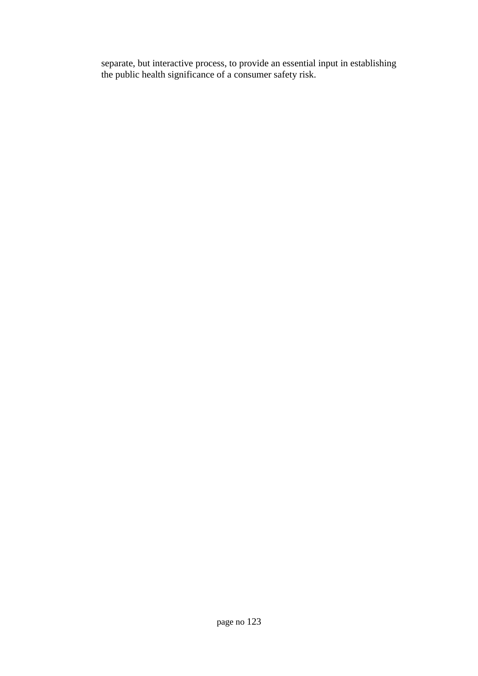separate, but interactive process, to provide an essential input in establishing the public health significance of a consumer safety risk.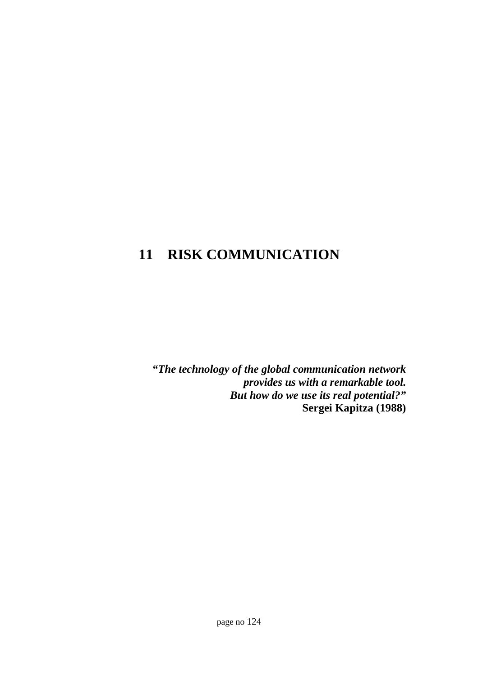# **11 RISK COMMUNICATION**

*"The technology of the global communication network provides us with a remarkable tool. But how do we use its real potential?"* **Sergei Kapitza (1988)**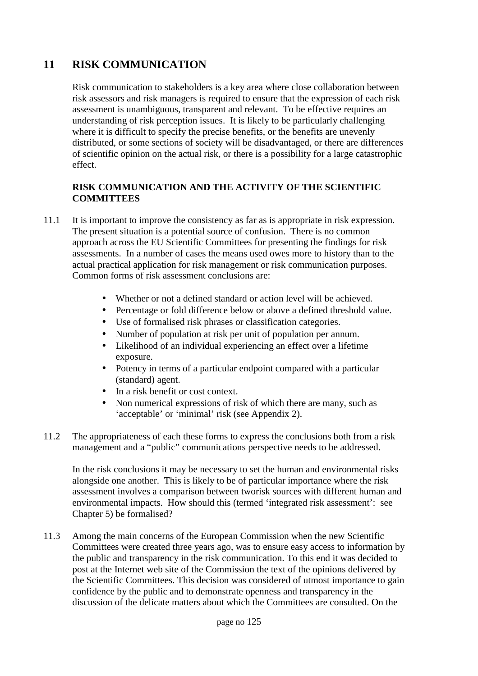# **11 RISK COMMUNICATION**

Risk communication to stakeholders is a key area where close collaboration between risk assessors and risk managers is required to ensure that the expression of each risk assessment is unambiguous, transparent and relevant. To be effective requires an understanding of risk perception issues. It is likely to be particularly challenging where it is difficult to specify the precise benefits, or the benefits are unevenly distributed, or some sections of society will be disadvantaged, or there are differences of scientific opinion on the actual risk, or there is a possibility for a large catastrophic effect.

### **RISK COMMUNICATION AND THE ACTIVITY OF THE SCIENTIFIC COMMITTEES**

- 11.1 It is important to improve the consistency as far as is appropriate in risk expression. The present situation is a potential source of confusion. There is no common approach across the EU Scientific Committees for presenting the findings for risk assessments. In a number of cases the means used owes more to history than to the actual practical application for risk management or risk communication purposes. Common forms of risk assessment conclusions are:
	- Whether or not a defined standard or action level will be achieved.
	- Percentage or fold difference below or above a defined threshold value.
	- Use of formalised risk phrases or classification categories.
	- Number of population at risk per unit of population per annum.
	- Likelihood of an individual experiencing an effect over a lifetime exposure.
	- Potency in terms of a particular endpoint compared with a particular (standard) agent.
	- In a risk benefit or cost context.
	- Non numerical expressions of risk of which there are many, such as 'acceptable' or 'minimal' risk (see Appendix 2).
- 11.2 The appropriateness of each these forms to express the conclusions both from a risk management and a "public" communications perspective needs to be addressed.

In the risk conclusions it may be necessary to set the human and environmental risks alongside one another. This is likely to be of particular importance where the risk assessment involves a comparison between tworisk sources with different human and environmental impacts. How should this (termed 'integrated risk assessment': see Chapter 5) be formalised?

11.3 Among the main concerns of the European Commission when the new Scientific Committees were created three years ago, was to ensure easy access to information by the public and transparency in the risk communication. To this end it was decided to post at the Internet web site of the Commission the text of the opinions delivered by the Scientific Committees. This decision was considered of utmost importance to gain confidence by the public and to demonstrate openness and transparency in the discussion of the delicate matters about which the Committees are consulted. On the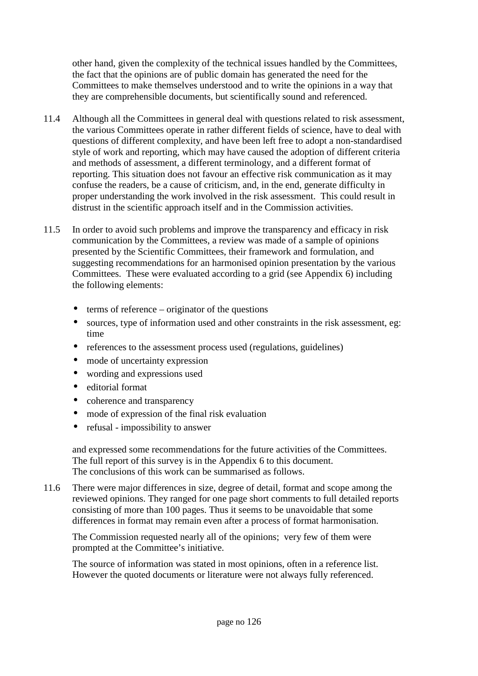other hand, given the complexity of the technical issues handled by the Committees, the fact that the opinions are of public domain has generated the need for the Committees to make themselves understood and to write the opinions in a way that they are comprehensible documents, but scientifically sound and referenced.

- 11.4 Although all the Committees in general deal with questions related to risk assessment, the various Committees operate in rather different fields of science, have to deal with questions of different complexity, and have been left free to adopt a non-standardised style of work and reporting, which may have caused the adoption of different criteria and methods of assessment, a different terminology, and a different format of reporting. This situation does not favour an effective risk communication as it may confuse the readers, be a cause of criticism, and, in the end, generate difficulty in proper understanding the work involved in the risk assessment. This could result in distrust in the scientific approach itself and in the Commission activities.
- 11.5 In order to avoid such problems and improve the transparency and efficacy in risk communication by the Committees, a review was made of a sample of opinions presented by the Scientific Committees, their framework and formulation, and suggesting recommendations for an harmonised opinion presentation by the various Committees. These were evaluated according to a grid (see Appendix 6) including the following elements:
	- $\bullet$  terms of reference originator of the questions
	- sources, type of information used and other constraints in the risk assessment, eg: time
	- references to the assessment process used (regulations, guidelines)
	- mode of uncertainty expression
	- wording and expressions used
	- editorial format
	- coherence and transparency
	- mode of expression of the final risk evaluation
	- refusal impossibility to answer

and expressed some recommendations for the future activities of the Committees. The full report of this survey is in the Appendix 6 to this document. The conclusions of this work can be summarised as follows.

11.6 There were major differences in size, degree of detail, format and scope among the reviewed opinions. They ranged for one page short comments to full detailed reports consisting of more than 100 pages. Thus it seems to be unavoidable that some differences in format may remain even after a process of format harmonisation.

The Commission requested nearly all of the opinions; very few of them were prompted at the Committee's initiative.

The source of information was stated in most opinions, often in a reference list. However the quoted documents or literature were not always fully referenced.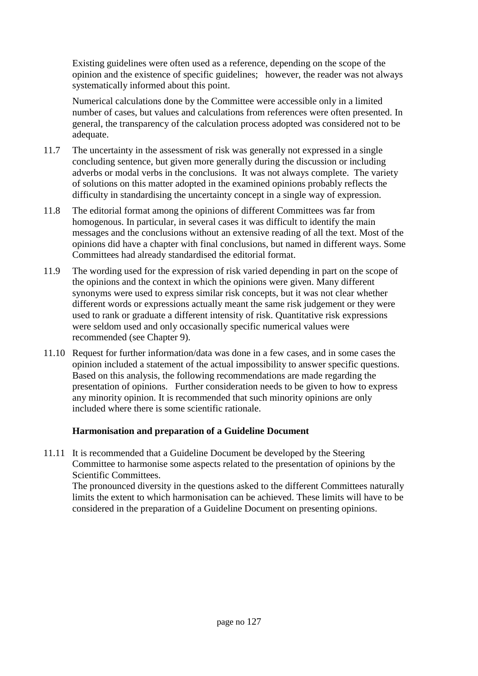Existing guidelines were often used as a reference, depending on the scope of the opinion and the existence of specific guidelines; however, the reader was not always systematically informed about this point.

Numerical calculations done by the Committee were accessible only in a limited number of cases, but values and calculations from references were often presented. In general, the transparency of the calculation process adopted was considered not to be adequate.

- 11.7 The uncertainty in the assessment of risk was generally not expressed in a single concluding sentence, but given more generally during the discussion or including adverbs or modal verbs in the conclusions. It was not always complete. The variety of solutions on this matter adopted in the examined opinions probably reflects the difficulty in standardising the uncertainty concept in a single way of expression.
- 11.8 The editorial format among the opinions of different Committees was far from homogenous. In particular, in several cases it was difficult to identify the main messages and the conclusions without an extensive reading of all the text. Most of the opinions did have a chapter with final conclusions, but named in different ways. Some Committees had already standardised the editorial format.
- 11.9 The wording used for the expression of risk varied depending in part on the scope of the opinions and the context in which the opinions were given. Many different synonyms were used to express similar risk concepts, but it was not clear whether different words or expressions actually meant the same risk judgement or they were used to rank or graduate a different intensity of risk. Quantitative risk expressions were seldom used and only occasionally specific numerical values were recommended (see Chapter 9).
- 11.10 Request for further information/data was done in a few cases, and in some cases the opinion included a statement of the actual impossibility to answer specific questions. Based on this analysis, the following recommendations are made regarding the presentation of opinions. Further consideration needs to be given to how to express any minority opinion. It is recommended that such minority opinions are only included where there is some scientific rationale.

#### **Harmonisation and preparation of a Guideline Document**

11.11 It is recommended that a Guideline Document be developed by the Steering Committee to harmonise some aspects related to the presentation of opinions by the Scientific Committees. The pronounced diversity in the questions asked to the different Committees naturally limits the extent to which harmonisation can be achieved. These limits will have to be considered in the preparation of a Guideline Document on presenting opinions.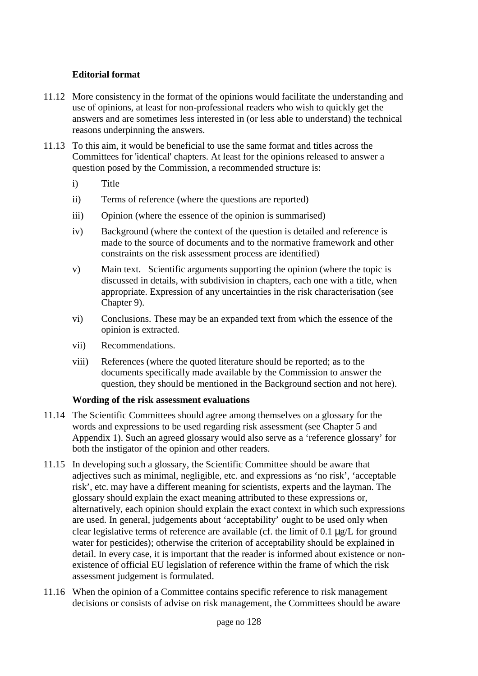### **Editorial format**

- 11.12 More consistency in the format of the opinions would facilitate the understanding and use of opinions, at least for non-professional readers who wish to quickly get the answers and are sometimes less interested in (or less able to understand) the technical reasons underpinning the answers.
- 11.13 To this aim, it would be beneficial to use the same format and titles across the Committees for 'identical' chapters. At least for the opinions released to answer a question posed by the Commission, a recommended structure is:
	- i) Title
	- ii) Terms of reference (where the questions are reported)
	- iii) Opinion (where the essence of the opinion is summarised)
	- iv) Background (where the context of the question is detailed and reference is made to the source of documents and to the normative framework and other constraints on the risk assessment process are identified)
	- v) Main text. Scientific arguments supporting the opinion (where the topic is discussed in details, with subdivision in chapters, each one with a title, when appropriate. Expression of any uncertainties in the risk characterisation (see Chapter 9).
	- vi) Conclusions. These may be an expanded text from which the essence of the opinion is extracted.
	- vii) Recommendations.
	- viii) References (where the quoted literature should be reported; as to the documents specifically made available by the Commission to answer the question, they should be mentioned in the Background section and not here).

#### **Wording of the risk assessment evaluations**

- 11.14 The Scientific Committees should agree among themselves on a glossary for the words and expressions to be used regarding risk assessment (see Chapter 5 and Appendix 1). Such an agreed glossary would also serve as a 'reference glossary' for both the instigator of the opinion and other readers.
- 11.15 In developing such a glossary, the Scientific Committee should be aware that adjectives such as minimal, negligible, etc. and expressions as 'no risk', 'acceptable risk', etc. may have a different meaning for scientists, experts and the layman. The glossary should explain the exact meaning attributed to these expressions or, alternatively, each opinion should explain the exact context in which such expressions are used. In general, judgements about 'acceptability' ought to be used only when clear legislative terms of reference are available (cf. the limit of 0.1 µg/L for ground water for pesticides); otherwise the criterion of acceptability should be explained in detail. In every case, it is important that the reader is informed about existence or nonexistence of official EU legislation of reference within the frame of which the risk assessment judgement is formulated.
- 11.16 When the opinion of a Committee contains specific reference to risk management decisions or consists of advise on risk management, the Committees should be aware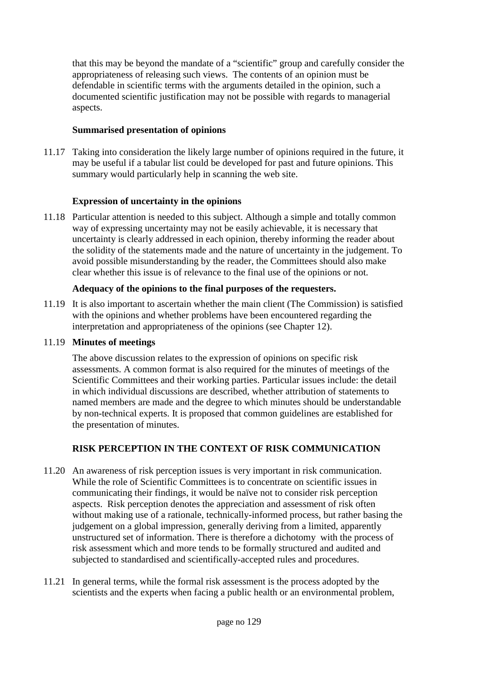that this may be beyond the mandate of a "scientific" group and carefully consider the appropriateness of releasing such views. The contents of an opinion must be defendable in scientific terms with the arguments detailed in the opinion, such a documented scientific justification may not be possible with regards to managerial aspects.

# **Summarised presentation of opinions**

11.17 Taking into consideration the likely large number of opinions required in the future, it may be useful if a tabular list could be developed for past and future opinions. This summary would particularly help in scanning the web site.

# **Expression of uncertainty in the opinions**

11.18 Particular attention is needed to this subject. Although a simple and totally common way of expressing uncertainty may not be easily achievable, it is necessary that uncertainty is clearly addressed in each opinion, thereby informing the reader about the solidity of the statements made and the nature of uncertainty in the judgement. To avoid possible misunderstanding by the reader, the Committees should also make clear whether this issue is of relevance to the final use of the opinions or not.

# **Adequacy of the opinions to the final purposes of the requesters.**

11.19 It is also important to ascertain whether the main client (The Commission) is satisfied with the opinions and whether problems have been encountered regarding the interpretation and appropriateness of the opinions (see Chapter 12).

# 11.19 **Minutes of meetings**

The above discussion relates to the expression of opinions on specific risk assessments. A common format is also required for the minutes of meetings of the Scientific Committees and their working parties. Particular issues include: the detail in which individual discussions are described, whether attribution of statements to named members are made and the degree to which minutes should be understandable by non-technical experts. It is proposed that common guidelines are established for the presentation of minutes.

# **RISK PERCEPTION IN THE CONTEXT OF RISK COMMUNICATION**

- 11.20 An awareness of risk perception issues is very important in risk communication. While the role of Scientific Committees is to concentrate on scientific issues in communicating their findings, it would be naïve not to consider risk perception aspects. Risk perception denotes the appreciation and assessment of risk often without making use of a rationale, technically-informed process, but rather basing the judgement on a global impression, generally deriving from a limited, apparently unstructured set of information. There is therefore a dichotomy with the process of risk assessment which and more tends to be formally structured and audited and subjected to standardised and scientifically-accepted rules and procedures.
- 11.21 In general terms, while the formal risk assessment is the process adopted by the scientists and the experts when facing a public health or an environmental problem,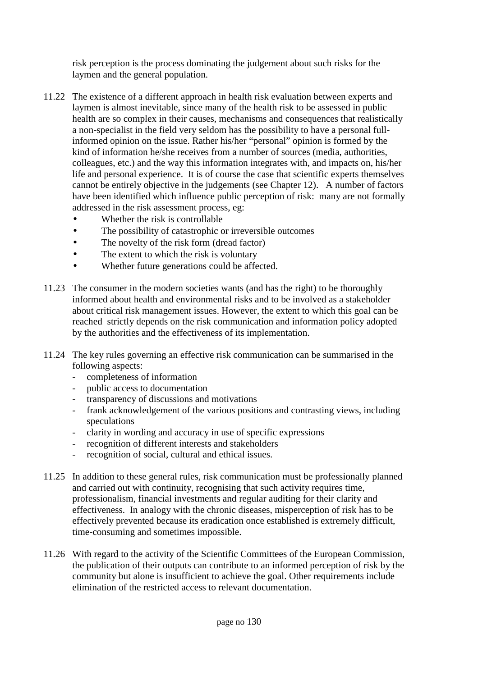risk perception is the process dominating the judgement about such risks for the laymen and the general population.

- 11.22 The existence of a different approach in health risk evaluation between experts and laymen is almost inevitable, since many of the health risk to be assessed in public health are so complex in their causes, mechanisms and consequences that realistically a non-specialist in the field very seldom has the possibility to have a personal fullinformed opinion on the issue. Rather his/her "personal" opinion is formed by the kind of information he/she receives from a number of sources (media, authorities, colleagues, etc.) and the way this information integrates with, and impacts on, his/her life and personal experience. It is of course the case that scientific experts themselves cannot be entirely objective in the judgements (see Chapter 12). A number of factors have been identified which influence public perception of risk: many are not formally addressed in the risk assessment process, eg:
	- Whether the risk is controllable
	- The possibility of catastrophic or irreversible outcomes
	- The novelty of the risk form (dread factor)
	- The extent to which the risk is voluntary
	- Whether future generations could be affected.
- 11.23 The consumer in the modern societies wants (and has the right) to be thoroughly informed about health and environmental risks and to be involved as a stakeholder about critical risk management issues. However, the extent to which this goal can be reached strictly depends on the risk communication and information policy adopted by the authorities and the effectiveness of its implementation.
- 11.24 The key rules governing an effective risk communication can be summarised in the following aspects:
	- completeness of information
	- public access to documentation
	- transparency of discussions and motivations
	- frank acknowledgement of the various positions and contrasting views, including speculations
	- clarity in wording and accuracy in use of specific expressions
	- recognition of different interests and stakeholders
	- recognition of social, cultural and ethical issues.
- 11.25 In addition to these general rules, risk communication must be professionally planned and carried out with continuity, recognising that such activity requires time, professionalism, financial investments and regular auditing for their clarity and effectiveness. In analogy with the chronic diseases, misperception of risk has to be effectively prevented because its eradication once established is extremely difficult, time-consuming and sometimes impossible.
- 11.26 With regard to the activity of the Scientific Committees of the European Commission, the publication of their outputs can contribute to an informed perception of risk by the community but alone is insufficient to achieve the goal. Other requirements include elimination of the restricted access to relevant documentation.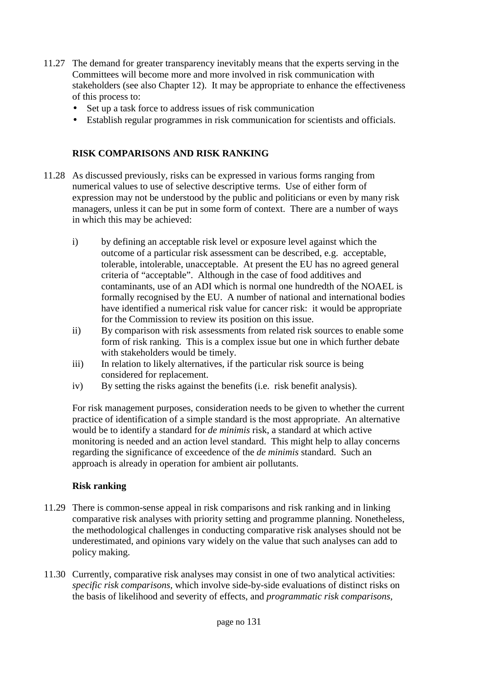- 11.27 The demand for greater transparency inevitably means that the experts serving in the Committees will become more and more involved in risk communication with stakeholders (see also Chapter 12). It may be appropriate to enhance the effectiveness of this process to:
	- Set up a task force to address issues of risk communication
	- Establish regular programmes in risk communication for scientists and officials.

# **RISK COMPARISONS AND RISK RANKING**

- 11.28 As discussed previously, risks can be expressed in various forms ranging from numerical values to use of selective descriptive terms. Use of either form of expression may not be understood by the public and politicians or even by many risk managers, unless it can be put in some form of context. There are a number of ways in which this may be achieved:
	- i) by defining an acceptable risk level or exposure level against which the outcome of a particular risk assessment can be described, e.g. acceptable, tolerable, intolerable, unacceptable. At present the EU has no agreed general criteria of "acceptable". Although in the case of food additives and contaminants, use of an ADI which is normal one hundredth of the NOAEL is formally recognised by the EU. A number of national and international bodies have identified a numerical risk value for cancer risk: it would be appropriate for the Commission to review its position on this issue.
	- ii) By comparison with risk assessments from related risk sources to enable some form of risk ranking. This is a complex issue but one in which further debate with stakeholders would be timely.
	- iii) In relation to likely alternatives, if the particular risk source is being considered for replacement.
	- iv) By setting the risks against the benefits (i.e. risk benefit analysis).

For risk management purposes, consideration needs to be given to whether the current practice of identification of a simple standard is the most appropriate. An alternative would be to identify a standard for *de minimis* risk, a standard at which active monitoring is needed and an action level standard. This might help to allay concerns regarding the significance of exceedence of the *de minimis* standard. Such an approach is already in operation for ambient air pollutants.

#### **Risk ranking**

- 11.29 There is common-sense appeal in risk comparisons and risk ranking and in linking comparative risk analyses with priority setting and programme planning. Nonetheless, the methodological challenges in conducting comparative risk analyses should not be underestimated, and opinions vary widely on the value that such analyses can add to policy making.
- 11.30 Currently, comparative risk analyses may consist in one of two analytical activities: *specific risk comparisons*, which involve side-by-side evaluations of distinct risks on the basis of likelihood and severity of effects, and *programmatic risk comparisons*,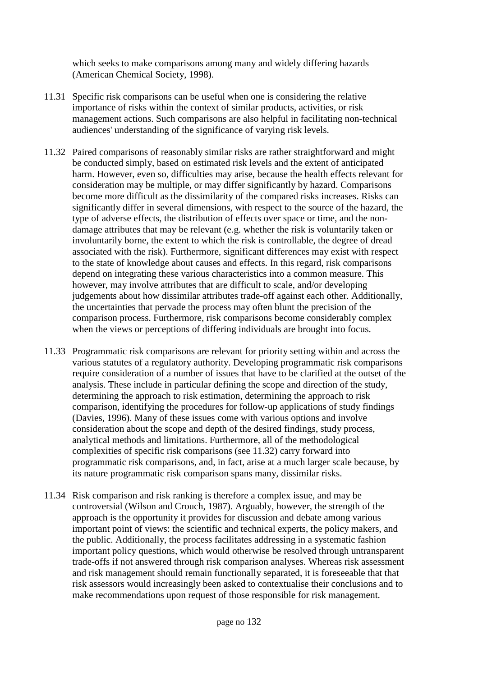which seeks to make comparisons among many and widely differing hazards (American Chemical Society, 1998).

- 11.31 Specific risk comparisons can be useful when one is considering the relative importance of risks within the context of similar products, activities, or risk management actions. Such comparisons are also helpful in facilitating non-technical audiences' understanding of the significance of varying risk levels.
- 11.32 Paired comparisons of reasonably similar risks are rather straightforward and might be conducted simply, based on estimated risk levels and the extent of anticipated harm. However, even so, difficulties may arise, because the health effects relevant for consideration may be multiple, or may differ significantly by hazard. Comparisons become more difficult as the dissimilarity of the compared risks increases. Risks can significantly differ in several dimensions, with respect to the source of the hazard, the type of adverse effects, the distribution of effects over space or time, and the nondamage attributes that may be relevant (e.g. whether the risk is voluntarily taken or involuntarily borne, the extent to which the risk is controllable, the degree of dread associated with the risk). Furthermore, significant differences may exist with respect to the state of knowledge about causes and effects. In this regard, risk comparisons depend on integrating these various characteristics into a common measure. This however, may involve attributes that are difficult to scale, and/or developing judgements about how dissimilar attributes trade-off against each other. Additionally, the uncertainties that pervade the process may often blunt the precision of the comparison process. Furthermore, risk comparisons become considerably complex when the views or perceptions of differing individuals are brought into focus.
- 11.33 Programmatic risk comparisons are relevant for priority setting within and across the various statutes of a regulatory authority. Developing programmatic risk comparisons require consideration of a number of issues that have to be clarified at the outset of the analysis. These include in particular defining the scope and direction of the study, determining the approach to risk estimation, determining the approach to risk comparison, identifying the procedures for follow-up applications of study findings (Davies, 1996). Many of these issues come with various options and involve consideration about the scope and depth of the desired findings, study process, analytical methods and limitations. Furthermore, all of the methodological complexities of specific risk comparisons (see 11.32) carry forward into programmatic risk comparisons, and, in fact, arise at a much larger scale because, by its nature programmatic risk comparison spans many, dissimilar risks.
- 11.34 Risk comparison and risk ranking is therefore a complex issue, and may be controversial (Wilson and Crouch, 1987). Arguably, however, the strength of the approach is the opportunity it provides for discussion and debate among various important point of views: the scientific and technical experts, the policy makers, and the public. Additionally, the process facilitates addressing in a systematic fashion important policy questions, which would otherwise be resolved through untransparent trade-offs if not answered through risk comparison analyses. Whereas risk assessment and risk management should remain functionally separated, it is foreseeable that that risk assessors would increasingly been asked to contextualise their conclusions and to make recommendations upon request of those responsible for risk management.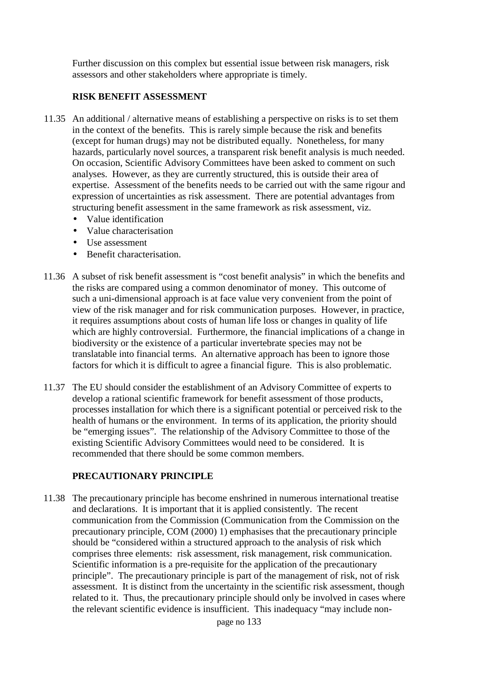Further discussion on this complex but essential issue between risk managers, risk assessors and other stakeholders where appropriate is timely.

#### **RISK BENEFIT ASSESSMENT**

- 11.35 An additional / alternative means of establishing a perspective on risks is to set them in the context of the benefits. This is rarely simple because the risk and benefits (except for human drugs) may not be distributed equally. Nonetheless, for many hazards, particularly novel sources, a transparent risk benefit analysis is much needed. On occasion, Scientific Advisory Committees have been asked to comment on such analyses. However, as they are currently structured, this is outside their area of expertise. Assessment of the benefits needs to be carried out with the same rigour and expression of uncertainties as risk assessment. There are potential advantages from structuring benefit assessment in the same framework as risk assessment, viz.
	- Value identification
	- Value characterisation
	- Use assessment
	- Benefit characterisation.
- 11.36 A subset of risk benefit assessment is "cost benefit analysis" in which the benefits and the risks are compared using a common denominator of money. This outcome of such a uni-dimensional approach is at face value very convenient from the point of view of the risk manager and for risk communication purposes. However, in practice, it requires assumptions about costs of human life loss or changes in quality of life which are highly controversial. Furthermore, the financial implications of a change in biodiversity or the existence of a particular invertebrate species may not be translatable into financial terms. An alternative approach has been to ignore those factors for which it is difficult to agree a financial figure. This is also problematic.
- 11.37 The EU should consider the establishment of an Advisory Committee of experts to develop a rational scientific framework for benefit assessment of those products, processes installation for which there is a significant potential or perceived risk to the health of humans or the environment. In terms of its application, the priority should be "emerging issues". The relationship of the Advisory Committee to those of the existing Scientific Advisory Committees would need to be considered. It is recommended that there should be some common members.

#### **PRECAUTIONARY PRINCIPLE**

11.38 The precautionary principle has become enshrined in numerous international treatise and declarations. It is important that it is applied consistently. The recent communication from the Commission (Communication from the Commission on the precautionary principle, COM (2000) 1) emphasises that the precautionary principle should be "considered within a structured approach to the analysis of risk which comprises three elements: risk assessment, risk management, risk communication. Scientific information is a pre-requisite for the application of the precautionary principle". The precautionary principle is part of the management of risk, not of risk assessment. It is distinct from the uncertainty in the scientific risk assessment, though related to it. Thus, the precautionary principle should only be involved in cases where the relevant scientific evidence is insufficient. This inadequacy "may include non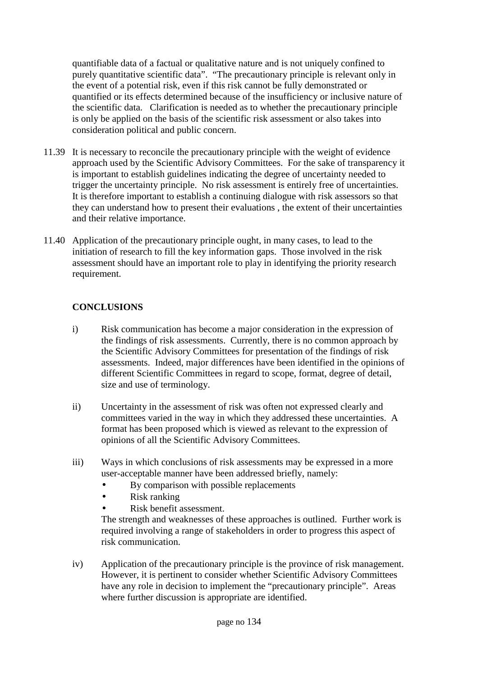quantifiable data of a factual or qualitative nature and is not uniquely confined to purely quantitative scientific data". "The precautionary principle is relevant only in the event of a potential risk, even if this risk cannot be fully demonstrated or quantified or its effects determined because of the insufficiency or inclusive nature of the scientific data. Clarification is needed as to whether the precautionary principle is only be applied on the basis of the scientific risk assessment or also takes into consideration political and public concern.

- 11.39 It is necessary to reconcile the precautionary principle with the weight of evidence approach used by the Scientific Advisory Committees. For the sake of transparency it is important to establish guidelines indicating the degree of uncertainty needed to trigger the uncertainty principle. No risk assessment is entirely free of uncertainties. It is therefore important to establish a continuing dialogue with risk assessors so that they can understand how to present their evaluations , the extent of their uncertainties and their relative importance.
- 11.40 Application of the precautionary principle ought, in many cases, to lead to the initiation of research to fill the key information gaps. Those involved in the risk assessment should have an important role to play in identifying the priority research requirement.

# **CONCLUSIONS**

- i) Risk communication has become a major consideration in the expression of the findings of risk assessments. Currently, there is no common approach by the Scientific Advisory Committees for presentation of the findings of risk assessments. Indeed, major differences have been identified in the opinions of different Scientific Committees in regard to scope, format, degree of detail, size and use of terminology.
- ii) Uncertainty in the assessment of risk was often not expressed clearly and committees varied in the way in which they addressed these uncertainties. A format has been proposed which is viewed as relevant to the expression of opinions of all the Scientific Advisory Committees.
- iii) Ways in which conclusions of risk assessments may be expressed in a more user-acceptable manner have been addressed briefly, namely:
	- By comparison with possible replacements
	- Risk ranking
	- Risk benefit assessment.

The strength and weaknesses of these approaches is outlined. Further work is required involving a range of stakeholders in order to progress this aspect of risk communication.

iv) Application of the precautionary principle is the province of risk management. However, it is pertinent to consider whether Scientific Advisory Committees have any role in decision to implement the "precautionary principle". Areas where further discussion is appropriate are identified.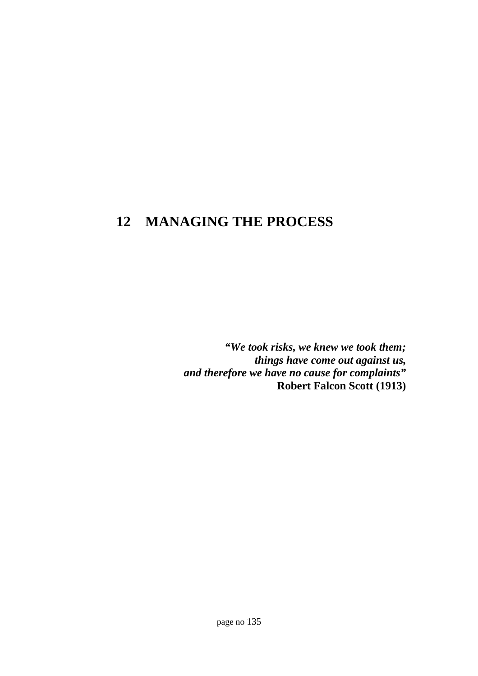# **12 MANAGING THE PROCESS**

*"We took risks, we knew we took them; things have come out against us, and therefore we have no cause for complaints"* **Robert Falcon Scott (1913)**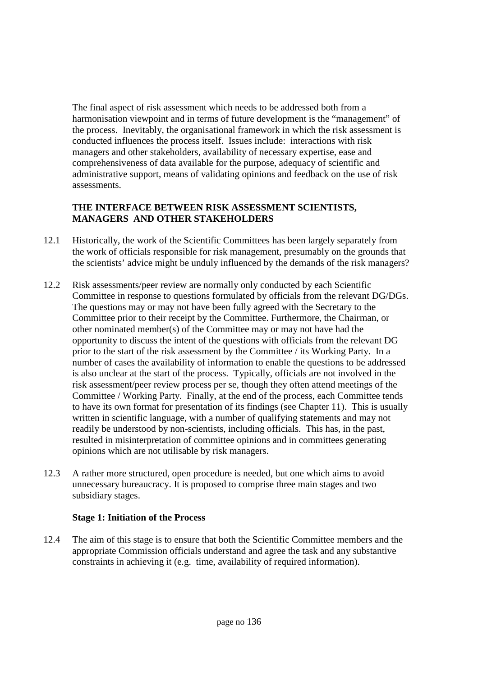The final aspect of risk assessment which needs to be addressed both from a harmonisation viewpoint and in terms of future development is the "management" of the process. Inevitably, the organisational framework in which the risk assessment is conducted influences the process itself. Issues include: interactions with risk managers and other stakeholders, availability of necessary expertise, ease and comprehensiveness of data available for the purpose, adequacy of scientific and administrative support, means of validating opinions and feedback on the use of risk assessments.

# **THE INTERFACE BETWEEN RISK ASSESSMENT SCIENTISTS, MANAGERS AND OTHER STAKEHOLDERS**

- 12.1 Historically, the work of the Scientific Committees has been largely separately from the work of officials responsible for risk management, presumably on the grounds that the scientists' advice might be unduly influenced by the demands of the risk managers?
- 12.2 Risk assessments/peer review are normally only conducted by each Scientific Committee in response to questions formulated by officials from the relevant DG/DGs. The questions may or may not have been fully agreed with the Secretary to the Committee prior to their receipt by the Committee. Furthermore, the Chairman, or other nominated member(s) of the Committee may or may not have had the opportunity to discuss the intent of the questions with officials from the relevant DG prior to the start of the risk assessment by the Committee / its Working Party. In a number of cases the availability of information to enable the questions to be addressed is also unclear at the start of the process. Typically, officials are not involved in the risk assessment/peer review process per se, though they often attend meetings of the Committee / Working Party. Finally, at the end of the process, each Committee tends to have its own format for presentation of its findings (see Chapter 11). This is usually written in scientific language, with a number of qualifying statements and may not readily be understood by non-scientists, including officials. This has, in the past, resulted in misinterpretation of committee opinions and in committees generating opinions which are not utilisable by risk managers.
- 12.3 A rather more structured, open procedure is needed, but one which aims to avoid unnecessary bureaucracy. It is proposed to comprise three main stages and two subsidiary stages.

#### **Stage 1: Initiation of the Process**

12.4 The aim of this stage is to ensure that both the Scientific Committee members and the appropriate Commission officials understand and agree the task and any substantive constraints in achieving it (e.g. time, availability of required information).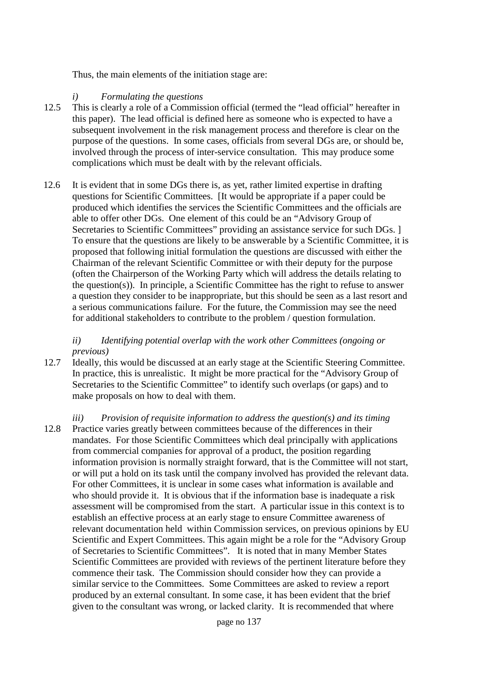Thus, the main elements of the initiation stage are:

#### *i) Formulating the questions*

- 12.5 This is clearly a role of a Commission official (termed the "lead official" hereafter in this paper). The lead official is defined here as someone who is expected to have a subsequent involvement in the risk management process and therefore is clear on the purpose of the questions. In some cases, officials from several DGs are, or should be, involved through the process of inter-service consultation. This may produce some complications which must be dealt with by the relevant officials.
- 12.6 It is evident that in some DGs there is, as yet, rather limited expertise in drafting questions for Scientific Committees. [It would be appropriate if a paper could be produced which identifies the services the Scientific Committees and the officials are able to offer other DGs. One element of this could be an "Advisory Group of Secretaries to Scientific Committees" providing an assistance service for such DGs. ] To ensure that the questions are likely to be answerable by a Scientific Committee, it is proposed that following initial formulation the questions are discussed with either the Chairman of the relevant Scientific Committee or with their deputy for the purpose (often the Chairperson of the Working Party which will address the details relating to the question(s)). In principle, a Scientific Committee has the right to refuse to answer a question they consider to be inappropriate, but this should be seen as a last resort and a serious communications failure. For the future, the Commission may see the need for additional stakeholders to contribute to the problem / question formulation.

#### *ii) Identifying potential overlap with the work other Committees (ongoing or previous)*

- 12.7 Ideally, this would be discussed at an early stage at the Scientific Steering Committee. In practice, this is unrealistic. It might be more practical for the "Advisory Group of Secretaries to the Scientific Committee" to identify such overlaps (or gaps) and to make proposals on how to deal with them.
- *iii) Provision of requisite information to address the question(s) and its timing* 12.8 Practice varies greatly between committees because of the differences in their mandates. For those Scientific Committees which deal principally with applications from commercial companies for approval of a product, the position regarding information provision is normally straight forward, that is the Committee will not start, or will put a hold on its task until the company involved has provided the relevant data. For other Committees, it is unclear in some cases what information is available and who should provide it. It is obvious that if the information base is inadequate a risk assessment will be compromised from the start. A particular issue in this context is to establish an effective process at an early stage to ensure Committee awareness of relevant documentation held within Commission services, on previous opinions by EU Scientific and Expert Committees. This again might be a role for the "Advisory Group of Secretaries to Scientific Committees". It is noted that in many Member States Scientific Committees are provided with reviews of the pertinent literature before they commence their task. The Commission should consider how they can provide a similar service to the Committees. Some Committees are asked to review a report produced by an external consultant. In some case, it has been evident that the brief given to the consultant was wrong, or lacked clarity. It is recommended that where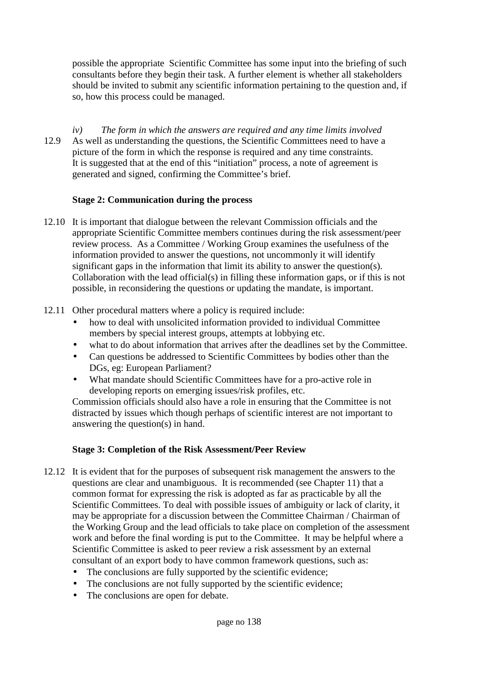possible the appropriate Scientific Committee has some input into the briefing of such consultants before they begin their task. A further element is whether all stakeholders should be invited to submit any scientific information pertaining to the question and, if so, how this process could be managed.

*iv) The form in which the answers are required and any time limits involved* 12.9 As well as understanding the questions, the Scientific Committees need to have a picture of the form in which the response is required and any time constraints. It is suggested that at the end of this "initiation" process, a note of agreement is generated and signed, confirming the Committee's brief.

#### **Stage 2: Communication during the process**

- 12.10 It is important that dialogue between the relevant Commission officials and the appropriate Scientific Committee members continues during the risk assessment/peer review process. As a Committee / Working Group examines the usefulness of the information provided to answer the questions, not uncommonly it will identify significant gaps in the information that limit its ability to answer the question(s). Collaboration with the lead official(s) in filling these information gaps, or if this is not possible, in reconsidering the questions or updating the mandate, is important.
- 12.11 Other procedural matters where a policy is required include:
	- how to deal with unsolicited information provided to individual Committee members by special interest groups, attempts at lobbying etc.
	- what to do about information that arrives after the deadlines set by the Committee.
	- Can questions be addressed to Scientific Committees by bodies other than the DGs, eg: European Parliament?
	- What mandate should Scientific Committees have for a pro-active role in developing reports on emerging issues/risk profiles, etc.

Commission officials should also have a role in ensuring that the Committee is not distracted by issues which though perhaps of scientific interest are not important to answering the question(s) in hand.

# **Stage 3: Completion of the Risk Assessment/Peer Review**

- 12.12 It is evident that for the purposes of subsequent risk management the answers to the questions are clear and unambiguous. It is recommended (see Chapter 11) that a common format for expressing the risk is adopted as far as practicable by all the Scientific Committees. To deal with possible issues of ambiguity or lack of clarity, it may be appropriate for a discussion between the Committee Chairman / Chairman of the Working Group and the lead officials to take place on completion of the assessment work and before the final wording is put to the Committee. It may be helpful where a Scientific Committee is asked to peer review a risk assessment by an external consultant of an export body to have common framework questions, such as:
	- The conclusions are fully supported by the scientific evidence;
	- The conclusions are not fully supported by the scientific evidence;
	- The conclusions are open for debate.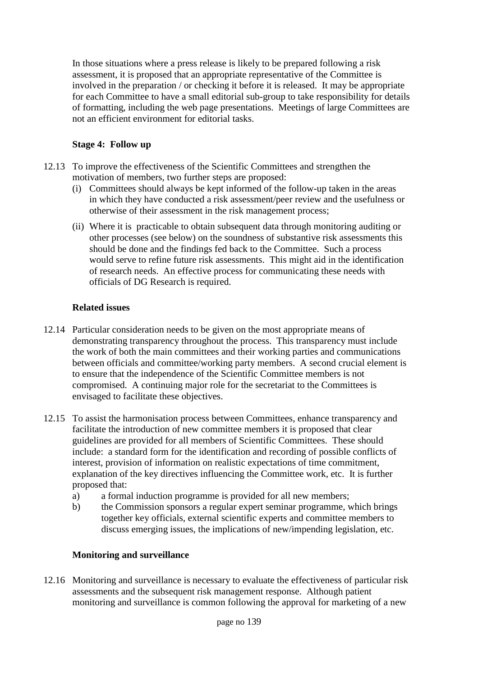In those situations where a press release is likely to be prepared following a risk assessment, it is proposed that an appropriate representative of the Committee is involved in the preparation / or checking it before it is released. It may be appropriate for each Committee to have a small editorial sub-group to take responsibility for details of formatting, including the web page presentations. Meetings of large Committees are not an efficient environment for editorial tasks.

# **Stage 4: Follow up**

- 12.13 To improve the effectiveness of the Scientific Committees and strengthen the motivation of members, two further steps are proposed:
	- (i) Committees should always be kept informed of the follow-up taken in the areas in which they have conducted a risk assessment/peer review and the usefulness or otherwise of their assessment in the risk management process;
	- (ii) Where it is practicable to obtain subsequent data through monitoring auditing or other processes (see below) on the soundness of substantive risk assessments this should be done and the findings fed back to the Committee. Such a process would serve to refine future risk assessments. This might aid in the identification of research needs. An effective process for communicating these needs with officials of DG Research is required.

# **Related issues**

- 12.14 Particular consideration needs to be given on the most appropriate means of demonstrating transparency throughout the process. This transparency must include the work of both the main committees and their working parties and communications between officials and committee/working party members. A second crucial element is to ensure that the independence of the Scientific Committee members is not compromised. A continuing major role for the secretariat to the Committees is envisaged to facilitate these objectives.
- 12.15 To assist the harmonisation process between Committees, enhance transparency and facilitate the introduction of new committee members it is proposed that clear guidelines are provided for all members of Scientific Committees. These should include: a standard form for the identification and recording of possible conflicts of interest, provision of information on realistic expectations of time commitment, explanation of the key directives influencing the Committee work, etc. It is further proposed that:
	- a) a formal induction programme is provided for all new members;
	- b) the Commission sponsors a regular expert seminar programme, which brings together key officials, external scientific experts and committee members to discuss emerging issues, the implications of new/impending legislation, etc.

#### **Monitoring and surveillance**

12.16 Monitoring and surveillance is necessary to evaluate the effectiveness of particular risk assessments and the subsequent risk management response. Although patient monitoring and surveillance is common following the approval for marketing of a new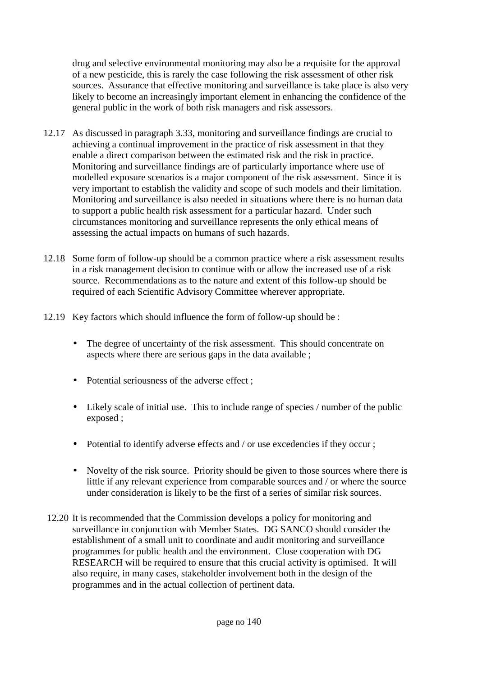drug and selective environmental monitoring may also be a requisite for the approval of a new pesticide, this is rarely the case following the risk assessment of other risk sources. Assurance that effective monitoring and surveillance is take place is also very likely to become an increasingly important element in enhancing the confidence of the general public in the work of both risk managers and risk assessors.

- 12.17 As discussed in paragraph 3.33, monitoring and surveillance findings are crucial to achieving a continual improvement in the practice of risk assessment in that they enable a direct comparison between the estimated risk and the risk in practice. Monitoring and surveillance findings are of particularly importance where use of modelled exposure scenarios is a major component of the risk assessment. Since it is very important to establish the validity and scope of such models and their limitation. Monitoring and surveillance is also needed in situations where there is no human data to support a public health risk assessment for a particular hazard. Under such circumstances monitoring and surveillance represents the only ethical means of assessing the actual impacts on humans of such hazards.
- 12.18 Some form of follow-up should be a common practice where a risk assessment results in a risk management decision to continue with or allow the increased use of a risk source. Recommendations as to the nature and extent of this follow-up should be required of each Scientific Advisory Committee wherever appropriate.
- 12.19 Key factors which should influence the form of follow-up should be :
	- The degree of uncertainty of the risk assessment. This should concentrate on aspects where there are serious gaps in the data available ;
	- Potential seriousness of the adverse effect ;
	- Likely scale of initial use. This to include range of species / number of the public exposed ;
	- Potential to identify adverse effects and / or use excedencies if they occur:
	- Novelty of the risk source. Priority should be given to those sources where there is little if any relevant experience from comparable sources and / or where the source under consideration is likely to be the first of a series of similar risk sources.
- 12.20 It is recommended that the Commission develops a policy for monitoring and surveillance in conjunction with Member States. DG SANCO should consider the establishment of a small unit to coordinate and audit monitoring and surveillance programmes for public health and the environment. Close cooperation with DG RESEARCH will be required to ensure that this crucial activity is optimised. It will also require, in many cases, stakeholder involvement both in the design of the programmes and in the actual collection of pertinent data.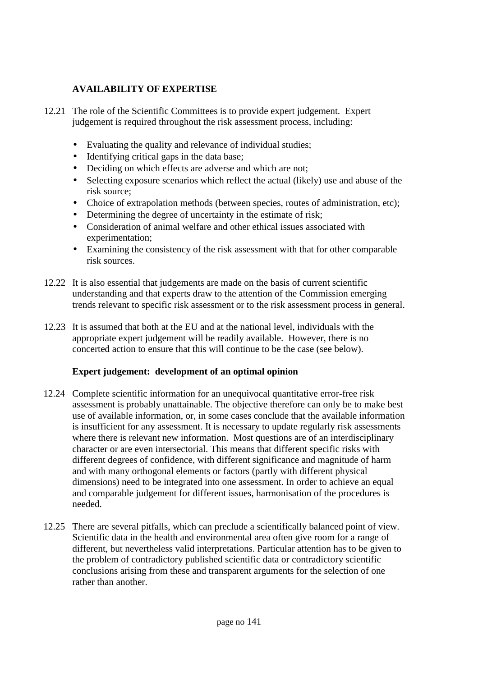# **AVAILABILITY OF EXPERTISE**

- 12.21 The role of the Scientific Committees is to provide expert judgement. Expert judgement is required throughout the risk assessment process, including:
	- Evaluating the quality and relevance of individual studies;
	- Identifying critical gaps in the data base;
	- Deciding on which effects are adverse and which are not;
	- Selecting exposure scenarios which reflect the actual (likely) use and abuse of the risk source;
	- Choice of extrapolation methods (between species, routes of administration, etc);
	- Determining the degree of uncertainty in the estimate of risk;
	- Consideration of animal welfare and other ethical issues associated with experimentation;
	- Examining the consistency of the risk assessment with that for other comparable risk sources.
- 12.22 It is also essential that judgements are made on the basis of current scientific understanding and that experts draw to the attention of the Commission emerging trends relevant to specific risk assessment or to the risk assessment process in general.
- 12.23 It is assumed that both at the EU and at the national level, individuals with the appropriate expert judgement will be readily available. However, there is no concerted action to ensure that this will continue to be the case (see below).

#### **Expert judgement: development of an optimal opinion**

- 12.24 Complete scientific information for an unequivocal quantitative error-free risk assessment is probably unattainable. The objective therefore can only be to make best use of available information, or, in some cases conclude that the available information is insufficient for any assessment. It is necessary to update regularly risk assessments where there is relevant new information. Most questions are of an interdisciplinary character or are even intersectorial. This means that different specific risks with different degrees of confidence, with different significance and magnitude of harm and with many orthogonal elements or factors (partly with different physical dimensions) need to be integrated into one assessment. In order to achieve an equal and comparable judgement for different issues, harmonisation of the procedures is needed.
- 12.25 There are several pitfalls, which can preclude a scientifically balanced point of view. Scientific data in the health and environmental area often give room for a range of different, but nevertheless valid interpretations. Particular attention has to be given to the problem of contradictory published scientific data or contradictory scientific conclusions arising from these and transparent arguments for the selection of one rather than another.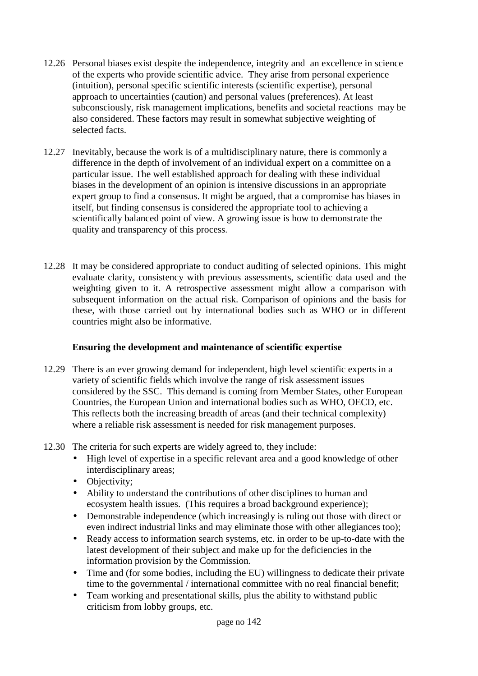- 12.26 Personal biases exist despite the independence, integrity and an excellence in science of the experts who provide scientific advice. They arise from personal experience (intuition), personal specific scientific interests (scientific expertise), personal approach to uncertainties (caution) and personal values (preferences). At least subconsciously, risk management implications, benefits and societal reactions may be also considered. These factors may result in somewhat subjective weighting of selected facts.
- 12.27 Inevitably, because the work is of a multidisciplinary nature, there is commonly a difference in the depth of involvement of an individual expert on a committee on a particular issue. The well established approach for dealing with these individual biases in the development of an opinion is intensive discussions in an appropriate expert group to find a consensus. It might be argued, that a compromise has biases in itself, but finding consensus is considered the appropriate tool to achieving a scientifically balanced point of view. A growing issue is how to demonstrate the quality and transparency of this process.
- 12.28 It may be considered appropriate to conduct auditing of selected opinions. This might evaluate clarity, consistency with previous assessments, scientific data used and the weighting given to it. A retrospective assessment might allow a comparison with subsequent information on the actual risk. Comparison of opinions and the basis for these, with those carried out by international bodies such as WHO or in different countries might also be informative.

# **Ensuring the development and maintenance of scientific expertise**

- 12.29 There is an ever growing demand for independent, high level scientific experts in a variety of scientific fields which involve the range of risk assessment issues considered by the SSC. This demand is coming from Member States, other European Countries, the European Union and international bodies such as WHO, OECD, etc. This reflects both the increasing breadth of areas (and their technical complexity) where a reliable risk assessment is needed for risk management purposes.
- 12.30 The criteria for such experts are widely agreed to, they include:
	- High level of expertise in a specific relevant area and a good knowledge of other interdisciplinary areas;
	- Objectivity;
	- Ability to understand the contributions of other disciplines to human and ecosystem health issues. (This requires a broad background experience);
	- Demonstrable independence (which increasingly is ruling out those with direct or even indirect industrial links and may eliminate those with other allegiances too);
	- Ready access to information search systems, etc. in order to be up-to-date with the latest development of their subject and make up for the deficiencies in the information provision by the Commission.
	- Time and (for some bodies, including the EU) willingness to dedicate their private time to the governmental / international committee with no real financial benefit;
	- Team working and presentational skills, plus the ability to withstand public criticism from lobby groups, etc.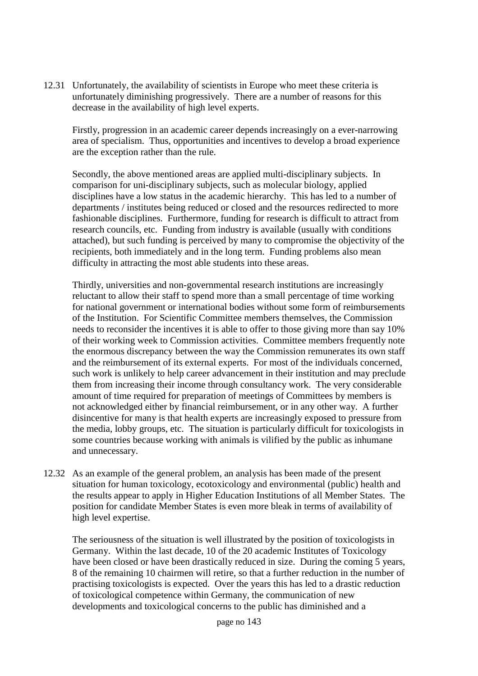12.31 Unfortunately, the availability of scientists in Europe who meet these criteria is unfortunately diminishing progressively. There are a number of reasons for this decrease in the availability of high level experts.

Firstly, progression in an academic career depends increasingly on a ever-narrowing area of specialism. Thus, opportunities and incentives to develop a broad experience are the exception rather than the rule.

Secondly, the above mentioned areas are applied multi-disciplinary subjects. In comparison for uni-disciplinary subjects, such as molecular biology, applied disciplines have a low status in the academic hierarchy. This has led to a number of departments / institutes being reduced or closed and the resources redirected to more fashionable disciplines. Furthermore, funding for research is difficult to attract from research councils, etc. Funding from industry is available (usually with conditions attached), but such funding is perceived by many to compromise the objectivity of the recipients, both immediately and in the long term. Funding problems also mean difficulty in attracting the most able students into these areas.

Thirdly, universities and non-governmental research institutions are increasingly reluctant to allow their staff to spend more than a small percentage of time working for national government or international bodies without some form of reimbursements of the Institution. For Scientific Committee members themselves, the Commission needs to reconsider the incentives it is able to offer to those giving more than say 10% of their working week to Commission activities. Committee members frequently note the enormous discrepancy between the way the Commission remunerates its own staff and the reimbursement of its external experts. For most of the individuals concerned, such work is unlikely to help career advancement in their institution and may preclude them from increasing their income through consultancy work. The very considerable amount of time required for preparation of meetings of Committees by members is not acknowledged either by financial reimbursement, or in any other way. A further disincentive for many is that health experts are increasingly exposed to pressure from the media, lobby groups, etc. The situation is particularly difficult for toxicologists in some countries because working with animals is vilified by the public as inhumane and unnecessary.

12.32 As an example of the general problem, an analysis has been made of the present situation for human toxicology, ecotoxicology and environmental (public) health and the results appear to apply in Higher Education Institutions of all Member States. The position for candidate Member States is even more bleak in terms of availability of high level expertise.

The seriousness of the situation is well illustrated by the position of toxicologists in Germany. Within the last decade, 10 of the 20 academic Institutes of Toxicology have been closed or have been drastically reduced in size. During the coming 5 years, 8 of the remaining 10 chairmen will retire, so that a further reduction in the number of practising toxicologists is expected. Over the years this has led to a drastic reduction of toxicological competence within Germany, the communication of new developments and toxicological concerns to the public has diminished and a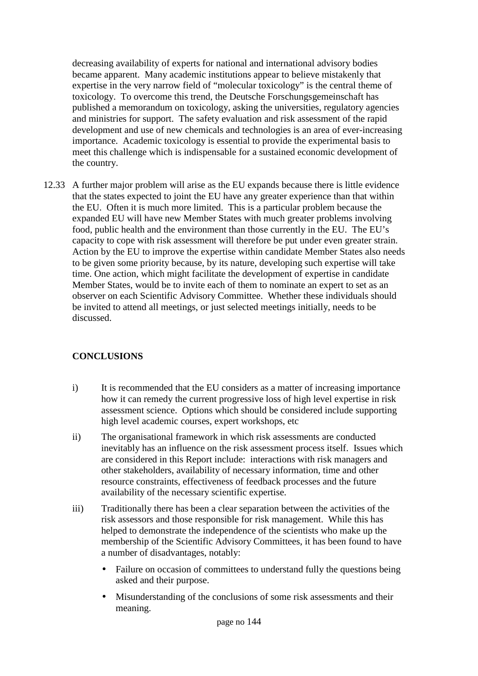decreasing availability of experts for national and international advisory bodies became apparent. Many academic institutions appear to believe mistakenly that expertise in the very narrow field of "molecular toxicology" is the central theme of toxicology. To overcome this trend, the Deutsche Forschungsgemeinschaft has published a memorandum on toxicology, asking the universities, regulatory agencies and ministries for support. The safety evaluation and risk assessment of the rapid development and use of new chemicals and technologies is an area of ever-increasing importance. Academic toxicology is essential to provide the experimental basis to meet this challenge which is indispensable for a sustained economic development of the country.

12.33 A further major problem will arise as the EU expands because there is little evidence that the states expected to joint the EU have any greater experience than that within the EU. Often it is much more limited. This is a particular problem because the expanded EU will have new Member States with much greater problems involving food, public health and the environment than those currently in the EU. The EU's capacity to cope with risk assessment will therefore be put under even greater strain. Action by the EU to improve the expertise within candidate Member States also needs to be given some priority because, by its nature, developing such expertise will take time. One action, which might facilitate the development of expertise in candidate Member States, would be to invite each of them to nominate an expert to set as an observer on each Scientific Advisory Committee. Whether these individuals should be invited to attend all meetings, or just selected meetings initially, needs to be discussed.

# **CONCLUSIONS**

- i) It is recommended that the EU considers as a matter of increasing importance how it can remedy the current progressive loss of high level expertise in risk assessment science. Options which should be considered include supporting high level academic courses, expert workshops, etc
- ii) The organisational framework in which risk assessments are conducted inevitably has an influence on the risk assessment process itself. Issues which are considered in this Report include: interactions with risk managers and other stakeholders, availability of necessary information, time and other resource constraints, effectiveness of feedback processes and the future availability of the necessary scientific expertise.
- iii) Traditionally there has been a clear separation between the activities of the risk assessors and those responsible for risk management. While this has helped to demonstrate the independence of the scientists who make up the membership of the Scientific Advisory Committees, it has been found to have a number of disadvantages, notably:
	- Failure on occasion of committees to understand fully the questions being asked and their purpose.
	- Misunderstanding of the conclusions of some risk assessments and their meaning.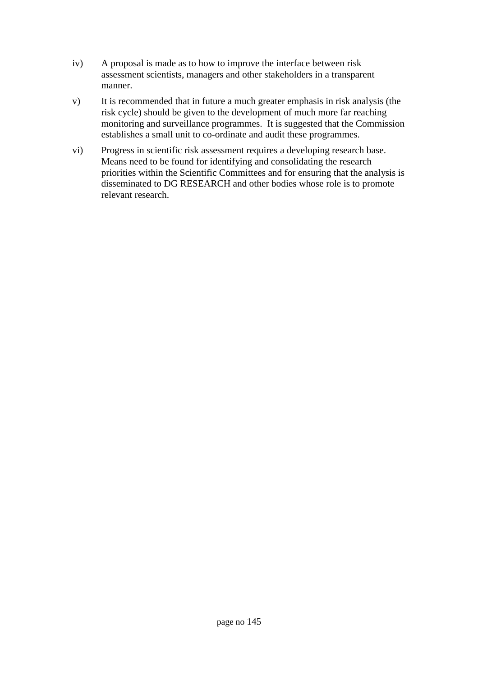- iv) A proposal is made as to how to improve the interface between risk assessment scientists, managers and other stakeholders in a transparent manner.
- v) It is recommended that in future a much greater emphasis in risk analysis (the risk cycle) should be given to the development of much more far reaching monitoring and surveillance programmes. It is suggested that the Commission establishes a small unit to co-ordinate and audit these programmes.
- vi) Progress in scientific risk assessment requires a developing research base. Means need to be found for identifying and consolidating the research priorities within the Scientific Committees and for ensuring that the analysis is disseminated to DG RESEARCH and other bodies whose role is to promote relevant research.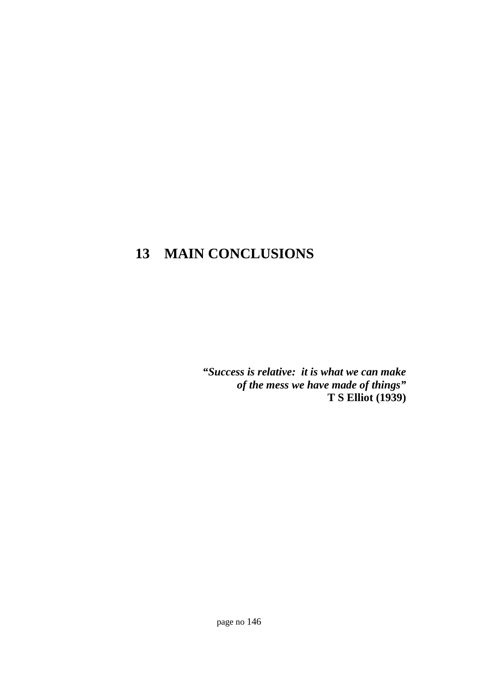# **13 MAIN CONCLUSIONS**

*"Success is relative: it is what we can make of the mess we have made of things"* **T S Elliot (1939)**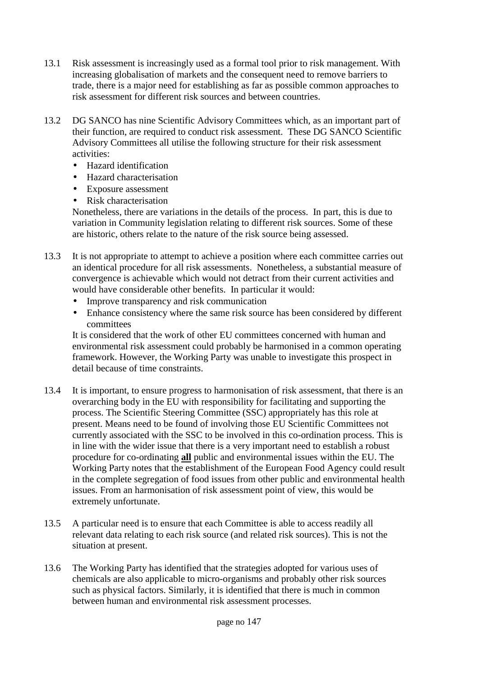- 13.1 Risk assessment is increasingly used as a formal tool prior to risk management. With increasing globalisation of markets and the consequent need to remove barriers to trade, there is a major need for establishing as far as possible common approaches to risk assessment for different risk sources and between countries.
- 13.2 DG SANCO has nine Scientific Advisory Committees which, as an important part of their function, are required to conduct risk assessment. These DG SANCO Scientific Advisory Committees all utilise the following structure for their risk assessment activities:
	- Hazard identification
	- Hazard characterisation
	- Exposure assessment
	- Risk characterisation

Nonetheless, there are variations in the details of the process. In part, this is due to variation in Community legislation relating to different risk sources. Some of these are historic, others relate to the nature of the risk source being assessed.

- 13.3 It is not appropriate to attempt to achieve a position where each committee carries out an identical procedure for all risk assessments. Nonetheless, a substantial measure of convergence is achievable which would not detract from their current activities and would have considerable other benefits. In particular it would:
	- Improve transparency and risk communication
	- Enhance consistency where the same risk source has been considered by different committees

It is considered that the work of other EU committees concerned with human and environmental risk assessment could probably be harmonised in a common operating framework. However, the Working Party was unable to investigate this prospect in detail because of time constraints.

- 13.4 It is important, to ensure progress to harmonisation of risk assessment, that there is an overarching body in the EU with responsibility for facilitating and supporting the process. The Scientific Steering Committee (SSC) appropriately has this role at present. Means need to be found of involving those EU Scientific Committees not currently associated with the SSC to be involved in this co-ordination process. This is in line with the wider issue that there is a very important need to establish a robust procedure for co-ordinating **all** public and environmental issues within the EU. The Working Party notes that the establishment of the European Food Agency could result in the complete segregation of food issues from other public and environmental health issues. From an harmonisation of risk assessment point of view, this would be extremely unfortunate.
- 13.5 A particular need is to ensure that each Committee is able to access readily all relevant data relating to each risk source (and related risk sources). This is not the situation at present.
- 13.6 The Working Party has identified that the strategies adopted for various uses of chemicals are also applicable to micro-organisms and probably other risk sources such as physical factors. Similarly, it is identified that there is much in common between human and environmental risk assessment processes.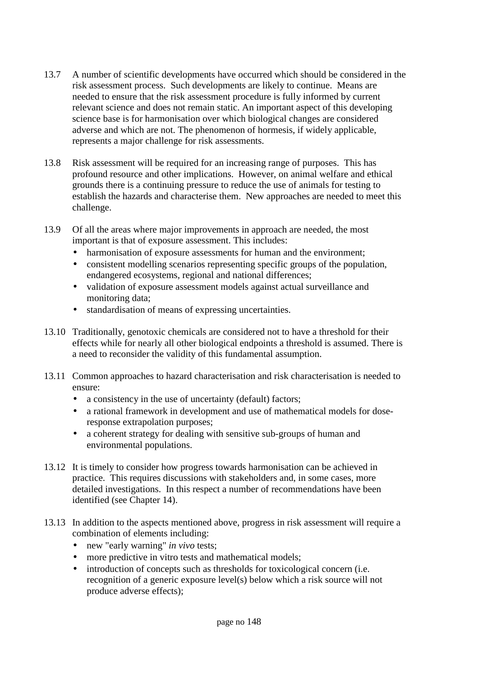- 13.7 A number of scientific developments have occurred which should be considered in the risk assessment process. Such developments are likely to continue. Means are needed to ensure that the risk assessment procedure is fully informed by current relevant science and does not remain static. An important aspect of this developing science base is for harmonisation over which biological changes are considered adverse and which are not. The phenomenon of hormesis, if widely applicable, represents a major challenge for risk assessments.
- 13.8 Risk assessment will be required for an increasing range of purposes. This has profound resource and other implications. However, on animal welfare and ethical grounds there is a continuing pressure to reduce the use of animals for testing to establish the hazards and characterise them. New approaches are needed to meet this challenge.
- 13.9 Of all the areas where major improvements in approach are needed, the most important is that of exposure assessment. This includes:
	- harmonisation of exposure assessments for human and the environment;
	- consistent modelling scenarios representing specific groups of the population, endangered ecosystems, regional and national differences;
	- validation of exposure assessment models against actual surveillance and monitoring data;
	- standardisation of means of expressing uncertainties.
- 13.10 Traditionally, genotoxic chemicals are considered not to have a threshold for their effects while for nearly all other biological endpoints a threshold is assumed. There is a need to reconsider the validity of this fundamental assumption.
- 13.11 Common approaches to hazard characterisation and risk characterisation is needed to ensure:
	- a consistency in the use of uncertainty (default) factors;
	- a rational framework in development and use of mathematical models for doseresponse extrapolation purposes;
	- a coherent strategy for dealing with sensitive sub-groups of human and environmental populations.
- 13.12 It is timely to consider how progress towards harmonisation can be achieved in practice. This requires discussions with stakeholders and, in some cases, more detailed investigations. In this respect a number of recommendations have been identified (see Chapter 14).
- 13.13 In addition to the aspects mentioned above, progress in risk assessment will require a combination of elements including:
	- new "early warning" *in vivo* tests;
	- more predictive in vitro tests and mathematical models;
	- introduction of concepts such as thresholds for toxicological concern (i.e. recognition of a generic exposure level(s) below which a risk source will not produce adverse effects);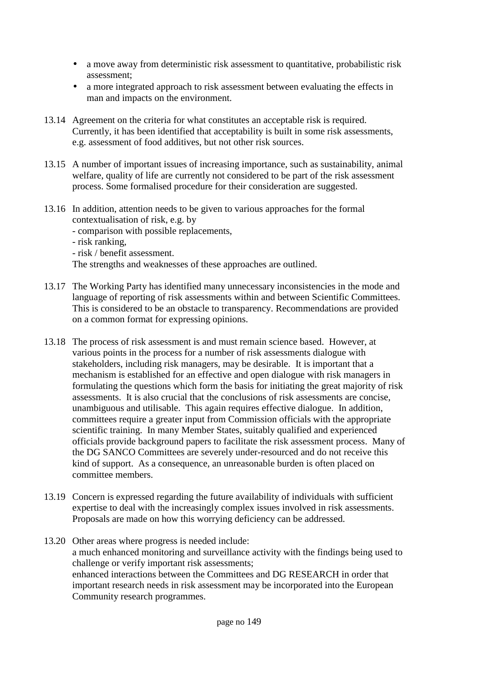- a move away from deterministic risk assessment to quantitative, probabilistic risk assessment;
- a more integrated approach to risk assessment between evaluating the effects in man and impacts on the environment.
- 13.14 Agreement on the criteria for what constitutes an acceptable risk is required. Currently, it has been identified that acceptability is built in some risk assessments, e.g. assessment of food additives, but not other risk sources.
- 13.15 A number of important issues of increasing importance, such as sustainability, animal welfare, quality of life are currently not considered to be part of the risk assessment process. Some formalised procedure for their consideration are suggested.
- 13.16 In addition, attention needs to be given to various approaches for the formal contextualisation of risk, e.g. by
	- comparison with possible replacements,
	- risk ranking,
	- risk / benefit assessment.

The strengths and weaknesses of these approaches are outlined.

- 13.17 The Working Party has identified many unnecessary inconsistencies in the mode and language of reporting of risk assessments within and between Scientific Committees. This is considered to be an obstacle to transparency. Recommendations are provided on a common format for expressing opinions.
- 13.18 The process of risk assessment is and must remain science based. However, at various points in the process for a number of risk assessments dialogue with stakeholders, including risk managers, may be desirable. It is important that a mechanism is established for an effective and open dialogue with risk managers in formulating the questions which form the basis for initiating the great majority of risk assessments. It is also crucial that the conclusions of risk assessments are concise, unambiguous and utilisable. This again requires effective dialogue. In addition, committees require a greater input from Commission officials with the appropriate scientific training. In many Member States, suitably qualified and experienced officials provide background papers to facilitate the risk assessment process. Many of the DG SANCO Committees are severely under-resourced and do not receive this kind of support. As a consequence, an unreasonable burden is often placed on committee members.
- 13.19 Concern is expressed regarding the future availability of individuals with sufficient expertise to deal with the increasingly complex issues involved in risk assessments. Proposals are made on how this worrying deficiency can be addressed.
- 13.20 Other areas where progress is needed include: a much enhanced monitoring and surveillance activity with the findings being used to challenge or verify important risk assessments; enhanced interactions between the Committees and DG RESEARCH in order that important research needs in risk assessment may be incorporated into the European Community research programmes.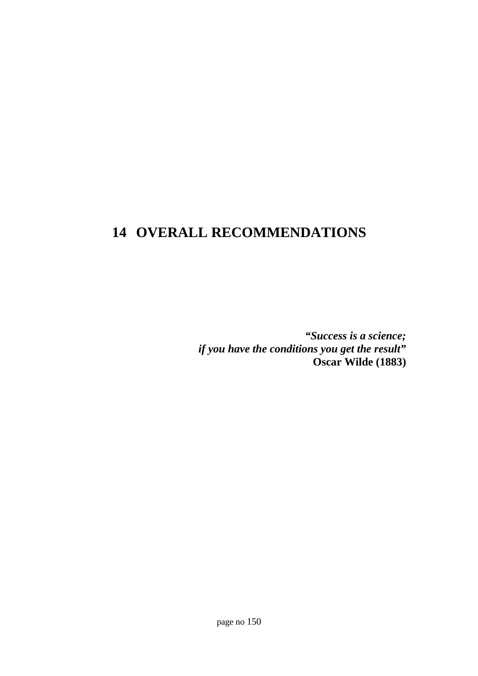## **14 OVERALL RECOMMENDATIONS**

*"Success is a science; if you have the conditions you get the result"* **Oscar Wilde (1883)**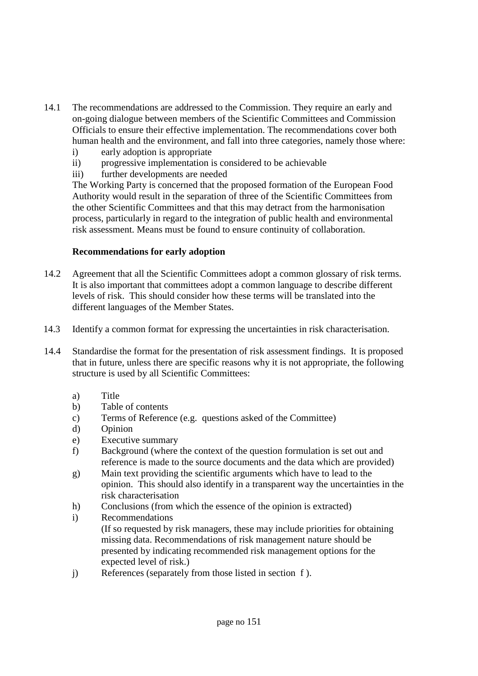- 14.1 The recommendations are addressed to the Commission. They require an early and on-going dialogue between members of the Scientific Committees and Commission Officials to ensure their effective implementation. The recommendations cover both human health and the environment, and fall into three categories, namely those where:
	- i) early adoption is appropriate
	- ii) progressive implementation is considered to be achievable
	- iii) further developments are needed

The Working Party is concerned that the proposed formation of the European Food Authority would result in the separation of three of the Scientific Committees from the other Scientific Committees and that this may detract from the harmonisation process, particularly in regard to the integration of public health and environmental risk assessment. Means must be found to ensure continuity of collaboration.

#### **Recommendations for early adoption**

- 14.2 Agreement that all the Scientific Committees adopt a common glossary of risk terms. It is also important that committees adopt a common language to describe different levels of risk. This should consider how these terms will be translated into the different languages of the Member States.
- 14.3 Identify a common format for expressing the uncertainties in risk characterisation.
- 14.4 Standardise the format for the presentation of risk assessment findings. It is proposed that in future, unless there are specific reasons why it is not appropriate, the following structure is used by all Scientific Committees:
	- a) Title
	- b) Table of contents
	- c) Terms of Reference (e.g. questions asked of the Committee)
	- d) Opinion
	- e) Executive summary
	- f) Background (where the context of the question formulation is set out and reference is made to the source documents and the data which are provided)
	- g) Main text providing the scientific arguments which have to lead to the opinion. This should also identify in a transparent way the uncertainties in the risk characterisation
	- h) Conclusions (from which the essence of the opinion is extracted)
	- i) Recommendations (If so requested by risk managers, these may include priorities for obtaining missing data. Recommendations of risk management nature should be presented by indicating recommended risk management options for the expected level of risk.)
	- j) References (separately from those listed in section f ).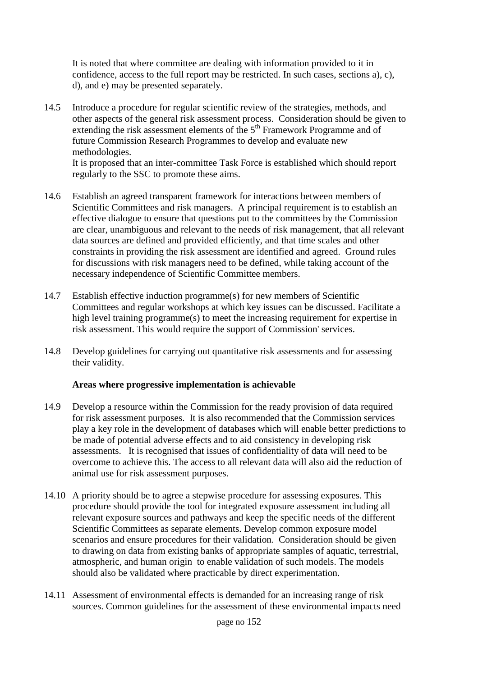It is noted that where committee are dealing with information provided to it in confidence, access to the full report may be restricted. In such cases, sections a), c), d), and e) may be presented separately.

14.5 Introduce a procedure for regular scientific review of the strategies, methods, and other aspects of the general risk assessment process. Consideration should be given to extending the risk assessment elements of the  $5<sup>th</sup>$  Framework Programme and of future Commission Research Programmes to develop and evaluate new methodologies.

It is proposed that an inter-committee Task Force is established which should report regularly to the SSC to promote these aims.

- 14.6 Establish an agreed transparent framework for interactions between members of Scientific Committees and risk managers. A principal requirement is to establish an effective dialogue to ensure that questions put to the committees by the Commission are clear, unambiguous and relevant to the needs of risk management, that all relevant data sources are defined and provided efficiently, and that time scales and other constraints in providing the risk assessment are identified and agreed. Ground rules for discussions with risk managers need to be defined, while taking account of the necessary independence of Scientific Committee members.
- 14.7 Establish effective induction programme(s) for new members of Scientific Committees and regular workshops at which key issues can be discussed. Facilitate a high level training programme(s) to meet the increasing requirement for expertise in risk assessment. This would require the support of Commission' services.
- 14.8 Develop guidelines for carrying out quantitative risk assessments and for assessing their validity.

#### **Areas where progressive implementation is achievable**

- 14.9 Develop a resource within the Commission for the ready provision of data required for risk assessment purposes. It is also recommended that the Commission services play a key role in the development of databases which will enable better predictions to be made of potential adverse effects and to aid consistency in developing risk assessments. It is recognised that issues of confidentiality of data will need to be overcome to achieve this. The access to all relevant data will also aid the reduction of animal use for risk assessment purposes.
- 14.10 A priority should be to agree a stepwise procedure for assessing exposures. This procedure should provide the tool for integrated exposure assessment including all relevant exposure sources and pathways and keep the specific needs of the different Scientific Committees as separate elements. Develop common exposure model scenarios and ensure procedures for their validation. Consideration should be given to drawing on data from existing banks of appropriate samples of aquatic, terrestrial, atmospheric, and human origin to enable validation of such models. The models should also be validated where practicable by direct experimentation.
- 14.11 Assessment of environmental effects is demanded for an increasing range of risk sources. Common guidelines for the assessment of these environmental impacts need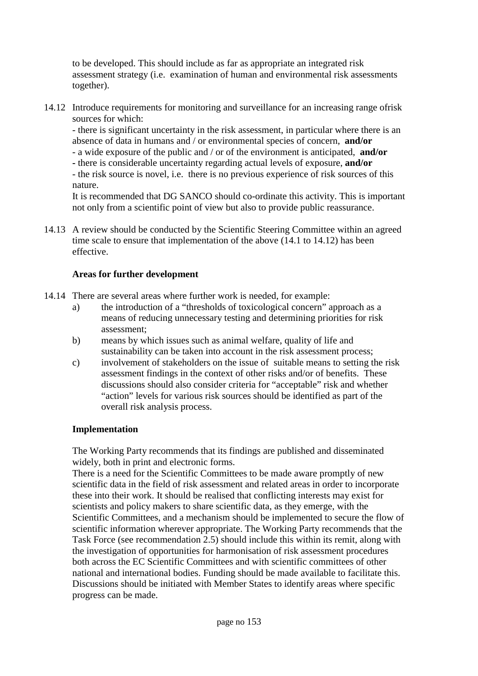to be developed. This should include as far as appropriate an integrated risk assessment strategy (i.e. examination of human and environmental risk assessments together).

14.12 Introduce requirements for monitoring and surveillance for an increasing range ofrisk sources for which:

- there is significant uncertainty in the risk assessment, in particular where there is an absence of data in humans and / or environmental species of concern, **and/or**

- a wide exposure of the public and / or of the environment is anticipated, **and/or**
- there is considerable uncertainty regarding actual levels of exposure, **and/or**
- the risk source is novel, i.e. there is no previous experience of risk sources of this nature.

It is recommended that DG SANCO should co-ordinate this activity. This is important not only from a scientific point of view but also to provide public reassurance.

14.13 A review should be conducted by the Scientific Steering Committee within an agreed time scale to ensure that implementation of the above (14.1 to 14.12) has been effective.

#### **Areas for further development**

- 14.14 There are several areas where further work is needed, for example:
	- a) the introduction of a "thresholds of toxicological concern" approach as a means of reducing unnecessary testing and determining priorities for risk assessment;
	- b) means by which issues such as animal welfare, quality of life and sustainability can be taken into account in the risk assessment process;
	- c) involvement of stakeholders on the issue of suitable means to setting the risk assessment findings in the context of other risks and/or of benefits. These discussions should also consider criteria for "acceptable" risk and whether "action" levels for various risk sources should be identified as part of the overall risk analysis process.

#### **Implementation**

The Working Party recommends that its findings are published and disseminated widely, both in print and electronic forms.

There is a need for the Scientific Committees to be made aware promptly of new scientific data in the field of risk assessment and related areas in order to incorporate these into their work. It should be realised that conflicting interests may exist for scientists and policy makers to share scientific data, as they emerge, with the Scientific Committees, and a mechanism should be implemented to secure the flow of scientific information wherever appropriate. The Working Party recommends that the Task Force (see recommendation 2.5) should include this within its remit, along with the investigation of opportunities for harmonisation of risk assessment procedures both across the EC Scientific Committees and with scientific committees of other national and international bodies. Funding should be made available to facilitate this. Discussions should be initiated with Member States to identify areas where specific progress can be made.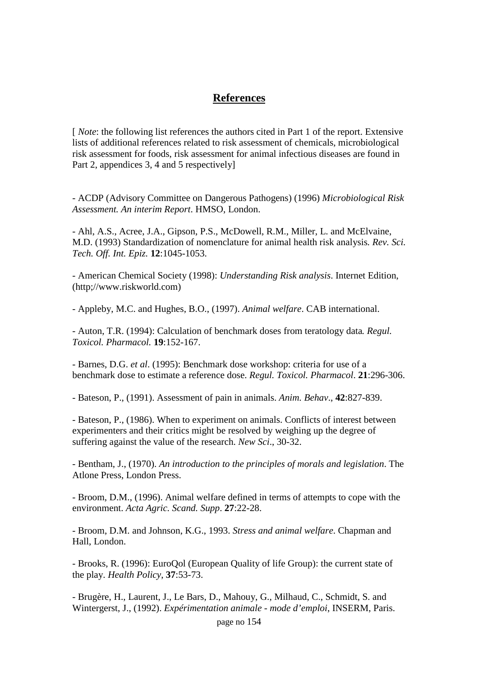## **References**

[ *Note*: the following list references the authors cited in Part 1 of the report. Extensive lists of additional references related to risk assessment of chemicals, microbiological risk assessment for foods, risk assessment for animal infectious diseases are found in Part 2, appendices 3, 4 and 5 respectively]

- ACDP (Advisory Committee on Dangerous Pathogens) (1996) *Microbiological Risk Assessment. An interim Report*. HMSO, London.

- Ahl, A.S., Acree, J.A., Gipson, P.S., McDowell, R.M., Miller, L. and McElvaine, M.D. (1993) Standardization of nomenclature for animal health risk analysis*. Rev. Sci. Tech. Off. Int. Epiz.* **12**:1045-1053.

- American Chemical Society (1998): *Understanding Risk analysis*. Internet Edition, (http;//www.riskworld.com)

- Appleby, M.C. and Hughes, B.O., (1997). *Animal welfare*. CAB international.

- Auton, T.R. (1994): Calculation of benchmark doses from teratology data*. Regul. Toxicol. Pharmacol.* **19**:152-167.

- Barnes, D.G. *et al*. (1995): Benchmark dose workshop: criteria for use of a benchmark dose to estimate a reference dose. *Regul. Toxicol. Pharmacol*. **21**:296-306.

- Bateson, P., (1991). Assessment of pain in animals. *Anim. Behav*., **42**:827-839.

- Bateson, P., (1986). When to experiment on animals. Conflicts of interest between experimenters and their critics might be resolved by weighing up the degree of suffering against the value of the research. *New Sci*., 30-32.

- Bentham, J., (1970). *An introduction to the principles of morals and legislation*. The Atlone Press, London Press.

- Broom, D.M., (1996). Animal welfare defined in terms of attempts to cope with the environment. *Acta Agric. Scand. Supp*. **27**:22-28.

- Broom, D.M. and Johnson, K.G., 1993. *Stress and animal welfare*. Chapman and Hall, London.

- Brooks, R. (1996): EuroQol (European Quality of life Group): the current state of the play. *Health Policy*, **37**:53-73.

- Brugère, H., Laurent, J., Le Bars, D., Mahouy, G., Milhaud, C., Schmidt, S. and Wintergerst, J., (1992). *Expérimentation animale - mode d'emploi*, INSERM, Paris.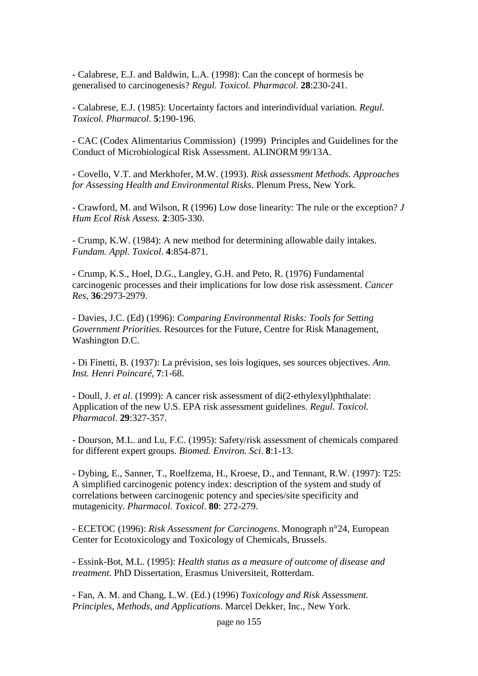- Calabrese, E.J. and Baldwin, L.A. (1998): Can the concept of hormesis be generalised to carcinogenesis? *Regul. Toxicol. Pharmacol*. **28**:230-241.

- Calabrese, E.J. (1985): Uncertainty factors and interindividual variation*. Regul. Toxicol. Pharmacol*. **5**:190-196.

- CAC (Codex Alimentarius Commission) (1999) Principles and Guidelines for the Conduct of Microbiological Risk Assessment. ALINORM 99/13A.

- Covello, V.T. and Merkhofer, M.W. (1993). *Risk assessment Methods. Approaches for Assessing Health and Environmental Risks*. Plenum Press, New York.

- Crawford, M. and Wilson, R (1996) Low dose linearity: The rule or the exception? *J Hum Ecol Risk Assess.* **2**:305-330.

- Crump, K.W. (1984): A new method for determining allowable daily intakes. *Fundam. Appl. Toxicol*. **4**:854-871.

- Crump, K.S., Hoel, D.G., Langley, G.H. and Peto, R. (1976) Fundamental carcinogenic processes and their implications for low dose risk assessment. *Cancer Res*, **36**:2973-2979.

- Davies, J.C. (Ed) (1996): *Comparing Environmental Risks: Tools for Setting Government Priorities.* Resources for the Future, Centre for Risk Management, Washington D.C.

- Di Finetti, B. (1937): La prévision, ses lois logiques, ses sources objectives. *Ann. Inst. Henri Poincaré*, **7**:1-68.

- Doull, J. *et al*. (1999): A cancer risk assessment of di(2-ethylexyl)phthalate: Application of the new U.S. EPA risk assessment guidelines. *Regul. Toxicol. Pharmacol*. **29**:327-357.

- Dourson, M.L. and Lu, F.C. (1995): Safety/risk assessment of chemicals compared for different expert groups. *Biomed. Environ. Sci*. **8**:1-13.

- Dybing, E., Sanner, T., Roelfzema, H., Kroese, D., and Tennant, R.W. (1997): T25: A simplified carcinogenic potency index: description of the system and study of correlations between carcinogenic potency and species/site specificity and mutagenicity. *Pharmacol. Toxicol*. **80**: 272-279.

- ECETOC (1996): *Risk Assessment for Carcinogens*. Monograph n°24, European Center for Ecotoxicology and Toxicology of Chemicals, Brussels.

- Essink-Bot, M.L. (1995): *Health status as a measure of outcome of disease and treatment*. PhD Dissertation, Erasmus Universiteit, Rotterdam.

- Fan, A. M. and Chang, L.W. (Ed.) (1996) *Toxicology and Risk Assessment. Principles, Methods, and Applications*. Marcel Dekker, Inc., New York.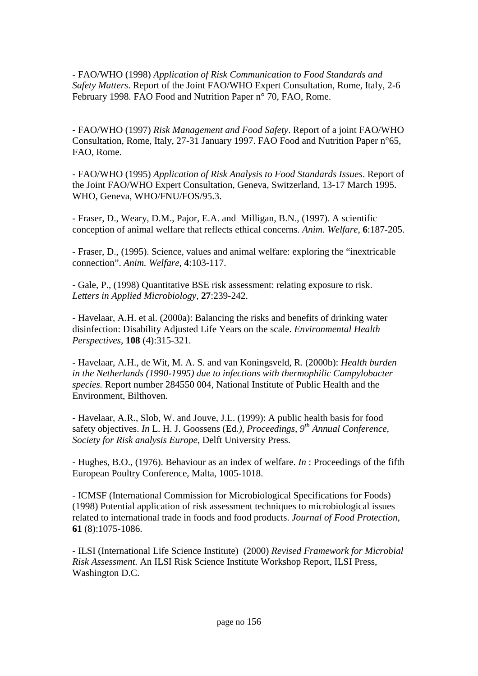- FAO/WHO (1998) *Application of Risk Communication to Food Standards and Safety Matters*. Report of the Joint FAO/WHO Expert Consultation, Rome, Italy, 2-6 February 1998. FAO Food and Nutrition Paper n° 70, FAO, Rome.

- FAO/WHO (1997) *Risk Management and Food Safety*. Report of a joint FAO/WHO Consultation, Rome, Italy, 27-31 January 1997. FAO Food and Nutrition Paper n°65, FAO, Rome.

- FAO/WHO (1995) *Application of Risk Analysis to Food Standards Issues*. Report of the Joint FAO/WHO Expert Consultation, Geneva, Switzerland, 13-17 March 1995. WHO, Geneva, WHO/FNU/FOS/95.3.

- Fraser, D., Weary, D.M., Pajor, E.A. and Milligan, B.N., (1997). A scientific conception of animal welfare that reflects ethical concerns. *Anim. Welfare*, **6**:187-205.

- Fraser, D., (1995). Science, values and animal welfare: exploring the "inextricable connection". *Anim. Welfare*, **4**:103-117.

- Gale, P., (1998) Quantitative BSE risk assessment: relating exposure to risk. *Letters in Applied Microbiology*, **27**:239-242.

- Havelaar, A.H. et al. (2000a): Balancing the risks and benefits of drinking water disinfection: Disability Adjusted Life Years on the scale. *Environmental Health Perspectives*, **108** (4):315-321.

- Havelaar, A.H., de Wit, M. A. S. and van Koningsveld, R. (2000b): *Health burden in the Netherlands (1990-1995) due to infections with thermophilic Campylobacter species.* Report number 284550 004, National Institute of Public Health and the Environment, Bilthoven.

- Havelaar, A.R., Slob, W. and Jouve, J.L. (1999): A public health basis for food safety objectives. *In* L. H. J. Goossens (Ed*.), Proceedings, 9th Annual Conference, Society for Risk analysis Europe*, Delft University Press.

- Hughes, B.O., (1976). Behaviour as an index of welfare. *In* : Proceedings of the fifth European Poultry Conference, Malta, 1005-1018.

- ICMSF (International Commission for Microbiological Specifications for Foods) (1998) Potential application of risk assessment techniques to microbiological issues related to international trade in foods and food products. *Journal of Food Protection*, **61** (8):1075-1086.

- ILSI (International Life Science Institute) (2000) *Revised Framework for Microbial Risk Assessment.* An ILSI Risk Science Institute Workshop Report, ILSI Press, Washington D.C.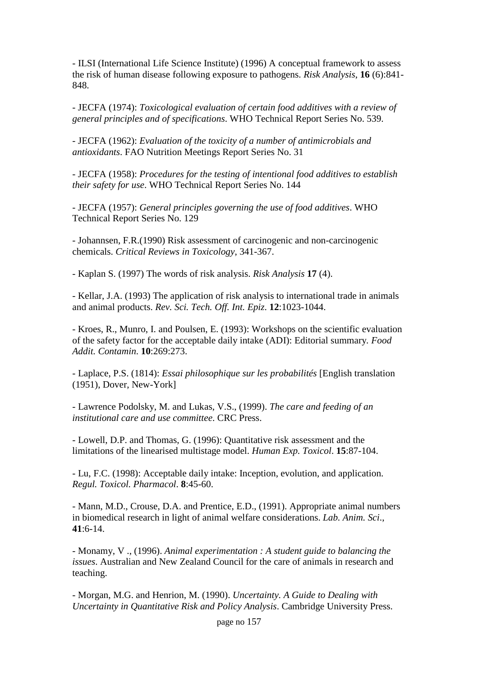- ILSI (International Life Science Institute) (1996) A conceptual framework to assess the risk of human disease following exposure to pathogens. *Risk Analysis*, **16** (6):841- 848.

- JECFA (1974): *Toxicological evaluation of certain food additives with a review of general principles and of specifications*. WHO Technical Report Series No. 539.

- JECFA (1962): *Evaluation of the toxicity of a number of antimicrobials and antioxidants*. FAO Nutrition Meetings Report Series No. 31

- JECFA (1958): *Procedures for the testing of intentional food additives to establish their safety for use*. WHO Technical Report Series No. 144

- JECFA (1957): *General principles governing the use of food additives*. WHO Technical Report Series No. 129

- Johannsen, F.R.(1990) Risk assessment of carcinogenic and non-carcinogenic chemicals. *Critical Reviews in Toxicology*, 341-367.

- Kaplan S. (1997) The words of risk analysis. *Risk Analysis* **17** (4).

- Kellar, J.A. (1993) The application of risk analysis to international trade in animals and animal products. *Rev. Sci. Tech. Off. Int. Epiz*. **12**:1023-1044.

- Kroes, R., Munro, I. and Poulsen, E. (1993): Workshops on the scientific evaluation of the safety factor for the acceptable daily intake (ADI): Editorial summary*. Food Addit. Contamin*. **10**:269:273.

- Laplace, P.S. (1814): *Essai philosophique sur les probabilités* [English translation (1951), Dover, New-York]

- Lawrence Podolsky, M. and Lukas, V.S., (1999). *The care and feeding of an institutional care and use committee*. CRC Press.

- Lowell, D.P. and Thomas, G. (1996): Quantitative risk assessment and the limitations of the linearised multistage model. *Human Exp. Toxicol*. **15**:87-104.

- Lu, F.C. (1998): Acceptable daily intake: Inception, evolution, and application. *Regul. Toxicol. Pharmacol*. **8**:45-60.

- Mann, M.D., Crouse, D.A. and Prentice, E.D., (1991). Appropriate animal numbers in biomedical research in light of animal welfare considerations. *Lab. Anim. Sci*., **41**:6-14.

- Monamy, V ., (1996). *Animal experimentation : A student guide to balancing the issues*. Australian and New Zealand Council for the care of animals in research and teaching.

- Morgan, M.G. and Henrion, M. (1990). *Uncertainty. A Guide to Dealing with Uncertainty in Quantitative Risk and Policy Analysis*. Cambridge University Press.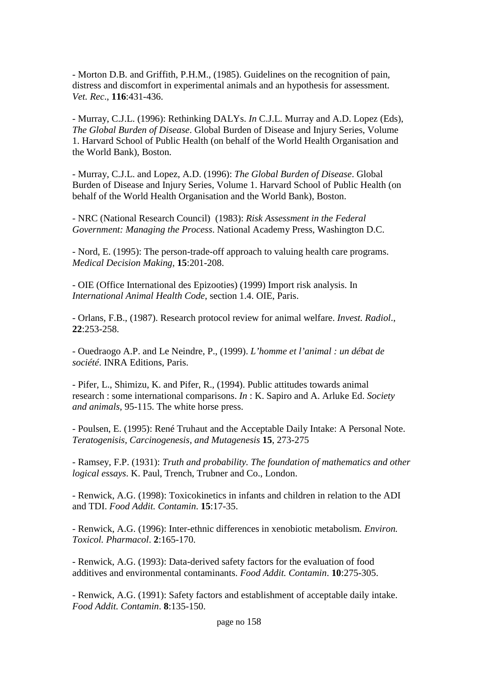- Morton D.B. and Griffith, P.H.M., (1985). Guidelines on the recognition of pain, distress and discomfort in experimental animals and an hypothesis for assessment. *Vet. Rec*., **116**:431-436.

- Murray, C.J.L. (1996): Rethinking DALYs. *In* C.J.L. Murray and A.D. Lopez (Eds), *The Global Burden of Disease*. Global Burden of Disease and Injury Series, Volume 1. Harvard School of Public Health (on behalf of the World Health Organisation and the World Bank), Boston.

- Murray, C.J.L. and Lopez, A.D. (1996): *The Global Burden of Disease*. Global Burden of Disease and Injury Series, Volume 1. Harvard School of Public Health (on behalf of the World Health Organisation and the World Bank), Boston.

- NRC (National Research Council) (1983): *Risk Assessment in the Federal Government: Managing the Process*. National Academy Press, Washington D.C.

- Nord, E. (1995): The person-trade-off approach to valuing health care programs. *Medical Decision Making*, **15**:201-208.

- OIE (Office International des Epizooties) (1999) Import risk analysis. In *International Animal Health Code*, section 1.4. OIE, Paris.

- Orlans, F.B., (1987). Research protocol review for animal welfare. *Invest. Radiol*., **22**:253-258.

- Ouedraogo A.P. and Le Neindre, P., (1999). *L'homme et l'animal : un débat de société*. INRA Editions, Paris.

- Pifer, L., Shimizu, K. and Pifer, R., (1994). Public attitudes towards animal research : some international comparisons. *In* : K. Sapiro and A. Arluke Ed. *Society and animals*, 95-115. The white horse press.

- Poulsen, E. (1995): René Truhaut and the Acceptable Daily Intake: A Personal Note. *Teratogenisis, Carcinogenesis, and Mutagenesis* **15**, 273-275

- Ramsey, F.P. (1931): *Truth and probability. The foundation of mathematics and other logical essays*. K. Paul, Trench, Trubner and Co., London.

- Renwick, A.G. (1998): Toxicokinetics in infants and children in relation to the ADI and TDI. *Food Addit. Contamin*. **15**:17-35.

- Renwick, A.G. (1996): Inter-ethnic differences in xenobiotic metabolism*. Environ. Toxicol. Pharmacol*. **2**:165-170.

- Renwick, A.G. (1993): Data-derived safety factors for the evaluation of food additives and environmental contaminants. *Food Addit. Contamin*. **10**:275-305.

- Renwick, A.G. (1991): Safety factors and establishment of acceptable daily intake. *Food Addit. Contamin*. **8**:135-150.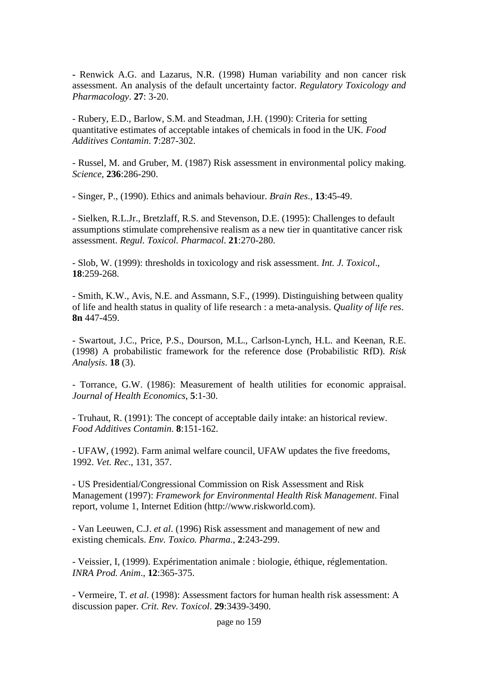**-** Renwick A.G. and Lazarus, N.R. (1998) Human variability and non cancer risk assessment. An analysis of the default uncertainty factor. *Regulatory Toxicology and Pharmacology*. **27**: 3-20.

- Rubery, E.D., Barlow, S.M. and Steadman, J.H. (1990): Criteria for setting quantitative estimates of acceptable intakes of chemicals in food in the UK*. Food Additives Contamin*. **7**:287-302.

- Russel, M. and Gruber, M. (1987) Risk assessment in environmental policy making. *Science*, **236**:286-290.

- Singer, P., (1990). Ethics and animals behaviour. *Brain Res*., **13**:45-49.

- Sielken, R.L.Jr., Bretzlaff, R.S. and Stevenson, D.E. (1995): Challenges to default assumptions stimulate comprehensive realism as a new tier in quantitative cancer risk assessment. *Regul. Toxicol. Pharmacol*. **21**:270-280.

- Slob, W. (1999): thresholds in toxicology and risk assessment. *Int. J. Toxicol*., **18**:259-268.

- Smith, K.W., Avis, N.E. and Assmann, S.F., (1999). Distinguishing between quality of life and health status in quality of life research : a meta-analysis. *Quality of life res*. **8n** 447-459.

- Swartout, J.C., Price, P.S., Dourson, M.L., Carlson-Lynch, H.L. and Keenan, R.E. (1998) A probabilistic framework for the reference dose (Probabilistic RfD). *Risk Analysis*. **18** (3).

- Torrance, G.W. (1986): Measurement of health utilities for economic appraisal. *Journal of Health Economics*, **5**:1-30.

- Truhaut, R. (1991): The concept of acceptable daily intake: an historical review. *Food Additives Contamin*. **8**:151-162.

- UFAW, (1992). Farm animal welfare council, UFAW updates the five freedoms, 1992. *Vet. Rec*., 131, 357.

- US Presidential/Congressional Commission on Risk Assessment and Risk Management (1997): *Framework for Environmental Health Risk Management*. Final report, volume 1, Internet Edition (http://www.riskworld.com).

- Van Leeuwen, C.J. *et al*. (1996) Risk assessment and management of new and existing chemicals. *Env. Toxico. Pharma*., **2**:243-299.

- Veissier, I, (1999). Expérimentation animale : biologie, éthique, réglementation. *INRA Prod. Anim*., **12**:365-375.

- Vermeire, T. *et al*. (1998): Assessment factors for human health risk assessment: A discussion paper. *Crit. Rev. Toxicol*. **29**:3439-3490.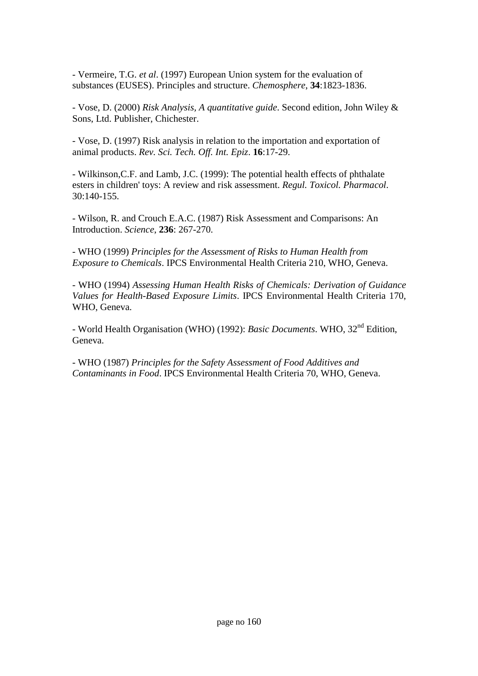- Vermeire, T.G. *et al*. (1997) European Union system for the evaluation of substances (EUSES). Principles and structure. *Chemosphere*, **34**:1823-1836.

- Vose, D. (2000) *Risk Analysis, A quantitative guide*. Second edition, John Wiley & Sons, Ltd. Publisher, Chichester.

- Vose, D. (1997) Risk analysis in relation to the importation and exportation of animal products. *Rev. Sci. Tech. Off. Int. Epiz*. **16**:17-29.

- Wilkinson,C.F. and Lamb, J.C. (1999): The potential health effects of phthalate esters in children' toys: A review and risk assessment. *Regul. Toxicol. Pharmacol*. 30:140-155.

- Wilson, R. and Crouch E.A.C. (1987) Risk Assessment and Comparisons: An Introduction. *Science*, **236**: 267-270.

- WHO (1999) *Principles for the Assessment of Risks to Human Health from Exposure to Chemicals*. IPCS Environmental Health Criteria 210, WHO, Geneva.

- WHO (1994) *Assessing Human Health Risks of Chemicals: Derivation of Guidance Values for Health-Based Exposure Limits*. IPCS Environmental Health Criteria 170, WHO, Geneva.

- World Health Organisation (WHO) (1992): *Basic Documents*. WHO, 32nd Edition, Geneva.

- WHO (1987) *Principles for the Safety Assessment of Food Additives and Contaminants in Food*. IPCS Environmental Health Criteria 70, WHO, Geneva.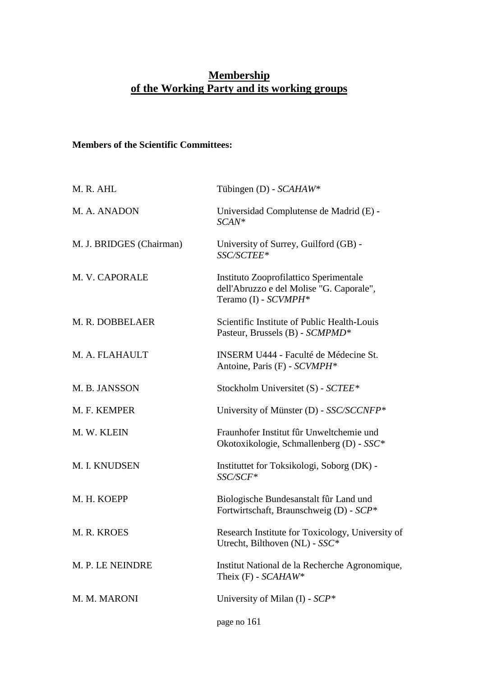### **Membership of the Working Party and its working groups**

### **Members of the Scientific Committees:**

| M. R. AHL                | Tübingen (D) - SCAHAW*                                                                                     |
|--------------------------|------------------------------------------------------------------------------------------------------------|
| M. A. ANADON             | Universidad Complutense de Madrid (E) -<br>$SCAN*$                                                         |
| M. J. BRIDGES (Chairman) | University of Surrey, Guilford (GB) -<br>SSC/SCTEE*                                                        |
| M. V. CAPORALE           | Instituto Zooprofilattico Sperimentale<br>dell'Abruzzo e del Molise "G. Caporale",<br>Teramo (I) - SCVMPH* |
| M. R. DOBBELAER          | Scientific Institute of Public Health-Louis<br>Pasteur, Brussels (B) - SCMPMD*                             |
| M. A. FLAHAULT           | <b>INSERM U444 - Faculté de Médecine St.</b><br>Antoine, Paris (F) - SCVMPH*                               |
| M. B. JANSSON            | Stockholm Universitet (S) - SCTEE*                                                                         |
| M. F. KEMPER             | University of Münster (D) - SSC/SCCNFP*                                                                    |
| M. W. KLEIN              | Fraunhofer Institut fûr Unweltchemie und<br>Okotoxikologie, Schmallenberg (D) - SSC*                       |
| M. I. KNUDSEN            | Instituttet for Toksikologi, Soborg (DK) -<br>SSC/SCF*                                                     |
| M. H. KOEPP              | Biologische Bundesanstalt für Land und<br>Fortwirtschaft, Braunschweig (D) - SCP*                          |
| M. R. KROES              | Research Institute for Toxicology, University of<br>Utrecht, Bilthoven (NL) - $SSC^*$                      |
| M. P. LE NEINDRE         | Institut National de la Recherche Agronomique,<br>Theix $(F)$ - $SCAHAW*$                                  |
| M. M. MARONI             | University of Milan (I) - $SCP*$                                                                           |
|                          | page no 161                                                                                                |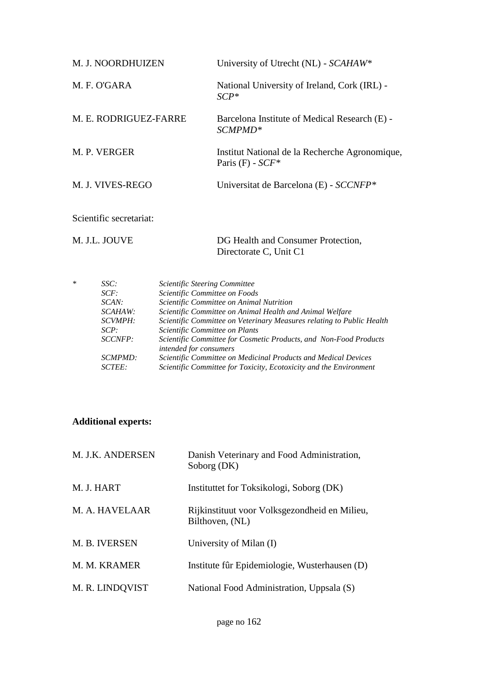| M. J. NOORDHUIZEN       | University of Utrecht (NL) - $SCAHAW*$                                  |
|-------------------------|-------------------------------------------------------------------------|
| M. F. O'GARA            | National University of Ireland, Cork (IRL) -<br>$\mathcal{SCP}^*$       |
| M. E. RODRIGUEZ-FARRE   | Barcelona Institute of Medical Research (E) -<br>SCMPMD <sup>*</sup>    |
| M. P. VERGER            | Institut National de la Recherche Agronomique,<br>Paris $(F)$ - $SCF^*$ |
| M. J. VIVES-REGO        | Universitat de Barcelona (E) - $SCCNFP*$                                |
| Scientific secretariat: |                                                                         |

M. J.L. JOUVE DG Health and Consumer Protection, Directorate C, Unit C1

| SSC:    | Scientific Steering Committee                                                               |
|---------|---------------------------------------------------------------------------------------------|
| SCF:    | Scientific Committee on Foods                                                               |
| SCAN:   | Scientific Committee on Animal Nutrition                                                    |
| SCAHAW: | Scientific Committee on Animal Health and Animal Welfare                                    |
| SCVMPH: | Scientific Committee on Veterinary Measures relating to Public Health                       |
| SCP:    | Scientific Committee on Plants                                                              |
| SCCNFP: | Scientific Committee for Cosmetic Products, and Non-Food Products<br>intended for consumers |
| SCMPMD: | Scientific Committee on Medicinal Products and Medical Devices                              |
| SCTEE:  | Scientific Committee for Toxicity, Ecotoxicity and the Environment                          |
|         |                                                                                             |

## **Additional experts:**

| M. J.K. ANDERSEN | Danish Veterinary and Food Administration,<br>Soborg (DK)        |
|------------------|------------------------------------------------------------------|
| M. J. HART       | Instituttet for Toksikologi, Soborg (DK)                         |
| M. A. HAVELAAR   | Rijkinstituut voor Volksgezondheid en Milieu,<br>Bilthoven, (NL) |
| M. B. IVERSEN    | University of Milan (I)                                          |
| M. M. KRAMER     | Institute fûr Epidemiologie, Wusterhausen (D)                    |
| M. R. LINDQVIST  | National Food Administration, Uppsala (S)                        |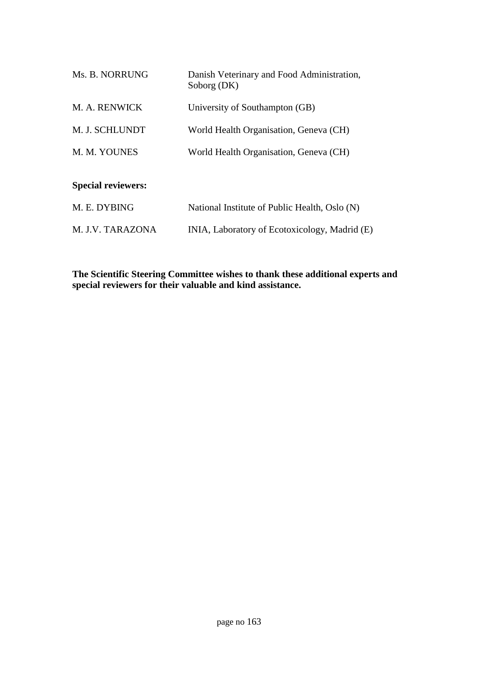| Ms. B. NORRUNG            | Danish Veterinary and Food Administration,<br>Soborg (DK) |
|---------------------------|-----------------------------------------------------------|
| M. A. RENWICK             | University of Southampton (GB)                            |
| M. J. SCHLUNDT            | World Health Organisation, Geneva (CH)                    |
| M. M. YOUNES              | World Health Organisation, Geneva (CH)                    |
| <b>Special reviewers:</b> |                                                           |
| M. E. DYBING              | National Institute of Public Health, Oslo (N)             |
| M. J.V. TARAZONA          | INIA, Laboratory of Ecotoxicology, Madrid (E)             |

**The Scientific Steering Committee wishes to thank these additional experts and special reviewers for their valuable and kind assistance.**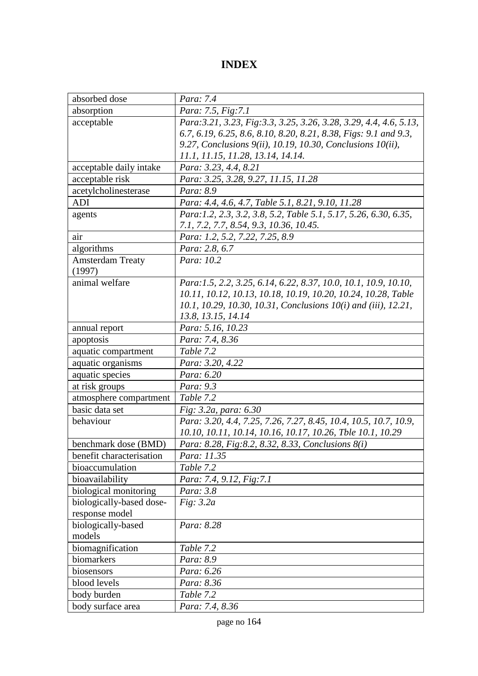## **INDEX**

| absorbed dose            | Para: 7.4                                                           |
|--------------------------|---------------------------------------------------------------------|
| absorption               | Para: 7.5, Fig: 7.1                                                 |
| acceptable               | Para: 3.21, 3.23, Fig: 3.3, 3.25, 3.26, 3.28, 3.29, 4.4, 4.6, 5.13, |
|                          | 6.7, 6.19, 6.25, 8.6, 8.10, 8.20, 8.21, 8.38, Figs: 9.1 and 9.3,    |
|                          | 9.27, Conclusions $9(ii)$ , 10.19, 10.30, Conclusions 10(ii),       |
|                          | 11.1, 11.15, 11.28, 13.14, 14.14.                                   |
| acceptable daily intake  | Para: 3.23, 4.4, 8.21                                               |
| acceptable risk          | Para: 3.25, 3.28, 9.27, 11.15, 11.28                                |
| acetylcholinesterase     | Para: 8.9                                                           |
| <b>ADI</b>               | Para: 4.4, 4.6, 4.7, Table 5.1, 8.21, 9.10, 11.28                   |
| agents                   | Para:1.2, 2.3, 3.2, 3.8, 5.2, Table 5.1, 5.17, 5.26, 6.30, 6.35,    |
|                          | 7.1, 7.2, 7.7, 8.54, 9.3, 10.36, 10.45.                             |
| air                      | Para: 1.2, 5.2, 7.22, 7.25, 8.9                                     |
| algorithms               | Para: 2.8, 6.7                                                      |
| <b>Amsterdam Treaty</b>  | Para: 10.2                                                          |
| (1997)                   |                                                                     |
| animal welfare           | Para:1.5, 2.2, 3.25, 6.14, 6.22, 8.37, 10.0, 10.1, 10.9, 10.10,     |
|                          | 10.11, 10.12, 10.13, 10.18, 10.19, 10.20, 10.24, 10.28, Table       |
|                          | 10.1, 10.29, 10.30, 10.31, Conclusions 10(i) and (iii), 12.21,      |
|                          | 13.8, 13.15, 14.14                                                  |
| annual report            | Para: 5.16, 10.23                                                   |
| apoptosis                | Para: 7.4, 8.36                                                     |
| aquatic compartment      | Table 7.2                                                           |
| aquatic organisms        | Para: 3.20, 4.22                                                    |
| aquatic species          | Para: 6.20                                                          |
| at risk groups           | Para: 9.3                                                           |
| atmosphere compartment   | Table 7.2                                                           |
| basic data set           | Fig: 3.2a, para: 6.30                                               |
| behaviour                | Para: 3.20, 4.4, 7.25, 7.26, 7.27, 8.45, 10.4, 10.5, 10.7, 10.9,    |
|                          | 10.10, 10.11, 10.14, 10.16, 10.17, 10.26, Tble 10.1, 10.29          |
| benchmark dose (BMD)     | Para: 8.28, Fig: 8.2, 8.32, 8.33, Conclusions 8(i)                  |
| benefit characterisation | Para: 11.35                                                         |
| bioaccumulation          | Table 7.2                                                           |
| bioavailability          | Para: 7.4, 9.12, Fig:7.1                                            |
| biological monitoring    | Para: 3.8                                                           |
| biologically-based dose- | Fig. $3.2a$                                                         |
| response model           |                                                                     |
| biologically-based       | Para: 8.28                                                          |
| models                   |                                                                     |
| biomagnification         | Table 7.2                                                           |
| biomarkers               | Para: 8.9                                                           |
| biosensors               | Para: 6.26                                                          |
| blood levels             | Para: 8.36                                                          |
| body burden              | Table 7.2                                                           |
| body surface area        | Para: 7.4, 8.36                                                     |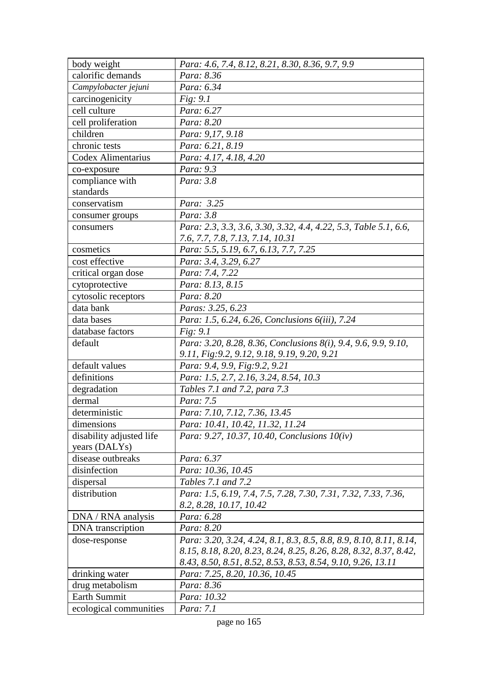| body weight              | Para: 4.6, 7.4, 8.12, 8.21, 8.30, 8.36, 9.7, 9.9                   |
|--------------------------|--------------------------------------------------------------------|
| calorific demands        | Para: 8.36                                                         |
| Campylobacter jejuni     | Para: 6.34                                                         |
| carcinogenicity          | Fig: 9.1                                                           |
| cell culture             | Para: 6.27                                                         |
| cell proliferation       | Para: 8.20                                                         |
| children                 | Para: 9,17, 9.18                                                   |
| chronic tests            | Para: 6.21, 8.19                                                   |
| Codex Alimentarius       | Para: 4.17, 4.18, 4.20                                             |
| co-exposure              | Para: 9.3                                                          |
| compliance with          | Para: 3.8                                                          |
| standards                |                                                                    |
| conservatism             | Para: 3.25                                                         |
| consumer groups          | Para: 3.8                                                          |
| consumers                | Para: 2.3, 3.3, 3.6, 3.30, 3.32, 4.4, 4.22, 5.3, Table 5.1, 6.6,   |
|                          | 7.6, 7.7, 7.8, 7.13, 7.14, 10.31                                   |
| cosmetics                | Para: 5.5, 5.19, 6.7, 6.13, 7.7, 7.25                              |
| cost effective           | Para: 3.4, 3.29, 6.27                                              |
| critical organ dose      | Para: 7.4, 7.22                                                    |
| cytoprotective           | Para: 8.13, 8.15                                                   |
| cytosolic receptors      | Para: 8.20                                                         |
| data bank                | Paras: 3.25, 6.23                                                  |
| data bases               | Para: 1.5, 6.24, 6.26, Conclusions 6(iii), 7.24                    |
| database factors         | Fig: 9.1                                                           |
| default                  | Para: 3.20, 8.28, 8.36, Conclusions 8(i), 9.4, 9.6, 9.9, 9.10,     |
|                          | 9.11, Fig: 9.2, 9.12, 9.18, 9.19, 9.20, 9.21                       |
| default values           | Para: 9.4, 9.9, Fig: 9.2, 9.21                                     |
| definitions              | Para: 1.5, 2.7, 2.16, 3.24, 8.54, 10.3                             |
| degradation              | Tables 7.1 and 7.2, para 7.3                                       |
| dermal                   | Para: 7.5                                                          |
| deterministic            | Para: 7.10, 7.12, 7.36, 13.45                                      |
| dimensions               | Para: 10.41, 10.42, 11.32, 11.24                                   |
| disability adjusted life | Para: 9.27, 10.37, 10.40, Conclusions 10(iv)                       |
| years (DALYs)            |                                                                    |
| disease outbreaks        | Para: 6.37                                                         |
| disinfection             | Para: 10.36, 10.45                                                 |
| dispersal                | Tables 7.1 and 7.2                                                 |
| distribution             | Para: 1.5, 6.19, 7.4, 7.5, 7.28, 7.30, 7.31, 7.32, 7.33, 7.36,     |
|                          | 8.2, 8.28, 10.17, 10.42                                            |
| DNA / RNA analysis       | Para: 6.28                                                         |
| DNA transcription        | Para: 8.20                                                         |
| dose-response            | Para: 3.20, 3.24, 4.24, 8.1, 8.3, 8.5, 8.8, 8.9, 8.10, 8.11, 8.14, |
|                          | 8.15, 8.18, 8.20, 8.23, 8.24, 8.25, 8.26, 8.28, 8.32, 8.37, 8.42,  |
|                          | 8.43, 8.50, 8.51, 8.52, 8.53, 8.53, 8.54, 9.10, 9.26, 13.11        |
| drinking water           | Para: 7.25, 8.20, 10.36, 10.45                                     |
| drug metabolism          | Para: 8.36                                                         |
| Earth Summit             | Para: 10.32                                                        |
| ecological communities   | Para: 7.1                                                          |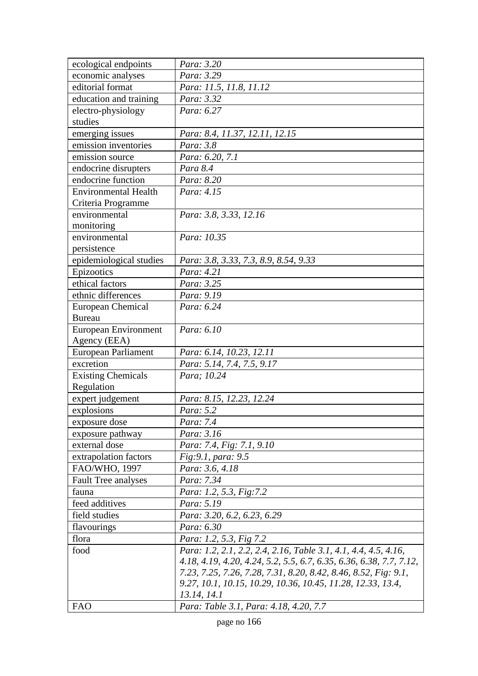| ecological endpoints        | Para: 3.20                                                          |
|-----------------------------|---------------------------------------------------------------------|
| economic analyses           | Para: 3.29                                                          |
| editorial format            | Para: 11.5, 11.8, 11.12                                             |
| education and training      | Para: 3.32                                                          |
| electro-physiology          | Para: 6.27                                                          |
| studies                     |                                                                     |
| emerging issues             | Para: 8.4, 11.37, 12.11, 12.15                                      |
| emission inventories        | Para: 3.8                                                           |
| emission source             | Para: 6.20, 7.1                                                     |
| endocrine disrupters        | Para 8.4                                                            |
| endocrine function          | Para: 8.20                                                          |
| <b>Environmental Health</b> | Para: 4.15                                                          |
| Criteria Programme          |                                                                     |
| environmental               | Para: 3.8, 3.33, 12.16                                              |
| monitoring                  |                                                                     |
| environmental               | Para: 10.35                                                         |
| persistence                 |                                                                     |
| epidemiological studies     | Para: 3.8, 3.33, 7.3, 8.9, 8.54, 9.33                               |
| Epizootics                  | Para: 4.21                                                          |
| ethical factors             | Para: 3.25                                                          |
| ethnic differences          | Para: 9.19                                                          |
| European Chemical           | Para: 6.24                                                          |
| <b>Bureau</b>               |                                                                     |
| European Environment        | Para: 6.10                                                          |
| Agency (EEA)                |                                                                     |
| European Parliament         | Para: 6.14, 10.23, 12.11                                            |
| excretion                   | Para: 5.14, 7.4, 7.5, 9.17                                          |
| <b>Existing Chemicals</b>   | Para; 10.24                                                         |
| Regulation                  |                                                                     |
| expert judgement            | Para: 8.15, 12.23, 12.24                                            |
| explosions                  | Para: 5.2                                                           |
| exposure dose               | Para: 7.4                                                           |
| exposure pathway            | Para: 3.16                                                          |
| external dose               | Para: 7.4, Fig: 7.1, 9.10                                           |
| extrapolation factors       | Fig: 9.1, para: 9.5                                                 |
| FAO/WHO, 1997               | Para: 3.6, 4.18                                                     |
| <b>Fault Tree analyses</b>  | Para: 7.34                                                          |
| fauna                       | Para: 1.2, 5.3, Fig:7.2                                             |
| feed additives              | Para: 5.19                                                          |
| field studies               | Para: 3.20, 6.2, 6.23, 6.29                                         |
| flavourings                 | Para: 6.30                                                          |
| flora                       | Para: 1.2, 5.3, Fig 7.2                                             |
| food                        | Para: 1.2, 2.1, 2.2, 2.4, 2.16, Table 3.1, 4.1, 4.4, 4.5, 4.16,     |
|                             | 4.18, 4.19, 4.20, 4.24, 5.2, 5.5, 6.7, 6.35, 6.36, 6.38, 7.7, 7.12, |
|                             | 7.23, 7.25, 7.26, 7.28, 7.31, 8.20, 8.42, 8.46, 8.52, Fig. 9.1,     |
|                             | 9.27, 10.1, 10.15, 10.29, 10.36, 10.45, 11.28, 12.33, 13.4,         |
|                             | 13.14, 14.1                                                         |
| <b>FAO</b>                  | Para: Table 3.1, Para: 4.18, 4.20, 7.7                              |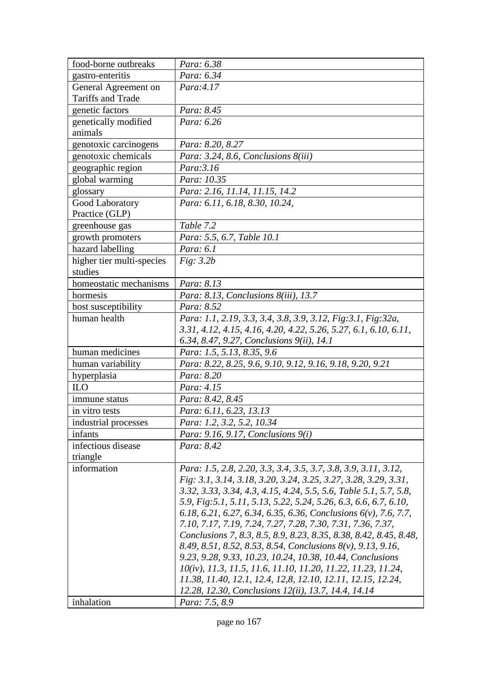| food-borne outbreaks      | Para: 6.38                                                                                                                       |
|---------------------------|----------------------------------------------------------------------------------------------------------------------------------|
| gastro-enteritis          | Para: 6.34                                                                                                                       |
| General Agreement on      | Para:4.17                                                                                                                        |
| Tariffs and Trade         |                                                                                                                                  |
| genetic factors           | Para: 8.45                                                                                                                       |
| genetically modified      | Para: 6.26                                                                                                                       |
| animals                   |                                                                                                                                  |
| genotoxic carcinogens     | Para: 8.20, 8.27                                                                                                                 |
| genotoxic chemicals       | Para: 3.24, 8.6, Conclusions 8(iii)                                                                                              |
| geographic region         | Para: 3.16                                                                                                                       |
| global warming            | Para: 10.35                                                                                                                      |
| glossary                  | Para: 2.16, 11.14, 11.15, 14.2                                                                                                   |
| Good Laboratory           | Para: 6.11, 6.18, 8.30, 10.24,                                                                                                   |
| Practice (GLP)            |                                                                                                                                  |
| greenhouse gas            | Table 7.2                                                                                                                        |
| growth promoters          | Para: 5.5, 6.7, Table 10.1                                                                                                       |
| hazard labelling          | Para: 6.1                                                                                                                        |
| higher tier multi-species | Fig: 3.2b                                                                                                                        |
| studies                   |                                                                                                                                  |
| homeostatic mechanisms    | Para: 8.13                                                                                                                       |
| hormesis                  | Para: 8.13, Conclusions 8(iii), 13.7                                                                                             |
| host susceptibility       | Para: 8.52                                                                                                                       |
| human health              | Para: 1.1, 2.19, 3.3, 3.4, 3.8, 3.9, 3.12, Fig:3.1, Fig:32a,                                                                     |
|                           | 3.31, 4.12, 4.15, 4.16, 4.20, 4.22, 5.26, 5.27, 6.1, 6.10, 6.11,                                                                 |
|                           | 6.34, 8.47, 9.27, Conclusions 9(ii), 14.1                                                                                        |
| human medicines           | Para: 1.5, 5.13, 8.35, 9.6                                                                                                       |
| human variability         | Para: 8.22, 8.25, 9.6, 9.10, 9.12, 9.16, 9.18, 9.20, 9.21                                                                        |
| hyperplasia               | Para: 8.20                                                                                                                       |
| <b>ILO</b>                | Para: 4.15                                                                                                                       |
| immune status             | Para: 8.42, 8.45                                                                                                                 |
| in vitro tests            | Para: 6.11, 6.23, 13.13                                                                                                          |
| industrial processes      | Para: 1.2, 3.2, 5.2, 10.34                                                                                                       |
| infants                   | Para: 9.16, 9.17, Conclusions $9(i)$                                                                                             |
| infectious disease        | Para: 8.42                                                                                                                       |
| triangle                  |                                                                                                                                  |
| information               | Para: 1.5, 2.8, 2.20, 3.3, 3.4, 3.5, 3.7, 3.8, 3.9, 3.11, 3.12,                                                                  |
|                           | Fig: 3.1, 3.14, 3.18, 3.20, 3.24, 3.25, 3.27, 3.28, 3.29, 3.31,                                                                  |
|                           | 3.32, 3.33, 3.34, 4.3, 4.15, 4.24, 5.5, 5.6, Table 5.1, 5.7, 5.8,                                                                |
|                           | 5.9, Fig. 5.1, 5.11, 5.13, 5.22, 5.24, 5.26, 6.3, 6.6, 6.7, 6.10,                                                                |
|                           | 6.18, 6.21, 6.27, 6.34, 6.35, 6.36, Conclusions $6(v)$ , 7.6, 7.7,                                                               |
|                           | 7.10, 7.17, 7.19, 7.24, 7.27, 7.28, 7.30, 7.31, 7.36, 7.37,<br>Conclusions 7, 8.3, 8.5, 8.9, 8.23, 8.35, 8.38, 8.42, 8.45, 8.48, |
|                           | 8.49, 8.51, 8.52, 8.53, 8.54, Conclusions 8(v), 9.13, 9.16,                                                                      |
|                           | 9.23, 9.28, 9.33, 10.23, 10.24, 10.38, 10.44, Conclusions                                                                        |
|                           | 10(iv), 11.3, 11.5, 11.6, 11.10, 11.20, 11.22, 11.23, 11.24,                                                                     |
|                           | 11.38, 11.40, 12.1, 12.4, 12,8, 12.10, 12.11, 12.15, 12.24,                                                                      |
|                           | 12.28, 12.30, Conclusions 12(ii), 13.7, 14.4, 14.14                                                                              |
| inhalation                | Para: 7.5, 8.9                                                                                                                   |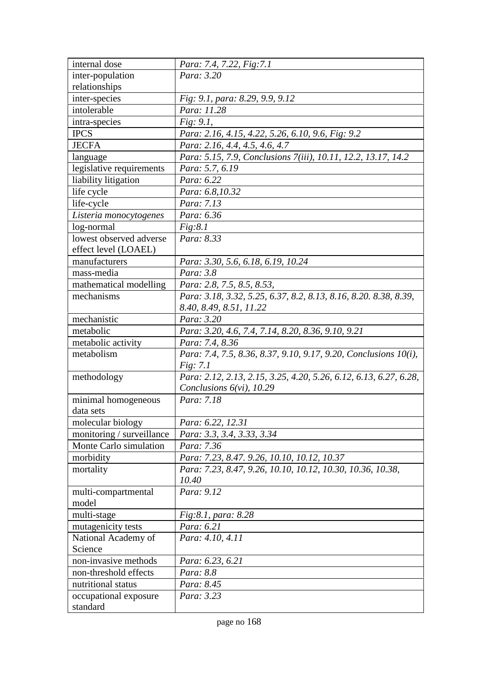| internal dose             | Para: 7.4, 7.22, Fig:7.1                                          |
|---------------------------|-------------------------------------------------------------------|
| inter-population          | Para: 3.20                                                        |
| relationships             |                                                                   |
| inter-species             | Fig: 9.1, para: 8.29, 9.9, 9.12                                   |
| intolerable               | Para: 11.28                                                       |
| intra-species             | Fig: 9.1,                                                         |
| <b>IPCS</b>               | Para: 2.16, 4.15, 4.22, 5.26, 6.10, 9.6, Fig: 9.2                 |
| <b>JECFA</b>              | Para: 2.16, 4.4, 4.5, 4.6, 4.7                                    |
| language                  | Para: 5.15, 7.9, Conclusions 7(iii), 10.11, 12.2, 13.17, 14.2     |
| legislative requirements  | Para: 5.7, 6.19                                                   |
| liability litigation      | Para: 6.22                                                        |
| life cycle                | Para: 6.8,10.32                                                   |
| life-cycle                | Para: 7.13                                                        |
| Listeria monocytogenes    | Para: 6.36                                                        |
| log-normal                | Fig: 8.1                                                          |
| lowest observed adverse   | Para: 8.33                                                        |
| effect level (LOAEL)      |                                                                   |
| manufacturers             | Para: 3.30, 5.6, 6.18, 6.19, 10.24                                |
| mass-media                | Para: 3.8                                                         |
| mathematical modelling    | Para: 2.8, 7.5, 8.5, 8.53,                                        |
| mechanisms                | Para: 3.18, 3.32, 5.25, 6.37, 8.2, 8.13, 8.16, 8.20, 8.38, 8.39,  |
|                           | 8.40, 8.49, 8.51, 11.22                                           |
| mechanistic               | Para: 3.20                                                        |
| metabolic                 | Para: 3.20, 4.6, 7.4, 7.14, 8.20, 8.36, 9.10, 9.21                |
| metabolic activity        | Para: 7.4, 8.36                                                   |
| metabolism                | Para: 7.4, 7.5, 8.36, 8.37, 9.10, 9.17, 9.20, Conclusions 10(i),  |
|                           | <i>Fig: 7.1</i>                                                   |
| methodology               | Para: 2.12, 2.13, 2.15, 3.25, 4.20, 5.26, 6.12, 6.13, 6.27, 6.28, |
|                           | Conclusions $6(vi)$ , 10.29                                       |
| minimal homogeneous       | Para: 7.18                                                        |
| data sets                 |                                                                   |
| molecular biology         | Para: 6.22, 12.31                                                 |
| monitoring / surveillance | Para: 3.3, 3.4, 3.33, 3.34                                        |
| Monte Carlo simulation    | Para: 7.36                                                        |
| morbidity                 | Para: 7.23, 8.47. 9.26, 10.10, 10.12, 10.37                       |
| mortality                 | Para: 7.23, 8.47, 9.26, 10.10, 10.12, 10.30, 10.36, 10.38,        |
|                           | 10.40                                                             |
| multi-compartmental       | Para: 9.12                                                        |
| model                     |                                                                   |
| multi-stage               | <i>Fig:8.1, para: 8.28</i>                                        |
| mutagenicity tests        | Para: 6.21                                                        |
| National Academy of       | Para: 4.10, 4.11                                                  |
| Science                   |                                                                   |
| non-invasive methods      | Para: 6.23, 6.21                                                  |
| non-threshold effects     | Para: 8.8                                                         |
| nutritional status        | Para: 8.45                                                        |
| occupational exposure     | Para: 3.23                                                        |
| standard                  |                                                                   |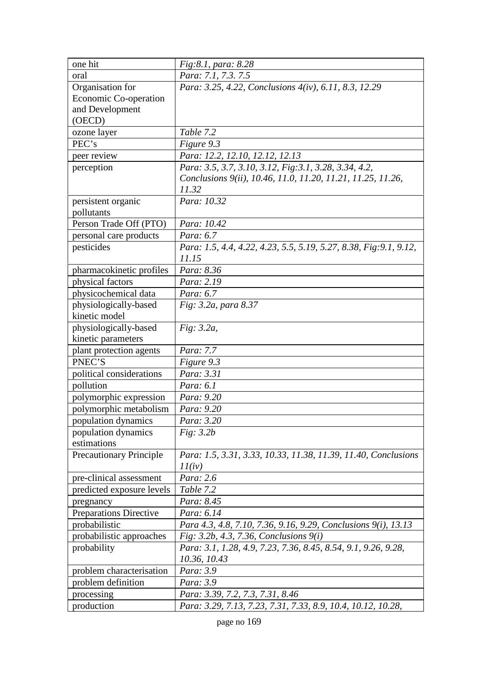| one hit                                                                    | Fig:8.1, para: 8.28                                                                                                                        |
|----------------------------------------------------------------------------|--------------------------------------------------------------------------------------------------------------------------------------------|
| oral                                                                       | Para: 7.1, 7.3. 7.5                                                                                                                        |
| Organisation for                                                           | Para: 3.25, 4.22, Conclusions 4(iv), 6.11, 8.3, 12.29                                                                                      |
| Economic Co-operation                                                      |                                                                                                                                            |
| and Development                                                            |                                                                                                                                            |
| (OECD)                                                                     |                                                                                                                                            |
| ozone layer                                                                | Table 7.2                                                                                                                                  |
| PEC's                                                                      | Figure 9.3                                                                                                                                 |
| peer review                                                                | Para: 12.2, 12.10, 12.12, 12.13                                                                                                            |
| perception                                                                 | Para: 3.5, 3.7, 3.10, 3.12, Fig: 3.1, 3.28, 3.34, 4.2,                                                                                     |
|                                                                            | Conclusions 9(ii), 10.46, 11.0, 11.20, 11.21, 11.25, 11.26,                                                                                |
|                                                                            | 11.32                                                                                                                                      |
| persistent organic                                                         | Para: 10.32                                                                                                                                |
| pollutants                                                                 |                                                                                                                                            |
| Person Trade Off (PTO)                                                     | Para: 10.42                                                                                                                                |
| personal care products                                                     | Para: 6.7                                                                                                                                  |
| pesticides                                                                 | Para: 1.5, 4.4, 4.22, 4.23, 5.5, 5.19, 5.27, 8.38, Fig: 9.1, 9.12,                                                                         |
|                                                                            | 11.15                                                                                                                                      |
| pharmacokinetic profiles                                                   | Para: 8.36                                                                                                                                 |
| physical factors                                                           | Para: 2.19                                                                                                                                 |
| physicochemical data                                                       | Para: 6.7                                                                                                                                  |
| physiologically-based                                                      | Fig: 3.2a, para 8.37                                                                                                                       |
| kinetic model                                                              |                                                                                                                                            |
| physiologically-based                                                      | Fig: 3.2a,                                                                                                                                 |
| kinetic parameters                                                         |                                                                                                                                            |
| plant protection agents                                                    | Para: 7.7                                                                                                                                  |
| PNEC'S                                                                     | Figure 9.3                                                                                                                                 |
| political considerations                                                   | Para: 3.31                                                                                                                                 |
| pollution                                                                  | Para: 6.1                                                                                                                                  |
| polymorphic expression                                                     | Para: 9.20                                                                                                                                 |
| polymorphic metabolism                                                     | Para: 9.20                                                                                                                                 |
| population dynamics                                                        | Para: 3.20                                                                                                                                 |
| population dynamics                                                        | Fig: 3.2b                                                                                                                                  |
| estimations                                                                |                                                                                                                                            |
| <b>Precautionary Principle</b>                                             | Para: 1.5, 3.31, 3.33, 10.33, 11.38, 11.39, 11.40, Conclusions                                                                             |
|                                                                            | 11(iv)                                                                                                                                     |
| pre-clinical assessment                                                    | Para: 2.6                                                                                                                                  |
| predicted exposure levels                                                  | Table 7.2                                                                                                                                  |
| pregnancy                                                                  | Para: 8.45                                                                                                                                 |
| <b>Preparations Directive</b>                                              | Para: 6.14                                                                                                                                 |
| probabilistic                                                              | Para 4.3, 4.8, 7.10, 7.36, 9.16, 9.29, Conclusions 9(i), 13.13                                                                             |
| probabilistic approaches                                                   | Fig: 3.2b, 4.3, 7.36, Conclusions 9(i)                                                                                                     |
| probability                                                                | Para: 3.1, 1.28, 4.9, 7.23, 7.36, 8.45, 8.54, 9.1, 9.26, 9.28,                                                                             |
|                                                                            |                                                                                                                                            |
|                                                                            |                                                                                                                                            |
|                                                                            |                                                                                                                                            |
|                                                                            |                                                                                                                                            |
| problem characterisation<br>problem definition<br>processing<br>production | 10.36, 10.43<br>Para: 3.9<br>Para: 3.9<br>Para: 3.39, 7.2, 7.3, 7.31, 8.46<br>Para: 3.29, 7.13, 7.23, 7.31, 7.33, 8.9, 10.4, 10.12, 10.28, |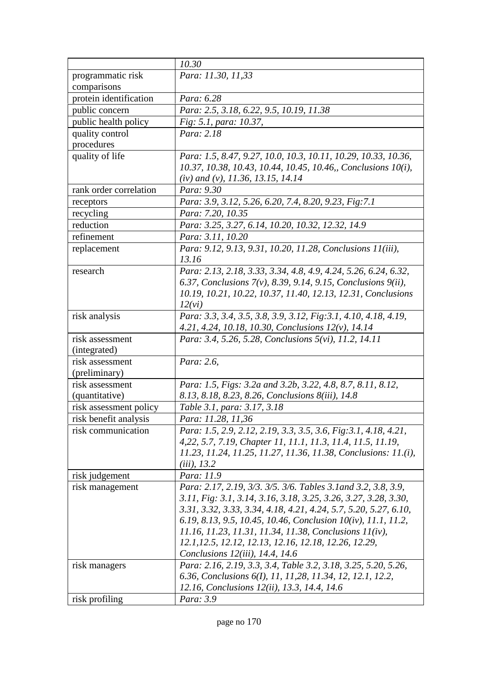|                        | 10.30                                                                                                                          |
|------------------------|--------------------------------------------------------------------------------------------------------------------------------|
| programmatic risk      | Para: 11.30, 11,33                                                                                                             |
| comparisons            |                                                                                                                                |
| protein identification | Para: 6.28                                                                                                                     |
| public concern         | Para: 2.5, 3.18, 6.22, 9.5, 10.19, 11.38                                                                                       |
| public health policy   | Fig. 5.1, para: 10.37,                                                                                                         |
| quality control        | Para: 2.18                                                                                                                     |
| procedures             |                                                                                                                                |
| quality of life        | Para: 1.5, 8.47, 9.27, 10.0, 10.3, 10.11, 10.29, 10.33, 10.36,<br>10.37, 10.38, 10.43, 10.44, 10.45, 10.46, Conclusions 10(i), |
|                        | (iv) and (v), 11.36, 13.15, 14.14                                                                                              |
| rank order correlation | Para: 9.30                                                                                                                     |
| receptors              | Para: 3.9, 3.12, 5.26, 6.20, 7.4, 8.20, 9.23, Fig.7.1                                                                          |
| recycling              | Para: 7.20, 10.35                                                                                                              |
| reduction              | Para: 3.25, 3.27, 6.14, 10.20, 10.32, 12.32, 14.9                                                                              |
| refinement             | Para: 3.11, 10.20                                                                                                              |
| replacement            | Para: 9.12, 9.13, 9.31, 10.20, 11.28, Conclusions 11(iii),                                                                     |
|                        | 13.16                                                                                                                          |
| research               | Para: 2.13, 2.18, 3.33, 3.34, 4.8, 4.9, 4.24, 5.26, 6.24, 6.32,                                                                |
|                        | 6.37, Conclusions 7(v), 8.39, 9.14, 9.15, Conclusions 9(ii),                                                                   |
|                        | 10.19, 10.21, 10.22, 10.37, 11.40, 12.13, 12.31, Conclusions                                                                   |
|                        | 12(vi)                                                                                                                         |
| risk analysis          | Para: 3.3, 3.4, 3.5, 3.8, 3.9, 3.12, Fig: 3.1, 4.10, 4.18, 4.19,<br>4.21, 4.24, 10.18, 10.30, Conclusions $12(v)$ , 14.14      |
| risk assessment        | Para: 3.4, 5.26, 5.28, Conclusions 5(vi), 11.2, 14.11                                                                          |
| (integrated)           |                                                                                                                                |
| risk assessment        | Para: 2.6,                                                                                                                     |
| (preliminary)          |                                                                                                                                |
| risk assessment        | Para: 1.5, Figs: 3.2a and 3.2b, 3.22, 4.8, 8.7, 8.11, 8.12,                                                                    |
| (quantitative)         | 8.13, 8.18, 8.23, 8.26, Conclusions 8(iii), 14.8                                                                               |
| risk assessment policy | Table 3.1, para: 3.17, 3.18                                                                                                    |
| risk benefit analysis  | Para: 11.28, 11,36                                                                                                             |
| risk communication     | Para: 1.5, 2.9, 2.12, 2.19, 3.3, 3.5, 3.6, Fig: 3.1, 4.18, 4.21,                                                               |
|                        | 4,22, 5.7, 7.19, Chapter 11, 11.1, 11.3, 11.4, 11.5, 11.19,                                                                    |
|                        | 11.23, 11.24, 11.25, 11.27, 11.36, 11.38, Conclusions: 11.(i),                                                                 |
|                        | $(iii)$ , 13.2                                                                                                                 |
| risk judgement         | Para: 11.9                                                                                                                     |
| risk management        | Para: 2.17, 2.19, 3/3. 3/5. 3/6. Tables 3.1 and 3.2, 3.8, 3.9,                                                                 |
|                        | 3.11, Fig: 3.1, 3.14, 3.16, 3.18, 3.25, 3.26, 3.27, 3.28, 3.30,                                                                |
|                        | 3.31, 3.32, 3.33, 3.34, 4.18, 4.21, 4.24, 5.7, 5.20, 5.27, 6.10,                                                               |
|                        | 6.19, 8.13, 9.5, 10.45, 10.46, Conclusion 10(iv), 11.1, 11.2,                                                                  |
|                        | 11.16, 11.23, 11.31, 11.34, 11.38, Conclusions 11(iv),                                                                         |
|                        | 12.1, 12.5, 12.12, 12.13, 12.16, 12.18, 12.26, 12.29,                                                                          |
|                        | Conclusions $12(iii)$ , 14.4, 14.6                                                                                             |
| risk managers          | Para: 2.16, 2.19, 3.3, 3.4, Table 3.2, 3.18, 3.25, 5.20, 5.26,                                                                 |
|                        | 6.36, Conclusions 6(I), 11, 11, 28, 11.34, 12, 12.1, 12.2,                                                                     |
|                        | 12.16, Conclusions 12(ii), 13.3, 14.4, 14.6                                                                                    |
| risk profiling         | Para: 3.9                                                                                                                      |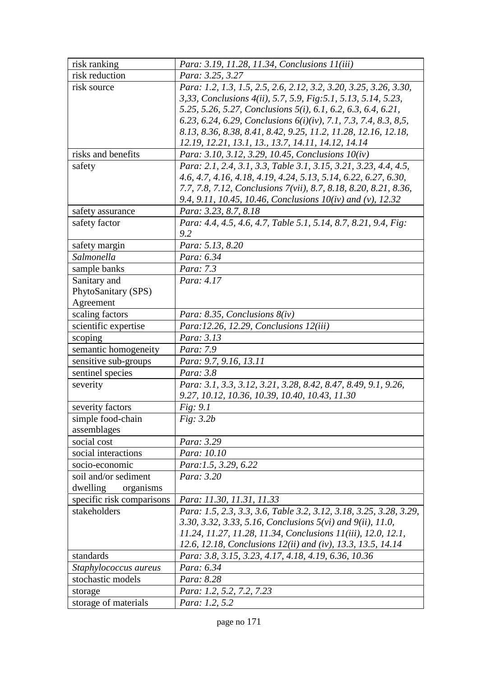| risk ranking              | Para: 3.19, 11.28, 11.34, Conclusions 11(iii)                       |
|---------------------------|---------------------------------------------------------------------|
| risk reduction            | Para: 3.25, 3.27                                                    |
| risk source               | Para: 1.2, 1.3, 1.5, 2.5, 2.6, 2.12, 3.2, 3.20, 3.25, 3.26, 3.30,   |
|                           | 3,33, Conclusions 4(ii), 5.7, 5.9, Fig: 5.1, 5.13, 5.14, 5.23,      |
|                           | 5.25, 5.26, 5.27, Conclusions 5(i), 6.1, 6.2, 6.3, 6.4, 6.21,       |
|                           | 6.23, 6.24, 6.29, Conclusions $6(i)(iv)$ , 7.1, 7.3, 7.4, 8.3, 8,5, |
|                           | 8.13, 8.36, 8.38, 8.41, 8.42, 9.25, 11.2, 11.28, 12.16, 12.18,      |
|                           | 12.19, 12.21, 13.1, 13., 13.7, 14.11, 14.12, 14.14                  |
| risks and benefits        | Para: 3.10, 3.12, 3.29, 10.45, Conclusions 10(iv)                   |
| safety                    | Para: 2.1, 2.4, 3.1, 3.3, Table 3.1, 3.15, 3.21, 3.23, 4.4, 4.5,    |
|                           | 4.6, 4.7, 4.16, 4.18, 4.19, 4.24, 5.13, 5.14, 6.22, 6.27, 6.30,     |
|                           | 7.7, 7.8, 7.12, Conclusions 7(vii), 8.7, 8.18, 8.20, 8.21, 8.36,    |
|                           | 9.4, 9.11, 10.45, 10.46, Conclusions $10(iv)$ and $(v)$ , 12.32     |
| safety assurance          | Para: 3.23, 8.7, 8.18                                               |
| safety factor             | Para: 4.4, 4.5, 4.6, 4.7, Table 5.1, 5.14, 8.7, 8.21, 9.4, Fig:     |
|                           | 9.2                                                                 |
| safety margin             | Para: 5.13, 8.20                                                    |
| Salmonella                | Para: 6.34                                                          |
| sample banks              | Para: 7.3                                                           |
| Sanitary and              | Para: 4.17                                                          |
| PhytoSanitary (SPS)       |                                                                     |
| Agreement                 |                                                                     |
| scaling factors           | Para: 8.35, Conclusions $8(iv)$                                     |
| scientific expertise      | Para:12.26, 12.29, Conclusions 12(iii)                              |
| scoping                   | Para: 3.13                                                          |
| semantic homogeneity      | Para: 7.9                                                           |
| sensitive sub-groups      | Para: 9.7, 9.16, 13.11                                              |
| sentinel species          | Para: 3.8                                                           |
| severity                  | Para: 3.1, 3.3, 3.12, 3.21, 3.28, 8.42, 8.47, 8.49, 9.1, 9.26,      |
|                           | 9.27, 10.12, 10.36, 10.39, 10.40, 10.43, 11.30                      |
| severity factors          | Fig: 9.1                                                            |
| simple food-chain         | Fig: 3.2b                                                           |
| assemblages               |                                                                     |
| social cost               | Para: 3.29                                                          |
| social interactions       | Para: 10.10                                                         |
| socio-economic            | Para:1.5, 3.29, 6.22                                                |
| soil and/or sediment      | Para: 3.20                                                          |
| dwelling<br>organisms     |                                                                     |
| specific risk comparisons | Para: 11.30, 11.31, 11.33                                           |
| stakeholders              | Para: 1.5, 2.3, 3.3, 3.6, Table 3.2, 3.12, 3.18, 3.25, 3.28, 3.29,  |
|                           | 3.30, 3.32, 3.33, 5.16, Conclusions 5(vi) and 9(ii), 11.0,          |
|                           | 11.24, 11.27, 11.28, 11.34, Conclusions 11(iii), 12.0, 12.1,        |
|                           | 12.6, 12.18, Conclusions 12(ii) and (iv), 13.3, 13.5, 14.14         |
| standards                 | Para: 3.8, 3.15, 3.23, 4.17, 4.18, 4.19, 6.36, 10.36                |
| Staphylococcus aureus     | Para: 6.34                                                          |
| stochastic models         | Para: 8.28                                                          |
| storage                   | Para: 1.2, 5.2, 7.2, 7.23                                           |
| storage of materials      | Para: 1.2, 5.2                                                      |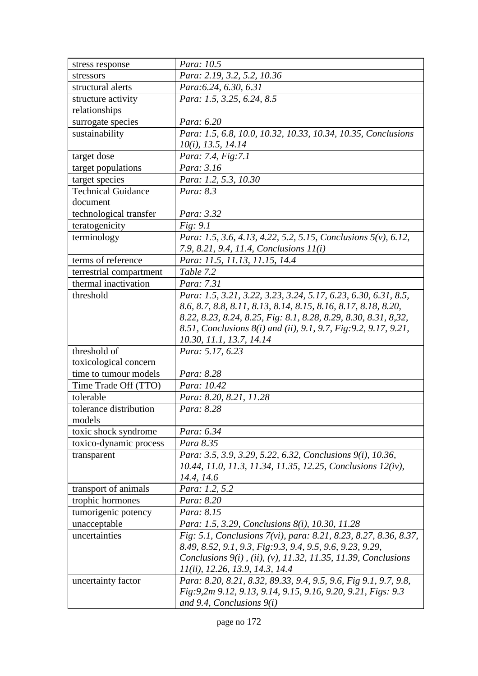| stress response           | Para: 10.5                                                                |
|---------------------------|---------------------------------------------------------------------------|
| stressors                 | Para: 2.19, 3.2, 5.2, 10.36                                               |
| structural alerts         | Para: 6.24, 6.30, 6.31                                                    |
| structure activity        | Para: 1.5, 3.25, 6.24, 8.5                                                |
| relationships             |                                                                           |
| surrogate species         | Para: 6.20                                                                |
| sustainability            | Para: 1.5, 6.8, 10.0, 10.32, 10.33, 10.34, 10.35, Conclusions             |
|                           | $10(i)$ , 13.5, 14.14                                                     |
| target dose               | Para: 7.4, Fig:7.1                                                        |
| target populations        | Para: 3.16                                                                |
| target species            | Para: 1.2, 5.3, 10.30                                                     |
| <b>Technical Guidance</b> | Para: 8.3                                                                 |
| document                  |                                                                           |
| technological transfer    | Para: 3.32                                                                |
| teratogenicity            | Fig: 9.1                                                                  |
| terminology               | Para: 1.5, 3.6, 4.13, 4.22, 5.2, 5.15, Conclusions 5(v), 6.12,            |
|                           | 7.9, 8.21, 9.4, 11.4, Conclusions 11(i)                                   |
| terms of reference        | Para: 11.5, 11.13, 11.15, 14.4                                            |
| terrestrial compartment   | Table 7.2                                                                 |
| thermal inactivation      | Para: 7.31                                                                |
| threshold                 | Para: 1.5, 3.21, 3.22, 3.23, 3.24, 5.17, 6.23, 6.30, 6.31, 8.5,           |
|                           | 8.6, 8.7, 8.8, 8.11, 8.13, 8.14, 8.15, 8.16, 8.17, 8.18, 8.20,            |
|                           | 8.22, 8.23, 8.24, 8.25, Fig: 8.1, 8.28, 8.29, 8.30, 8.31, 8,32,           |
|                           | 8.51, Conclusions 8(i) and (ii), 9.1, 9.7, Fig: 9.2, 9.17, 9.21,          |
|                           | 10.30, 11.1, 13.7, 14.14                                                  |
| threshold of              | Para: 5.17, 6.23                                                          |
| toxicological concern     |                                                                           |
| time to tumour models     | Para: 8.28                                                                |
| Time Trade Off (TTO)      | Para: 10.42                                                               |
| tolerable                 | Para: 8.20, 8.21, 11.28                                                   |
| tolerance distribution    | Para: 8.28                                                                |
| models                    |                                                                           |
| toxic shock syndrome      | Para: 6.34                                                                |
| toxico-dynamic process    | Para 8.35                                                                 |
| transparent               | Para: 3.5, 3.9, 3.29, 5.22, 6.32, Conclusions 9(i), 10.36,                |
|                           | 10.44, 11.0, 11.3, 11.34, 11.35, 12.25, Conclusions 12(iv),<br>14.4, 14.6 |
| transport of animals      | Para: 1.2, 5.2                                                            |
| trophic hormones          | Para: 8.20                                                                |
| tumorigenic potency       | Para: 8.15                                                                |
| unacceptable              | Para: 1.5, 3.29, Conclusions 8(i), 10.30, 11.28                           |
| uncertainties             | Fig. 5.1, Conclusions 7(vi), para: 8.21, 8.23, 8.27, 8.36, 8.37,          |
|                           | 8.49, 8.52, 9.1, 9.3, Fig: 9.3, 9.4, 9.5, 9.6, 9.23, 9.29,                |
|                           | Conclusions $9(i)$ , (ii), (v), 11.32, 11.35, 11.39, Conclusions          |
|                           | 11(ii), 12.26, 13.9, 14.3, 14.4                                           |
| uncertainty factor        | Para: 8.20, 8.21, 8.32, 89.33, 9.4, 9.5, 9.6, Fig 9.1, 9.7, 9.8,          |
|                           | Fig:9,2m 9.12, 9.13, 9.14, 9.15, 9.16, 9.20, 9.21, Figs: 9.3              |
|                           | and 9.4, Conclusions $9(i)$                                               |